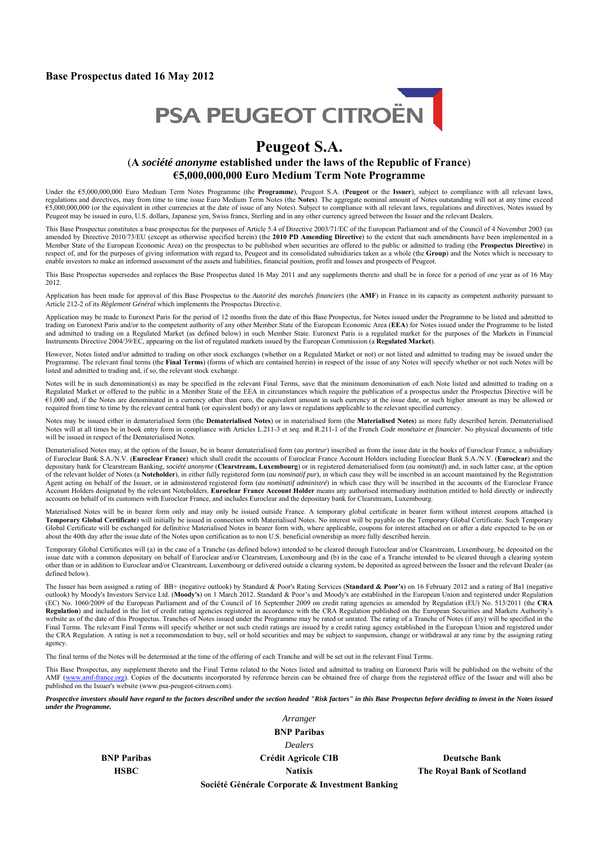#### **Base Prospectus dated 16 May 2012**



# **Peugeot S.A.**

### (**A** *société anonyme* **established under the laws of the Republic of France**) **€5,000,000,000 Euro Medium Term Note Programme**

Under the €5,000,000,000 Euro Medium Term Notes Programme (the **Programme**), Peugeot S.A. (**Peugeot** or the **Issuer**), subject to compliance with all relevant laws, regulations and directives, may from time to time issue Euro Medium Term Notes (the **Notes**). The aggregate nominal amount of Notes outstanding will not at any time exceed €5,000,000,000 (or the equivalent in other currencies at the date of issue of any Notes). Subject to compliance with all relevant laws, regulations and directives, Notes issued by Peugeot may be issued in euro, U.S. dollars, Japanese yen, Swiss francs, Sterling and in any other currency agreed between the Issuer and the relevant Dealers.

This Base Prospectus constitutes a base prospectus for the purposes of Article 5.4 of Directive 2003/71/EC of the European Parliament and of the Council of 4 November 2003 (as amended by Directive 2010/73/EU (except as otherwise specified herein) (the **2010 PD Amending Directive**) to the extent that such amendments have been implemented in a Member State of the European Economic Area) on the prospectus to be published when securities are offered to the public or admitted to trading (the **Prospectus Directive**) in respect of, and for the purposes of giving information with regard to, Peugeot and its consolidated subsidiaries taken as a whole (the **Group**) and the Notes which is necessary to enable investors to make an informed assessment of the assets and liabilities, financial position, profit and losses and prospects of Peugeot.

This Base Prospectus supersedes and replaces the Base Prospectus dated 16 May 2011 and any supplements thereto and shall be in force for a period of one year as of 16 May 2012.

Application has been made for approval of this Base Prospectus to the *Autorité des marchés financiers* (the **AMF**) in France in its capacity as competent authority pursuant to Article 212-2 of its *Règlement Général* which implements the Prospectus Directive.

Application may be made to Euronext Paris for the period of 12 months from the date of this Base Prospectus, for Notes issued under the Programme to be listed and admitted to trading on Euronext Paris and/or to the competent authority of any other Member State of the European Economic Area (**EEA**) for Notes issued under the Programme to be listed and admitted to trading on a Regulated Market (as defined below) in such Member State. Euronext Paris is a regulated market for the purposes of the Markets in Financial Instruments Directive 2004/39/EC, appearing on the list of regulated markets issued by the European Commission (a **Regulated Market**).

However, Notes listed and/or admitted to trading on other stock exchanges (whether on a Regulated Market or not) or not listed and admitted to trading may be issued under the Programme. The relevant final terms (the **Final Terms**) (forms of which are contained herein) in respect of the issue of any Notes will specify whether or not such Notes will be listed and admitted to trading and, if so, the relevant stock exchange.

Notes will be in such denomination(s) as may be specified in the relevant Final Terms, save that the minimum denomination of each Note listed and admitted to trading on a Regulated Market or offered to the public in a Member State of the EEA in circumstances which require the publication of a prospectus under the Prospectus Directive will be €1,000 and, if the Notes are denominated in a currency other than euro, the equivalent amount in such currency at the issue date, or such higher amount as may be allowed or required from time to time by the relevant central bank (or equivalent body) or any laws or regulations applicable to the relevant specified currency.

Notes may be issued either in dematerialised form (the **Dematerialised Notes**) or in materialised form (the **Materialised Notes**) as more fully described herein. Dematerialised Notes will at all times be in book entry form in compliance with Articles L.211-3 et *seq.* and R.211-1 of the French *Code monétaire et financier*. No physical documents of title will be issued in respect of the Dematerialised Notes.

Dematerialised Notes may, at the option of the Issuer, be in bearer dematerialised form (*au porteur*) inscribed as from the issue date in the books of Euroclear France, a subsidiary of Euroclear Bank S.A./N.V. (**Euroclear France**) which shall credit the accounts of Euroclear France Account Holders including Euroclear Bank S.A./N.V. (**Euroclear**) and the depositary bank for Clearstream Banking, *société anonyme* (**Clearstream, Luxembourg**) or in registered dematerialised form (*au nominatif*) and, in such latter case, at the option of the relevant holder of Notes (a **Noteholder**), in either fully registered form (*au nominatif pur*), in which case they will be inscribed in an account maintained by the Registration Agent acting on behalf of the Issuer, or in administered registered form (*au nominatif administré*) in which case they will be inscribed in the accounts of the Euroclear France Account Holders designated by the relevant Noteholders. **Euroclear France Account Holder** means any authorised intermediary institution entitled to hold directly or indirectly accounts on behalf of its customers with Euroclear France, and includes Euroclear and the depositary bank for Clearstream, Luxembourg.

Materialised Notes will be in bearer form only and may only be issued outside France. A temporary global certificate in bearer form without interest coupons attached (a **Temporary Global Certificate**) will initially be issued in connection with Materialised Notes. No interest will be payable on the Temporary Global Certificate. Such Temporary Global Certificate will be exchanged for definitive Materialised Notes in bearer form with, where applicable, coupons for interest attached on or after a date expected to be on or about the 40th day after the issue date of the Notes upon certification as to non U.S. beneficial ownership as more fully described herein.

Temporary Global Certificates will (a) in the case of a Tranche (as defined below) intended to be cleared through Euroclear and/or Clearstream, Luxembourg, be deposited on the issue date with a common depositary on behalf of Euroclear and/or Clearstream, Luxembourg and (b) in the case of a Tranche intended to be cleared through a clearing system other than or in addition to Euroclear and/or Clearstream, Luxembourg or delivered outside a clearing system, be deposited as agreed between the Issuer and the relevant Dealer (as defined below)

The Issuer has been assigned a rating of BB+ (negative outlook) by Standard & Poor's Rating Services (**Standard & Poor's**) on 16 February 2012 and a rating of Ba1 (negative outlook) by Moody's Investors Service Ltd. (**Moody's**) on 1 March 2012. Standard & Poor's and Moody's are established in the European Union and registered under Regulation (EC) No. 1060/2009 of the European Parliament and of the Council of 16 September 2009 on credit rating agencies as amended by Regulation (EU) No. 513/2011 (the **CRA Regulation**) and included in the list of credit rating agencies registered in accordance with the CRA Regulation published on the European Securities and Markets Authority's website as of the date of this Prospectus. Tranches of Notes issued under the Programme may be rated or unrated. The rating of a Tranche of Notes (if any) will be specified in the Final Terms. The relevant Final Terms will specify whether or not such credit ratings are issued by a credit rating agency established in the European Union and registered under the CRA Regulation. A rating is not a recommendation to buy, sell or hold securities and may be subject to suspension, change or withdrawal at any time by the assigning rating agency.

The final terms of the Notes will be determined at the time of the offering of each Tranche and will be set out in the relevant Final Terms.

This Base Prospectus, any supplement thereto and the Final Terms related to the Notes listed and admitted to trading on Euronext Paris will be published on the website of the AMF (www.amf-france.org). Copies of the documents incorporated by reference herein can be obtained free of charge from the registered office of the Issuer and will also be published on the Issuer's website (www.psa-peugeot-citroen.com).

*Prospective investors should have regard to the factors described under the section headed "Risk factors" in this Base Prospectus before deciding to invest in the Notes issued under the Programme.*

> *Arranger*  **BNP Paribas**  *Dealers*  **BNP Paribas Crédit Agricole CIB Deutsche Bank Crédit Agricole CIB**

**HSBC** Natixis Natixis The Royal Bank of Scotland **National Interval Bank of Scotland** 

**Société Générale Corporate & Investment Banking**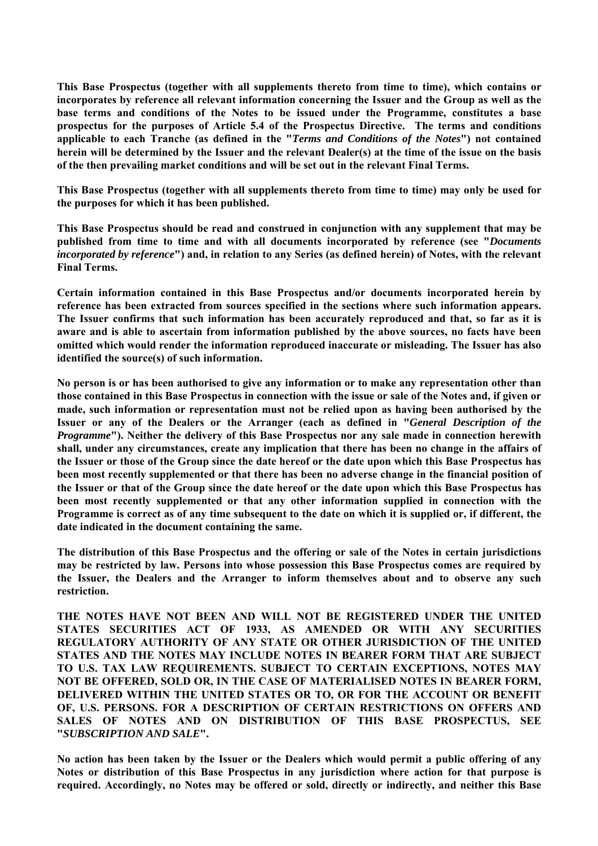**This Base Prospectus (together with all supplements thereto from time to time), which contains or incorporates by reference all relevant information concerning the Issuer and the Group as well as the base terms and conditions of the Notes to be issued under the Programme, constitutes a base prospectus for the purposes of Article 5.4 of the Prospectus Directive. The terms and conditions applicable to each Tranche (as defined in the "***Terms and Conditions of the Notes***") not contained herein will be determined by the Issuer and the relevant Dealer(s) at the time of the issue on the basis of the then prevailing market conditions and will be set out in the relevant Final Terms.**

**This Base Prospectus (together with all supplements thereto from time to time) may only be used for the purposes for which it has been published.**

**This Base Prospectus should be read and construed in conjunction with any supplement that may be published from time to time and with all documents incorporated by reference (see "***Documents incorporated by reference***") and, in relation to any Series (as defined herein) of Notes, with the relevant Final Terms.**

**Certain information contained in this Base Prospectus and/or documents incorporated herein by reference has been extracted from sources specified in the sections where such information appears. The Issuer confirms that such information has been accurately reproduced and that, so far as it is aware and is able to ascertain from information published by the above sources, no facts have been omitted which would render the information reproduced inaccurate or misleading. The Issuer has also identified the source(s) of such information.**

**No person is or has been authorised to give any information or to make any representation other than those contained in this Base Prospectus in connection with the issue or sale of the Notes and, if given or made, such information or representation must not be relied upon as having been authorised by the Issuer or any of the Dealers or the Arranger (each as defined in "***General Description of the Programme***"). Neither the delivery of this Base Prospectus nor any sale made in connection herewith shall, under any circumstances, create any implication that there has been no change in the affairs of the Issuer or those of the Group since the date hereof or the date upon which this Base Prospectus has been most recently supplemented or that there has been no adverse change in the financial position of the Issuer or that of the Group since the date hereof or the date upon which this Base Prospectus has been most recently supplemented or that any other information supplied in connection with the Programme is correct as of any time subsequent to the date on which it is supplied or, if different, the date indicated in the document containing the same.**

**The distribution of this Base Prospectus and the offering or sale of the Notes in certain jurisdictions may be restricted by law. Persons into whose possession this Base Prospectus comes are required by the Issuer, the Dealers and the Arranger to inform themselves about and to observe any such restriction.**

**THE NOTES HAVE NOT BEEN AND WILL NOT BE REGISTERED UNDER THE UNITED STATES SECURITIES ACT OF 1933, AS AMENDED OR WITH ANY SECURITIES REGULATORY AUTHORITY OF ANY STATE OR OTHER JURISDICTION OF THE UNITED STATES AND THE NOTES MAY INCLUDE NOTES IN BEARER FORM THAT ARE SUBJECT TO U.S. TAX LAW REQUIREMENTS. SUBJECT TO CERTAIN EXCEPTIONS, NOTES MAY NOT BE OFFERED, SOLD OR, IN THE CASE OF MATERIALISED NOTES IN BEARER FORM, DELIVERED WITHIN THE UNITED STATES OR TO, OR FOR THE ACCOUNT OR BENEFIT OF, U.S. PERSONS. FOR A DESCRIPTION OF CERTAIN RESTRICTIONS ON OFFERS AND SALES OF NOTES AND ON DISTRIBUTION OF THIS BASE PROSPECTUS, SEE "***SUBSCRIPTION AND SALE***".**

**No action has been taken by the Issuer or the Dealers which would permit a public offering of any Notes or distribution of this Base Prospectus in any jurisdiction where action for that purpose is required. Accordingly, no Notes may be offered or sold, directly or indirectly, and neither this Base**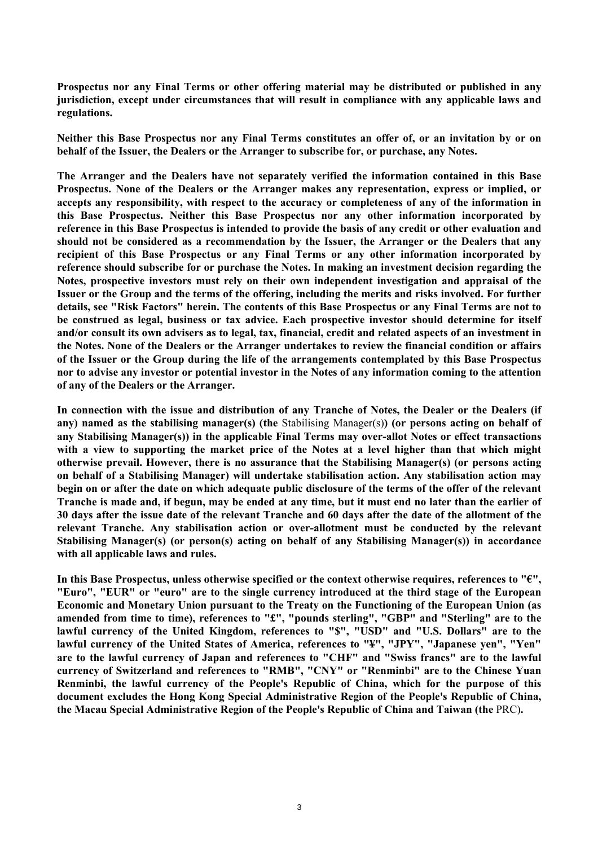**Prospectus nor any Final Terms or other offering material may be distributed or published in any jurisdiction, except under circumstances that will result in compliance with any applicable laws and regulations.**

**Neither this Base Prospectus nor any Final Terms constitutes an offer of, or an invitation by or on behalf of the Issuer, the Dealers or the Arranger to subscribe for, or purchase, any Notes.**

**The Arranger and the Dealers have not separately verified the information contained in this Base Prospectus. None of the Dealers or the Arranger makes any representation, express or implied, or accepts any responsibility, with respect to the accuracy or completeness of any of the information in this Base Prospectus. Neither this Base Prospectus nor any other information incorporated by reference in this Base Prospectus is intended to provide the basis of any credit or other evaluation and should not be considered as a recommendation by the Issuer, the Arranger or the Dealers that any recipient of this Base Prospectus or any Final Terms or any other information incorporated by reference should subscribe for or purchase the Notes. In making an investment decision regarding the Notes, prospective investors must rely on their own independent investigation and appraisal of the Issuer or the Group and the terms of the offering, including the merits and risks involved. For further details, see "Risk Factors" herein. The contents of this Base Prospectus or any Final Terms are not to be construed as legal, business or tax advice. Each prospective investor should determine for itself and/or consult its own advisers as to legal, tax, financial, credit and related aspects of an investment in the Notes. None of the Dealers or the Arranger undertakes to review the financial condition or affairs of the Issuer or the Group during the life of the arrangements contemplated by this Base Prospectus nor to advise any investor or potential investor in the Notes of any information coming to the attention of any of the Dealers or the Arranger.**

**In connection with the issue and distribution of any Tranche of Notes, the Dealer or the Dealers (if any) named as the stabilising manager(s) (the** Stabilising Manager(s)**) (or persons acting on behalf of any Stabilising Manager(s)) in the applicable Final Terms may over-allot Notes or effect transactions with a view to supporting the market price of the Notes at a level higher than that which might otherwise prevail. However, there is no assurance that the Stabilising Manager(s) (or persons acting on behalf of a Stabilising Manager) will undertake stabilisation action. Any stabilisation action may begin on or after the date on which adequate public disclosure of the terms of the offer of the relevant Tranche is made and, if begun, may be ended at any time, but it must end no later than the earlier of 30 days after the issue date of the relevant Tranche and 60 days after the date of the allotment of the relevant Tranche. Any stabilisation action or over-allotment must be conducted by the relevant Stabilising Manager(s) (or person(s) acting on behalf of any Stabilising Manager(s)) in accordance with all applicable laws and rules.**

**In this Base Prospectus, unless otherwise specified or the context otherwise requires, references to "€", "Euro", "EUR" or "euro" are to the single currency introduced at the third stage of the European Economic and Monetary Union pursuant to the Treaty on the Functioning of the European Union (as amended from time to time), references to "£", "pounds sterling", "GBP" and "Sterling" are to the lawful currency of the United Kingdom, references to "\$", "USD" and "U.S. Dollars" are to the lawful currency of the United States of America, references to "¥", "JPY", "Japanese yen", "Yen" are to the lawful currency of Japan and references to "CHF" and "Swiss francs" are to the lawful currency of Switzerland and references to "RMB", "CNY" or "Renminbi" are to the Chinese Yuan Renminbi, the lawful currency of the People's Republic of China, which for the purpose of this document excludes the Hong Kong Special Administrative Region of the People's Republic of China, the Macau Special Administrative Region of the People's Republic of China and Taiwan (the** PRC)**.**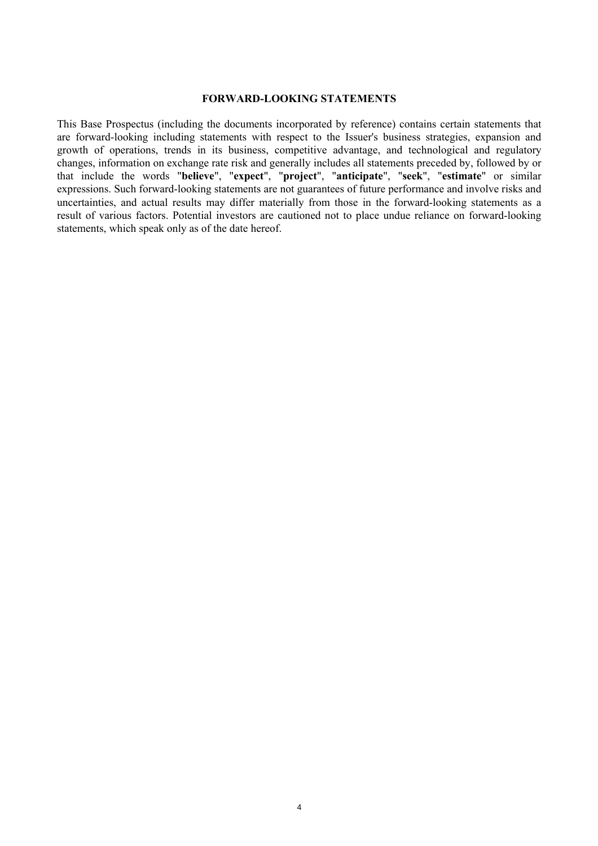#### **FORWARD-LOOKING STATEMENTS**

This Base Prospectus (including the documents incorporated by reference) contains certain statements that are forward-looking including statements with respect to the Issuer's business strategies, expansion and growth of operations, trends in its business, competitive advantage, and technological and regulatory changes, information on exchange rate risk and generally includes all statements preceded by, followed by or that include the words "**believe**", "**expect**", "**project**", "**anticipate**", "**seek**", "**estimate**" or similar expressions. Such forward-looking statements are not guarantees of future performance and involve risks and uncertainties, and actual results may differ materially from those in the forward-looking statements as a result of various factors. Potential investors are cautioned not to place undue reliance on forward-looking statements, which speak only as of the date hereof.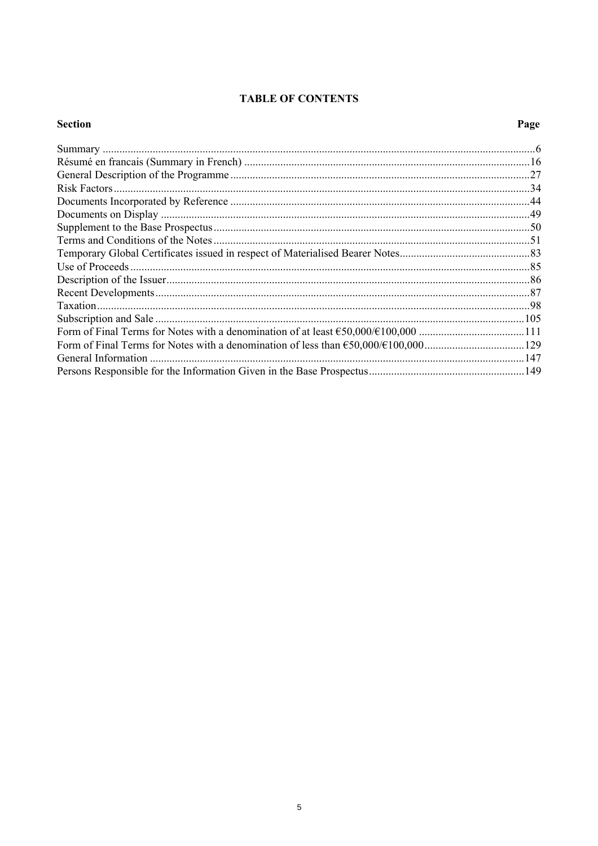# **TABLE OF CONTENTS**

# **Section**

# Page

| .6 |
|----|
|    |
|    |
|    |
|    |
|    |
|    |
|    |
|    |
|    |
|    |
|    |
|    |
|    |
|    |
|    |
|    |
|    |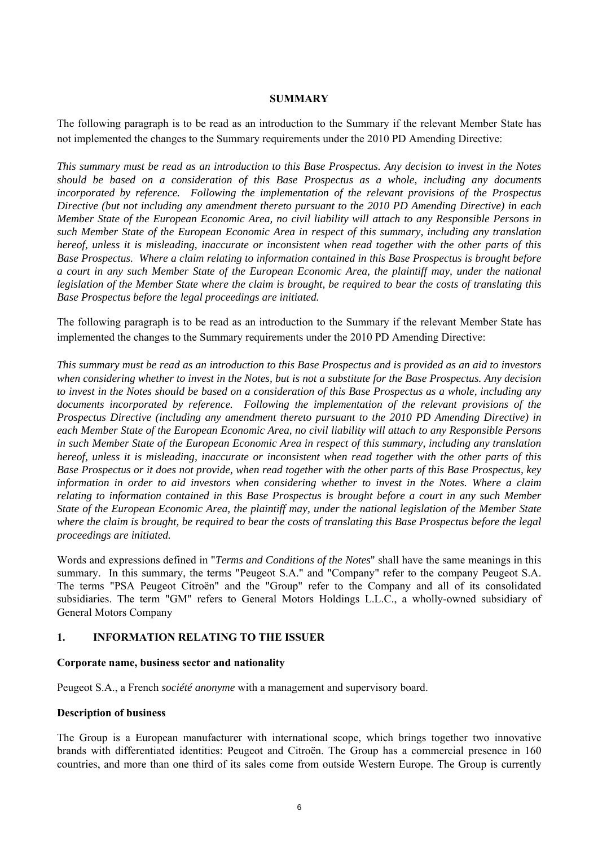### **SUMMARY**

The following paragraph is to be read as an introduction to the Summary if the relevant Member State has not implemented the changes to the Summary requirements under the 2010 PD Amending Directive:

*This summary must be read as an introduction to this Base Prospectus. Any decision to invest in the Notes should be based on a consideration of this Base Prospectus as a whole, including any documents incorporated by reference. Following the implementation of the relevant provisions of the Prospectus Directive (but not including any amendment thereto pursuant to the 2010 PD Amending Directive) in each Member State of the European Economic Area, no civil liability will attach to any Responsible Persons in such Member State of the European Economic Area in respect of this summary, including any translation hereof, unless it is misleading, inaccurate or inconsistent when read together with the other parts of this Base Prospectus. Where a claim relating to information contained in this Base Prospectus is brought before a court in any such Member State of the European Economic Area, the plaintiff may, under the national legislation of the Member State where the claim is brought, be required to bear the costs of translating this Base Prospectus before the legal proceedings are initiated.*

The following paragraph is to be read as an introduction to the Summary if the relevant Member State has implemented the changes to the Summary requirements under the 2010 PD Amending Directive:

*This summary must be read as an introduction to this Base Prospectus and is provided as an aid to investors when considering whether to invest in the Notes, but is not a substitute for the Base Prospectus. Any decision to invest in the Notes should be based on a consideration of this Base Prospectus as a whole, including any documents incorporated by reference. Following the implementation of the relevant provisions of the Prospectus Directive (including any amendment thereto pursuant to the 2010 PD Amending Directive) in each Member State of the European Economic Area, no civil liability will attach to any Responsible Persons in such Member State of the European Economic Area in respect of this summary, including any translation hereof, unless it is misleading, inaccurate or inconsistent when read together with the other parts of this Base Prospectus or it does not provide, when read together with the other parts of this Base Prospectus, key information in order to aid investors when considering whether to invest in the Notes. Where a claim relating to information contained in this Base Prospectus is brought before a court in any such Member State of the European Economic Area, the plaintiff may, under the national legislation of the Member State where the claim is brought, be required to bear the costs of translating this Base Prospectus before the legal proceedings are initiated.*

Words and expressions defined in "*Terms and Conditions of the Notes*" shall have the same meanings in this summary. In this summary, the terms "Peugeot S.A." and "Company" refer to the company Peugeot S.A. The terms "PSA Peugeot Citroën" and the "Group" refer to the Company and all of its consolidated subsidiaries. The term "GM" refers to General Motors Holdings L.L.C., a wholly-owned subsidiary of General Motors Company

### **1. INFORMATION RELATING TO THE ISSUER**

### **Corporate name, business sector and nationality**

Peugeot S.A., a French *société anonyme* with a management and supervisory board.

### **Description of business**

The Group is a European manufacturer with international scope, which brings together two innovative brands with differentiated identities: Peugeot and Citroën. The Group has a commercial presence in 160 countries, and more than one third of its sales come from outside Western Europe. The Group is currently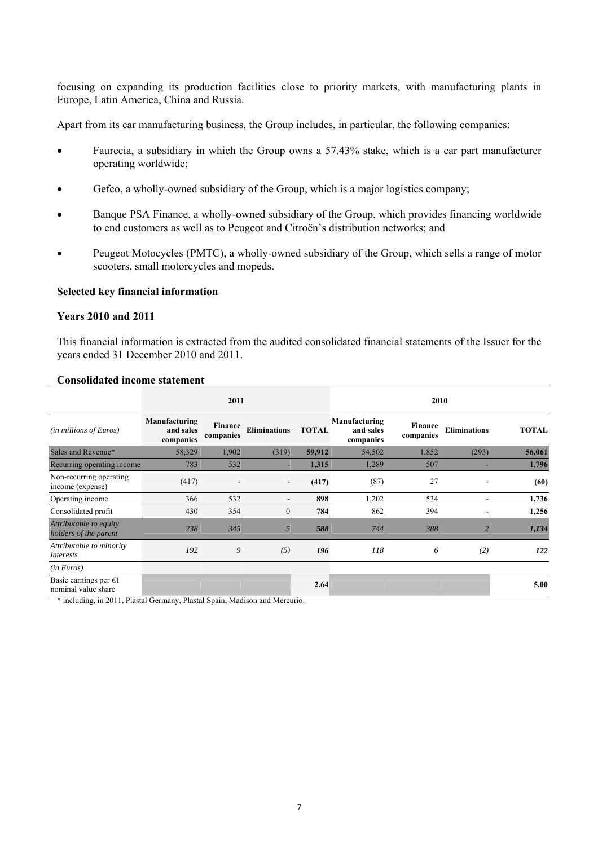focusing on expanding its production facilities close to priority markets, with manufacturing plants in Europe, Latin America, China and Russia.

Apart from its car manufacturing business, the Group includes, in particular, the following companies:

- Faurecia, a subsidiary in which the Group owns a 57.43% stake, which is a car part manufacturer operating worldwide;
- Gefco, a wholly-owned subsidiary of the Group, which is a major logistics company;
- Banque PSA Finance, a wholly-owned subsidiary of the Group, which provides financing worldwide to end customers as well as to Peugeot and Citroën's distribution networks; and
- Peugeot Motocycles (PMTC), a wholly-owned subsidiary of the Group, which sells a range of motor scooters, small motorcycles and mopeds.

# **Selected key financial information**

#### **Years 2010 and 2011**

This financial information is extracted from the audited consolidated financial statements of the Issuer for the years ended 31 December 2010 and 2011.

|                                                        |                                         | 2011                 |                          |              |                                         | 2010                 |                     |              |
|--------------------------------------------------------|-----------------------------------------|----------------------|--------------------------|--------------|-----------------------------------------|----------------------|---------------------|--------------|
| (in millions of Euros)                                 | Manufacturing<br>and sales<br>companies | Finance<br>companies | <b>Eliminations</b>      | <b>TOTAL</b> | Manufacturing<br>and sales<br>companies | Finance<br>companies | <b>Eliminations</b> | <b>TOTAL</b> |
| Sales and Revenue*                                     | 58,329                                  | 1,902                | (319)                    | 59,912       | 54,502                                  | 1,852                | (293)               | 56,061       |
| Recurring operating income                             | 783                                     | 532                  |                          | 1,315        | 1,289                                   | 507                  |                     | 1,796        |
| Non-recurring operating<br>income (expense)            | (417)                                   |                      | $\overline{\phantom{0}}$ | (417)        | (87)                                    | 27                   | $\blacksquare$      | (60)         |
| Operating income                                       | 366                                     | 532                  |                          | 898          | 1,202                                   | 534                  | $\blacksquare$      | 1,736        |
| Consolidated profit                                    | 430                                     | 354                  | $\mathbf{0}$             | 784          | 862                                     | 394                  | ۰                   | 1,256        |
| Attributable to equity<br>holders of the parent        | 238                                     | 345                  | 5                        | 588          | 744                                     | 388                  | $\overline{2}$      | 1,134        |
| Attributable to minority<br>interests                  | 192                                     | 9                    | (5)                      | 196          | 118                                     | 6                    | (2)                 | 122          |
| (in Euros)                                             |                                         |                      |                          |              |                                         |                      |                     |              |
| Basic earnings per $\epsilon$ 1<br>nominal value share |                                         |                      |                          | 2.64         |                                         |                      |                     | 5.00         |

#### **Consolidated income statement**

\* including, in 2011, Plastal Germany, Plastal Spain, Madison and Mercurio.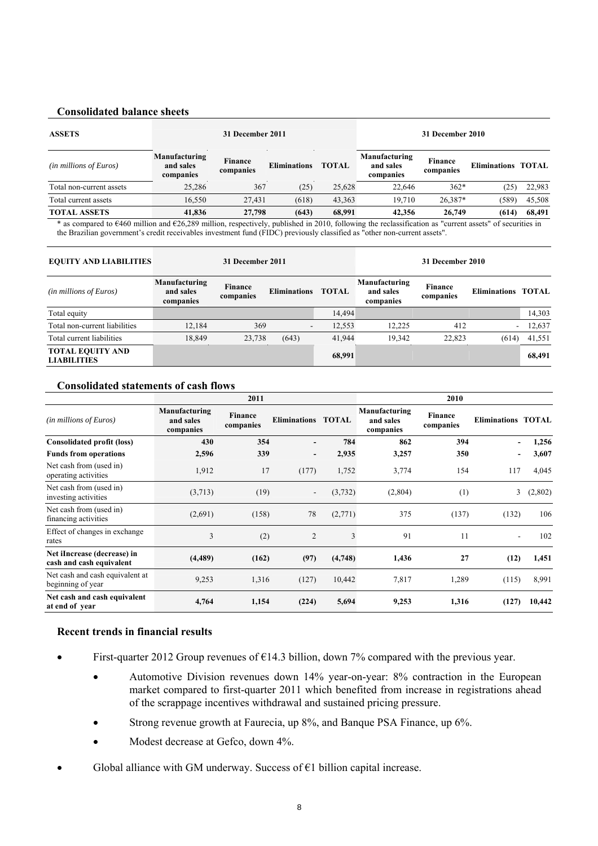### **Consolidated balance sheets**

| <b>ASSETS</b>                                                                                                                                                |                                         | 31 December 2011     |                     |              |                                         | 31 December 2010            |                           |        |
|--------------------------------------------------------------------------------------------------------------------------------------------------------------|-----------------------------------------|----------------------|---------------------|--------------|-----------------------------------------|-----------------------------|---------------------------|--------|
| ( <i>in millions of Euros</i> )                                                                                                                              | Manufacturing<br>and sales<br>companies | Finance<br>companies | <b>Eliminations</b> | <b>TOTAL</b> | Manufacturing<br>and sales<br>companies | <b>Finance</b><br>companies | <b>Eliminations TOTAL</b> |        |
| Total non-current assets                                                                                                                                     | 25.286                                  | 367                  | (25)                | 25,628       | 22.646                                  | $362*$                      | (25                       | 22,983 |
| Total current assets                                                                                                                                         | 16.550                                  | 27.431               | (618)               | 43.363       | 19.710                                  | $26.387*$                   | (589)                     | 45,508 |
| <b>TOTAL ASSETS</b>                                                                                                                                          | 41,836                                  | 27,798               | (643)               | 68.991       | 42,356                                  | 26,749                      | (614)                     | 68,491 |
| $*$ as compared to $E460$ million and $E26.289$ million, respectively published in 2010, following the reclassification as "current assets" of securities in |                                         |                      |                     |              |                                         |                             |                           |        |

\* as compared to  $\epsilon$ 460 million and  $\epsilon$ 26,289 million, respectively, published in 2010, following the reclassification as "current assets" of securities in the Brazilian government's credit receivables investment fund (FIDC) previously classified as "other non-current assets".

| <b>EQUITY AND LIABILITIES</b>                 |                                         | 31 December 2011            |                          |              |                                         | 31 December 2010            |                           |        |
|-----------------------------------------------|-----------------------------------------|-----------------------------|--------------------------|--------------|-----------------------------------------|-----------------------------|---------------------------|--------|
| ( <i>in millions of Euros</i> )               | Manufacturing<br>and sales<br>companies | <b>Finance</b><br>companies | <b>Eliminations</b>      | <b>TOTAL</b> | Manufacturing<br>and sales<br>companies | <b>Finance</b><br>companies | <b>Eliminations TOTAL</b> |        |
| Total equity                                  |                                         |                             |                          | 14,494       |                                         |                             |                           | 14,303 |
| Total non-current liabilities                 | 12,184                                  | 369                         | $\overline{\phantom{a}}$ | 12,553       | 12.225                                  | 412                         | $\blacksquare$            | 12,637 |
| Total current liabilities                     | 18.849                                  | 23,738                      | (643)                    | 41.944       | 19.342                                  | 22.823                      | (614)                     | 41,551 |
| <b>TOTAL EQUITY AND</b><br><b>LIABILITIES</b> |                                         |                             |                          | 68,991       |                                         |                             |                           | 68,491 |

#### **Consolidated statements of cash flows**

|                                                         |                                         | 2011                 |                          |              |                                         | 2010                 |                           |         |
|---------------------------------------------------------|-----------------------------------------|----------------------|--------------------------|--------------|-----------------------------------------|----------------------|---------------------------|---------|
| (in millions of Euros)                                  | Manufacturing<br>and sales<br>companies | Finance<br>companies | <b>Eliminations</b>      | <b>TOTAL</b> | Manufacturing<br>and sales<br>companies | Finance<br>companies | <b>Eliminations TOTAL</b> |         |
| <b>Consolidated profit (loss)</b>                       | 430                                     | 354                  | $\overline{\phantom{0}}$ | 784          | 862                                     | 394                  |                           | 1,256   |
| <b>Funds from operations</b>                            | 2,596                                   | 339                  | $\overline{\phantom{0}}$ | 2,935        | 3,257                                   | 350                  |                           | 3,607   |
| Net cash from (used in)<br>operating activities         | 1,912                                   | 17                   | (177)                    | 1,752        | 3,774                                   | 154                  | 117                       | 4,045   |
| Net cash from (used in)<br>investing activities         | (3,713)                                 | (19)                 | $\overline{\phantom{a}}$ | (3,732)      | (2,804)                                 | (1)                  | 3                         | (2,802) |
| Net cash from (used in)<br>financing activities         | (2,691)                                 | (158)                | 78                       | (2,771)      | 375                                     | (137)                | (132)                     | 106     |
| Effect of changes in exchange<br>rates                  | 3                                       | (2)                  | $\overline{2}$           | 3            | 91                                      | 11                   |                           | 102     |
| Net iIncrease (decrease) in<br>cash and cash equivalent | (4, 489)                                | (162)                | (97)                     | (4,748)      | 1,436                                   | 27                   | (12)                      | 1,451   |
| Net cash and cash equivalent at<br>beginning of year    | 9,253                                   | 1,316                | (127)                    | 10,442       | 7,817                                   | 1,289                | (115)                     | 8,991   |
| Net cash and cash equivalent<br>at end of year          | 4,764                                   | 1,154                | (224)                    | 5,694        | 9,253                                   | 1,316                | (127)                     | 10,442  |

### **Recent trends in financial results**

- First-quarter 2012 Group revenues of  $\epsilon$ 14.3 billion, down 7% compared with the previous year.
	- Automotive Division revenues down 14% year-on-year: 8% contraction in the European market compared to first-quarter 2011 which benefited from increase in registrations ahead of the scrappage incentives withdrawal and sustained pricing pressure.
	- Strong revenue growth at Faurecia, up 8%, and Banque PSA Finance, up 6%.
	- Modest decrease at Gefco, down 4%.
- Global alliance with GM underway. Success of  $E1$  billion capital increase.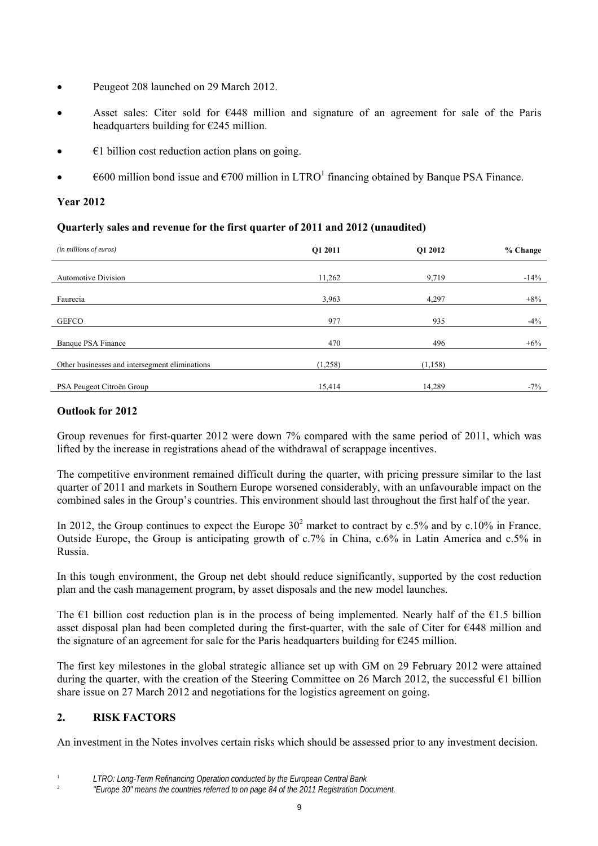- Peugeot 208 launched on 29 March 2012.
- Asset sales: Citer sold for  $\epsilon$ 448 million and signature of an agreement for sale of the Paris headquarters building for €245 million.
- $\epsilon$ 1 billion cost reduction action plans on going.
- $\epsilon$  600 million bond issue and  $\epsilon$ 700 million in LTRO<sup>1</sup> financing obtained by Banque PSA Finance.

# **Year 2012**

# **Quarterly sales and revenue for the first quarter of 2011 and 2012 (unaudited)**

| (in millions of euros)                         | Q1 2011 | O1 2012 | % Change |
|------------------------------------------------|---------|---------|----------|
| <b>Automotive Division</b>                     | 11,262  | 9,719   | $-14%$   |
| Faurecia                                       | 3,963   | 4,297   | $+8%$    |
| <b>GEFCO</b>                                   | 977     | 935     | $-4\%$   |
| Banque PSA Finance                             | 470     | 496     | $+6\%$   |
| Other businesses and intersegment eliminations | (1,258) | (1,158) |          |
| PSA Peugeot Citroën Group                      | 15,414  | 14,289  | $-7\%$   |

# **Outlook for 2012**

Group revenues for first-quarter 2012 were down 7% compared with the same period of 2011, which was lifted by the increase in registrations ahead of the withdrawal of scrappage incentives.

The competitive environment remained difficult during the quarter, with pricing pressure similar to the last quarter of 2011 and markets in Southern Europe worsened considerably, with an unfavourable impact on the combined sales in the Group's countries. This environment should last throughout the first half of the year.

In 2012, the Group continues to expect the Europe  $30^2$  market to contract by c.5% and by c.10% in France. Outside Europe, the Group is anticipating growth of c.7% in China, c.6% in Latin America and c.5% in Russia.

In this tough environment, the Group net debt should reduce significantly, supported by the cost reduction plan and the cash management program, by asset disposals and the new model launches.

The  $\epsilon$ 1 billion cost reduction plan is in the process of being implemented. Nearly half of the  $\epsilon$ 1.5 billion asset disposal plan had been completed during the first-quarter, with the sale of Citer for €448 million and the signature of an agreement for sale for the Paris headquarters building for  $\epsilon$ 245 million.

The first key milestones in the global strategic alliance set up with GM on 29 February 2012 were attained during the quarter, with the creation of the Steering Committee on 26 March 2012, the successful €1 billion share issue on 27 March 2012 and negotiations for the logistics agreement on going.

# **2. RISK FACTORS**

An investment in the Notes involves certain risks which should be assessed prior to any investment decision.

<sup>1</sup> *LTRO: Long-Term Refinancing Operation conducted by the European Central Bank*

<sup>2</sup> *"Europe 30" means the countries referred to on page 84 of the 2011 Registration Document.*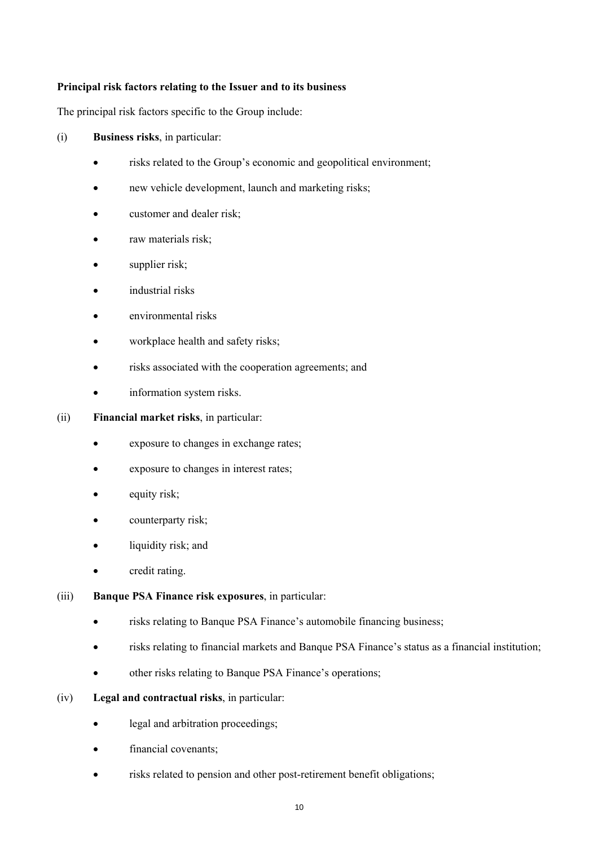# **Principal risk factors relating to the Issuer and to its business**

The principal risk factors specific to the Group include:

- (i) **Business risks**, in particular:
	- risks related to the Group's economic and geopolitical environment;
	- new vehicle development, launch and marketing risks;
	- customer and dealer risk;
	- raw materials risk;
	- supplier risk;
	- industrial risks
	- environmental risks
	- workplace health and safety risks;
	- risks associated with the cooperation agreements; and
	- information system risks.

### (ii) **Financial market risks**, in particular:

- exposure to changes in exchange rates;
- exposure to changes in interest rates;
- equity risk;
- counterparty risk;
- liquidity risk; and
- credit rating.
- (iii) **Banque PSA Finance risk exposures**, in particular:
	- risks relating to Banque PSA Finance's automobile financing business;
	- risks relating to financial markets and Banque PSA Finance's status as a financial institution;
	- other risks relating to Banque PSA Finance's operations;
- (iv) **Legal and contractual risks**, in particular:
	- legal and arbitration proceedings;
	- financial covenants;
	- risks related to pension and other post-retirement benefit obligations;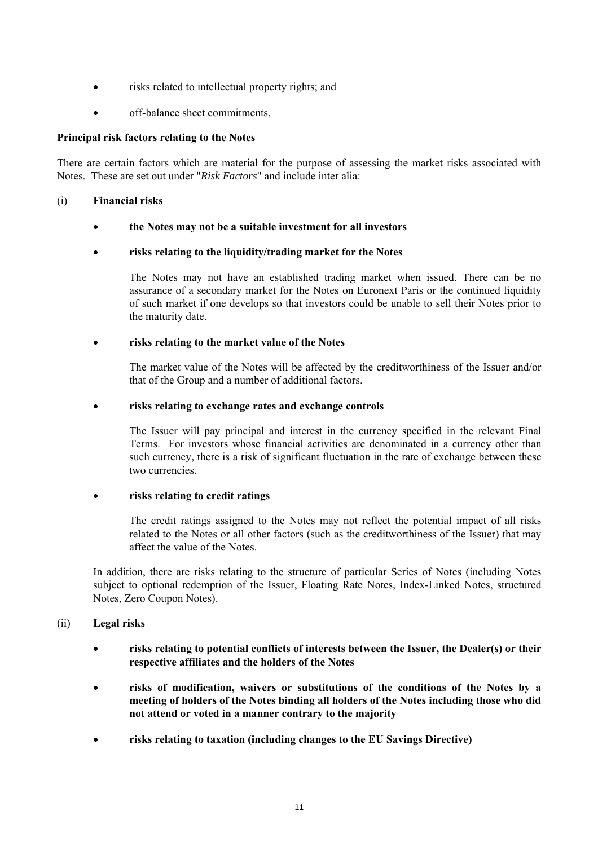- risks related to intellectual property rights; and
- off-balance sheet commitments.

# **Principal risk factors relating to the Notes**

There are certain factors which are material for the purpose of assessing the market risks associated with Notes. These are set out under "*Risk Factors*" and include inter alia:

# (i) **Financial risks**

**the Notes may not be a suitable investment for all investors** 

# **risks relating to the liquidity/trading market for the Notes**

The Notes may not have an established trading market when issued. There can be no assurance of a secondary market for the Notes on Euronext Paris or the continued liquidity of such market if one develops so that investors could be unable to sell their Notes prior to the maturity date.

# **risks relating to the market value of the Notes**

The market value of the Notes will be affected by the creditworthiness of the Issuer and/or that of the Group and a number of additional factors.

# **risks relating to exchange rates and exchange controls**

The Issuer will pay principal and interest in the currency specified in the relevant Final Terms. For investors whose financial activities are denominated in a currency other than such currency, there is a risk of significant fluctuation in the rate of exchange between these two currencies.

# **risks relating to credit ratings**

The credit ratings assigned to the Notes may not reflect the potential impact of all risks related to the Notes or all other factors (such as the creditworthiness of the Issuer) that may affect the value of the Notes.

In addition, there are risks relating to the structure of particular Series of Notes (including Notes subject to optional redemption of the Issuer, Floating Rate Notes, Index-Linked Notes, structured Notes, Zero Coupon Notes).

# (ii) **Legal risks**

- **risks relating to potential conflicts of interests between the Issuer, the Dealer(s) or their respective affiliates and the holders of the Notes**
- **risks of modification, waivers or substitutions of the conditions of the Notes by a meeting of holders of the Notes binding all holders of the Notes including those who did not attend or voted in a manner contrary to the majority**
- **risks relating to taxation (including changes to the EU Savings Directive)**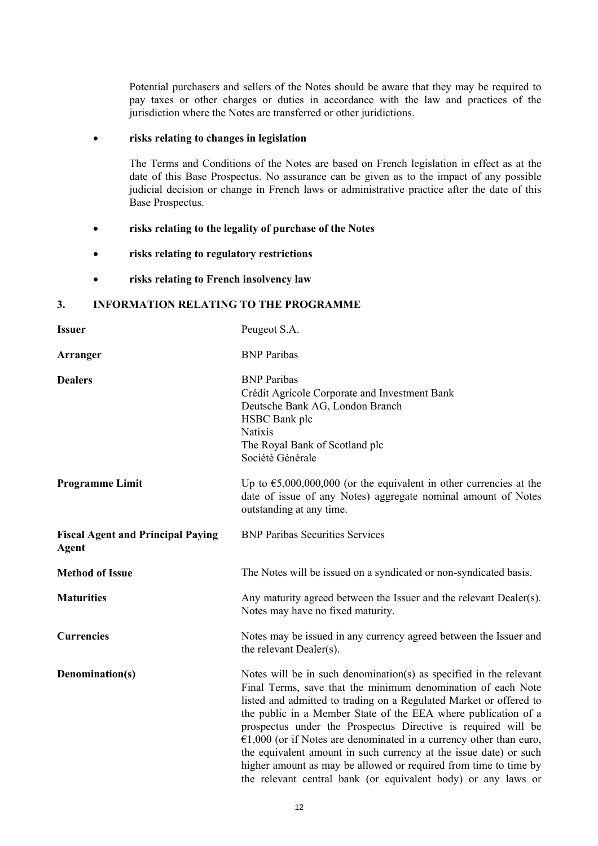Potential purchasers and sellers of the Notes should be aware that they may be required to pay taxes or other charges or duties in accordance with the law and practices of the jurisdiction where the Notes are transferred or other juridictions.

### **risks relating to changes in legislation**

The Terms and Conditions of the Notes are based on French legislation in effect as at the date of this Base Prospectus. No assurance can be given as to the impact of any possible judicial decision or change in French laws or administrative practice after the date of this Base Prospectus.

- **risks relating to the legality of purchase of the Notes**
- **risks relating to regulatory restrictions**
- **risks relating to French insolvency law**

# **3. INFORMATION RELATING TO THE PROGRAMME**

| <b>Issuer</b>                                            | Peugeot S.A.                                                                                                                                                                                                                                                                                                                                                                                                                                                                                                                                                                                                                  |
|----------------------------------------------------------|-------------------------------------------------------------------------------------------------------------------------------------------------------------------------------------------------------------------------------------------------------------------------------------------------------------------------------------------------------------------------------------------------------------------------------------------------------------------------------------------------------------------------------------------------------------------------------------------------------------------------------|
| Arranger                                                 | <b>BNP</b> Paribas                                                                                                                                                                                                                                                                                                                                                                                                                                                                                                                                                                                                            |
| <b>Dealers</b>                                           | <b>BNP</b> Paribas<br>Crédit Agricole Corporate and Investment Bank<br>Deutsche Bank AG, London Branch<br>HSBC Bank plc<br><b>Natixis</b><br>The Royal Bank of Scotland plc<br>Société Générale                                                                                                                                                                                                                                                                                                                                                                                                                               |
| <b>Programme Limit</b>                                   | Up to $\epsilon$ 5,000,000,000 (or the equivalent in other currencies at the<br>date of issue of any Notes) aggregate nominal amount of Notes<br>outstanding at any time.                                                                                                                                                                                                                                                                                                                                                                                                                                                     |
| <b>Fiscal Agent and Principal Paying</b><br><b>Agent</b> | <b>BNP Paribas Securities Services</b>                                                                                                                                                                                                                                                                                                                                                                                                                                                                                                                                                                                        |
| <b>Method of Issue</b>                                   | The Notes will be issued on a syndicated or non-syndicated basis.                                                                                                                                                                                                                                                                                                                                                                                                                                                                                                                                                             |
| <b>Maturities</b>                                        | Any maturity agreed between the Issuer and the relevant Dealer(s).<br>Notes may have no fixed maturity.                                                                                                                                                                                                                                                                                                                                                                                                                                                                                                                       |
| <b>Currencies</b>                                        | Notes may be issued in any currency agreed between the Issuer and<br>the relevant Dealer(s).                                                                                                                                                                                                                                                                                                                                                                                                                                                                                                                                  |
| Denomination(s)                                          | Notes will be in such denomination(s) as specified in the relevant<br>Final Terms, save that the minimum denomination of each Note<br>listed and admitted to trading on a Regulated Market or offered to<br>the public in a Member State of the EEA where publication of a<br>prospectus under the Prospectus Directive is required will be<br>$€1,000$ (or if Notes are denominated in a currency other than euro,<br>the equivalent amount in such currency at the issue date) or such<br>higher amount as may be allowed or required from time to time by<br>the relevant central bank (or equivalent body) or any laws or |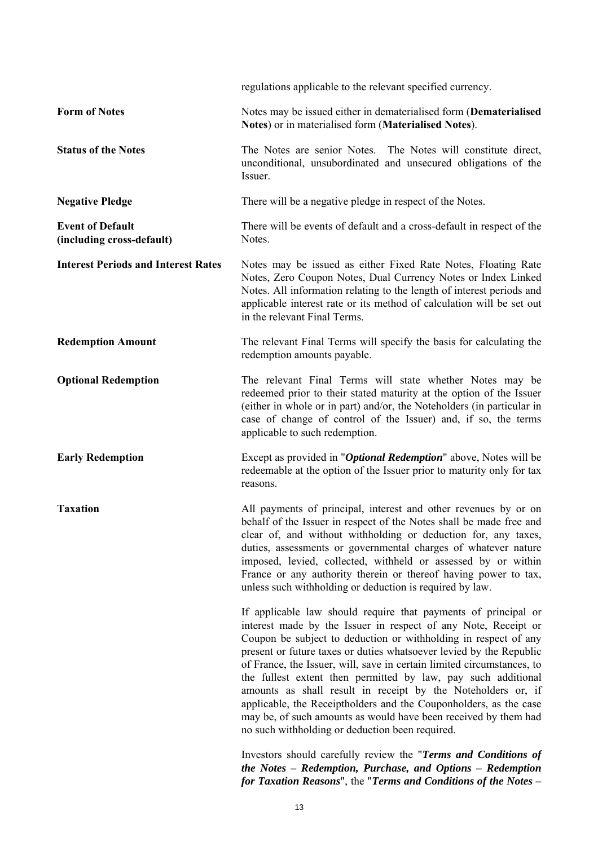|                                                      | regulations applicable to the relevant specified currency.                                                                                                                                                                                                                                                                                                                                                                                                                                                                                                                                                                                                                       |
|------------------------------------------------------|----------------------------------------------------------------------------------------------------------------------------------------------------------------------------------------------------------------------------------------------------------------------------------------------------------------------------------------------------------------------------------------------------------------------------------------------------------------------------------------------------------------------------------------------------------------------------------------------------------------------------------------------------------------------------------|
| <b>Form of Notes</b>                                 | Notes may be issued either in dematerialised form (Dematerialised<br>Notes) or in materialised form (Materialised Notes).                                                                                                                                                                                                                                                                                                                                                                                                                                                                                                                                                        |
| <b>Status of the Notes</b>                           | The Notes are senior Notes. The Notes will constitute direct,<br>unconditional, unsubordinated and unsecured obligations of the<br>Issuer.                                                                                                                                                                                                                                                                                                                                                                                                                                                                                                                                       |
| <b>Negative Pledge</b>                               | There will be a negative pledge in respect of the Notes.                                                                                                                                                                                                                                                                                                                                                                                                                                                                                                                                                                                                                         |
| <b>Event of Default</b><br>(including cross-default) | There will be events of default and a cross-default in respect of the<br>Notes.                                                                                                                                                                                                                                                                                                                                                                                                                                                                                                                                                                                                  |
| <b>Interest Periods and Interest Rates</b>           | Notes may be issued as either Fixed Rate Notes, Floating Rate<br>Notes, Zero Coupon Notes, Dual Currency Notes or Index Linked<br>Notes. All information relating to the length of interest periods and<br>applicable interest rate or its method of calculation will be set out<br>in the relevant Final Terms.                                                                                                                                                                                                                                                                                                                                                                 |
| <b>Redemption Amount</b>                             | The relevant Final Terms will specify the basis for calculating the<br>redemption amounts payable.                                                                                                                                                                                                                                                                                                                                                                                                                                                                                                                                                                               |
| <b>Optional Redemption</b>                           | The relevant Final Terms will state whether Notes may be<br>redeemed prior to their stated maturity at the option of the Issuer<br>(either in whole or in part) and/or, the Noteholders (in particular in<br>case of change of control of the Issuer) and, if so, the terms<br>applicable to such redemption.                                                                                                                                                                                                                                                                                                                                                                    |
| <b>Early Redemption</b>                              | Except as provided in " <i>Optional Redemption</i> " above, Notes will be<br>redeemable at the option of the Issuer prior to maturity only for tax<br>reasons.                                                                                                                                                                                                                                                                                                                                                                                                                                                                                                                   |
| <b>Taxation</b>                                      | All payments of principal, interest and other revenues by or on<br>behalf of the Issuer in respect of the Notes shall be made free and<br>clear of, and without withholding or deduction for, any taxes,<br>duties, assessments or governmental charges of whatever nature<br>imposed, levied, collected, withheld or assessed by or within<br>France or any authority therein or thereof having power to tax,<br>unless such withholding or deduction is required by law.                                                                                                                                                                                                       |
|                                                      | If applicable law should require that payments of principal or<br>interest made by the Issuer in respect of any Note, Receipt or<br>Coupon be subject to deduction or withholding in respect of any<br>present or future taxes or duties whatsoever levied by the Republic<br>of France, the Issuer, will, save in certain limited circumstances, to<br>the fullest extent then permitted by law, pay such additional<br>amounts as shall result in receipt by the Noteholders or, if<br>applicable, the Receiptholders and the Couponholders, as the case<br>may be, of such amounts as would have been received by them had<br>no such withholding or deduction been required. |
|                                                      | Investors should carefully review the "Terms and Conditions of<br>the Notes - Redemption, Purchase, and Options - Redemption<br>for Taxation Reasons", the "Terms and Conditions of the Notes -                                                                                                                                                                                                                                                                                                                                                                                                                                                                                  |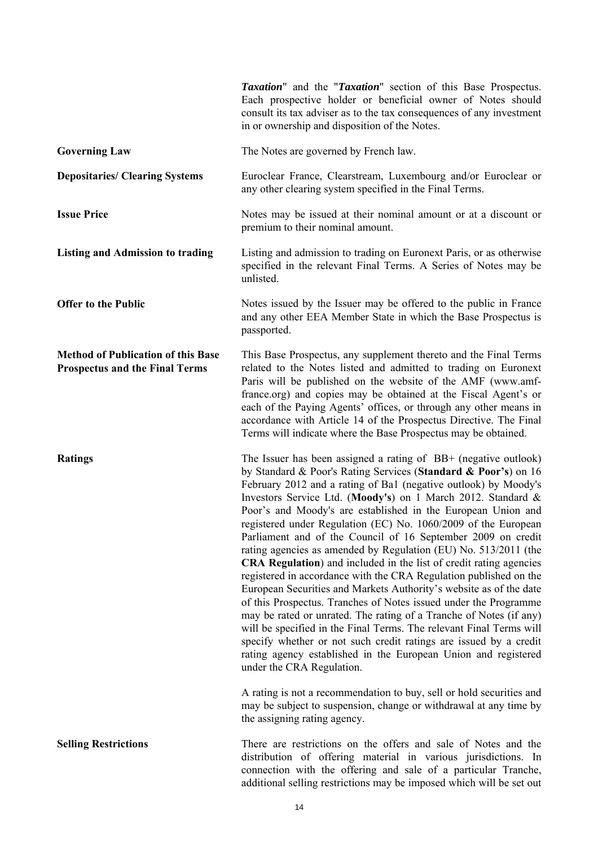|                                                                                    | <i>Taxation</i> " and the " <i>Taxation</i> " section of this Base Prospectus.<br>Each prospective holder or beneficial owner of Notes should<br>consult its tax adviser as to the tax consequences of any investment<br>in or ownership and disposition of the Notes.                                                                                                                                                                                                                                                                                                                                                                                                                                                                                                                                                                                                                                                                                                                                                                                                                                                                                                                                                                                                                                                       |
|------------------------------------------------------------------------------------|------------------------------------------------------------------------------------------------------------------------------------------------------------------------------------------------------------------------------------------------------------------------------------------------------------------------------------------------------------------------------------------------------------------------------------------------------------------------------------------------------------------------------------------------------------------------------------------------------------------------------------------------------------------------------------------------------------------------------------------------------------------------------------------------------------------------------------------------------------------------------------------------------------------------------------------------------------------------------------------------------------------------------------------------------------------------------------------------------------------------------------------------------------------------------------------------------------------------------------------------------------------------------------------------------------------------------|
| <b>Governing Law</b>                                                               | The Notes are governed by French law.                                                                                                                                                                                                                                                                                                                                                                                                                                                                                                                                                                                                                                                                                                                                                                                                                                                                                                                                                                                                                                                                                                                                                                                                                                                                                        |
| <b>Depositaries/ Clearing Systems</b>                                              | Euroclear France, Clearstream, Luxembourg and/or Euroclear or<br>any other clearing system specified in the Final Terms.                                                                                                                                                                                                                                                                                                                                                                                                                                                                                                                                                                                                                                                                                                                                                                                                                                                                                                                                                                                                                                                                                                                                                                                                     |
| <b>Issue Price</b>                                                                 | Notes may be issued at their nominal amount or at a discount or<br>premium to their nominal amount.                                                                                                                                                                                                                                                                                                                                                                                                                                                                                                                                                                                                                                                                                                                                                                                                                                                                                                                                                                                                                                                                                                                                                                                                                          |
| <b>Listing and Admission to trading</b>                                            | Listing and admission to trading on Euronext Paris, or as otherwise<br>specified in the relevant Final Terms. A Series of Notes may be<br>unlisted.                                                                                                                                                                                                                                                                                                                                                                                                                                                                                                                                                                                                                                                                                                                                                                                                                                                                                                                                                                                                                                                                                                                                                                          |
| <b>Offer to the Public</b>                                                         | Notes issued by the Issuer may be offered to the public in France<br>and any other EEA Member State in which the Base Prospectus is<br>passported.                                                                                                                                                                                                                                                                                                                                                                                                                                                                                                                                                                                                                                                                                                                                                                                                                                                                                                                                                                                                                                                                                                                                                                           |
| <b>Method of Publication of this Base</b><br><b>Prospectus and the Final Terms</b> | This Base Prospectus, any supplement thereto and the Final Terms<br>related to the Notes listed and admitted to trading on Euronext<br>Paris will be published on the website of the AMF (www.amf-<br>france.org) and copies may be obtained at the Fiscal Agent's or<br>each of the Paying Agents' offices, or through any other means in<br>accordance with Article 14 of the Prospectus Directive. The Final<br>Terms will indicate where the Base Prospectus may be obtained.                                                                                                                                                                                                                                                                                                                                                                                                                                                                                                                                                                                                                                                                                                                                                                                                                                            |
| <b>Ratings</b>                                                                     | The Issuer has been assigned a rating of BB+ (negative outlook)<br>by Standard & Poor's Rating Services (Standard & Poor's) on 16<br>February 2012 and a rating of Ba1 (negative outlook) by Moody's<br>Investors Service Ltd. (Moody's) on 1 March 2012. Standard &<br>Poor's and Moody's are established in the European Union and<br>registered under Regulation (EC) No. 1060/2009 of the European<br>Parliament and of the Council of 16 September 2009 on credit<br>rating agencies as amended by Regulation (EU) No. 513/2011 (the<br>CRA Regulation) and included in the list of credit rating agencies<br>registered in accordance with the CRA Regulation published on the<br>European Securities and Markets Authority's website as of the date<br>of this Prospectus. Tranches of Notes issued under the Programme<br>may be rated or unrated. The rating of a Tranche of Notes (if any)<br>will be specified in the Final Terms. The relevant Final Terms will<br>specify whether or not such credit ratings are issued by a credit<br>rating agency established in the European Union and registered<br>under the CRA Regulation.<br>A rating is not a recommendation to buy, sell or hold securities and<br>may be subject to suspension, change or withdrawal at any time by<br>the assigning rating agency. |
| <b>Selling Restrictions</b>                                                        | There are restrictions on the offers and sale of Notes and the<br>distribution of offering material in various jurisdictions. In<br>connection with the offering and sale of a particular Tranche,<br>additional selling restrictions may be imposed which will be set out                                                                                                                                                                                                                                                                                                                                                                                                                                                                                                                                                                                                                                                                                                                                                                                                                                                                                                                                                                                                                                                   |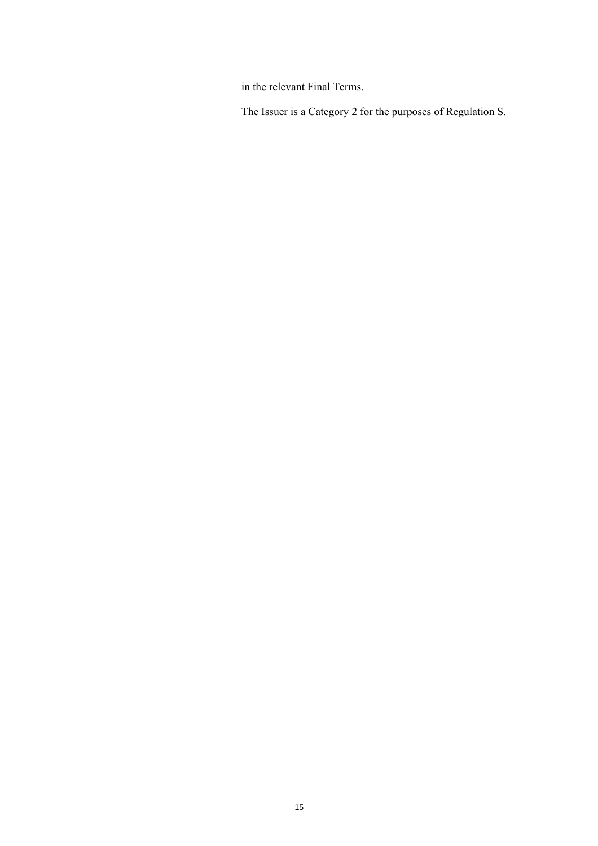in the relevant Final Terms.

The Issuer is a Category 2 for the purposes of Regulation S.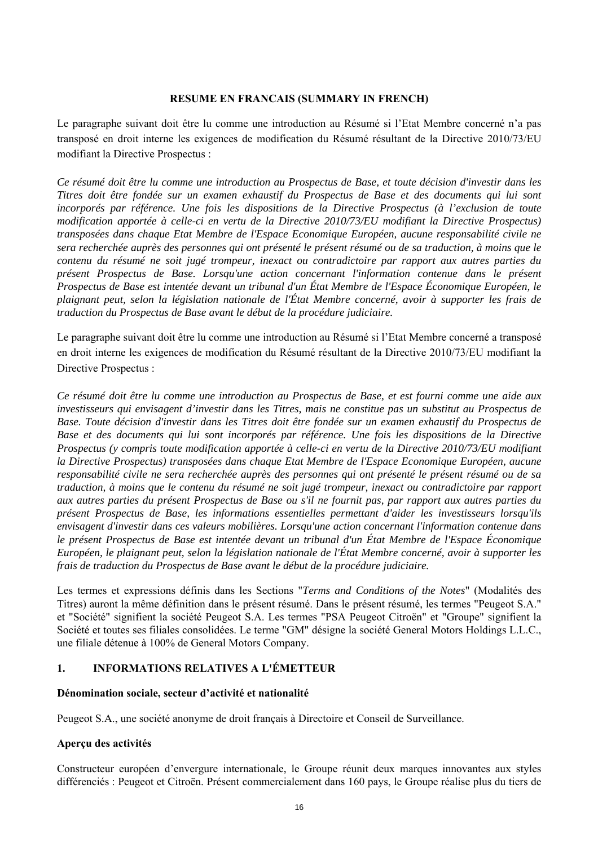### **RESUME EN FRANCAIS (SUMMARY IN FRENCH)**

Le paragraphe suivant doit être lu comme une introduction au Résumé si l'Etat Membre concerné n'a pas transposé en droit interne les exigences de modification du Résumé résultant de la Directive 2010/73/EU modifiant la Directive Prospectus :

*Ce résumé doit être lu comme une introduction au Prospectus de Base, et toute décision d'investir dans les Titres doit être fondée sur un examen exhaustif du Prospectus de Base et des documents qui lui sont incorporés par référence. Une fois les dispositions de la Directive Prospectus (à l'exclusion de toute modification apportée à celle-ci en vertu de la Directive 2010/73/EU modifiant la Directive Prospectus) transposées dans chaque Etat Membre de l'Espace Economique Européen, aucune responsabilité civile ne sera recherchée auprès des personnes qui ont présenté le présent résumé ou de sa traduction, à moins que le contenu du résumé ne soit jugé trompeur, inexact ou contradictoire par rapport aux autres parties du présent Prospectus de Base. Lorsqu'une action concernant l'information contenue dans le présent Prospectus de Base est intentée devant un tribunal d'un État Membre de l'Espace Économique Européen, le plaignant peut, selon la législation nationale de l'État Membre concerné, avoir à supporter les frais de traduction du Prospectus de Base avant le début de la procédure judiciaire.* 

Le paragraphe suivant doit être lu comme une introduction au Résumé si l'Etat Membre concerné a transposé en droit interne les exigences de modification du Résumé résultant de la Directive 2010/73/EU modifiant la Directive Prospectus :

*Ce résumé doit être lu comme une introduction au Prospectus de Base, et est fourni comme une aide aux investisseurs qui envisagent d'investir dans les Titres, mais ne constitue pas un substitut au Prospectus de Base. Toute décision d'investir dans les Titres doit être fondée sur un examen exhaustif du Prospectus de Base et des documents qui lui sont incorporés par référence. Une fois les dispositions de la Directive Prospectus (y compris toute modification apportée à celle-ci en vertu de la Directive 2010/73/EU modifiant la Directive Prospectus) transposées dans chaque Etat Membre de l'Espace Economique Européen, aucune responsabilité civile ne sera recherchée auprès des personnes qui ont présenté le présent résumé ou de sa traduction, à moins que le contenu du résumé ne soit jugé trompeur, inexact ou contradictoire par rapport aux autres parties du présent Prospectus de Base ou s'il ne fournit pas, par rapport aux autres parties du présent Prospectus de Base, les informations essentielles permettant d'aider les investisseurs lorsqu'ils envisagent d'investir dans ces valeurs mobilières. Lorsqu'une action concernant l'information contenue dans le présent Prospectus de Base est intentée devant un tribunal d'un État Membre de l'Espace Économique Européen, le plaignant peut, selon la législation nationale de l'État Membre concerné, avoir à supporter les frais de traduction du Prospectus de Base avant le début de la procédure judiciaire.* 

Les termes et expressions définis dans les Sections "*Terms and Conditions of the Notes*" (Modalités des Titres) auront la même définition dans le présent résumé. Dans le présent résumé, les termes "Peugeot S.A." et "Société" signifient la société Peugeot S.A. Les termes "PSA Peugeot Citroën" et "Groupe" signifient la Société et toutes ses filiales consolidées. Le terme "GM" désigne la société General Motors Holdings L.L.C., une filiale détenue à 100% de General Motors Company.

# **1. INFORMATIONS RELATIVES A L'ÉMETTEUR**

### **Dénomination sociale, secteur d'activité et nationalité**

Peugeot S.A., une société anonyme de droit français à Directoire et Conseil de Surveillance.

# **Aperçu des activités**

Constructeur européen d'envergure internationale, le Groupe réunit deux marques innovantes aux styles différenciés : Peugeot et Citroën. Présent commercialement dans 160 pays, le Groupe réalise plus du tiers de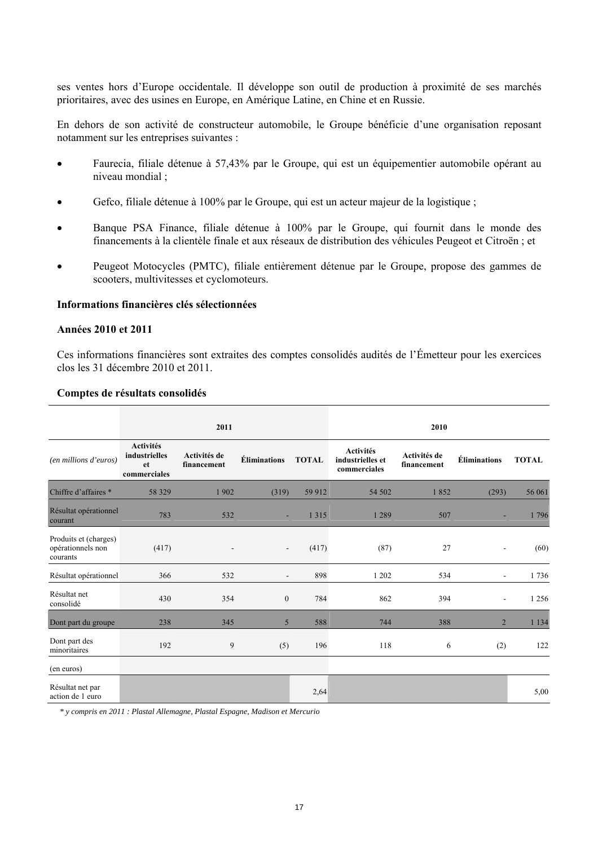ses ventes hors d'Europe occidentale. Il développe son outil de production à proximité de ses marchés prioritaires, avec des usines en Europe, en Amérique Latine, en Chine et en Russie.

En dehors de son activité de constructeur automobile, le Groupe bénéficie d'une organisation reposant notamment sur les entreprises suivantes :

- Faurecia, filiale détenue à 57,43% par le Groupe, qui est un équipementier automobile opérant au niveau mondial ;
- Gefco, filiale détenue à 100% par le Groupe, qui est un acteur majeur de la logistique ;
- Banque PSA Finance, filiale détenue à 100% par le Groupe, qui fournit dans le monde des financements à la clientèle finale et aux réseaux de distribution des véhicules Peugeot et Citroën ; et
- Peugeot Motocycles (PMTC), filiale entièrement détenue par le Groupe, propose des gammes de scooters, multivitesses et cyclomoteurs.

### **Informations financières clés sélectionnées**

#### **Années 2010 et 2011**

Ces informations financières sont extraites des comptes consolidés audités de l'Émetteur pour les exercices clos les 31 décembre 2010 et 2011.

#### **Comptes de résultats consolidés**

|                                                        |                                                         | 2011                        |                          |              |                                                      | 2010                        |                          |              |
|--------------------------------------------------------|---------------------------------------------------------|-----------------------------|--------------------------|--------------|------------------------------------------------------|-----------------------------|--------------------------|--------------|
| (en millions d'euros)                                  | <b>Activités</b><br>industrielles<br>et<br>commerciales | Activités de<br>financement | <b>Éliminations</b>      | <b>TOTAL</b> | <b>Activités</b><br>industrielles et<br>commerciales | Activités de<br>financement | <b>Éliminations</b>      | <b>TOTAL</b> |
| Chiffre d'affaires *                                   | 58 329                                                  | 1902                        | (319)                    | 59 912       | 54 502                                               | 1852                        | (293)                    | 56 061       |
| Résultat opérationnel<br>courant                       | 783                                                     | 532                         | ×                        | 1 3 1 5      | 1 2 8 9                                              | 507                         |                          | 1796         |
| Produits et (charges)<br>opérationnels non<br>courants | (417)                                                   | $\overline{\phantom{0}}$    | $\overline{\phantom{a}}$ | (417)        | (87)                                                 | 27                          | $\overline{\phantom{a}}$ | (60)         |
| Résultat opérationnel                                  | 366                                                     | 532                         | $\blacksquare$           | 898          | 1 202                                                | 534                         | $\overline{\phantom{a}}$ | 1736         |
| Résultat net<br>consolidé                              | 430                                                     | 354                         | $\boldsymbol{0}$         | 784          | 862                                                  | 394                         | $\blacksquare$           | 1 2 5 6      |
| Dont part du groupe                                    | 238                                                     | 345                         | 5                        | 588          | 744                                                  | 388                         | $\overline{2}$           | 1 1 3 4      |
| Dont part des<br>minoritaires                          | 192                                                     | 9                           | (5)                      | 196          | 118                                                  | 6                           | (2)                      | 122          |
| (en euros)                                             |                                                         |                             |                          |              |                                                      |                             |                          |              |
| Résultat net par<br>action de 1 euro                   |                                                         |                             |                          | 2,64         |                                                      |                             |                          | 5,00         |

*\* y compris en 2011 : Plastal Allemagne, Plastal Espagne, Madison et Mercurio*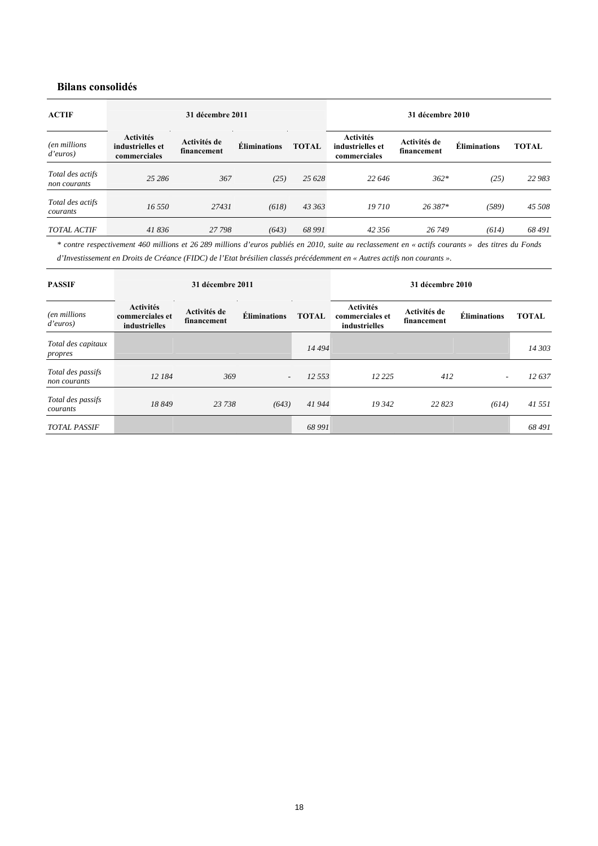# **Bilans consolidés**

| <b>ACTIF</b>                     |                                                      | 31 décembre 2011            |                     |              |                                                      | 31 décembre 2010            |                     |              |
|----------------------------------|------------------------------------------------------|-----------------------------|---------------------|--------------|------------------------------------------------------|-----------------------------|---------------------|--------------|
| (en millions<br>d'euros)         | <b>Activités</b><br>industrielles et<br>commerciales | Activités de<br>financement | <b>Éliminations</b> | <b>TOTAL</b> | <b>Activités</b><br>industrielles et<br>commerciales | Activités de<br>financement | <b>Éliminations</b> | <b>TOTAL</b> |
| Total des actifs<br>non courants | 25 28 6                                              | 367                         | (25)                | 25 6 28      | 22 646                                               | $362*$                      | (25)                | 22 983       |
| Total des actifs<br>courants     | 16,550                                               | 27431                       | (618)               | 43 363       | 19 710                                               | 26.387*                     | (589)               | 45 508       |
| <b>TOTAL ACTIF</b>               | 41836                                                | 27 798                      | (643)               | 68 991       | 42 356                                               | 26 749                      | (614)               | 68491        |

*\* contre respectivement 460 millions et 26 289 millions d'euros publiés en 2010, suite au reclassement en « actifs courants » des titres du Fonds d'Investissement en Droits de Créance (FIDC) de l'Etat brésilien classés précédemment en « Autres actifs non courants ».* 

| <b>PASSIF</b>                     |                                                      | 31 décembre 2011            |                     |              |                                                      | 31 décembre 2010            |                     |              |
|-----------------------------------|------------------------------------------------------|-----------------------------|---------------------|--------------|------------------------------------------------------|-----------------------------|---------------------|--------------|
| (en millions<br>d'euros)          | <b>Activités</b><br>commerciales et<br>industrielles | Activités de<br>financement | <b>Éliminations</b> | <b>TOTAL</b> | <b>Activités</b><br>commerciales et<br>industrielles | Activités de<br>financement | <b>Éliminations</b> | <b>TOTAL</b> |
| Total des capitaux<br>propres     |                                                      |                             |                     | 14 4 94      |                                                      |                             |                     | 14 303       |
| Total des passifs<br>non courants | 12 184                                               | 369                         | $\overline{a}$      | 12 553       | 12 2 2 5                                             | 412                         | $\overline{a}$      | 12637        |
| Total des passifs<br>courants     | 18849                                                | 23 738                      | (643)               | 41944        | 19 342                                               | 22 823                      | (614)               | 41 551       |
| <b>TOTAL PASSIF</b>               |                                                      |                             |                     | 68 991       |                                                      |                             |                     | 68 491       |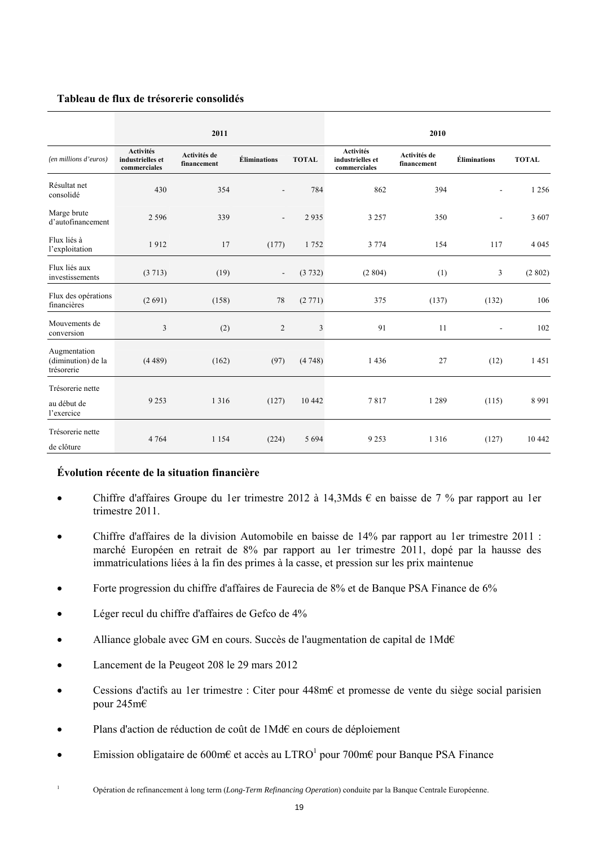### **Tableau de flux de trésorerie consolidés**

|                                                  |                                                      | 2011                        |                          |              |                                                      | 2010                        |                     |              |
|--------------------------------------------------|------------------------------------------------------|-----------------------------|--------------------------|--------------|------------------------------------------------------|-----------------------------|---------------------|--------------|
| (en millions d'euros)                            | <b>Activités</b><br>industrielles et<br>commerciales | Activités de<br>financement | <b>Éliminations</b>      | <b>TOTAL</b> | <b>Activités</b><br>industrielles et<br>commerciales | Activités de<br>financement | <b>Éliminations</b> | <b>TOTAL</b> |
| Résultat net<br>consolidé                        | 430                                                  | 354                         |                          | 784          | 862                                                  | 394                         |                     | 1 2 5 6      |
| Marge brute<br>d'autofinancement                 | 2 5 9 6                                              | 339                         |                          | 2935         | 3 2 5 7                                              | 350                         | $\blacksquare$      | 3 607        |
| Flux liés à<br>l'exploitation                    | 1912                                                 | 17                          | (177)                    | 1752         | 3 7 7 4                                              | 154                         | 117                 | 4 0 4 5      |
| Flux liés aux<br>investissements                 | (3713)                                               | (19)                        | $\overline{\phantom{a}}$ | (3732)       | (2804)                                               | (1)                         | 3                   | (2802)       |
| Flux des opérations<br>financières               | (2691)                                               | (158)                       | 78                       | (2771)       | 375                                                  | (137)                       | (132)               | 106          |
| Mouvements de<br>conversion                      | 3                                                    | (2)                         | $\overline{c}$           | 3            | 91                                                   | 11                          | -                   | 102          |
| Augmentation<br>(diminution) de la<br>trésorerie | (4489)                                               | (162)                       | (97)                     | (4748)       | 1436                                                 | 27                          | (12)                | 1451         |
| Trésorerie nette<br>au début de<br>l'exercice    | 9 2 5 3                                              | 1 3 1 6                     | (127)                    | 10 4 42      | 7817                                                 | 1 2 8 9                     | (115)               | 8 9 9 1      |
| Trésorerie nette<br>de clôture                   | 4 7 6 4                                              | 1 1 5 4                     | (224)                    | 5 6 9 4      | 9 2 5 3                                              | 1 3 1 6                     | (127)               | 10 442       |

### **Évolution récente de la situation financière**

- Chiffre d'affaires Groupe du 1er trimestre 2012 à 14,3Mds  $\epsilon$  en baisse de 7 % par rapport au 1er trimestre 2011.
- Chiffre d'affaires de la division Automobile en baisse de 14% par rapport au 1er trimestre 2011 : marché Européen en retrait de 8% par rapport au 1er trimestre 2011, dopé par la hausse des immatriculations liées à la fin des primes à la casse, et pression sur les prix maintenue
- Forte progression du chiffre d'affaires de Faurecia de 8% et de Banque PSA Finance de 6%
- Léger recul du chiffre d'affaires de Gefco de 4%
- Alliance globale avec GM en cours. Succès de l'augmentation de capital de 1Md€
- Lancement de la Peugeot 208 le 29 mars 2012
- Cessions d'actifs au 1er trimestre : Citer pour 448m€ et promesse de vente du siège social parisien pour 245m€
- Plans d'action de réduction de coût de 1Md€ en cours de déploiement
- Emission obligataire de 600m€ et accès au LTRO<sup>1</sup> pour 700m€ pour Banque PSA Finance
- 1 Opération de refinancement à long term (*Long-Term Refinancing Operation*) conduite par la Banque Centrale Européenne.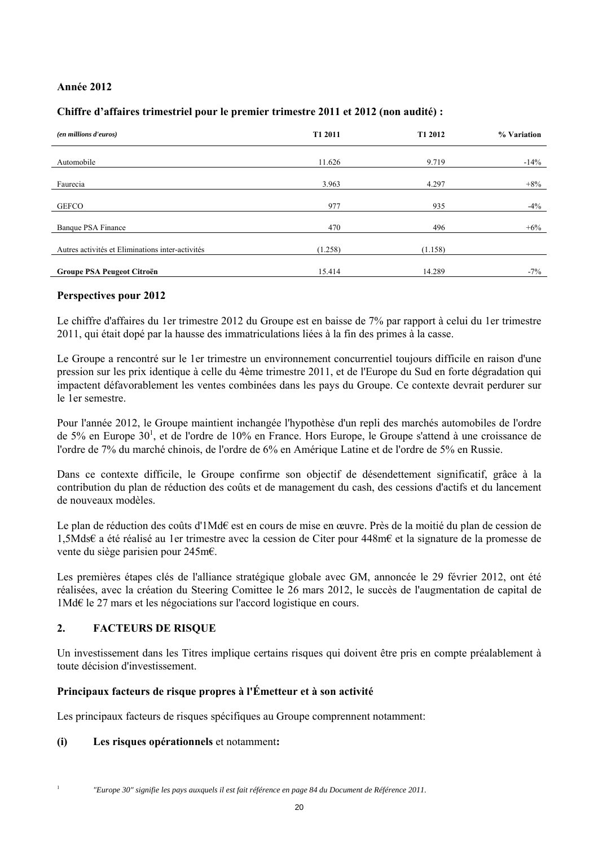# **Année 2012**

# **Chiffre d'affaires trimestriel pour le premier trimestre 2011 et 2012 (non audité) :**

| (en millions d'euros)                            | T1 2011 | T1 2012 | % Variation |
|--------------------------------------------------|---------|---------|-------------|
|                                                  |         |         |             |
| Automobile                                       | 11.626  | 9.719   | $-14%$      |
|                                                  |         |         |             |
| Faurecia                                         | 3.963   | 4.297   | $+8%$       |
|                                                  |         |         |             |
| <b>GEFCO</b>                                     | 977     | 935     | $-4\%$      |
|                                                  |         |         |             |
| Banque PSA Finance                               | 470     | 496     | $+6\%$      |
|                                                  |         |         |             |
| Autres activités et Eliminations inter-activités | (1.258) | (1.158) |             |
|                                                  |         |         |             |
| Groupe PSA Peugeot Citroën                       | 15.414  | 14.289  | $-7\%$      |

### **Perspectives pour 2012**

Le chiffre d'affaires du 1er trimestre 2012 du Groupe est en baisse de 7% par rapport à celui du 1er trimestre 2011, qui était dopé par la hausse des immatriculations liées à la fin des primes à la casse.

Le Groupe a rencontré sur le 1er trimestre un environnement concurrentiel toujours difficile en raison d'une pression sur les prix identique à celle du 4ème trimestre 2011, et de l'Europe du Sud en forte dégradation qui impactent défavorablement les ventes combinées dans les pays du Groupe. Ce contexte devrait perdurer sur le 1er semestre.

Pour l'année 2012, le Groupe maintient inchangée l'hypothèse d'un repli des marchés automobiles de l'ordre de 5% en Europe 30<sup>1</sup>, et de l'ordre de 10% en France. Hors Europe, le Groupe s'attend à une croissance de l'ordre de 7% du marché chinois, de l'ordre de 6% en Amérique Latine et de l'ordre de 5% en Russie.

Dans ce contexte difficile, le Groupe confirme son objectif de désendettement significatif, grâce à la contribution du plan de réduction des coûts et de management du cash, des cessions d'actifs et du lancement de nouveaux modèles.

Le plan de réduction des coûts d'1Md€ est en cours de mise en œuvre. Près de la moitié du plan de cession de 1,5Mds€ a été réalisé au 1er trimestre avec la cession de Citer pour 448m€ et la signature de la promesse de vente du siège parisien pour 245m€.

Les premières étapes clés de l'alliance stratégique globale avec GM, annoncée le 29 février 2012, ont été réalisées, avec la création du Steering Comittee le 26 mars 2012, le succès de l'augmentation de capital de 1Md€ le 27 mars et les négociations sur l'accord logistique en cours.

# **2. FACTEURS DE RISQUE**

Un investissement dans les Titres implique certains risques qui doivent être pris en compte préalablement à toute décision d'investissement.

# **Principaux facteurs de risque propres à l'Émetteur et à son activité**

Les principaux facteurs de risques spécifiques au Groupe comprennent notamment:

**(i) Les risques opérationnels** et notamment**:** 

1

*"Europe 30" signifie les pays auxquels il est fait référence en page 84 du Document de Référence 2011.*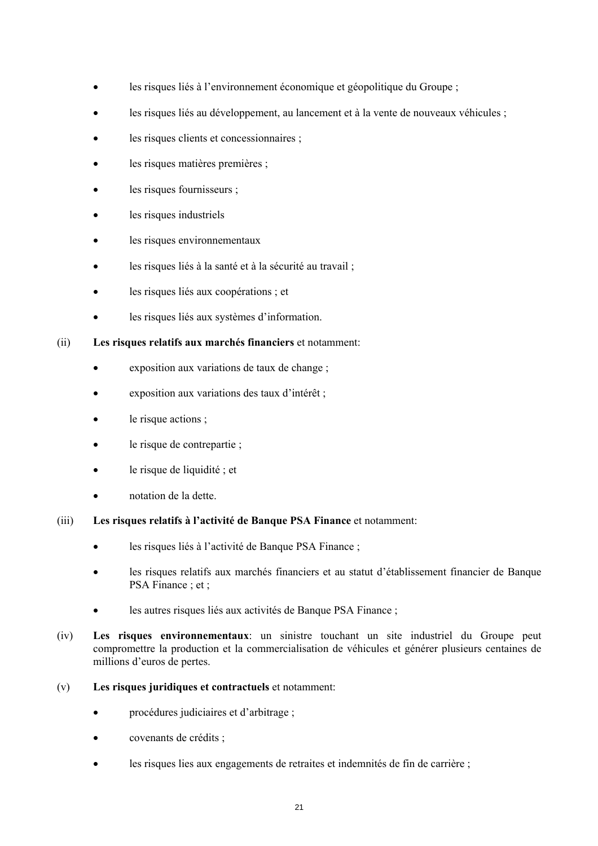- les risques liés à l'environnement économique et géopolitique du Groupe ;
- les risques liés au développement, au lancement et à la vente de nouveaux véhicules ;
- les risques clients et concessionnaires ;
- les risques matières premières ;
- les risques fournisseurs ;
- les risques industriels
- les risques environnementaux
- les risques liés à la santé et à la sécurité au travail ;
- les risques liés aux coopérations ; et
- les risques liés aux systèmes d'information.
- (ii) **Les risques relatifs aux marchés financiers** et notamment:
	- exposition aux variations de taux de change ;
	- exposition aux variations des taux d'intérêt ;
	- le risque actions ;
	- le risque de contrepartie ;
	- le risque de liquidité ; et
	- notation de la dette.
- (iii) **Les risques relatifs à l'activité de Banque PSA Finance** et notamment:
	- les risques liés à l'activité de Banque PSA Finance ;
	- les risques relatifs aux marchés financiers et au statut d'établissement financier de Banque PSA Finance : et :
	- les autres risques liés aux activités de Banque PSA Finance ;
- (iv) **Les risques environnementaux**: un sinistre touchant un site industriel du Groupe peut compromettre la production et la commercialisation de véhicules et générer plusieurs centaines de millions d'euros de pertes.
- (v) **Les risques juridiques et contractuels** et notamment:
	- procédures judiciaires et d'arbitrage ;
	- covenants de crédits ;
	- les risques lies aux engagements de retraites et indemnités de fin de carrière ;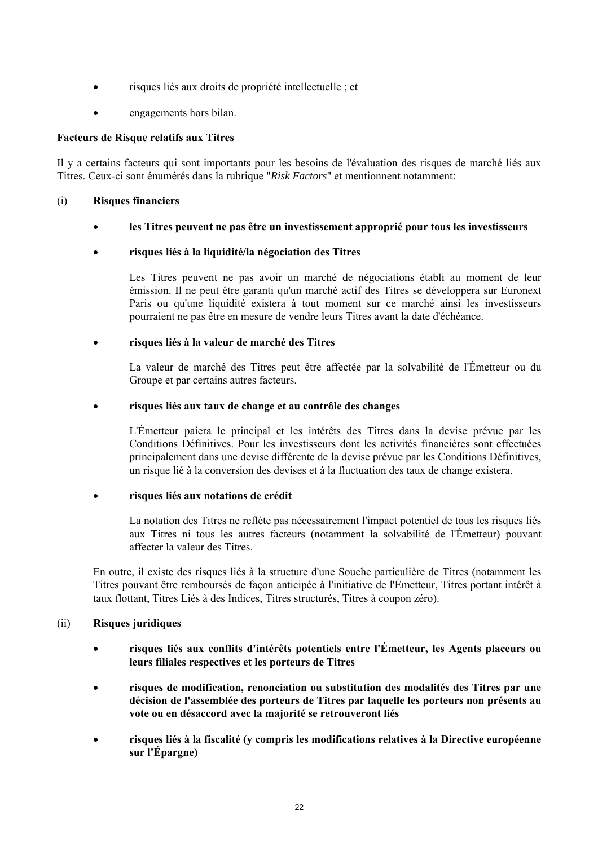- risques liés aux droits de propriété intellectuelle ; et
- engagements hors bilan.

# **Facteurs de Risque relatifs aux Titres**

Il y a certains facteurs qui sont importants pour les besoins de l'évaluation des risques de marché liés aux Titres. Ceux-ci sont énumérés dans la rubrique "*Risk Factors*" et mentionnent notamment:

# (i) **Risques financiers**

**les Titres peuvent ne pas être un investissement approprié pour tous les investisseurs** 

# **risques liés à la liquidité/la négociation des Titres**

Les Titres peuvent ne pas avoir un marché de négociations établi au moment de leur émission. Il ne peut être garanti qu'un marché actif des Titres se développera sur Euronext Paris ou qu'une liquidité existera à tout moment sur ce marché ainsi les investisseurs pourraient ne pas être en mesure de vendre leurs Titres avant la date d'échéance.

# **risques liés à la valeur de marché des Titres**

La valeur de marché des Titres peut être affectée par la solvabilité de l'Émetteur ou du Groupe et par certains autres facteurs.

### **risques liés aux taux de change et au contrôle des changes**

L'Émetteur paiera le principal et les intérêts des Titres dans la devise prévue par les Conditions Définitives. Pour les investisseurs dont les activités financières sont effectuées principalement dans une devise différente de la devise prévue par les Conditions Définitives, un risque lié à la conversion des devises et à la fluctuation des taux de change existera.

### **risques liés aux notations de crédit**

La notation des Titres ne reflète pas nécessairement l'impact potentiel de tous les risques liés aux Titres ni tous les autres facteurs (notamment la solvabilité de l'Émetteur) pouvant affecter la valeur des Titres.

En outre, il existe des risques liés à la structure d'une Souche particulière de Titres (notamment les Titres pouvant être remboursés de façon anticipée à l'initiative de l'Émetteur, Titres portant intérêt à taux flottant, Titres Liés à des Indices, Titres structurés, Titres à coupon zéro).

# (ii) **Risques juridiques**

- **risques liés aux conflits d'intérêts potentiels entre l'Émetteur, les Agents placeurs ou leurs filiales respectives et les porteurs de Titres**
- **risques de modification, renonciation ou substitution des modalités des Titres par une décision de l'assemblée des porteurs de Titres par laquelle les porteurs non présents au vote ou en désaccord avec la majorité se retrouveront liés**
- **risques liés à la fiscalité (y compris les modifications relatives à la Directive européenne sur l'Épargne)**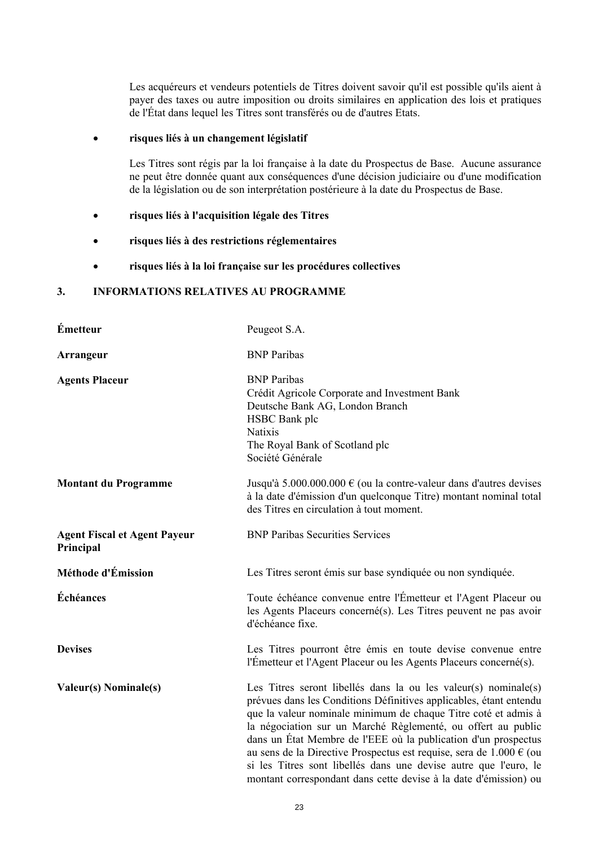Les acquéreurs et vendeurs potentiels de Titres doivent savoir qu'il est possible qu'ils aient à payer des taxes ou autre imposition ou droits similaires en application des lois et pratiques de l'État dans lequel les Titres sont transférés ou de d'autres Etats.

# **risques liés à un changement législatif**

Les Titres sont régis par la loi française à la date du Prospectus de Base. Aucune assurance ne peut être donnée quant aux conséquences d'une décision judiciaire ou d'une modification de la législation ou de son interprétation postérieure à la date du Prospectus de Base.

- **risques liés à l'acquisition légale des Titres**
- **risques liés à des restrictions réglementaires**
- **risques liés à la loi française sur les procédures collectives**

# **3. INFORMATIONS RELATIVES AU PROGRAMME**

| Émetteur                                         | Peugeot S.A.                                                                                                                                                                                                                                                                                                                                                                                                                                                                                                                                                 |
|--------------------------------------------------|--------------------------------------------------------------------------------------------------------------------------------------------------------------------------------------------------------------------------------------------------------------------------------------------------------------------------------------------------------------------------------------------------------------------------------------------------------------------------------------------------------------------------------------------------------------|
| <b>Arrangeur</b>                                 | <b>BNP</b> Paribas                                                                                                                                                                                                                                                                                                                                                                                                                                                                                                                                           |
| <b>Agents Placeur</b>                            | <b>BNP</b> Paribas<br>Crédit Agricole Corporate and Investment Bank<br>Deutsche Bank AG, London Branch<br>HSBC Bank plc<br>Natixis<br>The Royal Bank of Scotland plc<br>Société Générale                                                                                                                                                                                                                                                                                                                                                                     |
| <b>Montant du Programme</b>                      | Jusqu'à $5.000.000.000 \in (ou la contre-valeur dans d'autres devises)$<br>à la date d'émission d'un quelconque Titre) montant nominal total<br>des Titres en circulation à tout moment.                                                                                                                                                                                                                                                                                                                                                                     |
| <b>Agent Fiscal et Agent Payeur</b><br>Principal | <b>BNP Paribas Securities Services</b>                                                                                                                                                                                                                                                                                                                                                                                                                                                                                                                       |
| Méthode d'Émission                               | Les Titres seront émis sur base syndiquée ou non syndiquée.                                                                                                                                                                                                                                                                                                                                                                                                                                                                                                  |
| Échéances                                        | Toute échéance convenue entre l'Émetteur et l'Agent Placeur ou<br>les Agents Placeurs concerné(s). Les Titres peuvent ne pas avoir<br>d'échéance fixe.                                                                                                                                                                                                                                                                                                                                                                                                       |
| <b>Devises</b>                                   | Les Titres pourront être émis en toute devise convenue entre<br>l'Émetteur et l'Agent Placeur ou les Agents Placeurs concerné(s).                                                                                                                                                                                                                                                                                                                                                                                                                            |
| <b>Valeur(s)</b> Nominale(s)                     | Les Titres seront libellés dans la ou les valeur(s) nominale(s)<br>prévues dans les Conditions Définitives applicables, étant entendu<br>que la valeur nominale minimum de chaque Titre coté et admis à<br>la négociation sur un Marché Règlementé, ou offert au public<br>dans un État Membre de l'EEE où la publication d'un prospectus<br>au sens de la Directive Prospectus est requise, sera de $1.000 \in (ou$<br>si les Titres sont libellés dans une devise autre que l'euro, le<br>montant correspondant dans cette devise à la date d'émission) ou |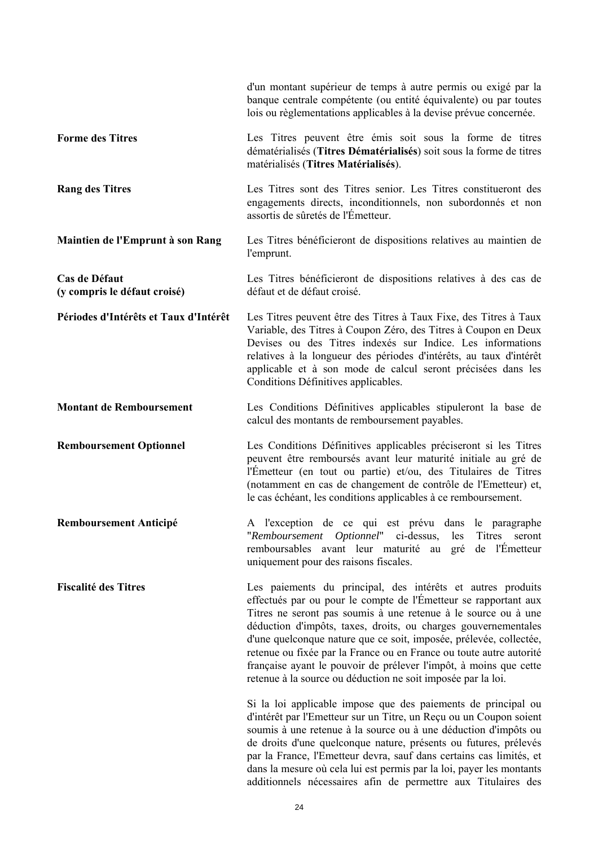|                                               | d'un montant supérieur de temps à autre permis ou exigé par la<br>banque centrale compétente (ou entité équivalente) ou par toutes<br>lois ou règlementations applicables à la devise prévue concernée.                                                                                                                                                                                                                                                                                                                                              |
|-----------------------------------------------|------------------------------------------------------------------------------------------------------------------------------------------------------------------------------------------------------------------------------------------------------------------------------------------------------------------------------------------------------------------------------------------------------------------------------------------------------------------------------------------------------------------------------------------------------|
| <b>Forme des Titres</b>                       | Les Titres peuvent être émis soit sous la forme de titres<br>dématérialisés (Titres Dématérialisés) soit sous la forme de titres<br>matérialisés (Titres Matérialisés).                                                                                                                                                                                                                                                                                                                                                                              |
| <b>Rang des Titres</b>                        | Les Titres sont des Titres senior. Les Titres constitueront des<br>engagements directs, inconditionnels, non subordonnés et non<br>assortis de sûretés de l'Émetteur.                                                                                                                                                                                                                                                                                                                                                                                |
| Maintien de l'Emprunt à son Rang              | Les Titres bénéficieront de dispositions relatives au maintien de<br>l'emprunt.                                                                                                                                                                                                                                                                                                                                                                                                                                                                      |
| Cas de Défaut<br>(y compris le défaut croisé) | Les Titres bénéficieront de dispositions relatives à des cas de<br>défaut et de défaut croisé.                                                                                                                                                                                                                                                                                                                                                                                                                                                       |
| Périodes d'Intérêts et Taux d'Intérêt         | Les Titres peuvent être des Titres à Taux Fixe, des Titres à Taux<br>Variable, des Titres à Coupon Zéro, des Titres à Coupon en Deux<br>Devises ou des Titres indexés sur Indice. Les informations<br>relatives à la longueur des périodes d'intérêts, au taux d'intérêt<br>applicable et à son mode de calcul seront précisées dans les<br>Conditions Définitives applicables.                                                                                                                                                                      |
| <b>Montant de Remboursement</b>               | Les Conditions Définitives applicables stipuleront la base de<br>calcul des montants de remboursement payables.                                                                                                                                                                                                                                                                                                                                                                                                                                      |
| <b>Remboursement Optionnel</b>                | Les Conditions Définitives applicables préciseront si les Titres<br>peuvent être remboursés avant leur maturité initiale au gré de<br>l'Emetteur (en tout ou partie) et/ou, des Titulaires de Titres<br>(notamment en cas de changement de contrôle de l'Emetteur) et,<br>le cas échéant, les conditions applicables à ce remboursement.                                                                                                                                                                                                             |
| <b>Remboursement Anticipé</b>                 | A l'exception de ce qui est prévu dans le paragraphe<br>"Remboursement Optionnel" ci-dessus,<br>les<br>Titres<br>seront<br>remboursables avant leur maturité au gré de l'Émetteur<br>uniquement pour des raisons fiscales.                                                                                                                                                                                                                                                                                                                           |
| <b>Fiscalité des Titres</b>                   | Les paiements du principal, des intérêts et autres produits<br>effectués par ou pour le compte de l'Émetteur se rapportant aux<br>Titres ne seront pas soumis à une retenue à le source ou à une<br>déduction d'impôts, taxes, droits, ou charges gouvernementales<br>d'une quelconque nature que ce soit, imposée, prélevée, collectée,<br>retenue ou fixée par la France ou en France ou toute autre autorité<br>française ayant le pouvoir de prélever l'impôt, à moins que cette<br>retenue à la source ou déduction ne soit imposée par la loi. |
|                                               | Si la loi applicable impose que des paiements de principal ou<br>d'intérêt par l'Emetteur sur un Titre, un Reçu ou un Coupon soient<br>soumis à une retenue à la source ou à une déduction d'impôts ou<br>de droits d'une quelconque nature, présents ou futures, prélevés<br>par la France, l'Emetteur devra, sauf dans certains cas limités, et<br>dans la mesure où cela lui est permis par la loi, payer les montants<br>additionnels nécessaires afin de permettre aux Titulaires des                                                           |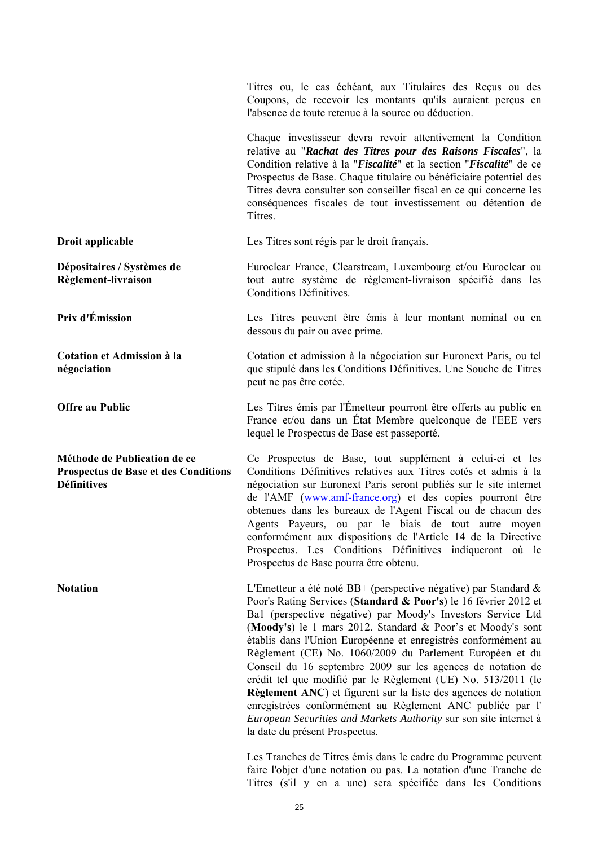|                                                                                                   | Titres ou, le cas échéant, aux Titulaires des Reçus ou des<br>Coupons, de recevoir les montants qu'ils auraient perçus en<br>l'absence de toute retenue à la source ou déduction.                                                                                                                                                                                                                                                                                                                                                                                                                                                                                                                                                                                          |
|---------------------------------------------------------------------------------------------------|----------------------------------------------------------------------------------------------------------------------------------------------------------------------------------------------------------------------------------------------------------------------------------------------------------------------------------------------------------------------------------------------------------------------------------------------------------------------------------------------------------------------------------------------------------------------------------------------------------------------------------------------------------------------------------------------------------------------------------------------------------------------------|
|                                                                                                   | Chaque investisseur devra revoir attentivement la Condition<br>relative au "Rachat des Titres pour des Raisons Fiscales", la<br>Condition relative à la "Fiscalité" et la section "Fiscalité" de ce<br>Prospectus de Base. Chaque titulaire ou bénéficiaire potentiel des<br>Titres devra consulter son conseiller fiscal en ce qui concerne les<br>conséquences fiscales de tout investissement ou détention de<br>Titres.                                                                                                                                                                                                                                                                                                                                                |
| Droit applicable                                                                                  | Les Titres sont régis par le droit français.                                                                                                                                                                                                                                                                                                                                                                                                                                                                                                                                                                                                                                                                                                                               |
| Dépositaires / Systèmes de<br>Règlement-livraison                                                 | Euroclear France, Clearstream, Luxembourg et/ou Euroclear ou<br>tout autre système de règlement-livraison spécifié dans les<br>Conditions Définitives.                                                                                                                                                                                                                                                                                                                                                                                                                                                                                                                                                                                                                     |
| Prix d'Émission                                                                                   | Les Titres peuvent être émis à leur montant nominal ou en<br>dessous du pair ou avec prime.                                                                                                                                                                                                                                                                                                                                                                                                                                                                                                                                                                                                                                                                                |
| <b>Cotation et Admission à la</b><br>négociation                                                  | Cotation et admission à la négociation sur Euronext Paris, ou tel<br>que stipulé dans les Conditions Définitives. Une Souche de Titres<br>peut ne pas être cotée.                                                                                                                                                                                                                                                                                                                                                                                                                                                                                                                                                                                                          |
| <b>Offre au Public</b>                                                                            | Les Titres émis par l'Émetteur pourront être offerts au public en<br>France et/ou dans un État Membre quelconque de l'EEE vers<br>lequel le Prospectus de Base est passeporté.                                                                                                                                                                                                                                                                                                                                                                                                                                                                                                                                                                                             |
| Méthode de Publication de ce<br><b>Prospectus de Base et des Conditions</b><br><b>Définitives</b> | Ce Prospectus de Base, tout supplément à celui-ci et les<br>Conditions Définitives relatives aux Titres cotés et admis à la<br>négociation sur Euronext Paris seront publiés sur le site internet<br>de l'AMF (www.amf-france.org) et des copies pourront être<br>obtenues dans les bureaux de l'Agent Fiscal ou de chacun des<br>Agents Payeurs, ou par le biais de tout autre moyen<br>conformément aux dispositions de l'Article 14 de la Directive<br>Prospectus. Les Conditions Définitives indiqueront où le<br>Prospectus de Base pourra être obtenu.                                                                                                                                                                                                               |
| <b>Notation</b>                                                                                   | L'Emetteur a été noté BB+ (perspective négative) par Standard $\&$<br>Poor's Rating Services (Standard & Poor's) le 16 février 2012 et<br>Ba1 (perspective négative) par Moody's Investors Service Ltd<br>(Moody's) le 1 mars 2012. Standard & Poor's et Moody's sont<br>établis dans l'Union Européenne et enregistrés conformément au<br>Règlement (CE) No. 1060/2009 du Parlement Européen et du<br>Conseil du 16 septembre 2009 sur les agences de notation de<br>crédit tel que modifié par le Règlement (UE) No. 513/2011 (le<br>Règlement ANC) et figurent sur la liste des agences de notation<br>enregistrées conformément au Règlement ANC publiée par l'<br>European Securities and Markets Authority sur son site internet à<br>la date du présent Prospectus. |
|                                                                                                   | Les Tranches de Titres émis dans le cadre du Programme neuvent                                                                                                                                                                                                                                                                                                                                                                                                                                                                                                                                                                                                                                                                                                             |

Les Tranches de Titres émis dans le cadre du Programme peuvent faire l'objet d'une notation ou pas. La notation d'une Tranche de Titres (s'il y en a une) sera spécifiée dans les Conditions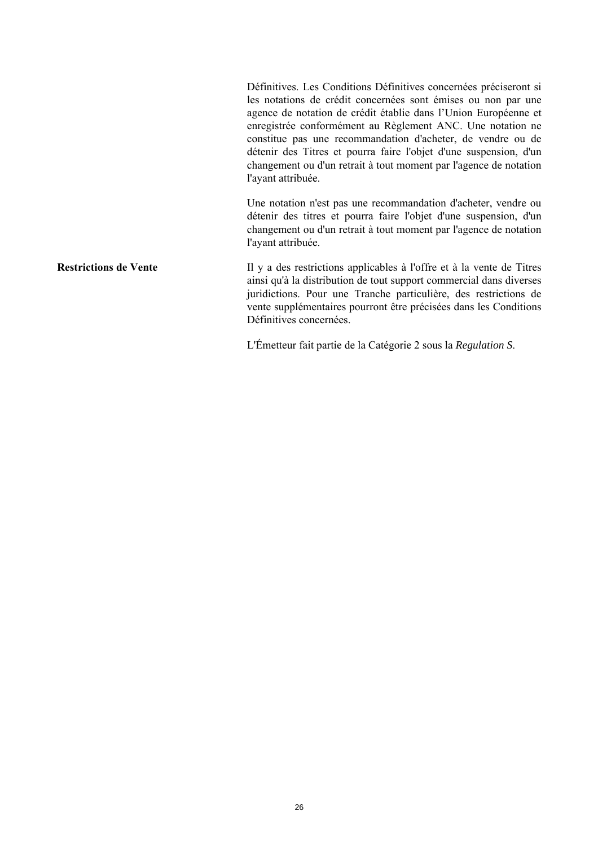Définitives. Les Conditions Définitives concernées préciseront si les notations de crédit concernées sont émises ou non par une agence de notation de crédit établie dans l'Union Européenne et enregistrée conformément au Règlement ANC. Une notation ne constitue pas une recommandation d'acheter, de vendre ou de détenir des Titres et pourra faire l'objet d'une suspension, d'un changement ou d'un retrait à tout moment par l'agence de notation l'ayant attribuée.

 Une notation n'est pas une recommandation d'acheter, vendre ou détenir des titres et pourra faire l'objet d'une suspension, d'un changement ou d'un retrait à tout moment par l'agence de notation l'ayant attribuée.

**Restrictions de Vente** Il y a des restrictions applicables à l'offre et à la vente de Titres ainsi qu'à la distribution de tout support commercial dans diverses juridictions. Pour une Tranche particulière, des restrictions de vente supplémentaires pourront être précisées dans les Conditions Définitives concernées.

L'Émetteur fait partie de la Catégorie 2 sous la *Regulation S*.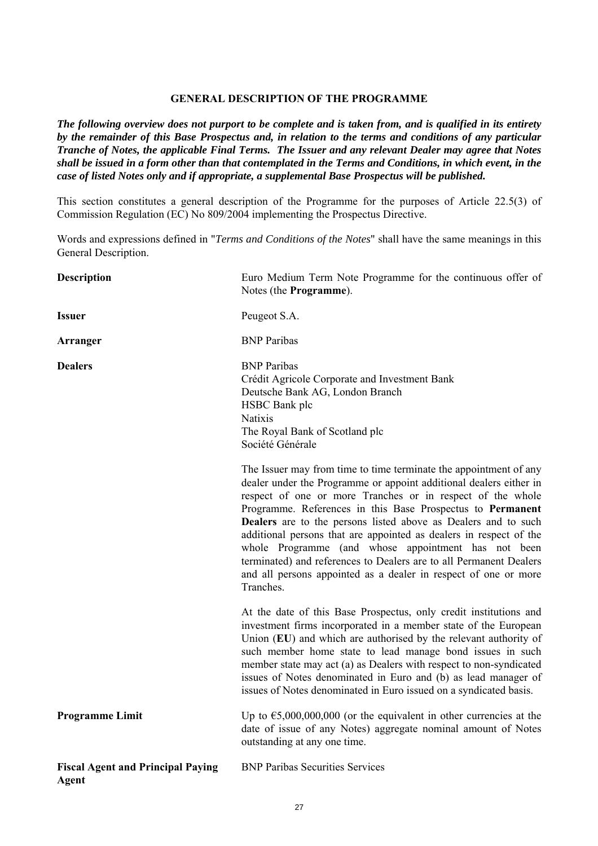### **GENERAL DESCRIPTION OF THE PROGRAMME**

*The following overview does not purport to be complete and is taken from, and is qualified in its entirety by the remainder of this Base Prospectus and, in relation to the terms and conditions of any particular Tranche of Notes, the applicable Final Terms. The Issuer and any relevant Dealer may agree that Notes shall be issued in a form other than that contemplated in the Terms and Conditions, in which event, in the case of listed Notes only and if appropriate, a supplemental Base Prospectus will be published.* 

This section constitutes a general description of the Programme for the purposes of Article 22.5(3) of Commission Regulation (EC) No 809/2004 implementing the Prospectus Directive.

Words and expressions defined in "*Terms and Conditions of the Notes*" shall have the same meanings in this General Description.

| <b>Description</b>                                | Euro Medium Term Note Programme for the continuous offer of<br>Notes (the Programme).                                                                                                                                                                                                                                                                                                                                                                                                                                                                                                                                           |
|---------------------------------------------------|---------------------------------------------------------------------------------------------------------------------------------------------------------------------------------------------------------------------------------------------------------------------------------------------------------------------------------------------------------------------------------------------------------------------------------------------------------------------------------------------------------------------------------------------------------------------------------------------------------------------------------|
| <b>Issuer</b>                                     | Peugeot S.A.                                                                                                                                                                                                                                                                                                                                                                                                                                                                                                                                                                                                                    |
| Arranger                                          | <b>BNP</b> Paribas                                                                                                                                                                                                                                                                                                                                                                                                                                                                                                                                                                                                              |
| <b>Dealers</b>                                    | <b>BNP</b> Paribas<br>Crédit Agricole Corporate and Investment Bank<br>Deutsche Bank AG, London Branch<br>HSBC Bank plc<br><b>Natixis</b><br>The Royal Bank of Scotland plc<br>Société Générale                                                                                                                                                                                                                                                                                                                                                                                                                                 |
|                                                   | The Issuer may from time to time terminate the appointment of any<br>dealer under the Programme or appoint additional dealers either in<br>respect of one or more Tranches or in respect of the whole<br>Programme. References in this Base Prospectus to Permanent<br><b>Dealers</b> are to the persons listed above as Dealers and to such<br>additional persons that are appointed as dealers in respect of the<br>whole Programme (and whose appointment has not been<br>terminated) and references to Dealers are to all Permanent Dealers<br>and all persons appointed as a dealer in respect of one or more<br>Tranches. |
|                                                   | At the date of this Base Prospectus, only credit institutions and<br>investment firms incorporated in a member state of the European<br>Union (EU) and which are authorised by the relevant authority of<br>such member home state to lead manage bond issues in such<br>member state may act (a) as Dealers with respect to non-syndicated<br>issues of Notes denominated in Euro and (b) as lead manager of<br>issues of Notes denominated in Euro issued on a syndicated basis.                                                                                                                                              |
| <b>Programme Limit</b>                            | Up to $\epsilon$ 5,000,000,000 (or the equivalent in other currencies at the<br>date of issue of any Notes) aggregate nominal amount of Notes<br>outstanding at any one time.                                                                                                                                                                                                                                                                                                                                                                                                                                                   |
| <b>Fiscal Agent and Principal Paying</b><br>Agent | <b>BNP Paribas Securities Services</b>                                                                                                                                                                                                                                                                                                                                                                                                                                                                                                                                                                                          |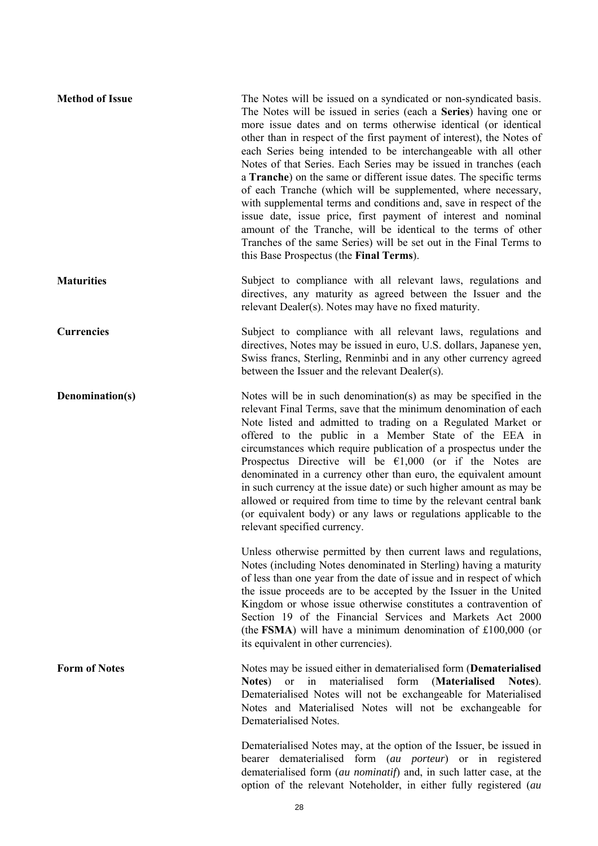| <b>Method of Issue</b> | The Notes will be issued on a syndicated or non-syndicated basis.<br>The Notes will be issued in series (each a Series) having one or<br>more issue dates and on terms otherwise identical (or identical<br>other than in respect of the first payment of interest), the Notes of<br>each Series being intended to be interchangeable with all other<br>Notes of that Series. Each Series may be issued in tranches (each<br>a <b>Tranche</b> ) on the same or different issue dates. The specific terms<br>of each Tranche (which will be supplemented, where necessary,<br>with supplemental terms and conditions and, save in respect of the<br>issue date, issue price, first payment of interest and nominal<br>amount of the Tranche, will be identical to the terms of other<br>Tranches of the same Series) will be set out in the Final Terms to<br>this Base Prospectus (the Final Terms). |
|------------------------|------------------------------------------------------------------------------------------------------------------------------------------------------------------------------------------------------------------------------------------------------------------------------------------------------------------------------------------------------------------------------------------------------------------------------------------------------------------------------------------------------------------------------------------------------------------------------------------------------------------------------------------------------------------------------------------------------------------------------------------------------------------------------------------------------------------------------------------------------------------------------------------------------|
| <b>Maturities</b>      | Subject to compliance with all relevant laws, regulations and<br>directives, any maturity as agreed between the Issuer and the<br>relevant Dealer(s). Notes may have no fixed maturity.                                                                                                                                                                                                                                                                                                                                                                                                                                                                                                                                                                                                                                                                                                              |
| <b>Currencies</b>      | Subject to compliance with all relevant laws, regulations and<br>directives, Notes may be issued in euro, U.S. dollars, Japanese yen,<br>Swiss francs, Sterling, Renminbi and in any other currency agreed<br>between the Issuer and the relevant Dealer(s).                                                                                                                                                                                                                                                                                                                                                                                                                                                                                                                                                                                                                                         |
| Denomination(s)        | Notes will be in such denomination(s) as may be specified in the<br>relevant Final Terms, save that the minimum denomination of each<br>Note listed and admitted to trading on a Regulated Market or<br>offered to the public in a Member State of the EEA in<br>circumstances which require publication of a prospectus under the<br>Prospectus Directive will be $\epsilon$ 1,000 (or if the Notes are<br>denominated in a currency other than euro, the equivalent amount<br>in such currency at the issue date) or such higher amount as may be<br>allowed or required from time to time by the relevant central bank<br>(or equivalent body) or any laws or regulations applicable to the<br>relevant specified currency.                                                                                                                                                                       |
|                        | Unless otherwise permitted by then current laws and regulations,<br>Notes (including Notes denominated in Sterling) having a maturity<br>of less than one year from the date of issue and in respect of which<br>the issue proceeds are to be accepted by the Issuer in the United<br>Kingdom or whose issue otherwise constitutes a contravention of<br>Section 19 of the Financial Services and Markets Act 2000<br>(the FSMA) will have a minimum denomination of $£100,000$ (or<br>its equivalent in other currencies).                                                                                                                                                                                                                                                                                                                                                                          |
| <b>Form of Notes</b>   | Notes may be issued either in dematerialised form (Dematerialised<br>materialised<br>form<br>(Materialised<br><sub>or</sub><br>Notes)<br>in<br>Notes).<br>Dematerialised Notes will not be exchangeable for Materialised<br>Notes and Materialised Notes will not be exchangeable for<br>Dematerialised Notes.                                                                                                                                                                                                                                                                                                                                                                                                                                                                                                                                                                                       |
|                        | Dematerialised Notes may, at the option of the Issuer, be issued in<br>dematerialised form (au porteur) or in registered<br>bearer<br>dematerialised form (au nominatif) and, in such latter case, at the                                                                                                                                                                                                                                                                                                                                                                                                                                                                                                                                                                                                                                                                                            |

option of the relevant Noteholder, in either fully registered (*au*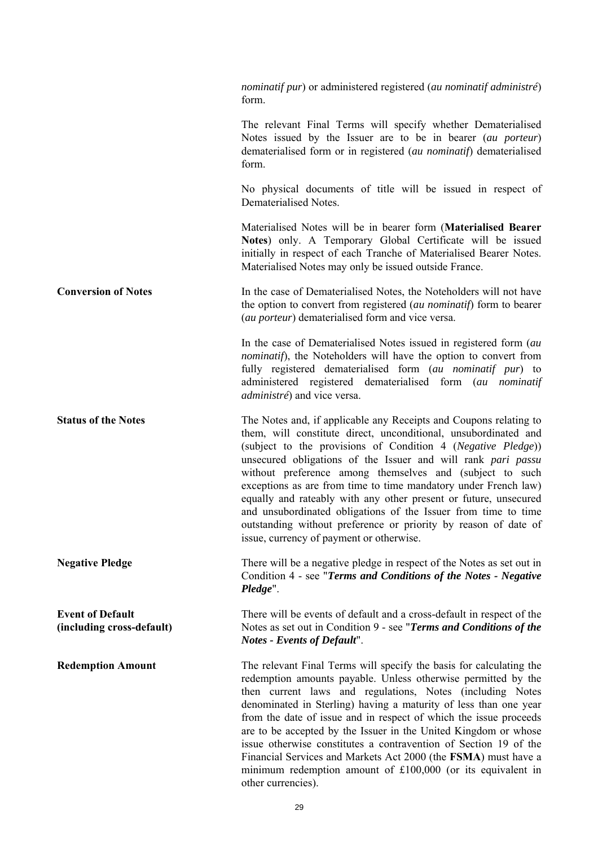|                                                      | <i>nominatif pur</i> ) or administered registered ( <i>au nominatif administré</i> )<br>form.                                                                                                                                                                                                                                                                                                                                                                                                                                                                                                                                                            |
|------------------------------------------------------|----------------------------------------------------------------------------------------------------------------------------------------------------------------------------------------------------------------------------------------------------------------------------------------------------------------------------------------------------------------------------------------------------------------------------------------------------------------------------------------------------------------------------------------------------------------------------------------------------------------------------------------------------------|
|                                                      | The relevant Final Terms will specify whether Dematerialised<br>Notes issued by the Issuer are to be in bearer (au porteur)<br>dematerialised form or in registered (au nominatif) dematerialised<br>form.                                                                                                                                                                                                                                                                                                                                                                                                                                               |
|                                                      | No physical documents of title will be issued in respect of<br>Dematerialised Notes.                                                                                                                                                                                                                                                                                                                                                                                                                                                                                                                                                                     |
|                                                      | Materialised Notes will be in bearer form (Materialised Bearer<br>Notes) only. A Temporary Global Certificate will be issued<br>initially in respect of each Tranche of Materialised Bearer Notes.<br>Materialised Notes may only be issued outside France.                                                                                                                                                                                                                                                                                                                                                                                              |
| <b>Conversion of Notes</b>                           | In the case of Dematerialised Notes, the Noteholders will not have<br>the option to convert from registered (au nominatif) form to bearer<br>(au porteur) dematerialised form and vice versa.                                                                                                                                                                                                                                                                                                                                                                                                                                                            |
|                                                      | In the case of Dematerialised Notes issued in registered form (au<br><i>nominatif</i> ), the Noteholders will have the option to convert from<br>fully registered dematerialised form (au nominatif pur) to<br>administered registered dematerialised form (au nominatif<br><i>administré</i> ) and vice versa.                                                                                                                                                                                                                                                                                                                                          |
| <b>Status of the Notes</b>                           | The Notes and, if applicable any Receipts and Coupons relating to<br>them, will constitute direct, unconditional, unsubordinated and<br>(subject to the provisions of Condition 4 (Negative Pledge))<br>unsecured obligations of the Issuer and will rank pari passu<br>without preference among themselves and (subject to such<br>exceptions as are from time to time mandatory under French law)<br>equally and rateably with any other present or future, unsecured<br>and unsubordinated obligations of the Issuer from time to time<br>outstanding without preference or priority by reason of date of<br>issue, currency of payment or otherwise. |
| <b>Negative Pledge</b>                               | There will be a negative pledge in respect of the Notes as set out in<br>Condition 4 - see "Terms and Conditions of the Notes - Negative<br>Pledge".                                                                                                                                                                                                                                                                                                                                                                                                                                                                                                     |
| <b>Event of Default</b><br>(including cross-default) | There will be events of default and a cross-default in respect of the<br>Notes as set out in Condition 9 - see "Terms and Conditions of the<br><b>Notes - Events of Default".</b>                                                                                                                                                                                                                                                                                                                                                                                                                                                                        |
| <b>Redemption Amount</b>                             | The relevant Final Terms will specify the basis for calculating the<br>redemption amounts payable. Unless otherwise permitted by the<br>then current laws and regulations, Notes (including Notes<br>denominated in Sterling) having a maturity of less than one year<br>from the date of issue and in respect of which the issue proceeds<br>are to be accepted by the Issuer in the United Kingdom or whose<br>issue otherwise constitutes a contravention of Section 19 of the<br>Financial Services and Markets Act 2000 (the FSMA) must have a<br>minimum redemption amount of $£100,000$ (or its equivalent in<br>other currencies).               |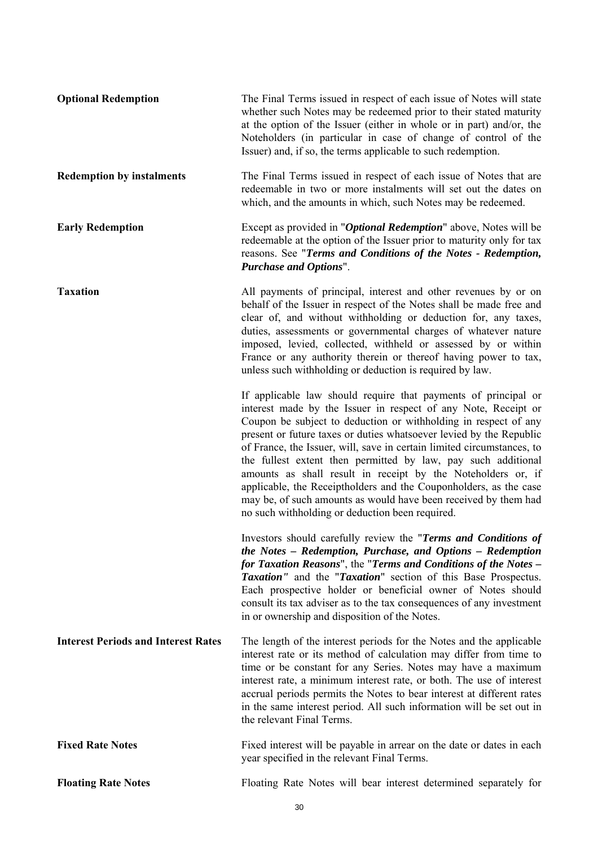| <b>Optional Redemption</b>                 | The Final Terms issued in respect of each issue of Notes will state<br>whether such Notes may be redeemed prior to their stated maturity<br>at the option of the Issuer (either in whole or in part) and/or, the<br>Noteholders (in particular in case of change of control of the<br>Issuer) and, if so, the terms applicable to such redemption.                                                                                                                                                                                                                                                                                                                               |
|--------------------------------------------|----------------------------------------------------------------------------------------------------------------------------------------------------------------------------------------------------------------------------------------------------------------------------------------------------------------------------------------------------------------------------------------------------------------------------------------------------------------------------------------------------------------------------------------------------------------------------------------------------------------------------------------------------------------------------------|
| <b>Redemption by instalments</b>           | The Final Terms issued in respect of each issue of Notes that are<br>redeemable in two or more instalments will set out the dates on<br>which, and the amounts in which, such Notes may be redeemed.                                                                                                                                                                                                                                                                                                                                                                                                                                                                             |
| <b>Early Redemption</b>                    | Except as provided in "Optional Redemption" above, Notes will be<br>redeemable at the option of the Issuer prior to maturity only for tax<br>reasons. See "Terms and Conditions of the Notes - Redemption,<br><b>Purchase and Options".</b>                                                                                                                                                                                                                                                                                                                                                                                                                                      |
| <b>Taxation</b>                            | All payments of principal, interest and other revenues by or on<br>behalf of the Issuer in respect of the Notes shall be made free and<br>clear of, and without withholding or deduction for, any taxes,<br>duties, assessments or governmental charges of whatever nature<br>imposed, levied, collected, withheld or assessed by or within<br>France or any authority therein or thereof having power to tax,<br>unless such withholding or deduction is required by law.                                                                                                                                                                                                       |
|                                            | If applicable law should require that payments of principal or<br>interest made by the Issuer in respect of any Note, Receipt or<br>Coupon be subject to deduction or withholding in respect of any<br>present or future taxes or duties whatsoever levied by the Republic<br>of France, the Issuer, will, save in certain limited circumstances, to<br>the fullest extent then permitted by law, pay such additional<br>amounts as shall result in receipt by the Noteholders or, if<br>applicable, the Receiptholders and the Couponholders, as the case<br>may be, of such amounts as would have been received by them had<br>no such withholding or deduction been required. |
|                                            | Investors should carefully review the "Terms and Conditions of<br>the Notes - Redemption, Purchase, and Options - Redemption<br>for Taxation Reasons", the "Terms and Conditions of the Notes -<br>Taxation" and the "Taxation" section of this Base Prospectus.<br>Each prospective holder or beneficial owner of Notes should<br>consult its tax adviser as to the tax consequences of any investment<br>in or ownership and disposition of the Notes.                                                                                                                                                                                                                         |
| <b>Interest Periods and Interest Rates</b> | The length of the interest periods for the Notes and the applicable<br>interest rate or its method of calculation may differ from time to<br>time or be constant for any Series. Notes may have a maximum<br>interest rate, a minimum interest rate, or both. The use of interest<br>accrual periods permits the Notes to bear interest at different rates<br>in the same interest period. All such information will be set out in<br>the relevant Final Terms.                                                                                                                                                                                                                  |
| <b>Fixed Rate Notes</b>                    | Fixed interest will be payable in arrear on the date or dates in each<br>year specified in the relevant Final Terms.                                                                                                                                                                                                                                                                                                                                                                                                                                                                                                                                                             |
| <b>Floating Rate Notes</b>                 | Floating Rate Notes will bear interest determined separately for                                                                                                                                                                                                                                                                                                                                                                                                                                                                                                                                                                                                                 |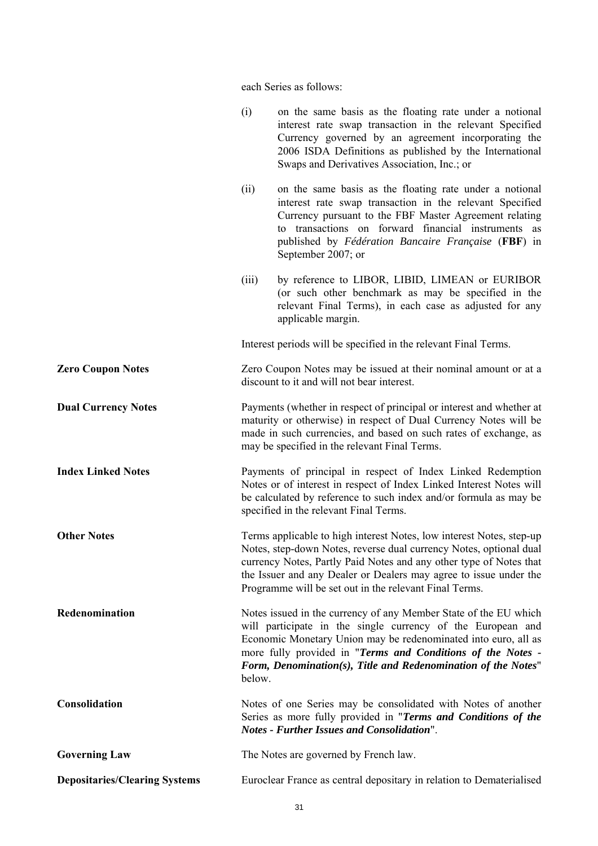each Series as follows:

| <b>Governing Law</b><br><b>Depositaries/Clearing Systems</b> |                                                                                                                                                                                                                                                               | The Notes are governed by French law.<br>Euroclear France as central depositary in relation to Dematerialised                                                                                                                                                                                                                                   |
|--------------------------------------------------------------|---------------------------------------------------------------------------------------------------------------------------------------------------------------------------------------------------------------------------------------------------------------|-------------------------------------------------------------------------------------------------------------------------------------------------------------------------------------------------------------------------------------------------------------------------------------------------------------------------------------------------|
| Consolidation                                                |                                                                                                                                                                                                                                                               | Notes of one Series may be consolidated with Notes of another<br>Series as more fully provided in "Terms and Conditions of the<br><b>Notes - Further Issues and Consolidation".</b>                                                                                                                                                             |
| Redenomination                                               | below.                                                                                                                                                                                                                                                        | Notes issued in the currency of any Member State of the EU which<br>will participate in the single currency of the European and<br>Economic Monetary Union may be redenominated into euro, all as<br>more fully provided in "Terms and Conditions of the Notes -<br>Form, Denomination(s), Title and Redenomination of the Notes"               |
| <b>Other Notes</b>                                           |                                                                                                                                                                                                                                                               | Terms applicable to high interest Notes, low interest Notes, step-up<br>Notes, step-down Notes, reverse dual currency Notes, optional dual<br>currency Notes, Partly Paid Notes and any other type of Notes that<br>the Issuer and any Dealer or Dealers may agree to issue under the<br>Programme will be set out in the relevant Final Terms. |
| <b>Index Linked Notes</b>                                    | Payments of principal in respect of Index Linked Redemption<br>Notes or of interest in respect of Index Linked Interest Notes will<br>be calculated by reference to such index and/or formula as may be<br>specified in the relevant Final Terms.             |                                                                                                                                                                                                                                                                                                                                                 |
| <b>Dual Currency Notes</b>                                   | Payments (whether in respect of principal or interest and whether at<br>maturity or otherwise) in respect of Dual Currency Notes will be<br>made in such currencies, and based on such rates of exchange, as<br>may be specified in the relevant Final Terms. |                                                                                                                                                                                                                                                                                                                                                 |
| <b>Zero Coupon Notes</b>                                     |                                                                                                                                                                                                                                                               | Zero Coupon Notes may be issued at their nominal amount or at a<br>discount to it and will not bear interest.                                                                                                                                                                                                                                   |
|                                                              |                                                                                                                                                                                                                                                               | Interest periods will be specified in the relevant Final Terms.                                                                                                                                                                                                                                                                                 |
|                                                              | (iii)                                                                                                                                                                                                                                                         | by reference to LIBOR, LIBID, LIMEAN or EURIBOR<br>(or such other benchmark as may be specified in the<br>relevant Final Terms), in each case as adjusted for any<br>applicable margin.                                                                                                                                                         |
|                                                              | (ii)                                                                                                                                                                                                                                                          | on the same basis as the floating rate under a notional<br>interest rate swap transaction in the relevant Specified<br>Currency pursuant to the FBF Master Agreement relating<br>to transactions on forward financial instruments as<br>published by Fédération Bancaire Française (FBF) in<br>September 2007; or                               |
|                                                              | (i)                                                                                                                                                                                                                                                           | on the same basis as the floating rate under a notional<br>interest rate swap transaction in the relevant Specified<br>Currency governed by an agreement incorporating the<br>2006 ISDA Definitions as published by the International<br>Swaps and Derivatives Association, Inc.; or                                                            |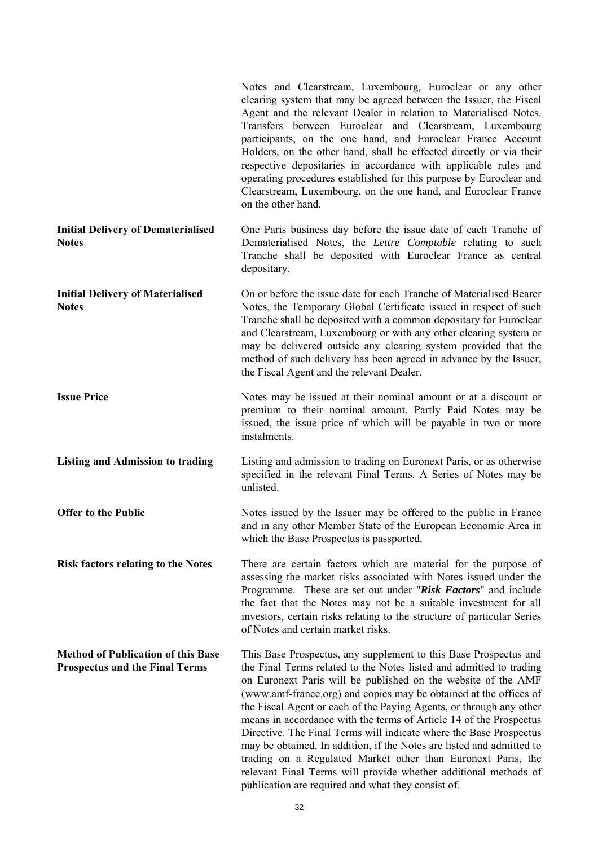|                                                                                    | Notes and Clearstream, Luxembourg, Euroclear or any other<br>clearing system that may be agreed between the Issuer, the Fiscal<br>Agent and the relevant Dealer in relation to Materialised Notes.<br>Transfers between Euroclear and Clearstream, Luxembourg<br>participants, on the one hand, and Euroclear France Account<br>Holders, on the other hand, shall be effected directly or via their<br>respective depositaries in accordance with applicable rules and<br>operating procedures established for this purpose by Euroclear and<br>Clearstream, Luxembourg, on the one hand, and Euroclear France<br>on the other hand.                                                                                                                               |
|------------------------------------------------------------------------------------|--------------------------------------------------------------------------------------------------------------------------------------------------------------------------------------------------------------------------------------------------------------------------------------------------------------------------------------------------------------------------------------------------------------------------------------------------------------------------------------------------------------------------------------------------------------------------------------------------------------------------------------------------------------------------------------------------------------------------------------------------------------------|
| <b>Initial Delivery of Dematerialised</b><br><b>Notes</b>                          | One Paris business day before the issue date of each Tranche of<br>Dematerialised Notes, the Lettre Comptable relating to such<br>Tranche shall be deposited with Euroclear France as central<br>depositary.                                                                                                                                                                                                                                                                                                                                                                                                                                                                                                                                                       |
| <b>Initial Delivery of Materialised</b><br><b>Notes</b>                            | On or before the issue date for each Tranche of Materialised Bearer<br>Notes, the Temporary Global Certificate issued in respect of such<br>Tranche shall be deposited with a common depositary for Euroclear<br>and Clearstream, Luxembourg or with any other clearing system or<br>may be delivered outside any clearing system provided that the<br>method of such delivery has been agreed in advance by the Issuer,<br>the Fiscal Agent and the relevant Dealer.                                                                                                                                                                                                                                                                                              |
| <b>Issue Price</b>                                                                 | Notes may be issued at their nominal amount or at a discount or<br>premium to their nominal amount. Partly Paid Notes may be<br>issued, the issue price of which will be payable in two or more<br>instalments.                                                                                                                                                                                                                                                                                                                                                                                                                                                                                                                                                    |
| <b>Listing and Admission to trading</b>                                            | Listing and admission to trading on Euronext Paris, or as otherwise<br>specified in the relevant Final Terms. A Series of Notes may be<br>unlisted.                                                                                                                                                                                                                                                                                                                                                                                                                                                                                                                                                                                                                |
| <b>Offer to the Public</b>                                                         | Notes issued by the Issuer may be offered to the public in France<br>and in any other Member State of the European Economic Area in<br>which the Base Prospectus is passported.                                                                                                                                                                                                                                                                                                                                                                                                                                                                                                                                                                                    |
| <b>Risk factors relating to the Notes</b>                                          | There are certain factors which are material for the purpose of<br>assessing the market risks associated with Notes issued under the<br>Programme. These are set out under "Risk Factors" and include<br>the fact that the Notes may not be a suitable investment for all<br>investors, certain risks relating to the structure of particular Series<br>of Notes and certain market risks.                                                                                                                                                                                                                                                                                                                                                                         |
| <b>Method of Publication of this Base</b><br><b>Prospectus and the Final Terms</b> | This Base Prospectus, any supplement to this Base Prospectus and<br>the Final Terms related to the Notes listed and admitted to trading<br>on Euronext Paris will be published on the website of the AMF<br>(www.amf-france.org) and copies may be obtained at the offices of<br>the Fiscal Agent or each of the Paying Agents, or through any other<br>means in accordance with the terms of Article 14 of the Prospectus<br>Directive. The Final Terms will indicate where the Base Prospectus<br>may be obtained. In addition, if the Notes are listed and admitted to<br>trading on a Regulated Market other than Euronext Paris, the<br>relevant Final Terms will provide whether additional methods of<br>publication are required and what they consist of. |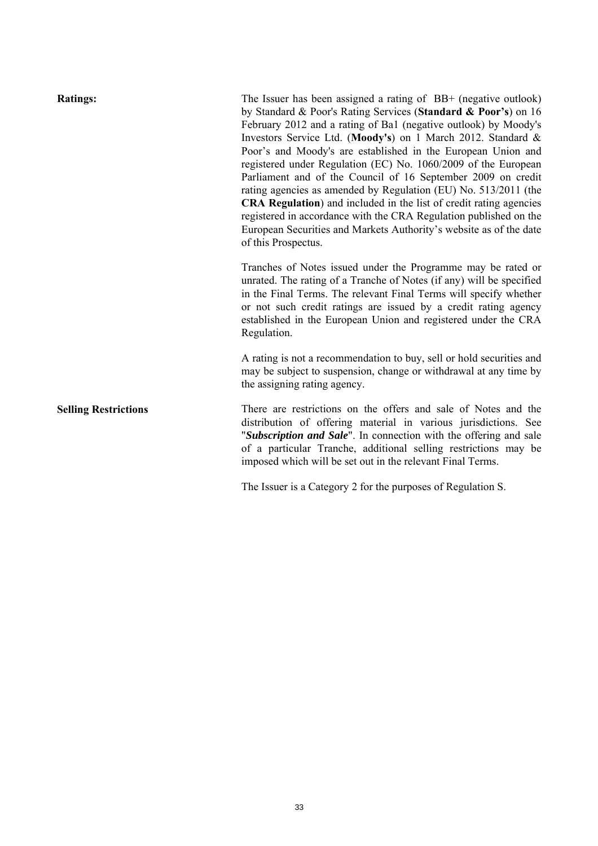| <b>Ratings:</b>             | The Issuer has been assigned a rating of $BB+$ (negative outlook)<br>by Standard & Poor's Rating Services (Standard & Poor's) on 16<br>February 2012 and a rating of Ba1 (negative outlook) by Moody's<br>Investors Service Ltd. (Moody's) on 1 March 2012. Standard &<br>Poor's and Moody's are established in the European Union and<br>registered under Regulation (EC) No. 1060/2009 of the European<br>Parliament and of the Council of 16 September 2009 on credit<br>rating agencies as amended by Regulation (EU) No. 513/2011 (the<br>CRA Regulation) and included in the list of credit rating agencies<br>registered in accordance with the CRA Regulation published on the<br>European Securities and Markets Authority's website as of the date<br>of this Prospectus. |
|-----------------------------|-------------------------------------------------------------------------------------------------------------------------------------------------------------------------------------------------------------------------------------------------------------------------------------------------------------------------------------------------------------------------------------------------------------------------------------------------------------------------------------------------------------------------------------------------------------------------------------------------------------------------------------------------------------------------------------------------------------------------------------------------------------------------------------|
|                             | Tranches of Notes issued under the Programme may be rated or<br>unrated. The rating of a Tranche of Notes (if any) will be specified<br>in the Final Terms. The relevant Final Terms will specify whether<br>or not such credit ratings are issued by a credit rating agency<br>established in the European Union and registered under the CRA<br>Regulation.                                                                                                                                                                                                                                                                                                                                                                                                                       |
|                             | A rating is not a recommendation to buy, sell or hold securities and<br>may be subject to suspension, change or withdrawal at any time by<br>the assigning rating agency.                                                                                                                                                                                                                                                                                                                                                                                                                                                                                                                                                                                                           |
| <b>Selling Restrictions</b> | There are restrictions on the offers and sale of Notes and the<br>distribution of offering material in various jurisdictions. See<br>"Subscription and Sale". In connection with the offering and sale<br>of a particular Tranche, additional selling restrictions may be<br>imposed which will be set out in the relevant Final Terms.                                                                                                                                                                                                                                                                                                                                                                                                                                             |

The Issuer is a Category 2 for the purposes of Regulation S.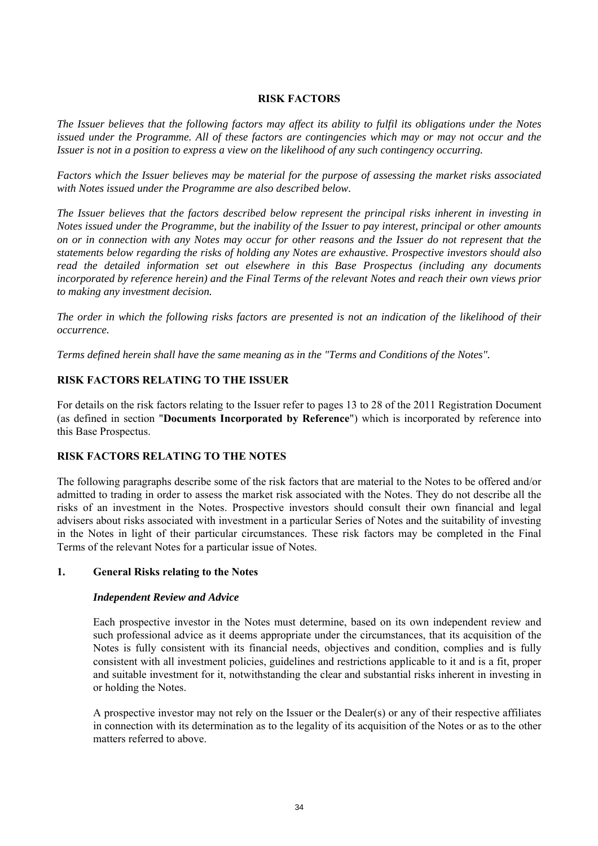### **RISK FACTORS**

*The Issuer believes that the following factors may affect its ability to fulfil its obligations under the Notes issued under the Programme. All of these factors are contingencies which may or may not occur and the Issuer is not in a position to express a view on the likelihood of any such contingency occurring.*

*Factors which the Issuer believes may be material for the purpose of assessing the market risks associated with Notes issued under the Programme are also described below.*

*The Issuer believes that the factors described below represent the principal risks inherent in investing in Notes issued under the Programme, but the inability of the Issuer to pay interest, principal or other amounts on or in connection with any Notes may occur for other reasons and the Issuer do not represent that the statements below regarding the risks of holding any Notes are exhaustive. Prospective investors should also read the detailed information set out elsewhere in this Base Prospectus (including any documents incorporated by reference herein) and the Final Terms of the relevant Notes and reach their own views prior to making any investment decision.*

*The order in which the following risks factors are presented is not an indication of the likelihood of their occurrence.*

*Terms defined herein shall have the same meaning as in the "Terms and Conditions of the Notes".*

# **RISK FACTORS RELATING TO THE ISSUER**

For details on the risk factors relating to the Issuer refer to pages 13 to 28 of the 2011 Registration Document (as defined in section "**Documents Incorporated by Reference**") which is incorporated by reference into this Base Prospectus.

### **RISK FACTORS RELATING TO THE NOTES**

The following paragraphs describe some of the risk factors that are material to the Notes to be offered and/or admitted to trading in order to assess the market risk associated with the Notes. They do not describe all the risks of an investment in the Notes. Prospective investors should consult their own financial and legal advisers about risks associated with investment in a particular Series of Notes and the suitability of investing in the Notes in light of their particular circumstances. These risk factors may be completed in the Final Terms of the relevant Notes for a particular issue of Notes.

### **1. General Risks relating to the Notes**

### *Independent Review and Advice*

Each prospective investor in the Notes must determine, based on its own independent review and such professional advice as it deems appropriate under the circumstances, that its acquisition of the Notes is fully consistent with its financial needs, objectives and condition, complies and is fully consistent with all investment policies, guidelines and restrictions applicable to it and is a fit, proper and suitable investment for it, notwithstanding the clear and substantial risks inherent in investing in or holding the Notes.

A prospective investor may not rely on the Issuer or the Dealer(s) or any of their respective affiliates in connection with its determination as to the legality of its acquisition of the Notes or as to the other matters referred to above.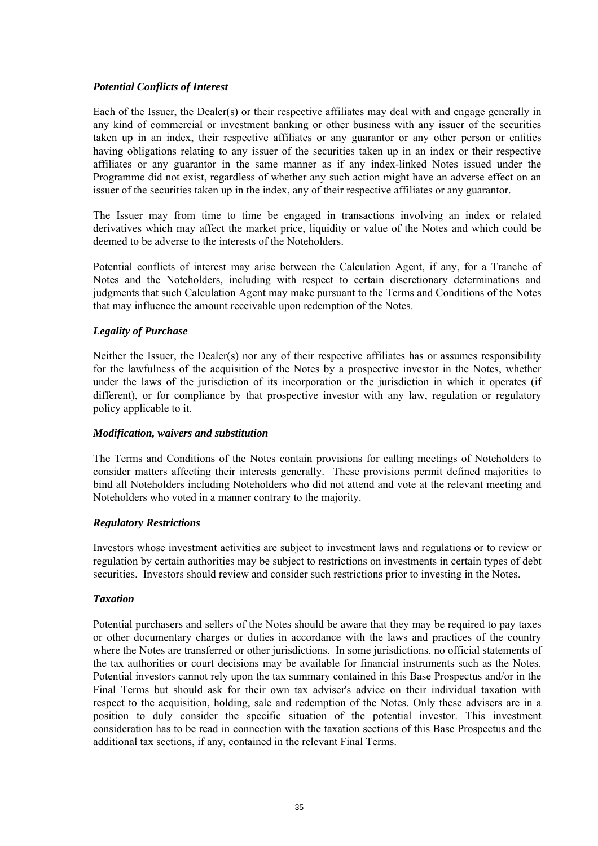# *Potential Conflicts of Interest*

Each of the Issuer, the Dealer(s) or their respective affiliates may deal with and engage generally in any kind of commercial or investment banking or other business with any issuer of the securities taken up in an index, their respective affiliates or any guarantor or any other person or entities having obligations relating to any issuer of the securities taken up in an index or their respective affiliates or any guarantor in the same manner as if any index-linked Notes issued under the Programme did not exist, regardless of whether any such action might have an adverse effect on an issuer of the securities taken up in the index, any of their respective affiliates or any guarantor.

The Issuer may from time to time be engaged in transactions involving an index or related derivatives which may affect the market price, liquidity or value of the Notes and which could be deemed to be adverse to the interests of the Noteholders.

Potential conflicts of interest may arise between the Calculation Agent, if any, for a Tranche of Notes and the Noteholders, including with respect to certain discretionary determinations and judgments that such Calculation Agent may make pursuant to the Terms and Conditions of the Notes that may influence the amount receivable upon redemption of the Notes.

# *Legality of Purchase*

Neither the Issuer, the Dealer(s) nor any of their respective affiliates has or assumes responsibility for the lawfulness of the acquisition of the Notes by a prospective investor in the Notes, whether under the laws of the jurisdiction of its incorporation or the jurisdiction in which it operates (if different), or for compliance by that prospective investor with any law, regulation or regulatory policy applicable to it.

### *Modification, waivers and substitution*

The Terms and Conditions of the Notes contain provisions for calling meetings of Noteholders to consider matters affecting their interests generally. These provisions permit defined majorities to bind all Noteholders including Noteholders who did not attend and vote at the relevant meeting and Noteholders who voted in a manner contrary to the majority.

### *Regulatory Restrictions*

Investors whose investment activities are subject to investment laws and regulations or to review or regulation by certain authorities may be subject to restrictions on investments in certain types of debt securities. Investors should review and consider such restrictions prior to investing in the Notes.

### *Taxation*

Potential purchasers and sellers of the Notes should be aware that they may be required to pay taxes or other documentary charges or duties in accordance with the laws and practices of the country where the Notes are transferred or other jurisdictions. In some jurisdictions, no official statements of the tax authorities or court decisions may be available for financial instruments such as the Notes. Potential investors cannot rely upon the tax summary contained in this Base Prospectus and/or in the Final Terms but should ask for their own tax adviser's advice on their individual taxation with respect to the acquisition, holding, sale and redemption of the Notes. Only these advisers are in a position to duly consider the specific situation of the potential investor. This investment consideration has to be read in connection with the taxation sections of this Base Prospectus and the additional tax sections, if any, contained in the relevant Final Terms.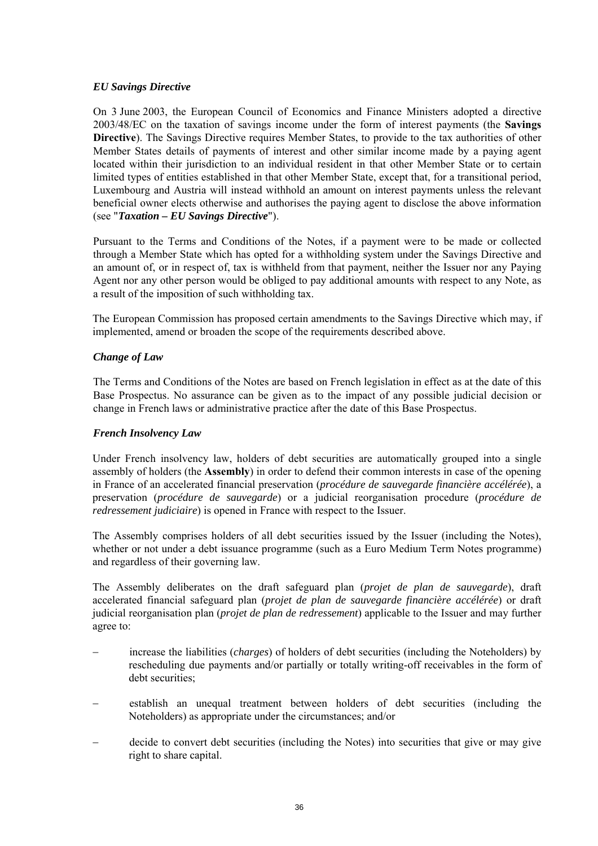# *EU Savings Directive*

On 3 June 2003, the European Council of Economics and Finance Ministers adopted a directive 2003/48/EC on the taxation of savings income under the form of interest payments (the **Savings Directive**). The Savings Directive requires Member States, to provide to the tax authorities of other Member States details of payments of interest and other similar income made by a paying agent located within their jurisdiction to an individual resident in that other Member State or to certain limited types of entities established in that other Member State, except that, for a transitional period, Luxembourg and Austria will instead withhold an amount on interest payments unless the relevant beneficial owner elects otherwise and authorises the paying agent to disclose the above information (see "*Taxation – EU Savings Directive*").

Pursuant to the Terms and Conditions of the Notes, if a payment were to be made or collected through a Member State which has opted for a withholding system under the Savings Directive and an amount of, or in respect of, tax is withheld from that payment, neither the Issuer nor any Paying Agent nor any other person would be obliged to pay additional amounts with respect to any Note, as a result of the imposition of such withholding tax.

The European Commission has proposed certain amendments to the Savings Directive which may, if implemented, amend or broaden the scope of the requirements described above.

# *Change of Law*

The Terms and Conditions of the Notes are based on French legislation in effect as at the date of this Base Prospectus. No assurance can be given as to the impact of any possible judicial decision or change in French laws or administrative practice after the date of this Base Prospectus.

### *French Insolvency Law*

Under French insolvency law, holders of debt securities are automatically grouped into a single assembly of holders (the **Assembly**) in order to defend their common interests in case of the opening in France of an accelerated financial preservation (*procédure de sauvegarde financière accélérée*), a preservation (*procédure de sauvegarde*) or a judicial reorganisation procedure (*procédure de redressement judiciaire*) is opened in France with respect to the Issuer.

The Assembly comprises holders of all debt securities issued by the Issuer (including the Notes), whether or not under a debt issuance programme (such as a Euro Medium Term Notes programme) and regardless of their governing law.

The Assembly deliberates on the draft safeguard plan (*projet de plan de sauvegarde*), draft accelerated financial safeguard plan (*projet de plan de sauvegarde financière accélérée*) or draft judicial reorganisation plan (*projet de plan de redressement*) applicable to the Issuer and may further agree to:

- increase the liabilities (*charges*) of holders of debt securities (including the Noteholders) by rescheduling due payments and/or partially or totally writing-off receivables in the form of debt securities;
- establish an unequal treatment between holders of debt securities (including the Noteholders) as appropriate under the circumstances; and/or
- decide to convert debt securities (including the Notes) into securities that give or may give right to share capital.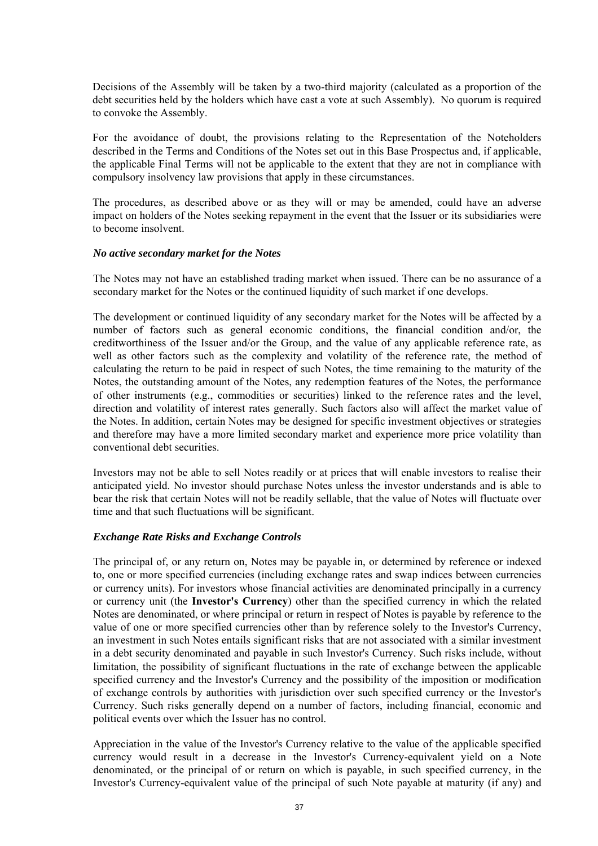Decisions of the Assembly will be taken by a two-third majority (calculated as a proportion of the debt securities held by the holders which have cast a vote at such Assembly). No quorum is required to convoke the Assembly.

For the avoidance of doubt, the provisions relating to the Representation of the Noteholders described in the Terms and Conditions of the Notes set out in this Base Prospectus and, if applicable, the applicable Final Terms will not be applicable to the extent that they are not in compliance with compulsory insolvency law provisions that apply in these circumstances.

The procedures, as described above or as they will or may be amended, could have an adverse impact on holders of the Notes seeking repayment in the event that the Issuer or its subsidiaries were to become insolvent.

### *No active secondary market for the Notes*

The Notes may not have an established trading market when issued. There can be no assurance of a secondary market for the Notes or the continued liquidity of such market if one develops.

The development or continued liquidity of any secondary market for the Notes will be affected by a number of factors such as general economic conditions, the financial condition and/or, the creditworthiness of the Issuer and/or the Group, and the value of any applicable reference rate, as well as other factors such as the complexity and volatility of the reference rate, the method of calculating the return to be paid in respect of such Notes, the time remaining to the maturity of the Notes, the outstanding amount of the Notes, any redemption features of the Notes, the performance of other instruments (e.g., commodities or securities) linked to the reference rates and the level, direction and volatility of interest rates generally. Such factors also will affect the market value of the Notes. In addition, certain Notes may be designed for specific investment objectives or strategies and therefore may have a more limited secondary market and experience more price volatility than conventional debt securities.

Investors may not be able to sell Notes readily or at prices that will enable investors to realise their anticipated yield. No investor should purchase Notes unless the investor understands and is able to bear the risk that certain Notes will not be readily sellable, that the value of Notes will fluctuate over time and that such fluctuations will be significant.

## *Exchange Rate Risks and Exchange Controls*

The principal of, or any return on, Notes may be payable in, or determined by reference or indexed to, one or more specified currencies (including exchange rates and swap indices between currencies or currency units). For investors whose financial activities are denominated principally in a currency or currency unit (the **Investor's Currency**) other than the specified currency in which the related Notes are denominated, or where principal or return in respect of Notes is payable by reference to the value of one or more specified currencies other than by reference solely to the Investor's Currency, an investment in such Notes entails significant risks that are not associated with a similar investment in a debt security denominated and payable in such Investor's Currency. Such risks include, without limitation, the possibility of significant fluctuations in the rate of exchange between the applicable specified currency and the Investor's Currency and the possibility of the imposition or modification of exchange controls by authorities with jurisdiction over such specified currency or the Investor's Currency. Such risks generally depend on a number of factors, including financial, economic and political events over which the Issuer has no control.

Appreciation in the value of the Investor's Currency relative to the value of the applicable specified currency would result in a decrease in the Investor's Currency-equivalent yield on a Note denominated, or the principal of or return on which is payable, in such specified currency, in the Investor's Currency-equivalent value of the principal of such Note payable at maturity (if any) and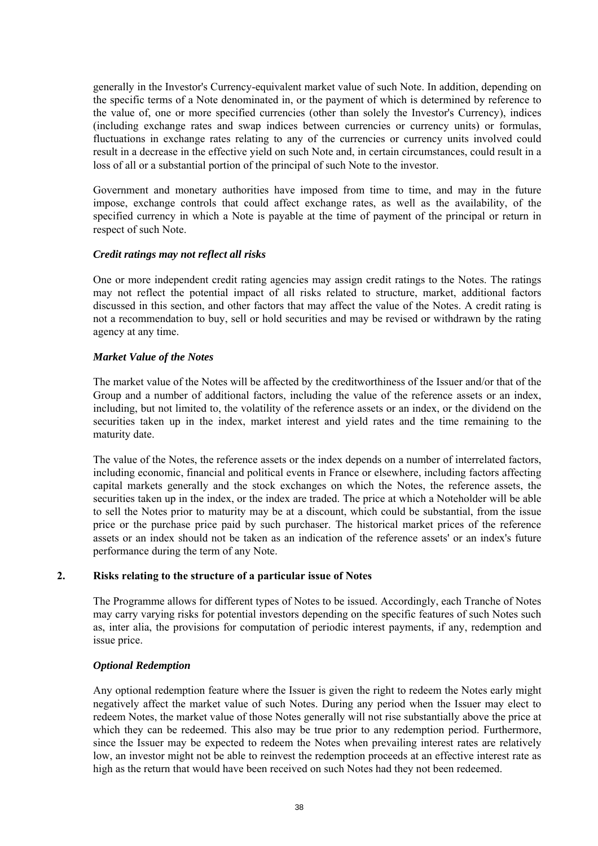generally in the Investor's Currency-equivalent market value of such Note. In addition, depending on the specific terms of a Note denominated in, or the payment of which is determined by reference to the value of, one or more specified currencies (other than solely the Investor's Currency), indices (including exchange rates and swap indices between currencies or currency units) or formulas, fluctuations in exchange rates relating to any of the currencies or currency units involved could result in a decrease in the effective yield on such Note and, in certain circumstances, could result in a loss of all or a substantial portion of the principal of such Note to the investor.

Government and monetary authorities have imposed from time to time, and may in the future impose, exchange controls that could affect exchange rates, as well as the availability, of the specified currency in which a Note is payable at the time of payment of the principal or return in respect of such Note.

### *Credit ratings may not reflect all risks*

One or more independent credit rating agencies may assign credit ratings to the Notes. The ratings may not reflect the potential impact of all risks related to structure, market, additional factors discussed in this section, and other factors that may affect the value of the Notes. A credit rating is not a recommendation to buy, sell or hold securities and may be revised or withdrawn by the rating agency at any time.

### *Market Value of the Notes*

The market value of the Notes will be affected by the creditworthiness of the Issuer and/or that of the Group and a number of additional factors, including the value of the reference assets or an index, including, but not limited to, the volatility of the reference assets or an index, or the dividend on the securities taken up in the index, market interest and yield rates and the time remaining to the maturity date.

The value of the Notes, the reference assets or the index depends on a number of interrelated factors, including economic, financial and political events in France or elsewhere, including factors affecting capital markets generally and the stock exchanges on which the Notes, the reference assets, the securities taken up in the index, or the index are traded. The price at which a Noteholder will be able to sell the Notes prior to maturity may be at a discount, which could be substantial, from the issue price or the purchase price paid by such purchaser. The historical market prices of the reference assets or an index should not be taken as an indication of the reference assets' or an index's future performance during the term of any Note.

## **2. Risks relating to the structure of a particular issue of Notes**

The Programme allows for different types of Notes to be issued. Accordingly, each Tranche of Notes may carry varying risks for potential investors depending on the specific features of such Notes such as, inter alia, the provisions for computation of periodic interest payments, if any, redemption and issue price.

## *Optional Redemption*

Any optional redemption feature where the Issuer is given the right to redeem the Notes early might negatively affect the market value of such Notes. During any period when the Issuer may elect to redeem Notes, the market value of those Notes generally will not rise substantially above the price at which they can be redeemed. This also may be true prior to any redemption period. Furthermore, since the Issuer may be expected to redeem the Notes when prevailing interest rates are relatively low, an investor might not be able to reinvest the redemption proceeds at an effective interest rate as high as the return that would have been received on such Notes had they not been redeemed.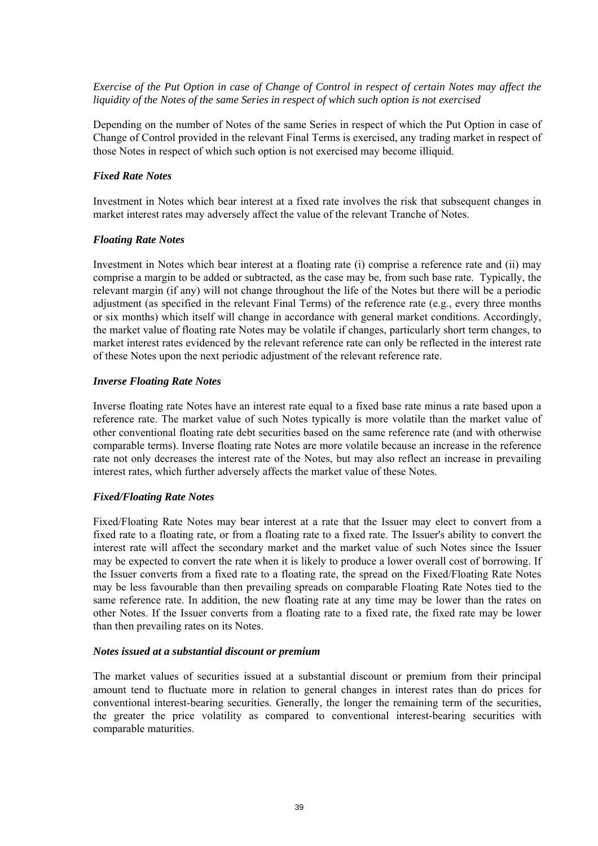*Exercise of the Put Option in case of Change of Control in respect of certain Notes may affect the liquidity of the Notes of the same Series in respect of which such option is not exercised*

Depending on the number of Notes of the same Series in respect of which the Put Option in case of Change of Control provided in the relevant Final Terms is exercised, any trading market in respect of those Notes in respect of which such option is not exercised may become illiquid.

#### *Fixed Rate Notes*

Investment in Notes which bear interest at a fixed rate involves the risk that subsequent changes in market interest rates may adversely affect the value of the relevant Tranche of Notes.

#### *Floating Rate Notes*

Investment in Notes which bear interest at a floating rate (i) comprise a reference rate and (ii) may comprise a margin to be added or subtracted, as the case may be, from such base rate. Typically, the relevant margin (if any) will not change throughout the life of the Notes but there will be a periodic adjustment (as specified in the relevant Final Terms) of the reference rate (e.g., every three months or six months) which itself will change in accordance with general market conditions. Accordingly, the market value of floating rate Notes may be volatile if changes, particularly short term changes, to market interest rates evidenced by the relevant reference rate can only be reflected in the interest rate of these Notes upon the next periodic adjustment of the relevant reference rate.

### *Inverse Floating Rate Notes*

Inverse floating rate Notes have an interest rate equal to a fixed base rate minus a rate based upon a reference rate. The market value of such Notes typically is more volatile than the market value of other conventional floating rate debt securities based on the same reference rate (and with otherwise comparable terms). Inverse floating rate Notes are more volatile because an increase in the reference rate not only decreases the interest rate of the Notes, but may also reflect an increase in prevailing interest rates, which further adversely affects the market value of these Notes.

### *Fixed/Floating Rate Notes*

Fixed/Floating Rate Notes may bear interest at a rate that the Issuer may elect to convert from a fixed rate to a floating rate, or from a floating rate to a fixed rate. The Issuer's ability to convert the interest rate will affect the secondary market and the market value of such Notes since the Issuer may be expected to convert the rate when it is likely to produce a lower overall cost of borrowing. If the Issuer converts from a fixed rate to a floating rate, the spread on the Fixed/Floating Rate Notes may be less favourable than then prevailing spreads on comparable Floating Rate Notes tied to the same reference rate. In addition, the new floating rate at any time may be lower than the rates on other Notes. If the Issuer converts from a floating rate to a fixed rate, the fixed rate may be lower than then prevailing rates on its Notes.

#### *Notes issued at a substantial discount or premium*

The market values of securities issued at a substantial discount or premium from their principal amount tend to fluctuate more in relation to general changes in interest rates than do prices for conventional interest-bearing securities. Generally, the longer the remaining term of the securities, the greater the price volatility as compared to conventional interest-bearing securities with comparable maturities.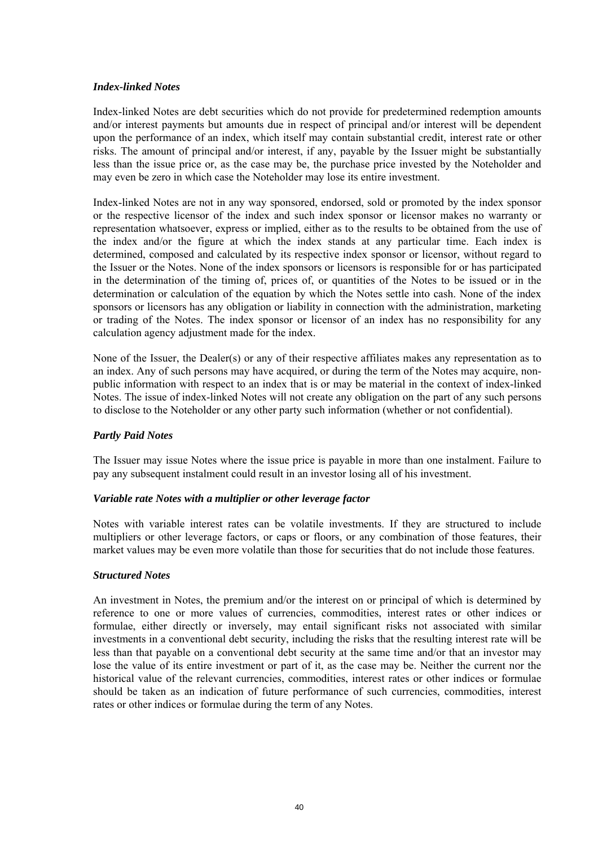## *Index-linked Notes*

Index-linked Notes are debt securities which do not provide for predetermined redemption amounts and/or interest payments but amounts due in respect of principal and/or interest will be dependent upon the performance of an index, which itself may contain substantial credit, interest rate or other risks. The amount of principal and/or interest, if any, payable by the Issuer might be substantially less than the issue price or, as the case may be, the purchase price invested by the Noteholder and may even be zero in which case the Noteholder may lose its entire investment.

Index-linked Notes are not in any way sponsored, endorsed, sold or promoted by the index sponsor or the respective licensor of the index and such index sponsor or licensor makes no warranty or representation whatsoever, express or implied, either as to the results to be obtained from the use of the index and/or the figure at which the index stands at any particular time. Each index is determined, composed and calculated by its respective index sponsor or licensor, without regard to the Issuer or the Notes. None of the index sponsors or licensors is responsible for or has participated in the determination of the timing of, prices of, or quantities of the Notes to be issued or in the determination or calculation of the equation by which the Notes settle into cash. None of the index sponsors or licensors has any obligation or liability in connection with the administration, marketing or trading of the Notes. The index sponsor or licensor of an index has no responsibility for any calculation agency adjustment made for the index.

None of the Issuer, the Dealer(s) or any of their respective affiliates makes any representation as to an index. Any of such persons may have acquired, or during the term of the Notes may acquire, nonpublic information with respect to an index that is or may be material in the context of index-linked Notes. The issue of index-linked Notes will not create any obligation on the part of any such persons to disclose to the Noteholder or any other party such information (whether or not confidential).

## *Partly Paid Notes*

The Issuer may issue Notes where the issue price is payable in more than one instalment. Failure to pay any subsequent instalment could result in an investor losing all of his investment.

## *Variable rate Notes with a multiplier or other leverage factor*

Notes with variable interest rates can be volatile investments. If they are structured to include multipliers or other leverage factors, or caps or floors, or any combination of those features, their market values may be even more volatile than those for securities that do not include those features.

## *Structured Notes*

An investment in Notes, the premium and/or the interest on or principal of which is determined by reference to one or more values of currencies, commodities, interest rates or other indices or formulae, either directly or inversely, may entail significant risks not associated with similar investments in a conventional debt security, including the risks that the resulting interest rate will be less than that payable on a conventional debt security at the same time and/or that an investor may lose the value of its entire investment or part of it, as the case may be. Neither the current nor the historical value of the relevant currencies, commodities, interest rates or other indices or formulae should be taken as an indication of future performance of such currencies, commodities, interest rates or other indices or formulae during the term of any Notes.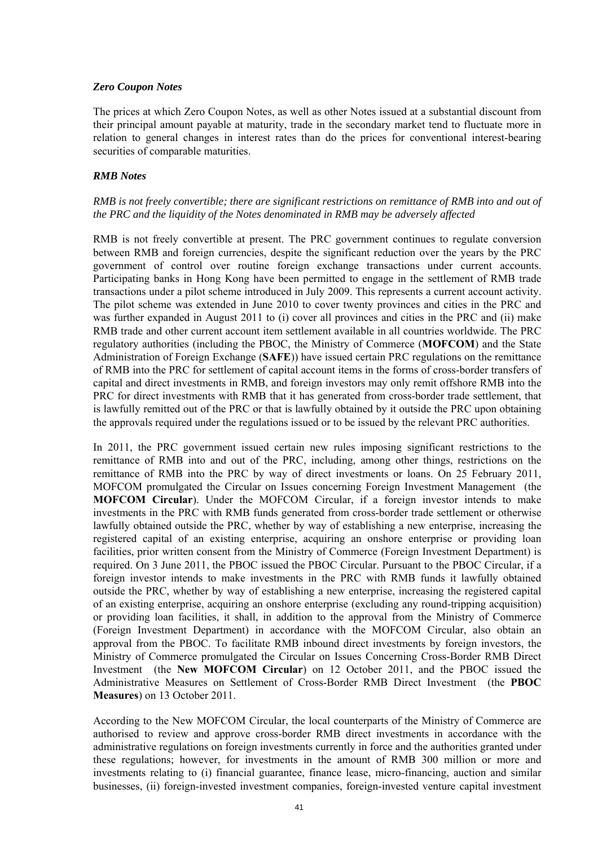## *Zero Coupon Notes*

The prices at which Zero Coupon Notes, as well as other Notes issued at a substantial discount from their principal amount payable at maturity, trade in the secondary market tend to fluctuate more in relation to general changes in interest rates than do the prices for conventional interest-bearing securities of comparable maturities.

## *RMB Notes*

# *RMB is not freely convertible; there are significant restrictions on remittance of RMB into and out of the PRC and the liquidity of the Notes denominated in RMB may be adversely affected*

RMB is not freely convertible at present. The PRC government continues to regulate conversion between RMB and foreign currencies, despite the significant reduction over the years by the PRC government of control over routine foreign exchange transactions under current accounts. Participating banks in Hong Kong have been permitted to engage in the settlement of RMB trade transactions under a pilot scheme introduced in July 2009. This represents a current account activity. The pilot scheme was extended in June 2010 to cover twenty provinces and cities in the PRC and was further expanded in August 2011 to (i) cover all provinces and cities in the PRC and (ii) make RMB trade and other current account item settlement available in all countries worldwide. The PRC regulatory authorities (including the PBOC, the Ministry of Commerce (**MOFCOM**) and the State Administration of Foreign Exchange (**SAFE**)) have issued certain PRC regulations on the remittance of RMB into the PRC for settlement of capital account items in the forms of cross-border transfers of capital and direct investments in RMB, and foreign investors may only remit offshore RMB into the PRC for direct investments with RMB that it has generated from cross-border trade settlement, that is lawfully remitted out of the PRC or that is lawfully obtained by it outside the PRC upon obtaining the approvals required under the regulations issued or to be issued by the relevant PRC authorities.

In 2011, the PRC government issued certain new rules imposing significant restrictions to the remittance of RMB into and out of the PRC, including, among other things, restrictions on the remittance of RMB into the PRC by way of direct investments or loans. On 25 February 2011, MOFCOM promulgated the Circular on Issues concerning Foreign Investment Management (the **MOFCOM Circular**). Under the MOFCOM Circular, if a foreign investor intends to make investments in the PRC with RMB funds generated from cross-border trade settlement or otherwise lawfully obtained outside the PRC, whether by way of establishing a new enterprise, increasing the registered capital of an existing enterprise, acquiring an onshore enterprise or providing loan facilities, prior written consent from the Ministry of Commerce (Foreign Investment Department) is required. On 3 June 2011, the PBOC issued the PBOC Circular. Pursuant to the PBOC Circular, if a foreign investor intends to make investments in the PRC with RMB funds it lawfully obtained outside the PRC, whether by way of establishing a new enterprise, increasing the registered capital of an existing enterprise, acquiring an onshore enterprise (excluding any round-tripping acquisition) or providing loan facilities, it shall, in addition to the approval from the Ministry of Commerce (Foreign Investment Department) in accordance with the MOFCOM Circular, also obtain an approval from the PBOC. To facilitate RMB inbound direct investments by foreign investors, the Ministry of Commerce promulgated the Circular on Issues Concerning Cross-Border RMB Direct Investment (the **New MOFCOM Circular**) on 12 October 2011, and the PBOC issued the Administrative Measures on Settlement of Cross-Border RMB Direct Investment (the **PBOC Measures**) on 13 October 2011.

According to the New MOFCOM Circular, the local counterparts of the Ministry of Commerce are authorised to review and approve cross-border RMB direct investments in accordance with the administrative regulations on foreign investments currently in force and the authorities granted under these regulations; however, for investments in the amount of RMB 300 million or more and investments relating to (i) financial guarantee, finance lease, micro-financing, auction and similar businesses, (ii) foreign-invested investment companies, foreign-invested venture capital investment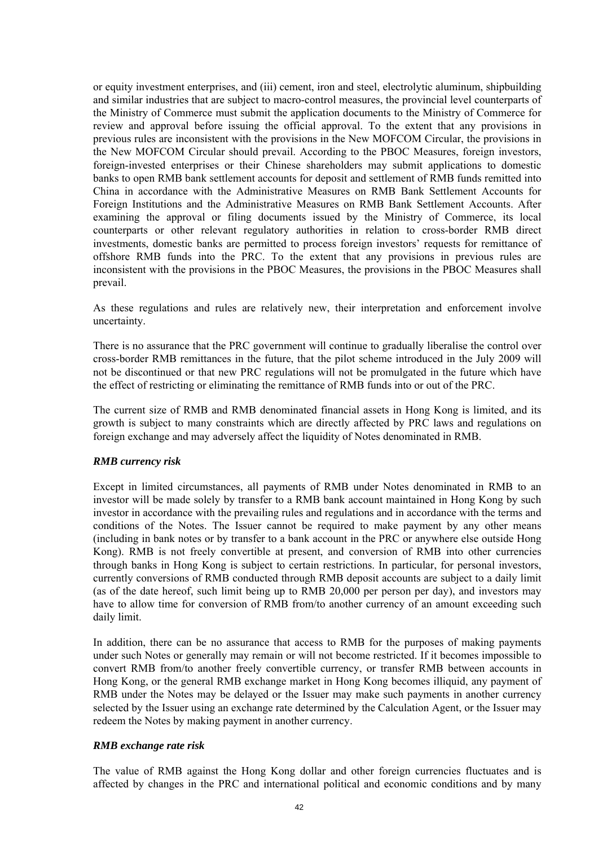or equity investment enterprises, and (iii) cement, iron and steel, electrolytic aluminum, shipbuilding and similar industries that are subject to macro-control measures, the provincial level counterparts of the Ministry of Commerce must submit the application documents to the Ministry of Commerce for review and approval before issuing the official approval. To the extent that any provisions in previous rules are inconsistent with the provisions in the New MOFCOM Circular, the provisions in the New MOFCOM Circular should prevail. According to the PBOC Measures, foreign investors, foreign-invested enterprises or their Chinese shareholders may submit applications to domestic banks to open RMB bank settlement accounts for deposit and settlement of RMB funds remitted into China in accordance with the Administrative Measures on RMB Bank Settlement Accounts for Foreign Institutions and the Administrative Measures on RMB Bank Settlement Accounts. After examining the approval or filing documents issued by the Ministry of Commerce, its local counterparts or other relevant regulatory authorities in relation to cross-border RMB direct investments, domestic banks are permitted to process foreign investors' requests for remittance of offshore RMB funds into the PRC. To the extent that any provisions in previous rules are inconsistent with the provisions in the PBOC Measures, the provisions in the PBOC Measures shall prevail.

As these regulations and rules are relatively new, their interpretation and enforcement involve uncertainty.

There is no assurance that the PRC government will continue to gradually liberalise the control over cross-border RMB remittances in the future, that the pilot scheme introduced in the July 2009 will not be discontinued or that new PRC regulations will not be promulgated in the future which have the effect of restricting or eliminating the remittance of RMB funds into or out of the PRC.

The current size of RMB and RMB denominated financial assets in Hong Kong is limited, and its growth is subject to many constraints which are directly affected by PRC laws and regulations on foreign exchange and may adversely affect the liquidity of Notes denominated in RMB.

## *RMB currency risk*

Except in limited circumstances, all payments of RMB under Notes denominated in RMB to an investor will be made solely by transfer to a RMB bank account maintained in Hong Kong by such investor in accordance with the prevailing rules and regulations and in accordance with the terms and conditions of the Notes. The Issuer cannot be required to make payment by any other means (including in bank notes or by transfer to a bank account in the PRC or anywhere else outside Hong Kong). RMB is not freely convertible at present, and conversion of RMB into other currencies through banks in Hong Kong is subject to certain restrictions. In particular, for personal investors, currently conversions of RMB conducted through RMB deposit accounts are subject to a daily limit (as of the date hereof, such limit being up to RMB 20,000 per person per day), and investors may have to allow time for conversion of RMB from/to another currency of an amount exceeding such daily limit.

In addition, there can be no assurance that access to RMB for the purposes of making payments under such Notes or generally may remain or will not become restricted. If it becomes impossible to convert RMB from/to another freely convertible currency, or transfer RMB between accounts in Hong Kong, or the general RMB exchange market in Hong Kong becomes illiquid, any payment of RMB under the Notes may be delayed or the Issuer may make such payments in another currency selected by the Issuer using an exchange rate determined by the Calculation Agent, or the Issuer may redeem the Notes by making payment in another currency.

## *RMB exchange rate risk*

The value of RMB against the Hong Kong dollar and other foreign currencies fluctuates and is affected by changes in the PRC and international political and economic conditions and by many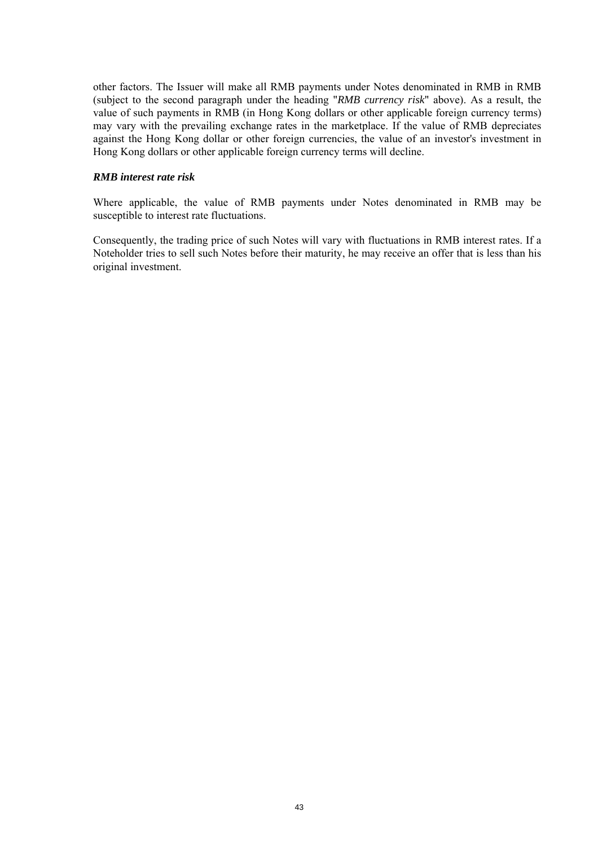other factors. The Issuer will make all RMB payments under Notes denominated in RMB in RMB (subject to the second paragraph under the heading "*RMB currency risk*" above). As a result, the value of such payments in RMB (in Hong Kong dollars or other applicable foreign currency terms) may vary with the prevailing exchange rates in the marketplace. If the value of RMB depreciates against the Hong Kong dollar or other foreign currencies, the value of an investor's investment in Hong Kong dollars or other applicable foreign currency terms will decline.

## *RMB interest rate risk*

Where applicable, the value of RMB payments under Notes denominated in RMB may be susceptible to interest rate fluctuations.

Consequently, the trading price of such Notes will vary with fluctuations in RMB interest rates. If a Noteholder tries to sell such Notes before their maturity, he may receive an offer that is less than his original investment.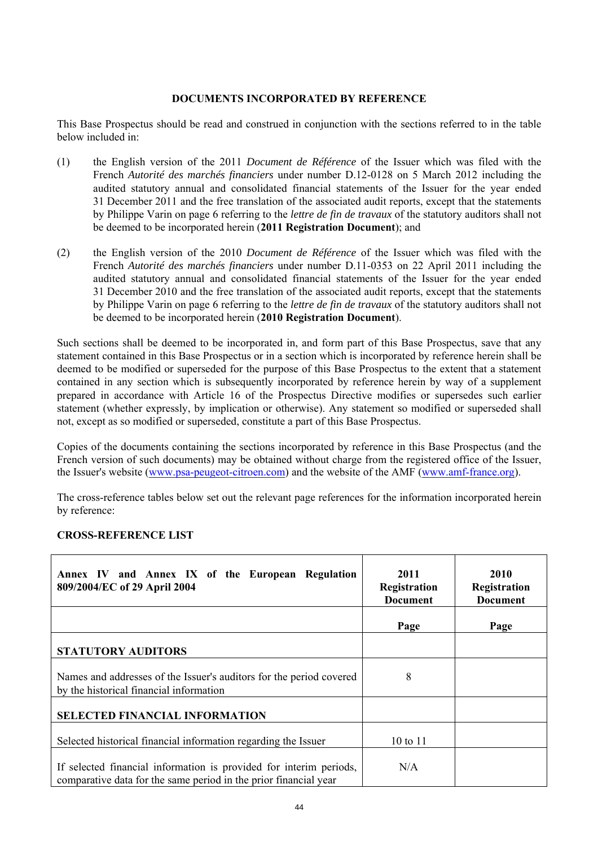## **DOCUMENTS INCORPORATED BY REFERENCE**

This Base Prospectus should be read and construed in conjunction with the sections referred to in the table below included in:

- (1) the English version of the 2011 *Document de Référence* of the Issuer which was filed with the French *Autorité des marchés financiers* under number D.12-0128 on 5 March 2012 including the audited statutory annual and consolidated financial statements of the Issuer for the year ended 31 December 2011 and the free translation of the associated audit reports, except that the statements by Philippe Varin on page 6 referring to the *lettre de fin de travaux* of the statutory auditors shall not be deemed to be incorporated herein (**2011 Registration Document**); and
- (2) the English version of the 2010 *Document de Référence* of the Issuer which was filed with the French *Autorité des marchés financiers* under number D.11-0353 on 22 April 2011 including the audited statutory annual and consolidated financial statements of the Issuer for the year ended 31 December 2010 and the free translation of the associated audit reports, except that the statements by Philippe Varin on page 6 referring to the *lettre de fin de travaux* of the statutory auditors shall not be deemed to be incorporated herein (**2010 Registration Document**).

Such sections shall be deemed to be incorporated in, and form part of this Base Prospectus, save that any statement contained in this Base Prospectus or in a section which is incorporated by reference herein shall be deemed to be modified or superseded for the purpose of this Base Prospectus to the extent that a statement contained in any section which is subsequently incorporated by reference herein by way of a supplement prepared in accordance with Article 16 of the Prospectus Directive modifies or supersedes such earlier statement (whether expressly, by implication or otherwise). Any statement so modified or superseded shall not, except as so modified or superseded, constitute a part of this Base Prospectus.

Copies of the documents containing the sections incorporated by reference in this Base Prospectus (and the French version of such documents) may be obtained without charge from the registered office of the Issuer, the Issuer's website (www.psa-peugeot-citroen.com) and the website of the AMF (www.amf-france.org).

The cross-reference tables below set out the relevant page references for the information incorporated herein by reference:

## **CROSS-REFERENCE LIST**

| Annex IV and Annex IX of the European Regulation<br>809/2004/EC of 29 April 2004                                                       | 2011<br>Registration<br><b>Document</b> | 2010<br>Registration<br><b>Document</b> |
|----------------------------------------------------------------------------------------------------------------------------------------|-----------------------------------------|-----------------------------------------|
|                                                                                                                                        | Page                                    | Page                                    |
| <b>STATUTORY AUDITORS</b>                                                                                                              |                                         |                                         |
| Names and addresses of the Issuer's auditors for the period covered<br>by the historical financial information                         | 8                                       |                                         |
| <b>SELECTED FINANCIAL INFORMATION</b>                                                                                                  |                                         |                                         |
| Selected historical financial information regarding the Issuer                                                                         | 10 to 11                                |                                         |
| If selected financial information is provided for interim periods,<br>comparative data for the same period in the prior financial year | N/A                                     |                                         |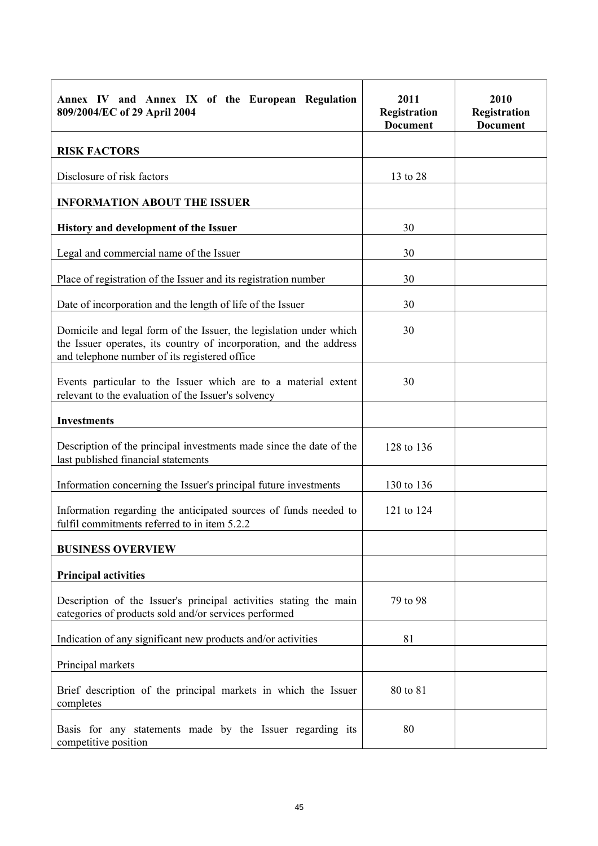| Annex IV and Annex IX of the European Regulation<br>809/2004/EC of 29 April 2004                                                                                                          | 2011<br>Registration<br><b>Document</b> | 2010<br>Registration<br><b>Document</b> |
|-------------------------------------------------------------------------------------------------------------------------------------------------------------------------------------------|-----------------------------------------|-----------------------------------------|
| <b>RISK FACTORS</b>                                                                                                                                                                       |                                         |                                         |
| Disclosure of risk factors                                                                                                                                                                | 13 to 28                                |                                         |
| <b>INFORMATION ABOUT THE ISSUER</b>                                                                                                                                                       |                                         |                                         |
| History and development of the Issuer                                                                                                                                                     | 30                                      |                                         |
| Legal and commercial name of the Issuer                                                                                                                                                   | 30                                      |                                         |
| Place of registration of the Issuer and its registration number                                                                                                                           | 30                                      |                                         |
| Date of incorporation and the length of life of the Issuer                                                                                                                                | 30                                      |                                         |
| Domicile and legal form of the Issuer, the legislation under which<br>the Issuer operates, its country of incorporation, and the address<br>and telephone number of its registered office | 30                                      |                                         |
| Events particular to the Issuer which are to a material extent<br>relevant to the evaluation of the Issuer's solvency                                                                     | 30                                      |                                         |
| <b>Investments</b>                                                                                                                                                                        |                                         |                                         |
| Description of the principal investments made since the date of the<br>last published financial statements                                                                                | 128 to 136                              |                                         |
| Information concerning the Issuer's principal future investments                                                                                                                          | 130 to 136                              |                                         |
| Information regarding the anticipated sources of funds needed to<br>fulfil commitments referred to in item 5.2.2                                                                          | 121 to 124                              |                                         |
| <b>BUSINESS OVERVIEW</b>                                                                                                                                                                  |                                         |                                         |
| <b>Principal activities</b>                                                                                                                                                               |                                         |                                         |
| Description of the Issuer's principal activities stating the main<br>categories of products sold and/or services performed                                                                | 79 to 98                                |                                         |
| Indication of any significant new products and/or activities                                                                                                                              | 81                                      |                                         |
| Principal markets                                                                                                                                                                         |                                         |                                         |
| Brief description of the principal markets in which the Issuer<br>completes                                                                                                               | 80 to 81                                |                                         |
| Basis for any statements made by the Issuer regarding its<br>competitive position                                                                                                         | 80                                      |                                         |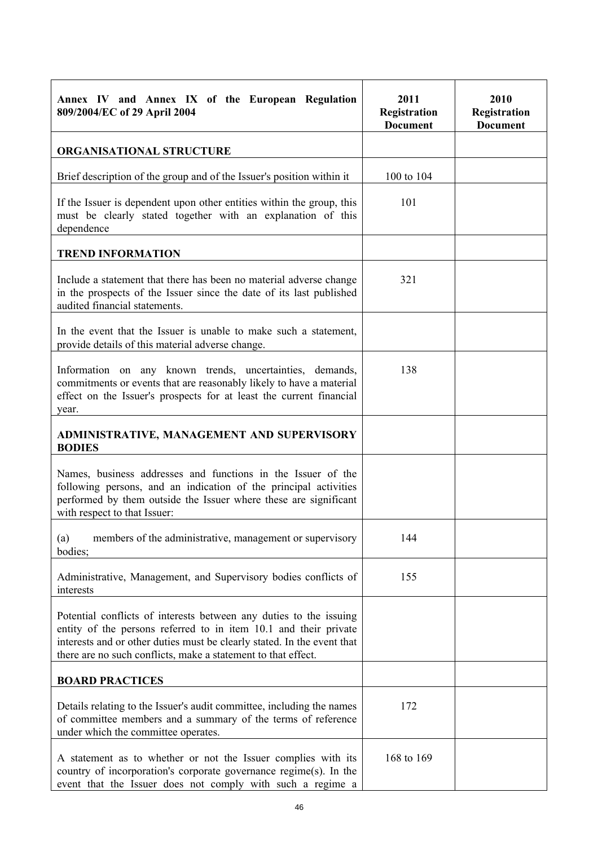| Annex IV and Annex IX of the European Regulation<br>809/2004/EC of 29 April 2004                                                                                                                                                                                                   | 2011<br>Registration<br><b>Document</b> | 2010<br>Registration<br><b>Document</b> |
|------------------------------------------------------------------------------------------------------------------------------------------------------------------------------------------------------------------------------------------------------------------------------------|-----------------------------------------|-----------------------------------------|
| <b>ORGANISATIONAL STRUCTURE</b>                                                                                                                                                                                                                                                    |                                         |                                         |
| Brief description of the group and of the Issuer's position within it                                                                                                                                                                                                              | 100 to 104                              |                                         |
| If the Issuer is dependent upon other entities within the group, this<br>must be clearly stated together with an explanation of this<br>dependence                                                                                                                                 | 101                                     |                                         |
| <b>TREND INFORMATION</b>                                                                                                                                                                                                                                                           |                                         |                                         |
| Include a statement that there has been no material adverse change<br>in the prospects of the Issuer since the date of its last published<br>audited financial statements.                                                                                                         | 321                                     |                                         |
| In the event that the Issuer is unable to make such a statement,<br>provide details of this material adverse change.                                                                                                                                                               |                                         |                                         |
| Information on any known trends, uncertainties, demands,<br>commitments or events that are reasonably likely to have a material<br>effect on the Issuer's prospects for at least the current financial<br>year.                                                                    | 138                                     |                                         |
| ADMINISTRATIVE, MANAGEMENT AND SUPERVISORY<br><b>BODIES</b>                                                                                                                                                                                                                        |                                         |                                         |
| Names, business addresses and functions in the Issuer of the<br>following persons, and an indication of the principal activities<br>performed by them outside the Issuer where these are significant<br>with respect to that Issuer:                                               |                                         |                                         |
| members of the administrative, management or supervisory<br>(a)<br>bodies;                                                                                                                                                                                                         | 144                                     |                                         |
| Administrative, Management, and Supervisory bodies conflicts of<br>interests                                                                                                                                                                                                       | 155                                     |                                         |
| Potential conflicts of interests between any duties to the issuing<br>entity of the persons referred to in item 10.1 and their private<br>interests and or other duties must be clearly stated. In the event that<br>there are no such conflicts, make a statement to that effect. |                                         |                                         |
| <b>BOARD PRACTICES</b>                                                                                                                                                                                                                                                             |                                         |                                         |
| Details relating to the Issuer's audit committee, including the names<br>of committee members and a summary of the terms of reference<br>under which the committee operates.                                                                                                       | 172                                     |                                         |
| A statement as to whether or not the Issuer complies with its<br>country of incorporation's corporate governance regime(s). In the<br>event that the Issuer does not comply with such a regime a                                                                                   | 168 to 169                              |                                         |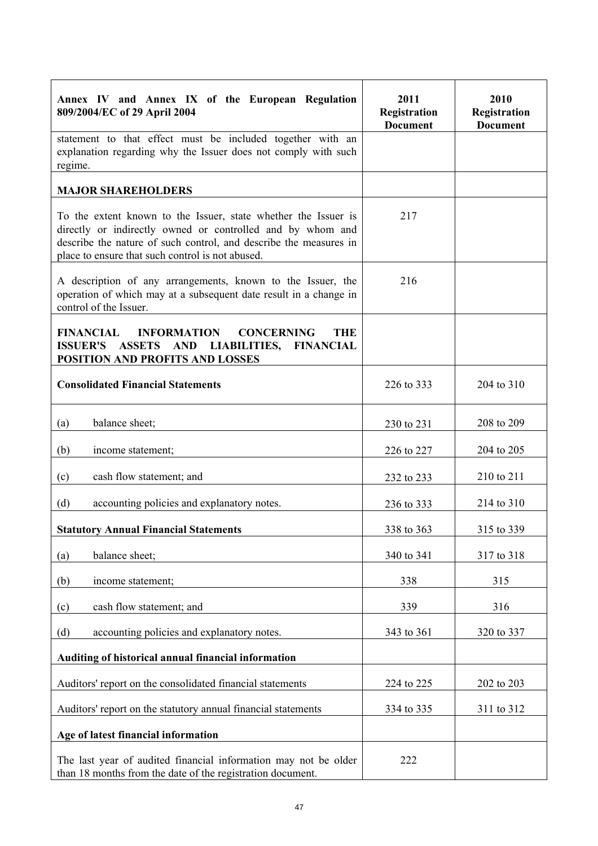| Annex IV and Annex IX of the European Regulation<br>809/2004/EC of 29 April 2004                                                                                                                                                                      | 2011<br>Registration<br><b>Document</b> | 2010<br>Registration<br><b>Document</b> |
|-------------------------------------------------------------------------------------------------------------------------------------------------------------------------------------------------------------------------------------------------------|-----------------------------------------|-----------------------------------------|
| statement to that effect must be included together with an<br>explanation regarding why the Issuer does not comply with such<br>regime.                                                                                                               |                                         |                                         |
| <b>MAJOR SHAREHOLDERS</b>                                                                                                                                                                                                                             |                                         |                                         |
| To the extent known to the Issuer, state whether the Issuer is<br>directly or indirectly owned or controlled and by whom and<br>describe the nature of such control, and describe the measures in<br>place to ensure that such control is not abused. | 217                                     |                                         |
| A description of any arrangements, known to the Issuer, the<br>operation of which may at a subsequent date result in a change in<br>control of the Issuer.                                                                                            | 216                                     |                                         |
| <b>FINANCIAL</b><br><b>INFORMATION</b><br><b>CONCERNING</b><br><b>THE</b><br>ISSUER'S ASSETS AND LIABILITIES, FINANCIAL<br>POSITION AND PROFITS AND LOSSES                                                                                            |                                         |                                         |
| <b>Consolidated Financial Statements</b>                                                                                                                                                                                                              | 226 to 333                              | 204 to 310                              |
| balance sheet;<br>(a)                                                                                                                                                                                                                                 | 230 to 231                              | 208 to 209                              |
| (b)<br>income statement;                                                                                                                                                                                                                              | 226 to 227                              | 204 to 205                              |
| cash flow statement; and<br>(c)                                                                                                                                                                                                                       | 232 to 233                              | 210 to 211                              |
| (d)<br>accounting policies and explanatory notes.                                                                                                                                                                                                     | 236 to 333                              | 214 to 310                              |
| <b>Statutory Annual Financial Statements</b>                                                                                                                                                                                                          | 338 to 363                              | 315 to 339                              |
| balance sheet;<br>(a)                                                                                                                                                                                                                                 | 340 to 341                              | 317 to 318                              |
| (b)<br>income statement;                                                                                                                                                                                                                              | 338                                     | 315                                     |
| cash flow statement; and<br>(c)                                                                                                                                                                                                                       | 339                                     | 316                                     |
| (d)<br>accounting policies and explanatory notes.                                                                                                                                                                                                     | 343 to 361                              | 320 to 337                              |
| Auditing of historical annual financial information                                                                                                                                                                                                   |                                         |                                         |
| Auditors' report on the consolidated financial statements                                                                                                                                                                                             | 224 to 225                              | 202 to 203                              |
| Auditors' report on the statutory annual financial statements                                                                                                                                                                                         | 334 to 335                              | 311 to 312                              |
| Age of latest financial information                                                                                                                                                                                                                   |                                         |                                         |
| The last year of audited financial information may not be older<br>than 18 months from the date of the registration document.                                                                                                                         | 222                                     |                                         |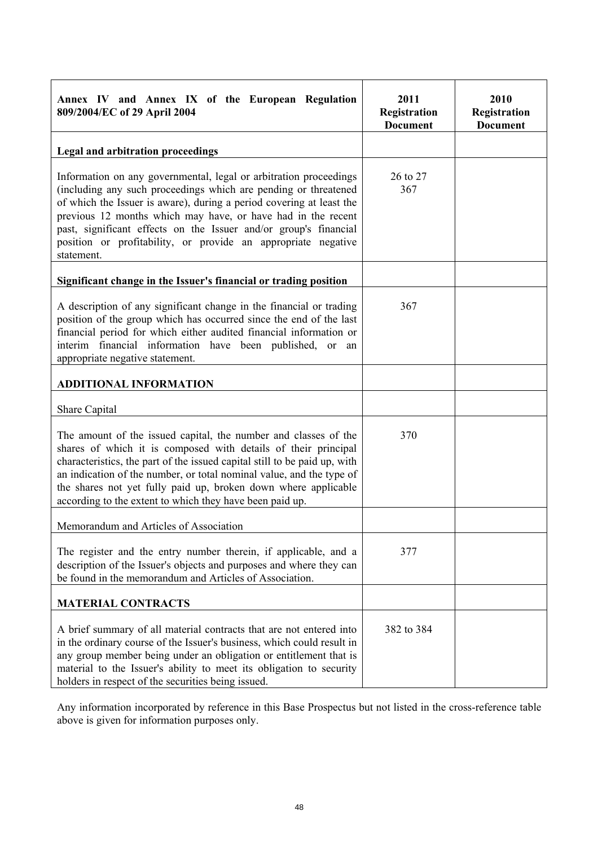| Annex IV and Annex IX of the European Regulation<br>809/2004/EC of 29 April 2004                                                                                                                                                                                                                                                                                                                                                | 2011<br>Registration<br><b>Document</b> | 2010<br>Registration<br><b>Document</b> |
|---------------------------------------------------------------------------------------------------------------------------------------------------------------------------------------------------------------------------------------------------------------------------------------------------------------------------------------------------------------------------------------------------------------------------------|-----------------------------------------|-----------------------------------------|
| Legal and arbitration proceedings                                                                                                                                                                                                                                                                                                                                                                                               |                                         |                                         |
| Information on any governmental, legal or arbitration proceedings<br>(including any such proceedings which are pending or threatened<br>of which the Issuer is aware), during a period covering at least the<br>previous 12 months which may have, or have had in the recent<br>past, significant effects on the Issuer and/or group's financial<br>position or profitability, or provide an appropriate negative<br>statement. | 26 to 27<br>367                         |                                         |
| Significant change in the Issuer's financial or trading position                                                                                                                                                                                                                                                                                                                                                                |                                         |                                         |
| A description of any significant change in the financial or trading<br>position of the group which has occurred since the end of the last<br>financial period for which either audited financial information or<br>interim financial information have been published, or an<br>appropriate negative statement.                                                                                                                  | 367                                     |                                         |
| <b>ADDITIONAL INFORMATION</b>                                                                                                                                                                                                                                                                                                                                                                                                   |                                         |                                         |
| Share Capital                                                                                                                                                                                                                                                                                                                                                                                                                   |                                         |                                         |
| The amount of the issued capital, the number and classes of the<br>shares of which it is composed with details of their principal<br>characteristics, the part of the issued capital still to be paid up, with<br>an indication of the number, or total nominal value, and the type of<br>the shares not yet fully paid up, broken down where applicable<br>according to the extent to which they have been paid up.            | 370                                     |                                         |
| Memorandum and Articles of Association                                                                                                                                                                                                                                                                                                                                                                                          |                                         |                                         |
| The register and the entry number therein, if applicable, and a<br>description of the Issuer's objects and purposes and where they can<br>be found in the memorandum and Articles of Association.                                                                                                                                                                                                                               | 377                                     |                                         |
| <b>MATERIAL CONTRACTS</b>                                                                                                                                                                                                                                                                                                                                                                                                       |                                         |                                         |
| A brief summary of all material contracts that are not entered into<br>in the ordinary course of the Issuer's business, which could result in<br>any group member being under an obligation or entitlement that is<br>material to the Issuer's ability to meet its obligation to security<br>holders in respect of the securities being issued.                                                                                 | 382 to 384                              |                                         |

Any information incorporated by reference in this Base Prospectus but not listed in the cross-reference table above is given for information purposes only.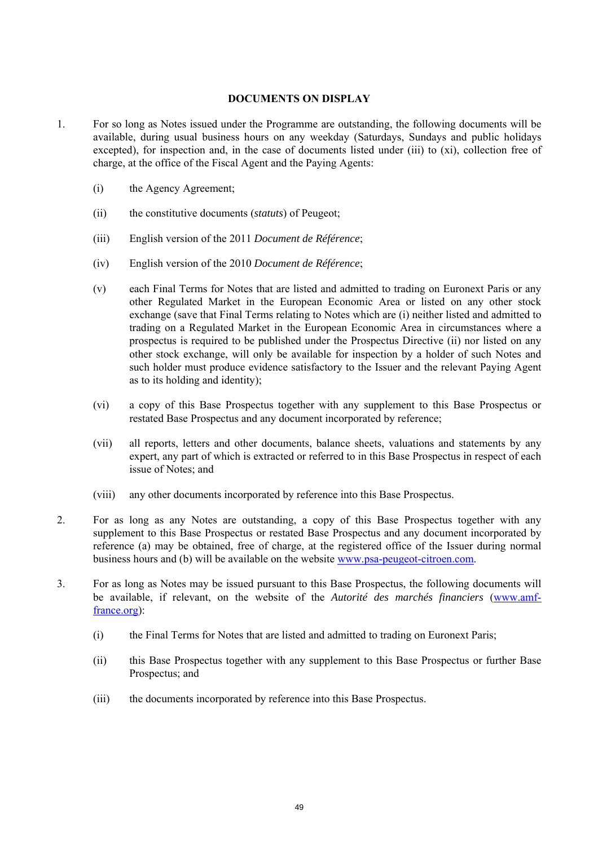## **DOCUMENTS ON DISPLAY**

- 1. For so long as Notes issued under the Programme are outstanding, the following documents will be available, during usual business hours on any weekday (Saturdays, Sundays and public holidays excepted), for inspection and, in the case of documents listed under (iii) to (xi), collection free of charge, at the office of the Fiscal Agent and the Paying Agents:
	- (i) the Agency Agreement;
	- (ii) the constitutive documents (*statuts*) of Peugeot;
	- (iii) English version of the 2011 *Document de Référence*;
	- (iv) English version of the 2010 *Document de Référence*;
	- (v) each Final Terms for Notes that are listed and admitted to trading on Euronext Paris or any other Regulated Market in the European Economic Area or listed on any other stock exchange (save that Final Terms relating to Notes which are (i) neither listed and admitted to trading on a Regulated Market in the European Economic Area in circumstances where a prospectus is required to be published under the Prospectus Directive (ii) nor listed on any other stock exchange, will only be available for inspection by a holder of such Notes and such holder must produce evidence satisfactory to the Issuer and the relevant Paying Agent as to its holding and identity);
	- (vi) a copy of this Base Prospectus together with any supplement to this Base Prospectus or restated Base Prospectus and any document incorporated by reference;
	- (vii) all reports, letters and other documents, balance sheets, valuations and statements by any expert, any part of which is extracted or referred to in this Base Prospectus in respect of each issue of Notes; and
	- (viii) any other documents incorporated by reference into this Base Prospectus.
- 2. For as long as any Notes are outstanding, a copy of this Base Prospectus together with any supplement to this Base Prospectus or restated Base Prospectus and any document incorporated by reference (a) may be obtained, free of charge, at the registered office of the Issuer during normal business hours and (b) will be available on the website www.psa-peugeot-citroen.com.
- 3. For as long as Notes may be issued pursuant to this Base Prospectus, the following documents will be available, if relevant, on the website of the *Autorité des marchés financiers* (www.amffrance.org):
	- (i) the Final Terms for Notes that are listed and admitted to trading on Euronext Paris;
	- (ii) this Base Prospectus together with any supplement to this Base Prospectus or further Base Prospectus; and
	- (iii) the documents incorporated by reference into this Base Prospectus.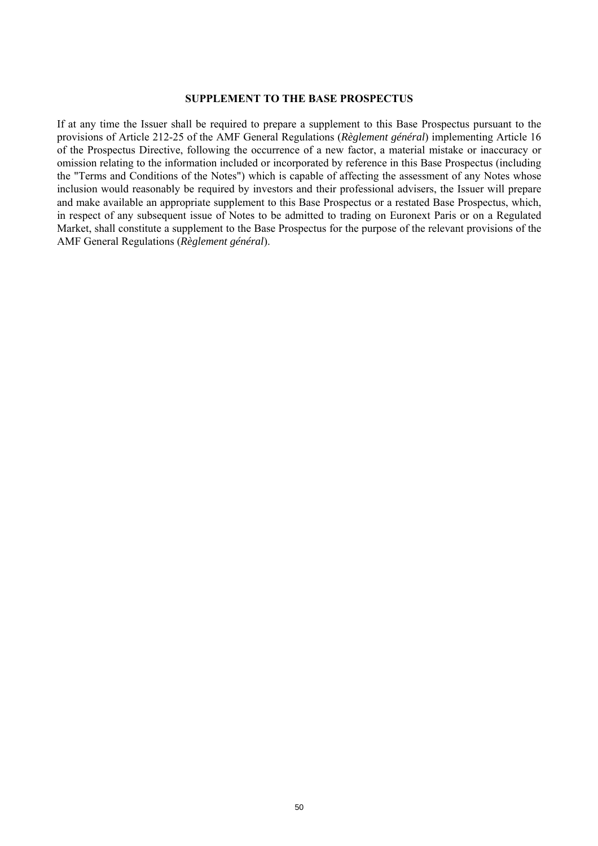#### **SUPPLEMENT TO THE BASE PROSPECTUS**

If at any time the Issuer shall be required to prepare a supplement to this Base Prospectus pursuant to the provisions of Article 212-25 of the AMF General Regulations (*Règlement général*) implementing Article 16 of the Prospectus Directive, following the occurrence of a new factor, a material mistake or inaccuracy or omission relating to the information included or incorporated by reference in this Base Prospectus (including the "Terms and Conditions of the Notes") which is capable of affecting the assessment of any Notes whose inclusion would reasonably be required by investors and their professional advisers, the Issuer will prepare and make available an appropriate supplement to this Base Prospectus or a restated Base Prospectus, which, in respect of any subsequent issue of Notes to be admitted to trading on Euronext Paris or on a Regulated Market, shall constitute a supplement to the Base Prospectus for the purpose of the relevant provisions of the AMF General Regulations (*Règlement général*).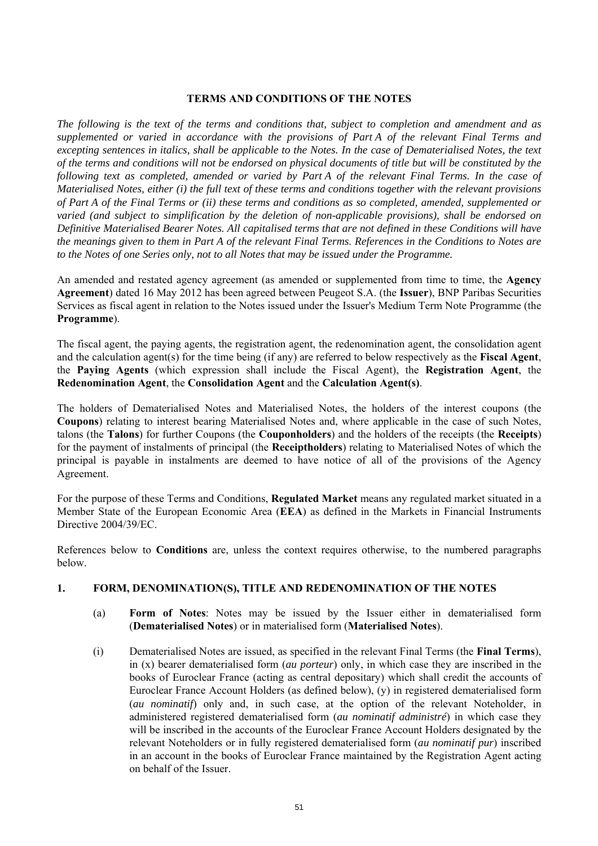## **TERMS AND CONDITIONS OF THE NOTES**

*The following is the text of the terms and conditions that, subject to completion and amendment and as supplemented or varied in accordance with the provisions of Part A of the relevant Final Terms and excepting sentences in italics, shall be applicable to the Notes. In the case of Dematerialised Notes, the text of the terms and conditions will not be endorsed on physical documents of title but will be constituted by the following text as completed, amended or varied by Part A of the relevant Final Terms. In the case of Materialised Notes, either (i) the full text of these terms and conditions together with the relevant provisions of Part A of the Final Terms or (ii) these terms and conditions as so completed, amended, supplemented or varied (and subject to simplification by the deletion of non-applicable provisions), shall be endorsed on Definitive Materialised Bearer Notes. All capitalised terms that are not defined in these Conditions will have the meanings given to them in Part A of the relevant Final Terms. References in the Conditions to Notes are to the Notes of one Series only, not to all Notes that may be issued under the Programme.*

An amended and restated agency agreement (as amended or supplemented from time to time, the **Agency Agreement**) dated 16 May 2012 has been agreed between Peugeot S.A. (the **Issuer**), BNP Paribas Securities Services as fiscal agent in relation to the Notes issued under the Issuer's Medium Term Note Programme (the **Programme**).

The fiscal agent, the paying agents, the registration agent, the redenomination agent, the consolidation agent and the calculation agent(s) for the time being (if any) are referred to below respectively as the **Fiscal Agent**, the **Paying Agents** (which expression shall include the Fiscal Agent), the **Registration Agent**, the **Redenomination Agent**, the **Consolidation Agent** and the **Calculation Agent(s)**.

The holders of Dematerialised Notes and Materialised Notes, the holders of the interest coupons (the **Coupons**) relating to interest bearing Materialised Notes and, where applicable in the case of such Notes, talons (the **Talons**) for further Coupons (the **Couponholders**) and the holders of the receipts (the **Receipts**) for the payment of instalments of principal (the **Receiptholders**) relating to Materialised Notes of which the principal is payable in instalments are deemed to have notice of all of the provisions of the Agency Agreement.

For the purpose of these Terms and Conditions, **Regulated Market** means any regulated market situated in a Member State of the European Economic Area (**EEA**) as defined in the Markets in Financial Instruments Directive 2004/39/EC.

References below to **Conditions** are, unless the context requires otherwise, to the numbered paragraphs below.

## **1. FORM, DENOMINATION(S), TITLE AND REDENOMINATION OF THE NOTES**

- (a) **Form of Notes**: Notes may be issued by the Issuer either in dematerialised form (**Dematerialised Notes**) or in materialised form (**Materialised Notes**).
- (i) Dematerialised Notes are issued, as specified in the relevant Final Terms (the **Final Terms**), in (x) bearer dematerialised form (*au porteur*) only, in which case they are inscribed in the books of Euroclear France (acting as central depositary) which shall credit the accounts of Euroclear France Account Holders (as defined below), (y) in registered dematerialised form (*au nominatif*) only and, in such case, at the option of the relevant Noteholder, in administered registered dematerialised form (*au nominatif administré*) in which case they will be inscribed in the accounts of the Euroclear France Account Holders designated by the relevant Noteholders or in fully registered dematerialised form (*au nominatif pur*) inscribed in an account in the books of Euroclear France maintained by the Registration Agent acting on behalf of the Issuer.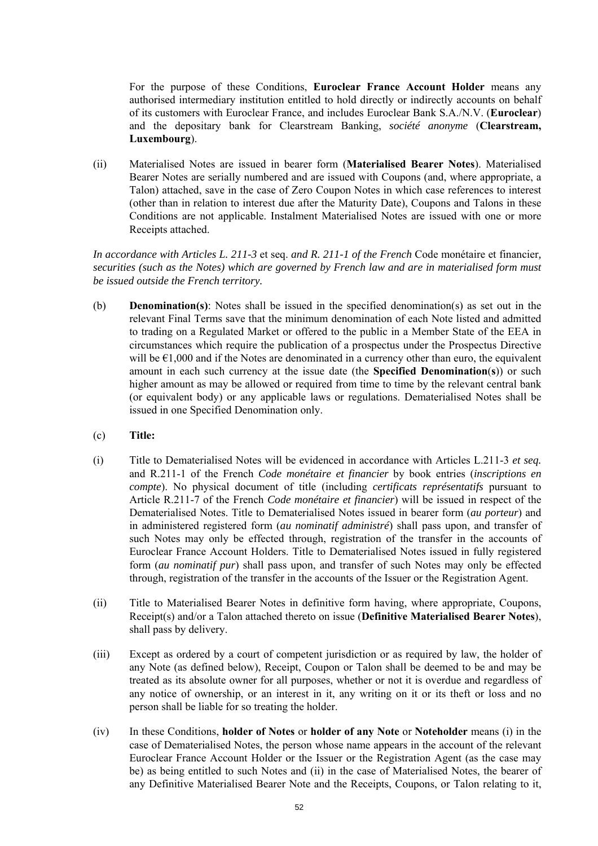For the purpose of these Conditions, **Euroclear France Account Holder** means any authorised intermediary institution entitled to hold directly or indirectly accounts on behalf of its customers with Euroclear France, and includes Euroclear Bank S.A./N.V. (**Euroclear**) and the depositary bank for Clearstream Banking, *société anonyme* (**Clearstream, Luxembourg**).

(ii) Materialised Notes are issued in bearer form (**Materialised Bearer Notes**). Materialised Bearer Notes are serially numbered and are issued with Coupons (and, where appropriate, a Talon) attached, save in the case of Zero Coupon Notes in which case references to interest (other than in relation to interest due after the Maturity Date), Coupons and Talons in these Conditions are not applicable. Instalment Materialised Notes are issued with one or more Receipts attached.

*In accordance with Articles L. 211-3* et seq. *and R. 211-1 of the French* Code monétaire et financier*, securities (such as the Notes) which are governed by French law and are in materialised form must be issued outside the French territory.*

- (b) **Denomination(s)**: Notes shall be issued in the specified denomination(s) as set out in the relevant Final Terms save that the minimum denomination of each Note listed and admitted to trading on a Regulated Market or offered to the public in a Member State of the EEA in circumstances which require the publication of a prospectus under the Prospectus Directive will be  $\epsilon$ 1,000 and if the Notes are denominated in a currency other than euro, the equivalent amount in each such currency at the issue date (the **Specified Denomination**(**s**)) or such higher amount as may be allowed or required from time to time by the relevant central bank (or equivalent body) or any applicable laws or regulations. Dematerialised Notes shall be issued in one Specified Denomination only.
- (c) **Title:**
- (i) Title to Dematerialised Notes will be evidenced in accordance with Articles L.211-3 *et seq.* and R.211-1 of the French *Code monétaire et financier* by book entries (*inscriptions en compte*). No physical document of title (including *certificats représentatifs* pursuant to Article R.211-7 of the French *Code monétaire et financier*) will be issued in respect of the Dematerialised Notes. Title to Dematerialised Notes issued in bearer form (*au porteur*) and in administered registered form (*au nominatif administré*) shall pass upon, and transfer of such Notes may only be effected through, registration of the transfer in the accounts of Euroclear France Account Holders. Title to Dematerialised Notes issued in fully registered form (*au nominatif pur*) shall pass upon, and transfer of such Notes may only be effected through, registration of the transfer in the accounts of the Issuer or the Registration Agent.
- (ii) Title to Materialised Bearer Notes in definitive form having, where appropriate, Coupons, Receipt(s) and/or a Talon attached thereto on issue (**Definitive Materialised Bearer Notes**), shall pass by delivery.
- (iii) Except as ordered by a court of competent jurisdiction or as required by law, the holder of any Note (as defined below), Receipt, Coupon or Talon shall be deemed to be and may be treated as its absolute owner for all purposes, whether or not it is overdue and regardless of any notice of ownership, or an interest in it, any writing on it or its theft or loss and no person shall be liable for so treating the holder.
- (iv) In these Conditions, **holder of Notes** or **holder of any Note** or **Noteholder** means (i) in the case of Dematerialised Notes, the person whose name appears in the account of the relevant Euroclear France Account Holder or the Issuer or the Registration Agent (as the case may be) as being entitled to such Notes and (ii) in the case of Materialised Notes, the bearer of any Definitive Materialised Bearer Note and the Receipts, Coupons, or Talon relating to it,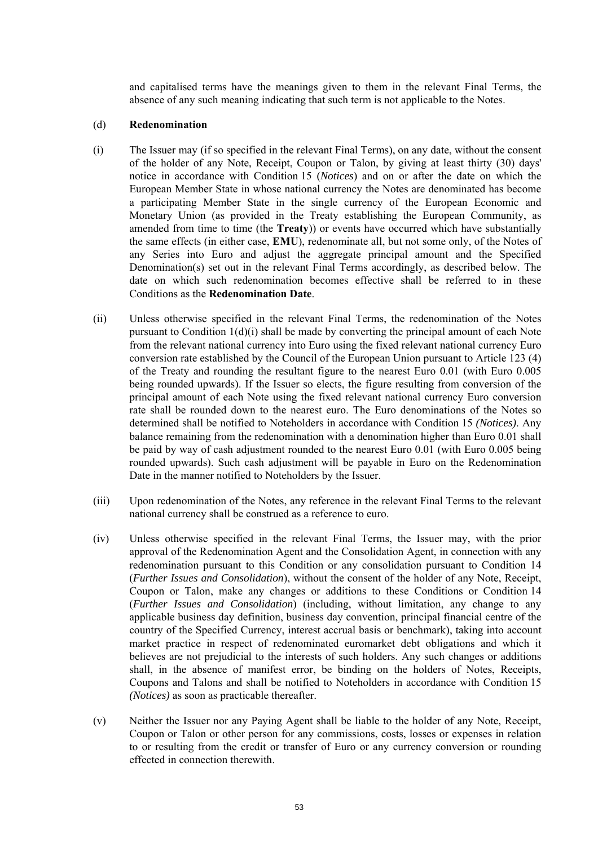and capitalised terms have the meanings given to them in the relevant Final Terms, the absence of any such meaning indicating that such term is not applicable to the Notes.

#### (d) **Redenomination**

- (i) The Issuer may (if so specified in the relevant Final Terms), on any date, without the consent of the holder of any Note, Receipt, Coupon or Talon, by giving at least thirty (30) days' notice in accordance with Condition 15 (*Notices*) and on or after the date on which the European Member State in whose national currency the Notes are denominated has become a participating Member State in the single currency of the European Economic and Monetary Union (as provided in the Treaty establishing the European Community, as amended from time to time (the **Treaty**)) or events have occurred which have substantially the same effects (in either case, **EMU**), redenominate all, but not some only, of the Notes of any Series into Euro and adjust the aggregate principal amount and the Specified Denomination(s) set out in the relevant Final Terms accordingly, as described below. The date on which such redenomination becomes effective shall be referred to in these Conditions as the **Redenomination Date**.
- (ii) Unless otherwise specified in the relevant Final Terms, the redenomination of the Notes pursuant to Condition 1(d)(i) shall be made by converting the principal amount of each Note from the relevant national currency into Euro using the fixed relevant national currency Euro conversion rate established by the Council of the European Union pursuant to Article 123 (4) of the Treaty and rounding the resultant figure to the nearest Euro 0.01 (with Euro 0.005 being rounded upwards). If the Issuer so elects, the figure resulting from conversion of the principal amount of each Note using the fixed relevant national currency Euro conversion rate shall be rounded down to the nearest euro. The Euro denominations of the Notes so determined shall be notified to Noteholders in accordance with Condition 15 *(Notices)*. Any balance remaining from the redenomination with a denomination higher than Euro 0.01 shall be paid by way of cash adjustment rounded to the nearest Euro 0.01 (with Euro 0.005 being rounded upwards). Such cash adjustment will be payable in Euro on the Redenomination Date in the manner notified to Noteholders by the Issuer.
- (iii) Upon redenomination of the Notes, any reference in the relevant Final Terms to the relevant national currency shall be construed as a reference to euro.
- (iv) Unless otherwise specified in the relevant Final Terms, the Issuer may, with the prior approval of the Redenomination Agent and the Consolidation Agent, in connection with any redenomination pursuant to this Condition or any consolidation pursuant to Condition 14 (*Further Issues and Consolidation*), without the consent of the holder of any Note, Receipt, Coupon or Talon, make any changes or additions to these Conditions or Condition 14 (*Further Issues and Consolidation*) (including, without limitation, any change to any applicable business day definition, business day convention, principal financial centre of the country of the Specified Currency, interest accrual basis or benchmark), taking into account market practice in respect of redenominated euromarket debt obligations and which it believes are not prejudicial to the interests of such holders. Any such changes or additions shall, in the absence of manifest error, be binding on the holders of Notes, Receipts, Coupons and Talons and shall be notified to Noteholders in accordance with Condition 15 *(Notices)* as soon as practicable thereafter.
- (v) Neither the Issuer nor any Paying Agent shall be liable to the holder of any Note, Receipt, Coupon or Talon or other person for any commissions, costs, losses or expenses in relation to or resulting from the credit or transfer of Euro or any currency conversion or rounding effected in connection therewith.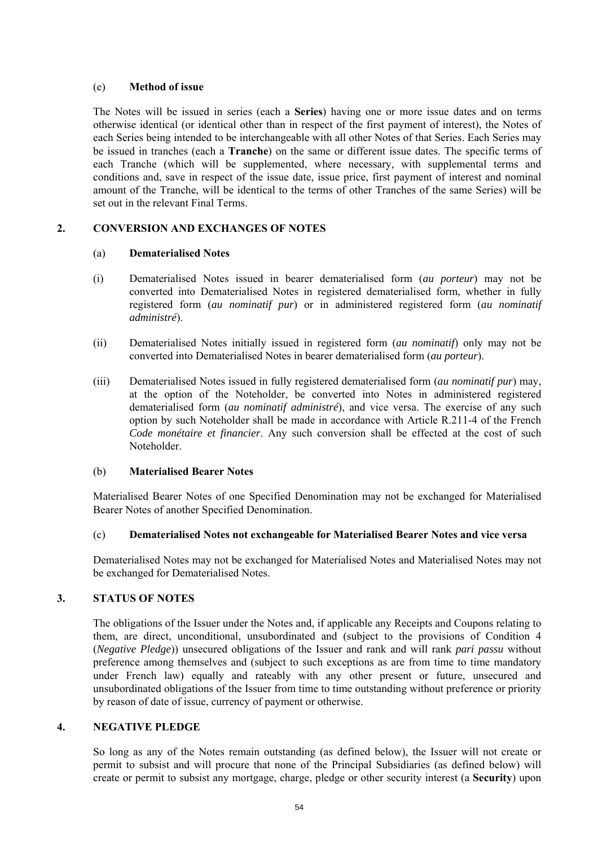## (e) **Method of issue**

The Notes will be issued in series (each a **Series**) having one or more issue dates and on terms otherwise identical (or identical other than in respect of the first payment of interest), the Notes of each Series being intended to be interchangeable with all other Notes of that Series. Each Series may be issued in tranches (each a **Tranche**) on the same or different issue dates. The specific terms of each Tranche (which will be supplemented, where necessary, with supplemental terms and conditions and, save in respect of the issue date, issue price, first payment of interest and nominal amount of the Tranche, will be identical to the terms of other Tranches of the same Series) will be set out in the relevant Final Terms.

# **2. CONVERSION AND EXCHANGES OF NOTES**

## (a) **Dematerialised Notes**

- (i) Dematerialised Notes issued in bearer dematerialised form (*au porteur*) may not be converted into Dematerialised Notes in registered dematerialised form, whether in fully registered form (*au nominatif pur*) or in administered registered form (*au nominatif administré*).
- (ii) Dematerialised Notes initially issued in registered form (*au nominatif*) only may not be converted into Dematerialised Notes in bearer dematerialised form (*au porteur*).
- (iii) Dematerialised Notes issued in fully registered dematerialised form (*au nominatif pur*) may, at the option of the Noteholder, be converted into Notes in administered registered dematerialised form (*au nominatif administré*), and vice versa. The exercise of any such option by such Noteholder shall be made in accordance with Article R.211-4 of the French *Code monétaire et financier*. Any such conversion shall be effected at the cost of such Noteholder.

# (b) **Materialised Bearer Notes**

Materialised Bearer Notes of one Specified Denomination may not be exchanged for Materialised Bearer Notes of another Specified Denomination.

## (c) **Dematerialised Notes not exchangeable for Materialised Bearer Notes and vice versa**

Dematerialised Notes may not be exchanged for Materialised Notes and Materialised Notes may not be exchanged for Dematerialised Notes.

## **3. STATUS OF NOTES**

The obligations of the Issuer under the Notes and, if applicable any Receipts and Coupons relating to them, are direct, unconditional, unsubordinated and (subject to the provisions of Condition 4 (*Negative Pledge*)) unsecured obligations of the Issuer and rank and will rank *pari passu* without preference among themselves and (subject to such exceptions as are from time to time mandatory under French law) equally and rateably with any other present or future, unsecured and unsubordinated obligations of the Issuer from time to time outstanding without preference or priority by reason of date of issue, currency of payment or otherwise.

## **4. NEGATIVE PLEDGE**

So long as any of the Notes remain outstanding (as defined below), the Issuer will not create or permit to subsist and will procure that none of the Principal Subsidiaries (as defined below) will create or permit to subsist any mortgage, charge, pledge or other security interest (a **Security**) upon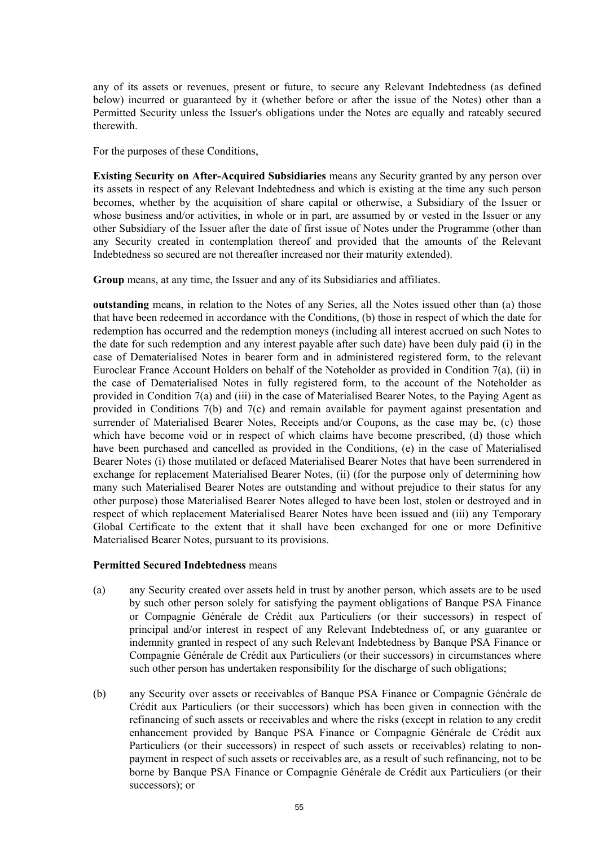any of its assets or revenues, present or future, to secure any Relevant Indebtedness (as defined below) incurred or guaranteed by it (whether before or after the issue of the Notes) other than a Permitted Security unless the Issuer's obligations under the Notes are equally and rateably secured therewith.

For the purposes of these Conditions,

**Existing Security on After-Acquired Subsidiaries** means any Security granted by any person over its assets in respect of any Relevant Indebtedness and which is existing at the time any such person becomes, whether by the acquisition of share capital or otherwise, a Subsidiary of the Issuer or whose business and/or activities, in whole or in part, are assumed by or vested in the Issuer or any other Subsidiary of the Issuer after the date of first issue of Notes under the Programme (other than any Security created in contemplation thereof and provided that the amounts of the Relevant Indebtedness so secured are not thereafter increased nor their maturity extended).

**Group** means, at any time, the Issuer and any of its Subsidiaries and affiliates.

**outstanding** means, in relation to the Notes of any Series, all the Notes issued other than (a) those that have been redeemed in accordance with the Conditions, (b) those in respect of which the date for redemption has occurred and the redemption moneys (including all interest accrued on such Notes to the date for such redemption and any interest payable after such date) have been duly paid (i) in the case of Dematerialised Notes in bearer form and in administered registered form, to the relevant Euroclear France Account Holders on behalf of the Noteholder as provided in Condition 7(a), (ii) in the case of Dematerialised Notes in fully registered form, to the account of the Noteholder as provided in Condition 7(a) and (iii) in the case of Materialised Bearer Notes, to the Paying Agent as provided in Conditions 7(b) and 7(c) and remain available for payment against presentation and surrender of Materialised Bearer Notes, Receipts and/or Coupons, as the case may be, (c) those which have become void or in respect of which claims have become prescribed, (d) those which have been purchased and cancelled as provided in the Conditions, (e) in the case of Materialised Bearer Notes (i) those mutilated or defaced Materialised Bearer Notes that have been surrendered in exchange for replacement Materialised Bearer Notes, (ii) (for the purpose only of determining how many such Materialised Bearer Notes are outstanding and without prejudice to their status for any other purpose) those Materialised Bearer Notes alleged to have been lost, stolen or destroyed and in respect of which replacement Materialised Bearer Notes have been issued and (iii) any Temporary Global Certificate to the extent that it shall have been exchanged for one or more Definitive Materialised Bearer Notes, pursuant to its provisions.

## **Permitted Secured Indebtedness** means

- (a) any Security created over assets held in trust by another person, which assets are to be used by such other person solely for satisfying the payment obligations of Banque PSA Finance or Compagnie Générale de Crédit aux Particuliers (or their successors) in respect of principal and/or interest in respect of any Relevant Indebtedness of, or any guarantee or indemnity granted in respect of any such Relevant Indebtedness by Banque PSA Finance or Compagnie Générale de Crédit aux Particuliers (or their successors) in circumstances where such other person has undertaken responsibility for the discharge of such obligations;
- (b) any Security over assets or receivables of Banque PSA Finance or Compagnie Générale de Crédit aux Particuliers (or their successors) which has been given in connection with the refinancing of such assets or receivables and where the risks (except in relation to any credit enhancement provided by Banque PSA Finance or Compagnie Générale de Crédit aux Particuliers (or their successors) in respect of such assets or receivables) relating to nonpayment in respect of such assets or receivables are, as a result of such refinancing, not to be borne by Banque PSA Finance or Compagnie Générale de Crédit aux Particuliers (or their successors); or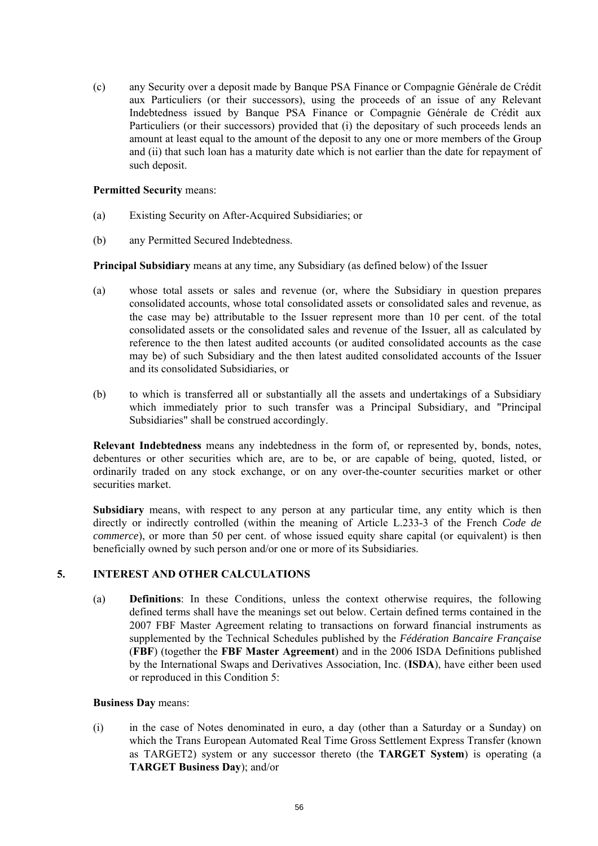(c) any Security over a deposit made by Banque PSA Finance or Compagnie Générale de Crédit aux Particuliers (or their successors), using the proceeds of an issue of any Relevant Indebtedness issued by Banque PSA Finance or Compagnie Générale de Crédit aux Particuliers (or their successors) provided that (i) the depositary of such proceeds lends an amount at least equal to the amount of the deposit to any one or more members of the Group and (ii) that such loan has a maturity date which is not earlier than the date for repayment of such deposit.

## **Permitted Security** means:

- (a) Existing Security on After-Acquired Subsidiaries; or
- (b) any Permitted Secured Indebtedness.

**Principal Subsidiary** means at any time, any Subsidiary (as defined below) of the Issuer

- (a) whose total assets or sales and revenue (or, where the Subsidiary in question prepares consolidated accounts, whose total consolidated assets or consolidated sales and revenue, as the case may be) attributable to the Issuer represent more than 10 per cent. of the total consolidated assets or the consolidated sales and revenue of the Issuer, all as calculated by reference to the then latest audited accounts (or audited consolidated accounts as the case may be) of such Subsidiary and the then latest audited consolidated accounts of the Issuer and its consolidated Subsidiaries, or
- (b) to which is transferred all or substantially all the assets and undertakings of a Subsidiary which immediately prior to such transfer was a Principal Subsidiary, and "Principal Subsidiaries" shall be construed accordingly.

**Relevant Indebtedness** means any indebtedness in the form of, or represented by, bonds, notes, debentures or other securities which are, are to be, or are capable of being, quoted, listed, or ordinarily traded on any stock exchange, or on any over-the-counter securities market or other securities market.

**Subsidiary** means, with respect to any person at any particular time, any entity which is then directly or indirectly controlled (within the meaning of Article L.233-3 of the French *Code de commerce*), or more than 50 per cent. of whose issued equity share capital (or equivalent) is then beneficially owned by such person and/or one or more of its Subsidiaries.

# **5. INTEREST AND OTHER CALCULATIONS**

(a) **Definitions**: In these Conditions, unless the context otherwise requires, the following defined terms shall have the meanings set out below. Certain defined terms contained in the 2007 FBF Master Agreement relating to transactions on forward financial instruments as supplemented by the Technical Schedules published by the *Fédération Bancaire Française* (**FBF**) (together the **FBF Master Agreement**) and in the 2006 ISDA Definitions published by the International Swaps and Derivatives Association, Inc. (**ISDA**), have either been used or reproduced in this Condition 5:

# **Business Day** means:

(i) in the case of Notes denominated in euro, a day (other than a Saturday or a Sunday) on which the Trans European Automated Real Time Gross Settlement Express Transfer (known as TARGET2) system or any successor thereto (the **TARGET System**) is operating (a **TARGET Business Day**); and/or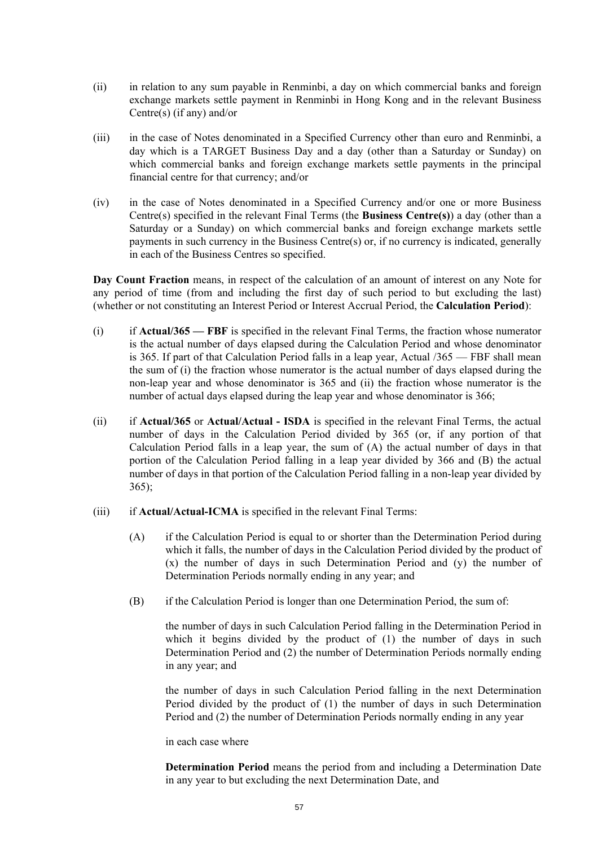- (ii) in relation to any sum payable in Renminbi, a day on which commercial banks and foreign exchange markets settle payment in Renminbi in Hong Kong and in the relevant Business Centre(s) (if any) and/or
- (iii) in the case of Notes denominated in a Specified Currency other than euro and Renminbi, a day which is a TARGET Business Day and a day (other than a Saturday or Sunday) on which commercial banks and foreign exchange markets settle payments in the principal financial centre for that currency; and/or
- (iv) in the case of Notes denominated in a Specified Currency and/or one or more Business Centre(s) specified in the relevant Final Terms (the **Business Centre(s)**) a day (other than a Saturday or a Sunday) on which commercial banks and foreign exchange markets settle payments in such currency in the Business Centre(s) or, if no currency is indicated, generally in each of the Business Centres so specified.

**Day Count Fraction** means, in respect of the calculation of an amount of interest on any Note for any period of time (from and including the first day of such period to but excluding the last) (whether or not constituting an Interest Period or Interest Accrual Period, the **Calculation Period**):

- (i) if **Actual/365 FBF** is specified in the relevant Final Terms, the fraction whose numerator is the actual number of days elapsed during the Calculation Period and whose denominator is 365. If part of that Calculation Period falls in a leap year, Actual /365 — FBF shall mean the sum of (i) the fraction whose numerator is the actual number of days elapsed during the non-leap year and whose denominator is 365 and (ii) the fraction whose numerator is the number of actual days elapsed during the leap year and whose denominator is 366;
- (ii) if **Actual/365** or **Actual/Actual ISDA** is specified in the relevant Final Terms, the actual number of days in the Calculation Period divided by 365 (or, if any portion of that Calculation Period falls in a leap year, the sum of (A) the actual number of days in that portion of the Calculation Period falling in a leap year divided by 366 and (B) the actual number of days in that portion of the Calculation Period falling in a non-leap year divided by 365);
- (iii) if **Actual/Actual-ICMA** is specified in the relevant Final Terms:
	- (A) if the Calculation Period is equal to or shorter than the Determination Period during which it falls, the number of days in the Calculation Period divided by the product of (x) the number of days in such Determination Period and (y) the number of Determination Periods normally ending in any year; and
	- (B) if the Calculation Period is longer than one Determination Period, the sum of:

the number of days in such Calculation Period falling in the Determination Period in which it begins divided by the product of (1) the number of days in such Determination Period and (2) the number of Determination Periods normally ending in any year; and

the number of days in such Calculation Period falling in the next Determination Period divided by the product of (1) the number of days in such Determination Period and (2) the number of Determination Periods normally ending in any year

in each case where

**Determination Period** means the period from and including a Determination Date in any year to but excluding the next Determination Date, and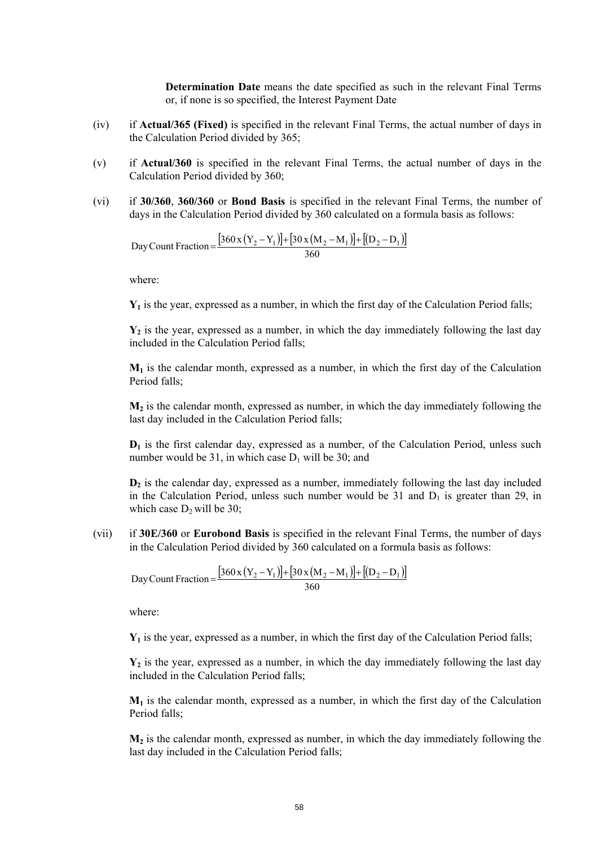**Determination Date** means the date specified as such in the relevant Final Terms or, if none is so specified, the Interest Payment Date

- (iv) if **Actual/365 (Fixed)** is specified in the relevant Final Terms, the actual number of days in the Calculation Period divided by 365;
- (v) if **Actual/360** is specified in the relevant Final Terms, the actual number of days in the Calculation Period divided by 360;
- (vi) if **30/360**, **360/360** or **Bond Basis** is specified in the relevant Final Terms, the number of days in the Calculation Period divided by 360 calculated on a formula basis as follows:

 $[360 \times (Y_2 - Y_1)] + [30 \times (M_2 - M_1)] + [(D_2 - D_1)]$ Day Count Fraction =  $\frac{[360 \times (Y_2 - Y_1)] + [30 \times (M_2 - M_1)] + [(D_2 - D_1)] + [(D_2 - D_1)] + [(D_2 - D_1)] + [(D_2 - D_1)] + [(D_2 - D_1)] + [(D_2 - D_1)] + [(D_2 - D_1)] + [(D_2 - D_1)] + [(D_2 - D_1)] + [(D_2 - D_1)] + [(D_2 - D_1)] + [(D_2 - D_1)] + [(D_2 - D_1)] + [(D_2 - D_1)] + [(D_2 - D_1)] + [(D_2 - D_1)] + [(D_2 -$ 

where:

 $Y_1$  is the year, expressed as a number, in which the first day of the Calculation Period falls;

 $Y_2$  is the year, expressed as a number, in which the day immediately following the last day included in the Calculation Period falls;

 $M_1$  is the calendar month, expressed as a number, in which the first day of the Calculation Period falls;

**M2** is the calendar month, expressed as number, in which the day immediately following the last day included in the Calculation Period falls;

**D1** is the first calendar day, expressed as a number, of the Calculation Period, unless such number would be 31, in which case  $D_1$  will be 30; and

**D2** is the calendar day, expressed as a number, immediately following the last day included in the Calculation Period, unless such number would be 31 and  $D_1$  is greater than 29, in which case  $D_2$  will be 30;

(vii) if **30E/360** or **Eurobond Basis** is specified in the relevant Final Terms, the number of days in the Calculation Period divided by 360 calculated on a formula basis as follows:

 $[360 \times (Y_2 - Y_1)] + [30 \times (M_2 - M_1)] + [(D_2 - D_1)]$ Day Count Fraction =  $\frac{[360 \times (Y_2 - Y_1)] + [30 \times (M_2 - M_1)] + [(D_2 - D_1)] + [(D_2 - D_1)] + [(D_2 - D_1)] + [(D_2 - D_1)] + [(D_2 - D_1)] + [(D_2 - D_1)] + [(D_2 - D_1)] + [(D_2 - D_1)] + [(D_2 - D_1)] + [(D_2 - D_1)] + [(D_2 - D_1)] + [(D_2 - D_1)] + [(D_2 - D_1)] + [(D_2 - D_1)] + [(D_2 - D_1)] + [(D_2 - D_1)] + [(D_2 -$ 

where:

 $Y_1$  is the year, expressed as a number, in which the first day of the Calculation Period falls;

 $Y_2$  is the year, expressed as a number, in which the day immediately following the last day included in the Calculation Period falls;

 $M_1$  is the calendar month, expressed as a number, in which the first day of the Calculation Period falls;

 $M<sub>2</sub>$  is the calendar month, expressed as number, in which the day immediately following the last day included in the Calculation Period falls;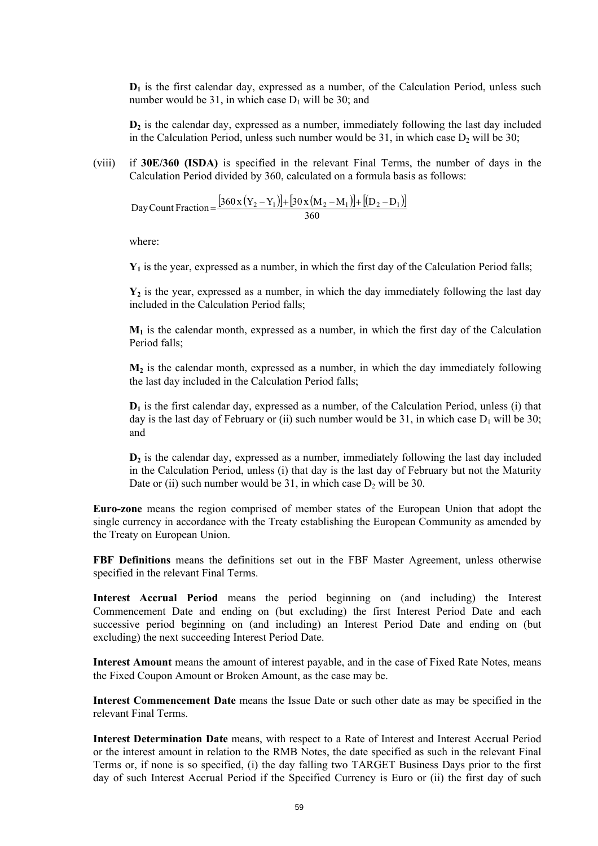**D1** is the first calendar day, expressed as a number, of the Calculation Period, unless such number would be 31, in which case  $D_1$  will be 30; and

**D2** is the calendar day, expressed as a number, immediately following the last day included in the Calculation Period, unless such number would be  $31$ , in which case  $D_2$  will be  $30$ ;

(viii) if **30E/360 (ISDA)** is specified in the relevant Final Terms, the number of days in the Calculation Period divided by 360, calculated on a formula basis as follows:

 $[360 \times (Y_2 - Y_1)] + [30 \times (M_2 - M_1)] + [(D_2 - D_1)]$ Day Count Fraction =  $\frac{[360x(Y_2 - Y_1)] + [30x(M_2 - M_1)] + [(D_2 - D_1)] + [(D_2 - D_1)] + [(D_2 - D_1)] + [(D_2 - D_1)] + [(D_2 - D_1)] + [(D_2 - D_1)] + [(D_2 - D_1)] + [(D_2 - D_1)] + [(D_2 - D_1)] + [(D_2 - D_1)] + [(D_2 - D_1)] + [(D_2 - D_1)] + [(D_2 - D_1)] + [(D_2 - D_1)] + [(D_2 - D_1)] + [(D_2 - D_1)] + [(D_2 - D_1)]$ 

where:

**Y1** is the year, expressed as a number, in which the first day of the Calculation Period falls;

**Y2** is the year, expressed as a number, in which the day immediately following the last day included in the Calculation Period falls:

 $M_1$  is the calendar month, expressed as a number, in which the first day of the Calculation Period falls;

 $M<sub>2</sub>$  is the calendar month, expressed as a number, in which the day immediately following the last day included in the Calculation Period falls;

**D1** is the first calendar day, expressed as a number, of the Calculation Period, unless (i) that day is the last day of February or (ii) such number would be 31, in which case  $D_1$  will be 30; and

**D2** is the calendar day, expressed as a number, immediately following the last day included in the Calculation Period, unless (i) that day is the last day of February but not the Maturity Date or (ii) such number would be  $31$ , in which case  $D_2$  will be  $30$ .

**Euro-zone** means the region comprised of member states of the European Union that adopt the single currency in accordance with the Treaty establishing the European Community as amended by the Treaty on European Union.

**FBF Definitions** means the definitions set out in the FBF Master Agreement, unless otherwise specified in the relevant Final Terms.

**Interest Accrual Period** means the period beginning on (and including) the Interest Commencement Date and ending on (but excluding) the first Interest Period Date and each successive period beginning on (and including) an Interest Period Date and ending on (but excluding) the next succeeding Interest Period Date.

**Interest Amount** means the amount of interest payable, and in the case of Fixed Rate Notes, means the Fixed Coupon Amount or Broken Amount, as the case may be.

**Interest Commencement Date** means the Issue Date or such other date as may be specified in the relevant Final Terms.

**Interest Determination Date** means, with respect to a Rate of Interest and Interest Accrual Period or the interest amount in relation to the RMB Notes, the date specified as such in the relevant Final Terms or, if none is so specified, (i) the day falling two TARGET Business Days prior to the first day of such Interest Accrual Period if the Specified Currency is Euro or (ii) the first day of such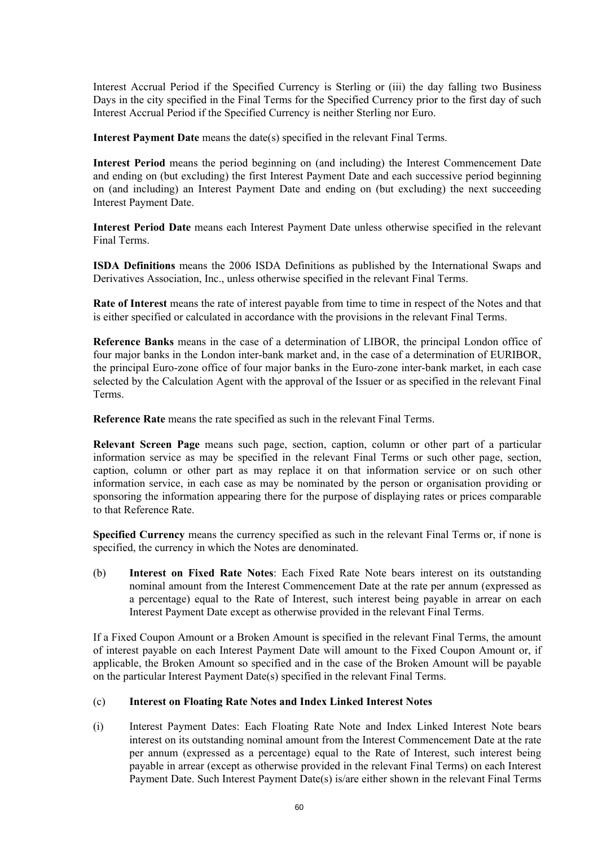Interest Accrual Period if the Specified Currency is Sterling or (iii) the day falling two Business Days in the city specified in the Final Terms for the Specified Currency prior to the first day of such Interest Accrual Period if the Specified Currency is neither Sterling nor Euro.

**Interest Payment Date** means the date(s) specified in the relevant Final Terms.

**Interest Period** means the period beginning on (and including) the Interest Commencement Date and ending on (but excluding) the first Interest Payment Date and each successive period beginning on (and including) an Interest Payment Date and ending on (but excluding) the next succeeding Interest Payment Date.

**Interest Period Date** means each Interest Payment Date unless otherwise specified in the relevant Final Terms.

**ISDA Definitions** means the 2006 ISDA Definitions as published by the International Swaps and Derivatives Association, Inc., unless otherwise specified in the relevant Final Terms.

**Rate of Interest** means the rate of interest payable from time to time in respect of the Notes and that is either specified or calculated in accordance with the provisions in the relevant Final Terms.

**Reference Banks** means in the case of a determination of LIBOR, the principal London office of four major banks in the London inter-bank market and, in the case of a determination of EURIBOR, the principal Euro-zone office of four major banks in the Euro-zone inter-bank market, in each case selected by the Calculation Agent with the approval of the Issuer or as specified in the relevant Final Terms.

**Reference Rate** means the rate specified as such in the relevant Final Terms.

**Relevant Screen Page** means such page, section, caption, column or other part of a particular information service as may be specified in the relevant Final Terms or such other page, section, caption, column or other part as may replace it on that information service or on such other information service, in each case as may be nominated by the person or organisation providing or sponsoring the information appearing there for the purpose of displaying rates or prices comparable to that Reference Rate.

**Specified Currency** means the currency specified as such in the relevant Final Terms or, if none is specified, the currency in which the Notes are denominated.

(b) **Interest on Fixed Rate Notes**: Each Fixed Rate Note bears interest on its outstanding nominal amount from the Interest Commencement Date at the rate per annum (expressed as a percentage) equal to the Rate of Interest, such interest being payable in arrear on each Interest Payment Date except as otherwise provided in the relevant Final Terms.

If a Fixed Coupon Amount or a Broken Amount is specified in the relevant Final Terms, the amount of interest payable on each Interest Payment Date will amount to the Fixed Coupon Amount or, if applicable, the Broken Amount so specified and in the case of the Broken Amount will be payable on the particular Interest Payment Date(s) specified in the relevant Final Terms.

## (c) **Interest on Floating Rate Notes and Index Linked Interest Notes**

(i) Interest Payment Dates: Each Floating Rate Note and Index Linked Interest Note bears interest on its outstanding nominal amount from the Interest Commencement Date at the rate per annum (expressed as a percentage) equal to the Rate of Interest, such interest being payable in arrear (except as otherwise provided in the relevant Final Terms) on each Interest Payment Date. Such Interest Payment Date(s) is/are either shown in the relevant Final Terms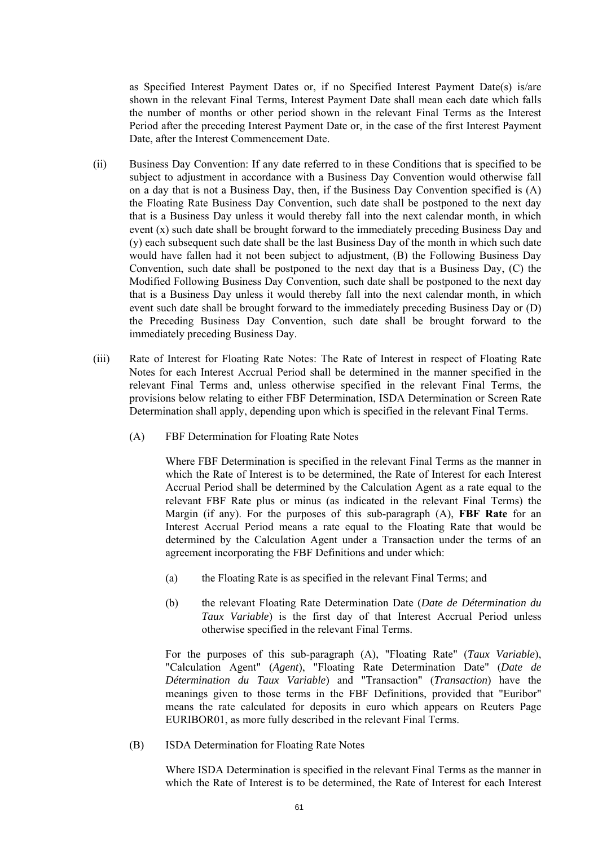as Specified Interest Payment Dates or, if no Specified Interest Payment Date(s) is/are shown in the relevant Final Terms, Interest Payment Date shall mean each date which falls the number of months or other period shown in the relevant Final Terms as the Interest Period after the preceding Interest Payment Date or, in the case of the first Interest Payment Date, after the Interest Commencement Date.

- (ii) Business Day Convention: If any date referred to in these Conditions that is specified to be subject to adjustment in accordance with a Business Day Convention would otherwise fall on a day that is not a Business Day, then, if the Business Day Convention specified is (A) the Floating Rate Business Day Convention, such date shall be postponed to the next day that is a Business Day unless it would thereby fall into the next calendar month, in which event (x) such date shall be brought forward to the immediately preceding Business Day and (y) each subsequent such date shall be the last Business Day of the month in which such date would have fallen had it not been subject to adjustment, (B) the Following Business Day Convention, such date shall be postponed to the next day that is a Business Day, (C) the Modified Following Business Day Convention, such date shall be postponed to the next day that is a Business Day unless it would thereby fall into the next calendar month, in which event such date shall be brought forward to the immediately preceding Business Day or (D) the Preceding Business Day Convention, such date shall be brought forward to the immediately preceding Business Day.
- (iii) Rate of Interest for Floating Rate Notes: The Rate of Interest in respect of Floating Rate Notes for each Interest Accrual Period shall be determined in the manner specified in the relevant Final Terms and, unless otherwise specified in the relevant Final Terms, the provisions below relating to either FBF Determination, ISDA Determination or Screen Rate Determination shall apply, depending upon which is specified in the relevant Final Terms.
	- (A) FBF Determination for Floating Rate Notes

Where FBF Determination is specified in the relevant Final Terms as the manner in which the Rate of Interest is to be determined, the Rate of Interest for each Interest Accrual Period shall be determined by the Calculation Agent as a rate equal to the relevant FBF Rate plus or minus (as indicated in the relevant Final Terms) the Margin (if any). For the purposes of this sub-paragraph (A), **FBF Rate** for an Interest Accrual Period means a rate equal to the Floating Rate that would be determined by the Calculation Agent under a Transaction under the terms of an agreement incorporating the FBF Definitions and under which:

- (a) the Floating Rate is as specified in the relevant Final Terms; and
- (b) the relevant Floating Rate Determination Date (*Date de Détermination du Taux Variable*) is the first day of that Interest Accrual Period unless otherwise specified in the relevant Final Terms.

For the purposes of this sub-paragraph (A), "Floating Rate" (*Taux Variable*), "Calculation Agent" (*Agent*), "Floating Rate Determination Date" (*Date de Détermination du Taux Variable*) and "Transaction" (*Transaction*) have the meanings given to those terms in the FBF Definitions, provided that "Euribor" means the rate calculated for deposits in euro which appears on Reuters Page EURIBOR01, as more fully described in the relevant Final Terms.

(B) ISDA Determination for Floating Rate Notes

Where ISDA Determination is specified in the relevant Final Terms as the manner in which the Rate of Interest is to be determined, the Rate of Interest for each Interest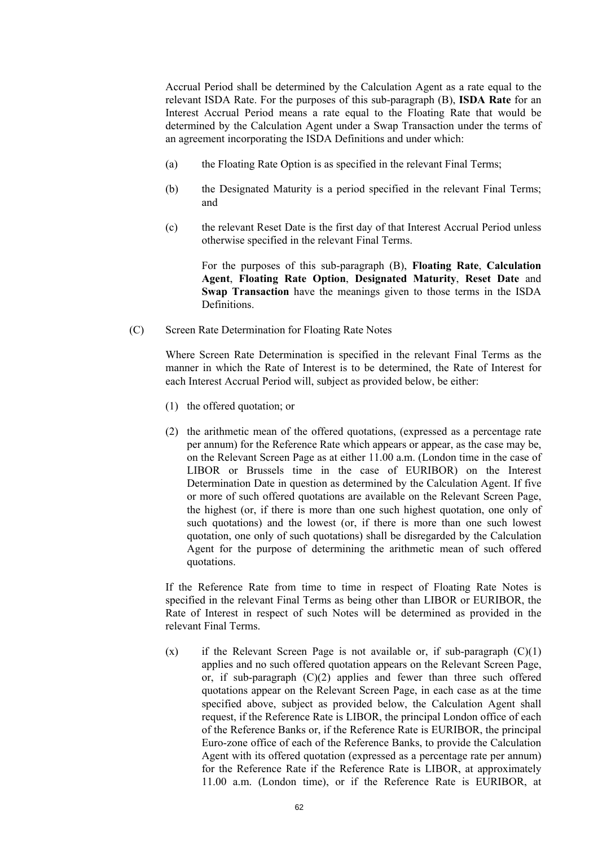Accrual Period shall be determined by the Calculation Agent as a rate equal to the relevant ISDA Rate. For the purposes of this sub-paragraph (B), **ISDA Rate** for an Interest Accrual Period means a rate equal to the Floating Rate that would be determined by the Calculation Agent under a Swap Transaction under the terms of an agreement incorporating the ISDA Definitions and under which:

- (a) the Floating Rate Option is as specified in the relevant Final Terms;
- (b) the Designated Maturity is a period specified in the relevant Final Terms; and
- (c) the relevant Reset Date is the first day of that Interest Accrual Period unless otherwise specified in the relevant Final Terms.

For the purposes of this sub-paragraph (B), **Floating Rate**, **Calculation Agent**, **Floating Rate Option**, **Designated Maturity**, **Reset Date** and **Swap Transaction** have the meanings given to those terms in the ISDA **Definitions** 

(C) Screen Rate Determination for Floating Rate Notes

Where Screen Rate Determination is specified in the relevant Final Terms as the manner in which the Rate of Interest is to be determined, the Rate of Interest for each Interest Accrual Period will, subject as provided below, be either:

- (1) the offered quotation; or
- (2) the arithmetic mean of the offered quotations, (expressed as a percentage rate per annum) for the Reference Rate which appears or appear, as the case may be, on the Relevant Screen Page as at either 11.00 a.m. (London time in the case of LIBOR or Brussels time in the case of EURIBOR) on the Interest Determination Date in question as determined by the Calculation Agent. If five or more of such offered quotations are available on the Relevant Screen Page, the highest (or, if there is more than one such highest quotation, one only of such quotations) and the lowest (or, if there is more than one such lowest quotation, one only of such quotations) shall be disregarded by the Calculation Agent for the purpose of determining the arithmetic mean of such offered quotations.

If the Reference Rate from time to time in respect of Floating Rate Notes is specified in the relevant Final Terms as being other than LIBOR or EURIBOR, the Rate of Interest in respect of such Notes will be determined as provided in the relevant Final Terms.

 $(x)$  if the Relevant Screen Page is not available or, if sub-paragraph  $(C)(1)$ applies and no such offered quotation appears on the Relevant Screen Page, or, if sub-paragraph  $(C)(2)$  applies and fewer than three such offered quotations appear on the Relevant Screen Page, in each case as at the time specified above, subject as provided below, the Calculation Agent shall request, if the Reference Rate is LIBOR, the principal London office of each of the Reference Banks or, if the Reference Rate is EURIBOR, the principal Euro-zone office of each of the Reference Banks, to provide the Calculation Agent with its offered quotation (expressed as a percentage rate per annum) for the Reference Rate if the Reference Rate is LIBOR, at approximately 11.00 a.m. (London time), or if the Reference Rate is EURIBOR, at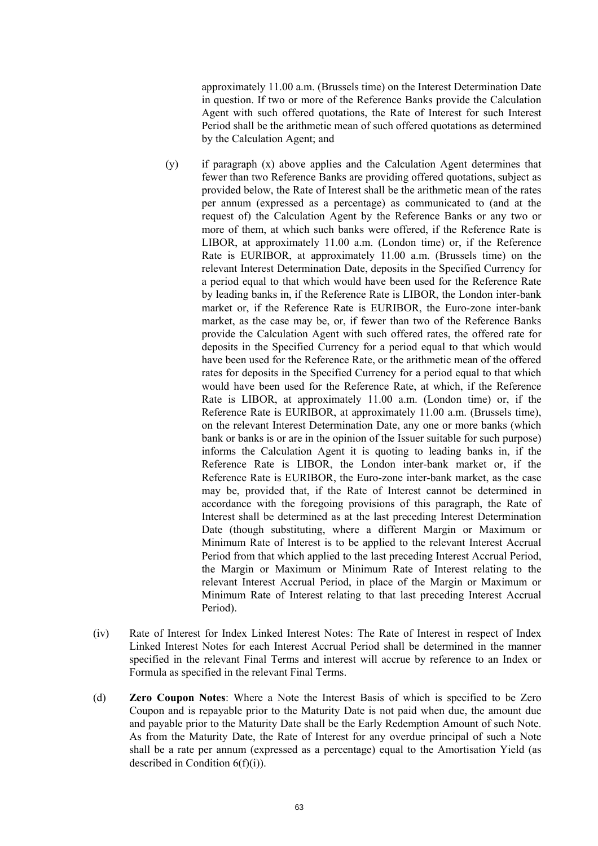approximately 11.00 a.m. (Brussels time) on the Interest Determination Date in question. If two or more of the Reference Banks provide the Calculation Agent with such offered quotations, the Rate of Interest for such Interest Period shall be the arithmetic mean of such offered quotations as determined by the Calculation Agent; and

- (y) if paragraph (x) above applies and the Calculation Agent determines that fewer than two Reference Banks are providing offered quotations, subject as provided below, the Rate of Interest shall be the arithmetic mean of the rates per annum (expressed as a percentage) as communicated to (and at the request of) the Calculation Agent by the Reference Banks or any two or more of them, at which such banks were offered, if the Reference Rate is LIBOR, at approximately 11.00 a.m. (London time) or, if the Reference Rate is EURIBOR, at approximately 11.00 a.m. (Brussels time) on the relevant Interest Determination Date, deposits in the Specified Currency for a period equal to that which would have been used for the Reference Rate by leading banks in, if the Reference Rate is LIBOR, the London inter-bank market or, if the Reference Rate is EURIBOR, the Euro-zone inter-bank market, as the case may be, or, if fewer than two of the Reference Banks provide the Calculation Agent with such offered rates, the offered rate for deposits in the Specified Currency for a period equal to that which would have been used for the Reference Rate, or the arithmetic mean of the offered rates for deposits in the Specified Currency for a period equal to that which would have been used for the Reference Rate, at which, if the Reference Rate is LIBOR, at approximately 11.00 a.m. (London time) or, if the Reference Rate is EURIBOR, at approximately 11.00 a.m. (Brussels time), on the relevant Interest Determination Date, any one or more banks (which bank or banks is or are in the opinion of the Issuer suitable for such purpose) informs the Calculation Agent it is quoting to leading banks in, if the Reference Rate is LIBOR, the London inter-bank market or, if the Reference Rate is EURIBOR, the Euro-zone inter-bank market, as the case may be, provided that, if the Rate of Interest cannot be determined in accordance with the foregoing provisions of this paragraph, the Rate of Interest shall be determined as at the last preceding Interest Determination Date (though substituting, where a different Margin or Maximum or Minimum Rate of Interest is to be applied to the relevant Interest Accrual Period from that which applied to the last preceding Interest Accrual Period, the Margin or Maximum or Minimum Rate of Interest relating to the relevant Interest Accrual Period, in place of the Margin or Maximum or Minimum Rate of Interest relating to that last preceding Interest Accrual Period).
- (iv) Rate of Interest for Index Linked Interest Notes: The Rate of Interest in respect of Index Linked Interest Notes for each Interest Accrual Period shall be determined in the manner specified in the relevant Final Terms and interest will accrue by reference to an Index or Formula as specified in the relevant Final Terms.
- (d) **Zero Coupon Notes**: Where a Note the Interest Basis of which is specified to be Zero Coupon and is repayable prior to the Maturity Date is not paid when due, the amount due and payable prior to the Maturity Date shall be the Early Redemption Amount of such Note. As from the Maturity Date, the Rate of Interest for any overdue principal of such a Note shall be a rate per annum (expressed as a percentage) equal to the Amortisation Yield (as described in Condition  $6(f)(i)$ ).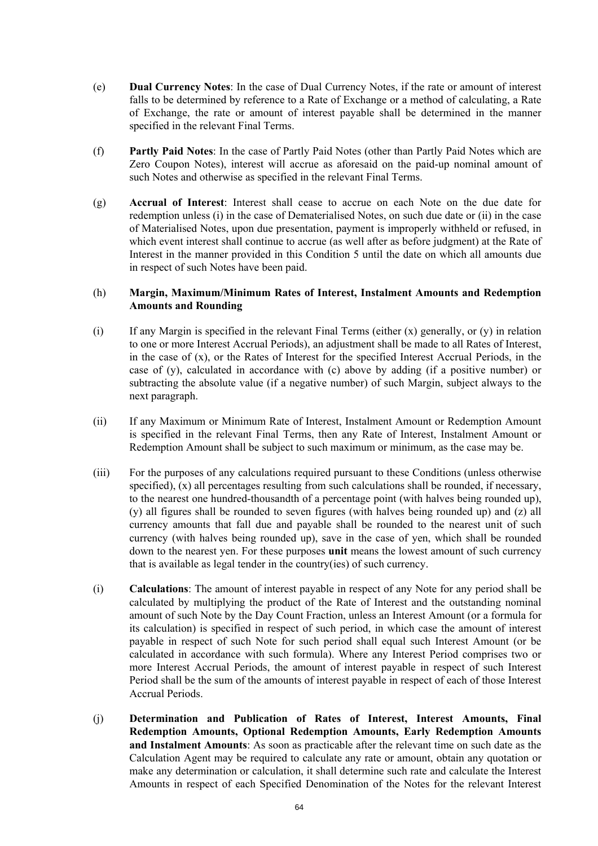- (e) **Dual Currency Notes**: In the case of Dual Currency Notes, if the rate or amount of interest falls to be determined by reference to a Rate of Exchange or a method of calculating, a Rate of Exchange, the rate or amount of interest payable shall be determined in the manner specified in the relevant Final Terms.
- (f) **Partly Paid Notes**: In the case of Partly Paid Notes (other than Partly Paid Notes which are Zero Coupon Notes), interest will accrue as aforesaid on the paid-up nominal amount of such Notes and otherwise as specified in the relevant Final Terms.
- (g) **Accrual of Interest**: Interest shall cease to accrue on each Note on the due date for redemption unless (i) in the case of Dematerialised Notes, on such due date or (ii) in the case of Materialised Notes, upon due presentation, payment is improperly withheld or refused, in which event interest shall continue to accrue (as well after as before judgment) at the Rate of Interest in the manner provided in this Condition 5 until the date on which all amounts due in respect of such Notes have been paid.

## (h) **Margin, Maximum/Minimum Rates of Interest, Instalment Amounts and Redemption Amounts and Rounding**

- (i) If any Margin is specified in the relevant Final Terms (either  $(x)$  generally, or  $(y)$  in relation to one or more Interest Accrual Periods), an adjustment shall be made to all Rates of Interest, in the case of (x), or the Rates of Interest for the specified Interest Accrual Periods, in the case of (y), calculated in accordance with (c) above by adding (if a positive number) or subtracting the absolute value (if a negative number) of such Margin, subject always to the next paragraph.
- (ii) If any Maximum or Minimum Rate of Interest, Instalment Amount or Redemption Amount is specified in the relevant Final Terms, then any Rate of Interest, Instalment Amount or Redemption Amount shall be subject to such maximum or minimum, as the case may be.
- (iii) For the purposes of any calculations required pursuant to these Conditions (unless otherwise specified), (x) all percentages resulting from such calculations shall be rounded, if necessary, to the nearest one hundred-thousandth of a percentage point (with halves being rounded up), (y) all figures shall be rounded to seven figures (with halves being rounded up) and (z) all currency amounts that fall due and payable shall be rounded to the nearest unit of such currency (with halves being rounded up), save in the case of yen, which shall be rounded down to the nearest yen. For these purposes **unit** means the lowest amount of such currency that is available as legal tender in the country(ies) of such currency.
- (i) **Calculations**: The amount of interest payable in respect of any Note for any period shall be calculated by multiplying the product of the Rate of Interest and the outstanding nominal amount of such Note by the Day Count Fraction, unless an Interest Amount (or a formula for its calculation) is specified in respect of such period, in which case the amount of interest payable in respect of such Note for such period shall equal such Interest Amount (or be calculated in accordance with such formula). Where any Interest Period comprises two or more Interest Accrual Periods, the amount of interest payable in respect of such Interest Period shall be the sum of the amounts of interest payable in respect of each of those Interest Accrual Periods.
- (j) **Determination and Publication of Rates of Interest, Interest Amounts, Final Redemption Amounts, Optional Redemption Amounts, Early Redemption Amounts and Instalment Amounts**: As soon as practicable after the relevant time on such date as the Calculation Agent may be required to calculate any rate or amount, obtain any quotation or make any determination or calculation, it shall determine such rate and calculate the Interest Amounts in respect of each Specified Denomination of the Notes for the relevant Interest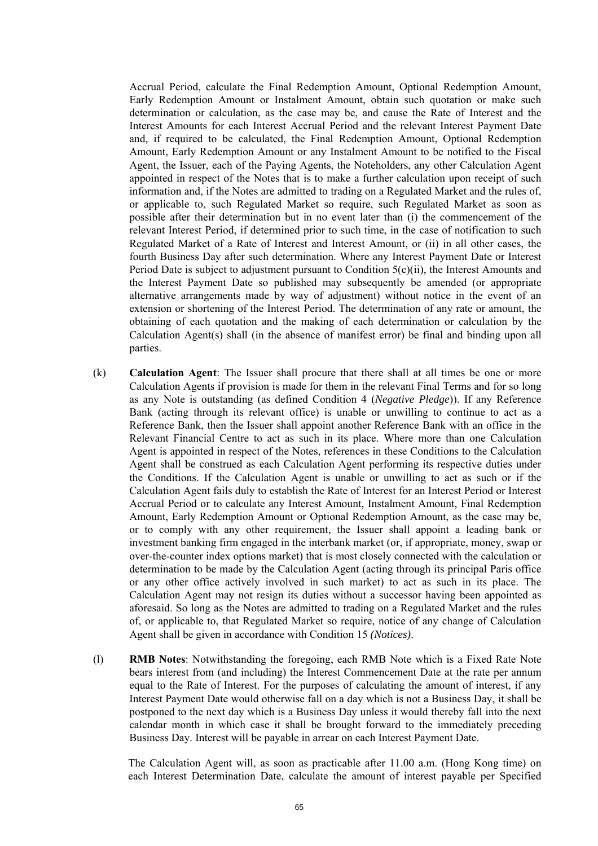Accrual Period, calculate the Final Redemption Amount, Optional Redemption Amount, Early Redemption Amount or Instalment Amount, obtain such quotation or make such determination or calculation, as the case may be, and cause the Rate of Interest and the Interest Amounts for each Interest Accrual Period and the relevant Interest Payment Date and, if required to be calculated, the Final Redemption Amount, Optional Redemption Amount, Early Redemption Amount or any Instalment Amount to be notified to the Fiscal Agent, the Issuer, each of the Paying Agents, the Noteholders, any other Calculation Agent appointed in respect of the Notes that is to make a further calculation upon receipt of such information and, if the Notes are admitted to trading on a Regulated Market and the rules of, or applicable to, such Regulated Market so require, such Regulated Market as soon as possible after their determination but in no event later than (i) the commencement of the relevant Interest Period, if determined prior to such time, in the case of notification to such Regulated Market of a Rate of Interest and Interest Amount, or (ii) in all other cases, the fourth Business Day after such determination. Where any Interest Payment Date or Interest Period Date is subject to adjustment pursuant to Condition 5(c)(ii), the Interest Amounts and the Interest Payment Date so published may subsequently be amended (or appropriate alternative arrangements made by way of adjustment) without notice in the event of an extension or shortening of the Interest Period. The determination of any rate or amount, the obtaining of each quotation and the making of each determination or calculation by the Calculation Agent(s) shall (in the absence of manifest error) be final and binding upon all parties.

- (k) **Calculation Agent**: The Issuer shall procure that there shall at all times be one or more Calculation Agents if provision is made for them in the relevant Final Terms and for so long as any Note is outstanding (as defined Condition 4 (*Negative Pledge*)). If any Reference Bank (acting through its relevant office) is unable or unwilling to continue to act as a Reference Bank, then the Issuer shall appoint another Reference Bank with an office in the Relevant Financial Centre to act as such in its place. Where more than one Calculation Agent is appointed in respect of the Notes, references in these Conditions to the Calculation Agent shall be construed as each Calculation Agent performing its respective duties under the Conditions. If the Calculation Agent is unable or unwilling to act as such or if the Calculation Agent fails duly to establish the Rate of Interest for an Interest Period or Interest Accrual Period or to calculate any Interest Amount, Instalment Amount, Final Redemption Amount, Early Redemption Amount or Optional Redemption Amount, as the case may be, or to comply with any other requirement, the Issuer shall appoint a leading bank or investment banking firm engaged in the interbank market (or, if appropriate, money, swap or over-the-counter index options market) that is most closely connected with the calculation or determination to be made by the Calculation Agent (acting through its principal Paris office or any other office actively involved in such market) to act as such in its place. The Calculation Agent may not resign its duties without a successor having been appointed as aforesaid. So long as the Notes are admitted to trading on a Regulated Market and the rules of, or applicable to, that Regulated Market so require, notice of any change of Calculation Agent shall be given in accordance with Condition 15 *(Notices)*.
- (l) **RMB Notes**: Notwithstanding the foregoing, each RMB Note which is a Fixed Rate Note bears interest from (and including) the Interest Commencement Date at the rate per annum equal to the Rate of Interest. For the purposes of calculating the amount of interest, if any Interest Payment Date would otherwise fall on a day which is not a Business Day, it shall be postponed to the next day which is a Business Day unless it would thereby fall into the next calendar month in which case it shall be brought forward to the immediately preceding Business Day. Interest will be payable in arrear on each Interest Payment Date.

The Calculation Agent will, as soon as practicable after 11.00 a.m. (Hong Kong time) on each Interest Determination Date, calculate the amount of interest payable per Specified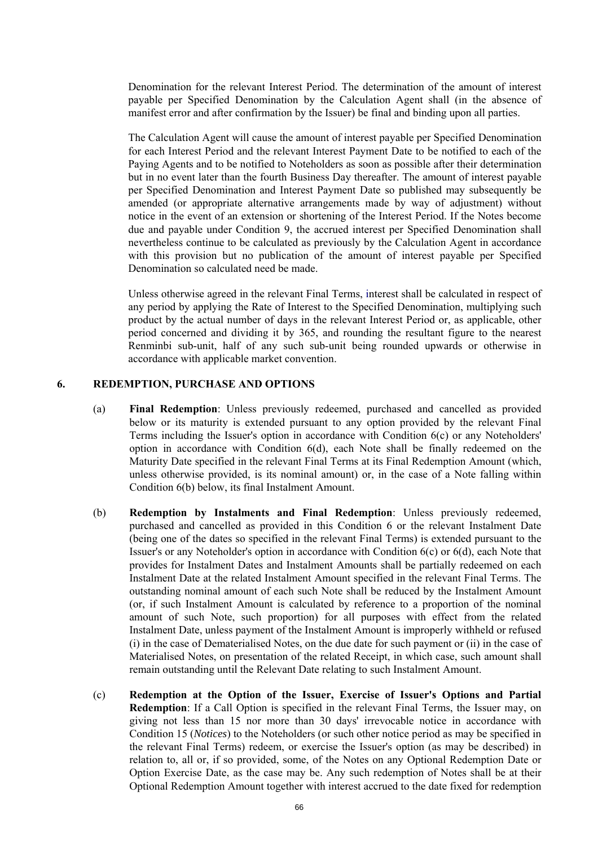Denomination for the relevant Interest Period. The determination of the amount of interest payable per Specified Denomination by the Calculation Agent shall (in the absence of manifest error and after confirmation by the Issuer) be final and binding upon all parties.

The Calculation Agent will cause the amount of interest payable per Specified Denomination for each Interest Period and the relevant Interest Payment Date to be notified to each of the Paying Agents and to be notified to Noteholders as soon as possible after their determination but in no event later than the fourth Business Day thereafter. The amount of interest payable per Specified Denomination and Interest Payment Date so published may subsequently be amended (or appropriate alternative arrangements made by way of adjustment) without notice in the event of an extension or shortening of the Interest Period. If the Notes become due and payable under Condition 9, the accrued interest per Specified Denomination shall nevertheless continue to be calculated as previously by the Calculation Agent in accordance with this provision but no publication of the amount of interest payable per Specified Denomination so calculated need be made.

Unless otherwise agreed in the relevant Final Terms, interest shall be calculated in respect of any period by applying the Rate of Interest to the Specified Denomination, multiplying such product by the actual number of days in the relevant Interest Period or, as applicable, other period concerned and dividing it by 365, and rounding the resultant figure to the nearest Renminbi sub-unit, half of any such sub-unit being rounded upwards or otherwise in accordance with applicable market convention.

### **6. REDEMPTION, PURCHASE AND OPTIONS**

- (a) **Final Redemption**: Unless previously redeemed, purchased and cancelled as provided below or its maturity is extended pursuant to any option provided by the relevant Final Terms including the Issuer's option in accordance with Condition 6(c) or any Noteholders' option in accordance with Condition 6(d), each Note shall be finally redeemed on the Maturity Date specified in the relevant Final Terms at its Final Redemption Amount (which, unless otherwise provided, is its nominal amount) or, in the case of a Note falling within Condition 6(b) below, its final Instalment Amount.
- (b) **Redemption by Instalments and Final Redemption**: Unless previously redeemed, purchased and cancelled as provided in this Condition 6 or the relevant Instalment Date (being one of the dates so specified in the relevant Final Terms) is extended pursuant to the Issuer's or any Noteholder's option in accordance with Condition 6(c) or 6(d), each Note that provides for Instalment Dates and Instalment Amounts shall be partially redeemed on each Instalment Date at the related Instalment Amount specified in the relevant Final Terms. The outstanding nominal amount of each such Note shall be reduced by the Instalment Amount (or, if such Instalment Amount is calculated by reference to a proportion of the nominal amount of such Note, such proportion) for all purposes with effect from the related Instalment Date, unless payment of the Instalment Amount is improperly withheld or refused (i) in the case of Dematerialised Notes, on the due date for such payment or (ii) in the case of Materialised Notes, on presentation of the related Receipt, in which case, such amount shall remain outstanding until the Relevant Date relating to such Instalment Amount.
- (c) **Redemption at the Option of the Issuer, Exercise of Issuer's Options and Partial Redemption**: If a Call Option is specified in the relevant Final Terms, the Issuer may, on giving not less than 15 nor more than 30 days' irrevocable notice in accordance with Condition 15 (*Notices*) to the Noteholders (or such other notice period as may be specified in the relevant Final Terms) redeem, or exercise the Issuer's option (as may be described) in relation to, all or, if so provided, some, of the Notes on any Optional Redemption Date or Option Exercise Date, as the case may be. Any such redemption of Notes shall be at their Optional Redemption Amount together with interest accrued to the date fixed for redemption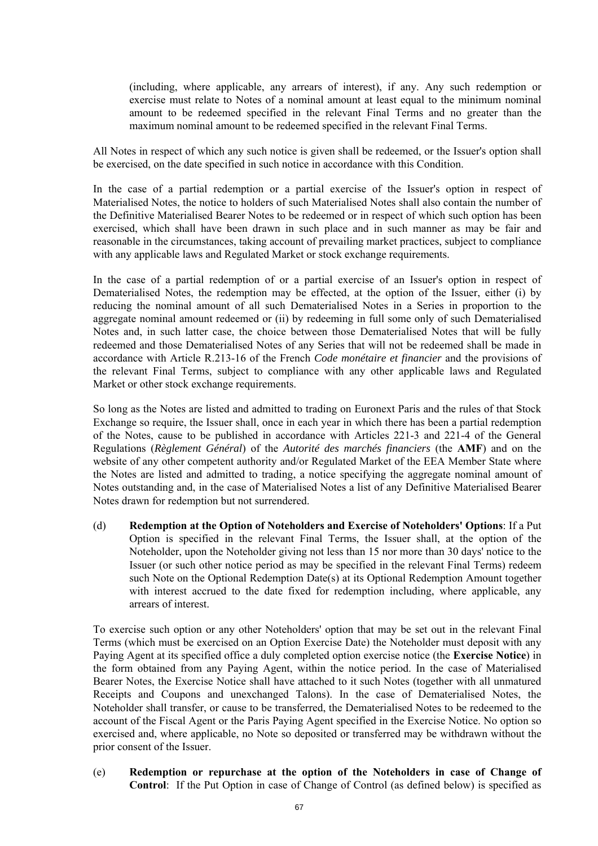(including, where applicable, any arrears of interest), if any. Any such redemption or exercise must relate to Notes of a nominal amount at least equal to the minimum nominal amount to be redeemed specified in the relevant Final Terms and no greater than the maximum nominal amount to be redeemed specified in the relevant Final Terms.

All Notes in respect of which any such notice is given shall be redeemed, or the Issuer's option shall be exercised, on the date specified in such notice in accordance with this Condition.

In the case of a partial redemption or a partial exercise of the Issuer's option in respect of Materialised Notes, the notice to holders of such Materialised Notes shall also contain the number of the Definitive Materialised Bearer Notes to be redeemed or in respect of which such option has been exercised, which shall have been drawn in such place and in such manner as may be fair and reasonable in the circumstances, taking account of prevailing market practices, subject to compliance with any applicable laws and Regulated Market or stock exchange requirements.

In the case of a partial redemption of or a partial exercise of an Issuer's option in respect of Dematerialised Notes, the redemption may be effected, at the option of the Issuer, either (i) by reducing the nominal amount of all such Dematerialised Notes in a Series in proportion to the aggregate nominal amount redeemed or (ii) by redeeming in full some only of such Dematerialised Notes and, in such latter case, the choice between those Dematerialised Notes that will be fully redeemed and those Dematerialised Notes of any Series that will not be redeemed shall be made in accordance with Article R.213-16 of the French *Code monétaire et financier* and the provisions of the relevant Final Terms, subject to compliance with any other applicable laws and Regulated Market or other stock exchange requirements.

So long as the Notes are listed and admitted to trading on Euronext Paris and the rules of that Stock Exchange so require, the Issuer shall, once in each year in which there has been a partial redemption of the Notes, cause to be published in accordance with Articles 221-3 and 221-4 of the General Regulations (*Règlement Général*) of the *Autorité des marchés financiers* (the **AMF**) and on the website of any other competent authority and/or Regulated Market of the EEA Member State where the Notes are listed and admitted to trading, a notice specifying the aggregate nominal amount of Notes outstanding and, in the case of Materialised Notes a list of any Definitive Materialised Bearer Notes drawn for redemption but not surrendered.

(d) **Redemption at the Option of Noteholders and Exercise of Noteholders' Options**: If a Put Option is specified in the relevant Final Terms, the Issuer shall, at the option of the Noteholder, upon the Noteholder giving not less than 15 nor more than 30 days' notice to the Issuer (or such other notice period as may be specified in the relevant Final Terms) redeem such Note on the Optional Redemption Date(s) at its Optional Redemption Amount together with interest accrued to the date fixed for redemption including, where applicable, any arrears of interest.

To exercise such option or any other Noteholders' option that may be set out in the relevant Final Terms (which must be exercised on an Option Exercise Date) the Noteholder must deposit with any Paying Agent at its specified office a duly completed option exercise notice (the **Exercise Notice**) in the form obtained from any Paying Agent, within the notice period. In the case of Materialised Bearer Notes, the Exercise Notice shall have attached to it such Notes (together with all unmatured Receipts and Coupons and unexchanged Talons). In the case of Dematerialised Notes, the Noteholder shall transfer, or cause to be transferred, the Dematerialised Notes to be redeemed to the account of the Fiscal Agent or the Paris Paying Agent specified in the Exercise Notice. No option so exercised and, where applicable, no Note so deposited or transferred may be withdrawn without the prior consent of the Issuer.

(e) **Redemption or repurchase at the option of the Noteholders in case of Change of Control**: If the Put Option in case of Change of Control (as defined below) is specified as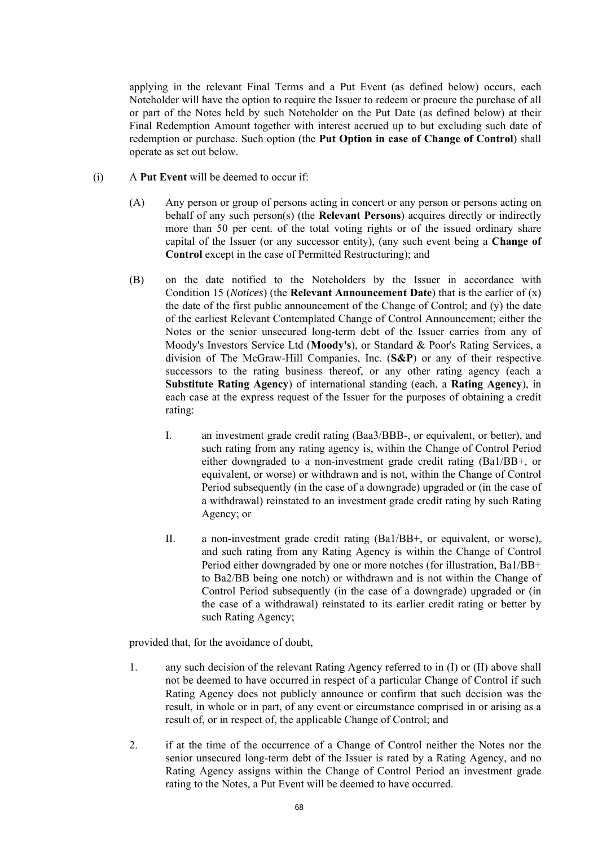applying in the relevant Final Terms and a Put Event (as defined below) occurs, each Noteholder will have the option to require the Issuer to redeem or procure the purchase of all or part of the Notes held by such Noteholder on the Put Date (as defined below) at their Final Redemption Amount together with interest accrued up to but excluding such date of redemption or purchase. Such option (the **Put Option in case of Change of Control**) shall operate as set out below.

- (i) A **Put Event** will be deemed to occur if:
	- (A) Any person or group of persons acting in concert or any person or persons acting on behalf of any such person(s) (the **Relevant Persons**) acquires directly or indirectly more than 50 per cent. of the total voting rights or of the issued ordinary share capital of the Issuer (or any successor entity), (any such event being a **Change of Control** except in the case of Permitted Restructuring); and
	- (B) on the date notified to the Noteholders by the Issuer in accordance with Condition 15 (*Notices*) (the **Relevant Announcement Date**) that is the earlier of (x) the date of the first public announcement of the Change of Control; and (y) the date of the earliest Relevant Contemplated Change of Control Announcement; either the Notes or the senior unsecured long-term debt of the Issuer carries from any of Moody's Investors Service Ltd (**Moody's**), or Standard & Poor's Rating Services, a division of The McGraw-Hill Companies, Inc. (**S&P**) or any of their respective successors to the rating business thereof, or any other rating agency (each a **Substitute Rating Agency**) of international standing (each, a **Rating Agency**), in each case at the express request of the Issuer for the purposes of obtaining a credit rating:
		- I. an investment grade credit rating (Baa3/BBB-, or equivalent, or better), and such rating from any rating agency is, within the Change of Control Period either downgraded to a non-investment grade credit rating (Ba1/BB+, or equivalent, or worse) or withdrawn and is not, within the Change of Control Period subsequently (in the case of a downgrade) upgraded or (in the case of a withdrawal) reinstated to an investment grade credit rating by such Rating Agency; or
		- II. a non-investment grade credit rating (Ba1/BB+, or equivalent, or worse), and such rating from any Rating Agency is within the Change of Control Period either downgraded by one or more notches (for illustration, Ba1/BB+ to Ba2/BB being one notch) or withdrawn and is not within the Change of Control Period subsequently (in the case of a downgrade) upgraded or (in the case of a withdrawal) reinstated to its earlier credit rating or better by such Rating Agency;

provided that, for the avoidance of doubt,

- 1. any such decision of the relevant Rating Agency referred to in (I) or (II) above shall not be deemed to have occurred in respect of a particular Change of Control if such Rating Agency does not publicly announce or confirm that such decision was the result, in whole or in part, of any event or circumstance comprised in or arising as a result of, or in respect of, the applicable Change of Control; and
- 2. if at the time of the occurrence of a Change of Control neither the Notes nor the senior unsecured long-term debt of the Issuer is rated by a Rating Agency, and no Rating Agency assigns within the Change of Control Period an investment grade rating to the Notes, a Put Event will be deemed to have occurred.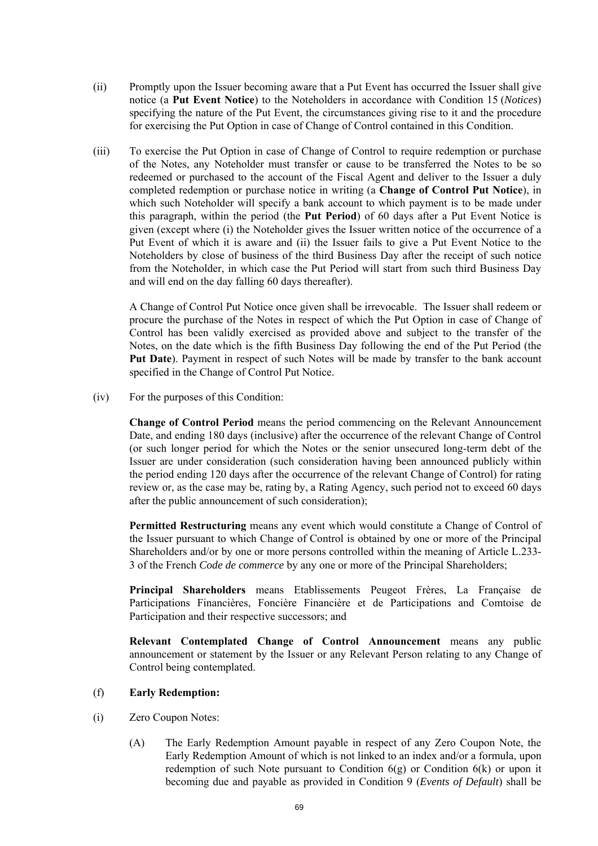- (ii) Promptly upon the Issuer becoming aware that a Put Event has occurred the Issuer shall give notice (a **Put Event Notice**) to the Noteholders in accordance with Condition 15 (*Notices*) specifying the nature of the Put Event, the circumstances giving rise to it and the procedure for exercising the Put Option in case of Change of Control contained in this Condition.
- (iii) To exercise the Put Option in case of Change of Control to require redemption or purchase of the Notes, any Noteholder must transfer or cause to be transferred the Notes to be so redeemed or purchased to the account of the Fiscal Agent and deliver to the Issuer a duly completed redemption or purchase notice in writing (a **Change of Control Put Notice**), in which such Noteholder will specify a bank account to which payment is to be made under this paragraph, within the period (the **Put Period**) of 60 days after a Put Event Notice is given (except where (i) the Noteholder gives the Issuer written notice of the occurrence of a Put Event of which it is aware and (ii) the Issuer fails to give a Put Event Notice to the Noteholders by close of business of the third Business Day after the receipt of such notice from the Noteholder, in which case the Put Period will start from such third Business Day and will end on the day falling 60 days thereafter).

A Change of Control Put Notice once given shall be irrevocable. The Issuer shall redeem or procure the purchase of the Notes in respect of which the Put Option in case of Change of Control has been validly exercised as provided above and subject to the transfer of the Notes, on the date which is the fifth Business Day following the end of the Put Period (the **Put Date**). Payment in respect of such Notes will be made by transfer to the bank account specified in the Change of Control Put Notice.

(iv) For the purposes of this Condition:

**Change of Control Period** means the period commencing on the Relevant Announcement Date, and ending 180 days (inclusive) after the occurrence of the relevant Change of Control (or such longer period for which the Notes or the senior unsecured long-term debt of the Issuer are under consideration (such consideration having been announced publicly within the period ending 120 days after the occurrence of the relevant Change of Control) for rating review or, as the case may be, rating by, a Rating Agency, such period not to exceed 60 days after the public announcement of such consideration);

**Permitted Restructuring** means any event which would constitute a Change of Control of the Issuer pursuant to which Change of Control is obtained by one or more of the Principal Shareholders and/or by one or more persons controlled within the meaning of Article L.233- 3 of the French *Code de commerce* by any one or more of the Principal Shareholders;

**Principal Shareholders** means Etablissements Peugeot Frères, La Française de Participations Financières, Foncière Financière et de Participations and Comtoise de Participation and their respective successors; and

**Relevant Contemplated Change of Control Announcement** means any public announcement or statement by the Issuer or any Relevant Person relating to any Change of Control being contemplated.

## (f) **Early Redemption:**

- (i) Zero Coupon Notes:
	- (A) The Early Redemption Amount payable in respect of any Zero Coupon Note, the Early Redemption Amount of which is not linked to an index and/or a formula, upon redemption of such Note pursuant to Condition  $6(g)$  or Condition  $6(k)$  or upon it becoming due and payable as provided in Condition 9 (*Events of Default*) shall be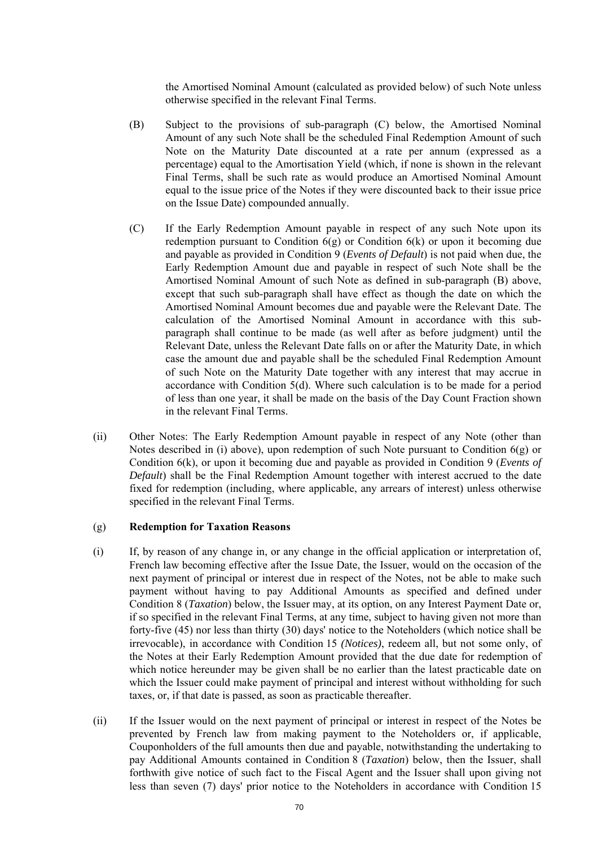the Amortised Nominal Amount (calculated as provided below) of such Note unless otherwise specified in the relevant Final Terms.

- (B) Subject to the provisions of sub-paragraph (C) below, the Amortised Nominal Amount of any such Note shall be the scheduled Final Redemption Amount of such Note on the Maturity Date discounted at a rate per annum (expressed as a percentage) equal to the Amortisation Yield (which, if none is shown in the relevant Final Terms, shall be such rate as would produce an Amortised Nominal Amount equal to the issue price of the Notes if they were discounted back to their issue price on the Issue Date) compounded annually.
- (C) If the Early Redemption Amount payable in respect of any such Note upon its redemption pursuant to Condition  $6(g)$  or Condition  $6(k)$  or upon it becoming due and payable as provided in Condition 9 (*Events of Default*) is not paid when due, the Early Redemption Amount due and payable in respect of such Note shall be the Amortised Nominal Amount of such Note as defined in sub-paragraph (B) above, except that such sub-paragraph shall have effect as though the date on which the Amortised Nominal Amount becomes due and payable were the Relevant Date. The calculation of the Amortised Nominal Amount in accordance with this subparagraph shall continue to be made (as well after as before judgment) until the Relevant Date, unless the Relevant Date falls on or after the Maturity Date, in which case the amount due and payable shall be the scheduled Final Redemption Amount of such Note on the Maturity Date together with any interest that may accrue in accordance with Condition 5(d). Where such calculation is to be made for a period of less than one year, it shall be made on the basis of the Day Count Fraction shown in the relevant Final Terms.
- (ii) Other Notes: The Early Redemption Amount payable in respect of any Note (other than Notes described in (i) above), upon redemption of such Note pursuant to Condition 6(g) or Condition 6(k), or upon it becoming due and payable as provided in Condition 9 (*Events of Default*) shall be the Final Redemption Amount together with interest accrued to the date fixed for redemption (including, where applicable, any arrears of interest) unless otherwise specified in the relevant Final Terms.

#### (g) **Redemption for Taxation Reasons**

- (i) If, by reason of any change in, or any change in the official application or interpretation of, French law becoming effective after the Issue Date, the Issuer, would on the occasion of the next payment of principal or interest due in respect of the Notes, not be able to make such payment without having to pay Additional Amounts as specified and defined under Condition 8 (*Taxation*) below, the Issuer may, at its option, on any Interest Payment Date or, if so specified in the relevant Final Terms, at any time, subject to having given not more than forty-five (45) nor less than thirty (30) days' notice to the Noteholders (which notice shall be irrevocable), in accordance with Condition 15 *(Notices)*, redeem all, but not some only, of the Notes at their Early Redemption Amount provided that the due date for redemption of which notice hereunder may be given shall be no earlier than the latest practicable date on which the Issuer could make payment of principal and interest without withholding for such taxes, or, if that date is passed, as soon as practicable thereafter.
- (ii) If the Issuer would on the next payment of principal or interest in respect of the Notes be prevented by French law from making payment to the Noteholders or, if applicable, Couponholders of the full amounts then due and payable, notwithstanding the undertaking to pay Additional Amounts contained in Condition 8 (*Taxation*) below, then the Issuer, shall forthwith give notice of such fact to the Fiscal Agent and the Issuer shall upon giving not less than seven (7) days' prior notice to the Noteholders in accordance with Condition 15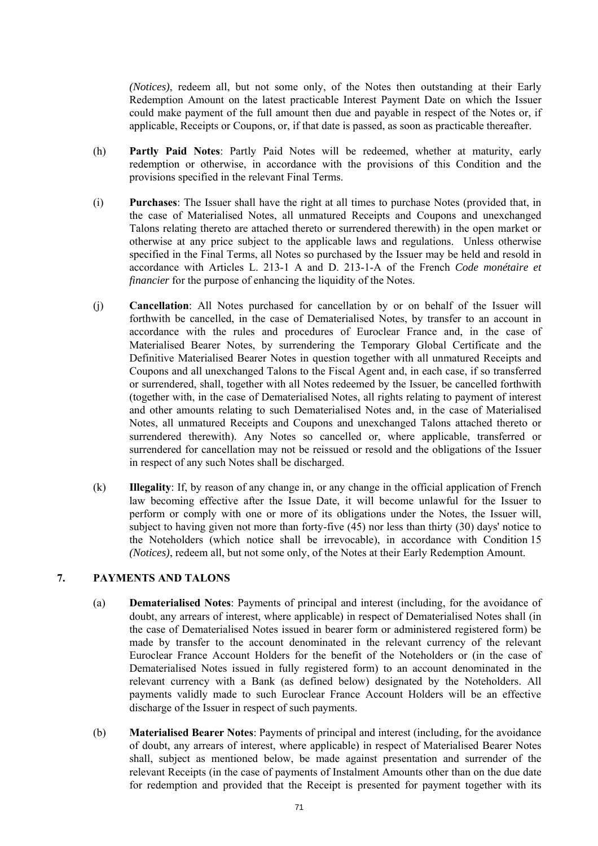*(Notices)*, redeem all, but not some only, of the Notes then outstanding at their Early Redemption Amount on the latest practicable Interest Payment Date on which the Issuer could make payment of the full amount then due and payable in respect of the Notes or, if applicable, Receipts or Coupons, or, if that date is passed, as soon as practicable thereafter.

- (h) **Partly Paid Notes**: Partly Paid Notes will be redeemed, whether at maturity, early redemption or otherwise, in accordance with the provisions of this Condition and the provisions specified in the relevant Final Terms.
- (i) **Purchases**: The Issuer shall have the right at all times to purchase Notes (provided that, in the case of Materialised Notes, all unmatured Receipts and Coupons and unexchanged Talons relating thereto are attached thereto or surrendered therewith) in the open market or otherwise at any price subject to the applicable laws and regulations. Unless otherwise specified in the Final Terms, all Notes so purchased by the Issuer may be held and resold in accordance with Articles L. 213-1 A and D. 213-1-A of the French *Code monétaire et financier* for the purpose of enhancing the liquidity of the Notes.
- (j) **Cancellation**: All Notes purchased for cancellation by or on behalf of the Issuer will forthwith be cancelled, in the case of Dematerialised Notes, by transfer to an account in accordance with the rules and procedures of Euroclear France and, in the case of Materialised Bearer Notes, by surrendering the Temporary Global Certificate and the Definitive Materialised Bearer Notes in question together with all unmatured Receipts and Coupons and all unexchanged Talons to the Fiscal Agent and, in each case, if so transferred or surrendered, shall, together with all Notes redeemed by the Issuer, be cancelled forthwith (together with, in the case of Dematerialised Notes, all rights relating to payment of interest and other amounts relating to such Dematerialised Notes and, in the case of Materialised Notes, all unmatured Receipts and Coupons and unexchanged Talons attached thereto or surrendered therewith). Any Notes so cancelled or, where applicable, transferred or surrendered for cancellation may not be reissued or resold and the obligations of the Issuer in respect of any such Notes shall be discharged.
- (k) **Illegality**: If, by reason of any change in, or any change in the official application of French law becoming effective after the Issue Date, it will become unlawful for the Issuer to perform or comply with one or more of its obligations under the Notes, the Issuer will, subject to having given not more than forty-five  $(45)$  nor less than thirty  $(30)$  days' notice to the Noteholders (which notice shall be irrevocable), in accordance with Condition 15 *(Notices)*, redeem all, but not some only, of the Notes at their Early Redemption Amount.

# **7. PAYMENTS AND TALONS**

- (a) **Dematerialised Notes**: Payments of principal and interest (including, for the avoidance of doubt, any arrears of interest, where applicable) in respect of Dematerialised Notes shall (in the case of Dematerialised Notes issued in bearer form or administered registered form) be made by transfer to the account denominated in the relevant currency of the relevant Euroclear France Account Holders for the benefit of the Noteholders or (in the case of Dematerialised Notes issued in fully registered form) to an account denominated in the relevant currency with a Bank (as defined below) designated by the Noteholders. All payments validly made to such Euroclear France Account Holders will be an effective discharge of the Issuer in respect of such payments.
- (b) **Materialised Bearer Notes**: Payments of principal and interest (including, for the avoidance of doubt, any arrears of interest, where applicable) in respect of Materialised Bearer Notes shall, subject as mentioned below, be made against presentation and surrender of the relevant Receipts (in the case of payments of Instalment Amounts other than on the due date for redemption and provided that the Receipt is presented for payment together with its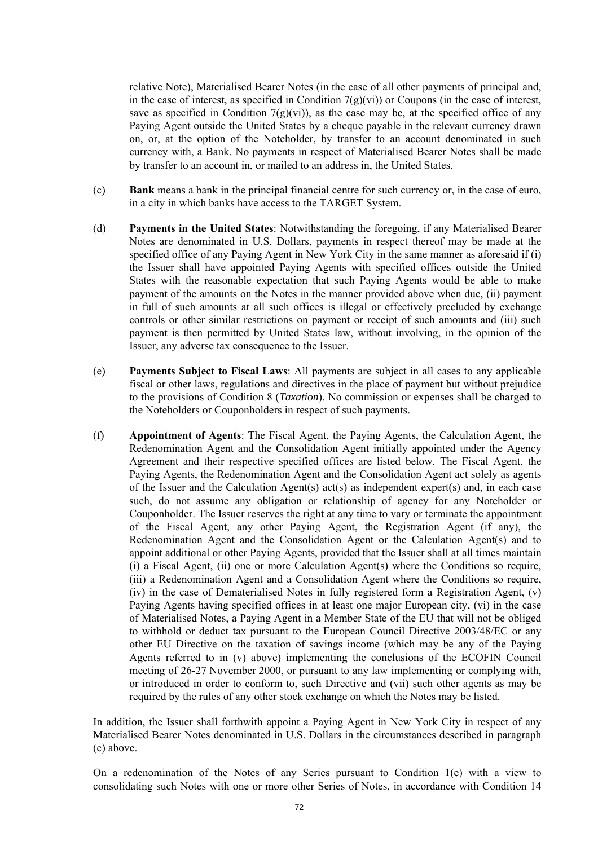relative Note), Materialised Bearer Notes (in the case of all other payments of principal and, in the case of interest, as specified in Condition  $7(g)(vi)$  or Coupons (in the case of interest, save as specified in Condition 7(g)(vi)), as the case may be, at the specified office of any Paying Agent outside the United States by a cheque payable in the relevant currency drawn on, or, at the option of the Noteholder, by transfer to an account denominated in such currency with, a Bank. No payments in respect of Materialised Bearer Notes shall be made by transfer to an account in, or mailed to an address in, the United States.

- (c) **Bank** means a bank in the principal financial centre for such currency or, in the case of euro, in a city in which banks have access to the TARGET System.
- (d) **Payments in the United States**: Notwithstanding the foregoing, if any Materialised Bearer Notes are denominated in U.S. Dollars, payments in respect thereof may be made at the specified office of any Paying Agent in New York City in the same manner as aforesaid if (i) the Issuer shall have appointed Paying Agents with specified offices outside the United States with the reasonable expectation that such Paying Agents would be able to make payment of the amounts on the Notes in the manner provided above when due, (ii) payment in full of such amounts at all such offices is illegal or effectively precluded by exchange controls or other similar restrictions on payment or receipt of such amounts and (iii) such payment is then permitted by United States law, without involving, in the opinion of the Issuer, any adverse tax consequence to the Issuer.
- (e) **Payments Subject to Fiscal Laws**: All payments are subject in all cases to any applicable fiscal or other laws, regulations and directives in the place of payment but without prejudice to the provisions of Condition 8 (*Taxation*). No commission or expenses shall be charged to the Noteholders or Couponholders in respect of such payments.
- (f) **Appointment of Agents**: The Fiscal Agent, the Paying Agents, the Calculation Agent, the Redenomination Agent and the Consolidation Agent initially appointed under the Agency Agreement and their respective specified offices are listed below. The Fiscal Agent, the Paying Agents, the Redenomination Agent and the Consolidation Agent act solely as agents of the Issuer and the Calculation Agent(s) act(s) as independent expert(s) and, in each case such, do not assume any obligation or relationship of agency for any Noteholder or Couponholder. The Issuer reserves the right at any time to vary or terminate the appointment of the Fiscal Agent, any other Paying Agent, the Registration Agent (if any), the Redenomination Agent and the Consolidation Agent or the Calculation Agent(s) and to appoint additional or other Paying Agents, provided that the Issuer shall at all times maintain (i) a Fiscal Agent, (ii) one or more Calculation Agent(s) where the Conditions so require, (iii) a Redenomination Agent and a Consolidation Agent where the Conditions so require, (iv) in the case of Dematerialised Notes in fully registered form a Registration Agent, (v) Paying Agents having specified offices in at least one major European city, (vi) in the case of Materialised Notes, a Paying Agent in a Member State of the EU that will not be obliged to withhold or deduct tax pursuant to the European Council Directive 2003/48/EC or any other EU Directive on the taxation of savings income (which may be any of the Paying Agents referred to in (v) above) implementing the conclusions of the ECOFIN Council meeting of 26-27 November 2000, or pursuant to any law implementing or complying with, or introduced in order to conform to, such Directive and (vii) such other agents as may be required by the rules of any other stock exchange on which the Notes may be listed.

In addition, the Issuer shall forthwith appoint a Paying Agent in New York City in respect of any Materialised Bearer Notes denominated in U.S. Dollars in the circumstances described in paragraph (c) above.

On a redenomination of the Notes of any Series pursuant to Condition 1(e) with a view to consolidating such Notes with one or more other Series of Notes, in accordance with Condition 14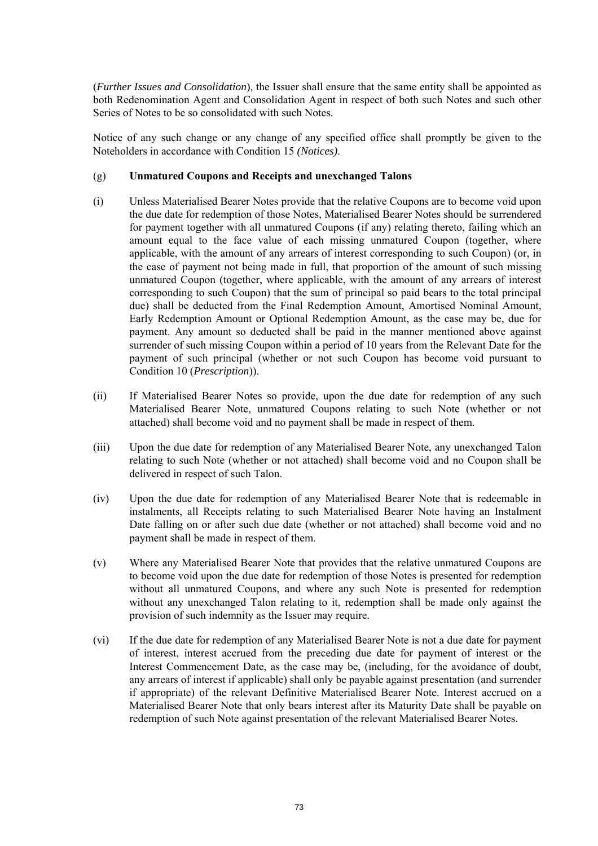(*Further Issues and Consolidation*), the Issuer shall ensure that the same entity shall be appointed as both Redenomination Agent and Consolidation Agent in respect of both such Notes and such other Series of Notes to be so consolidated with such Notes.

Notice of any such change or any change of any specified office shall promptly be given to the Noteholders in accordance with Condition 15 *(Notices)*.

#### (g) **Unmatured Coupons and Receipts and unexchanged Talons**

- (i) Unless Materialised Bearer Notes provide that the relative Coupons are to become void upon the due date for redemption of those Notes, Materialised Bearer Notes should be surrendered for payment together with all unmatured Coupons (if any) relating thereto, failing which an amount equal to the face value of each missing unmatured Coupon (together, where applicable, with the amount of any arrears of interest corresponding to such Coupon) (or, in the case of payment not being made in full, that proportion of the amount of such missing unmatured Coupon (together, where applicable, with the amount of any arrears of interest corresponding to such Coupon) that the sum of principal so paid bears to the total principal due) shall be deducted from the Final Redemption Amount, Amortised Nominal Amount, Early Redemption Amount or Optional Redemption Amount, as the case may be, due for payment. Any amount so deducted shall be paid in the manner mentioned above against surrender of such missing Coupon within a period of 10 years from the Relevant Date for the payment of such principal (whether or not such Coupon has become void pursuant to Condition 10 (*Prescription*)).
- (ii) If Materialised Bearer Notes so provide, upon the due date for redemption of any such Materialised Bearer Note, unmatured Coupons relating to such Note (whether or not attached) shall become void and no payment shall be made in respect of them.
- (iii) Upon the due date for redemption of any Materialised Bearer Note, any unexchanged Talon relating to such Note (whether or not attached) shall become void and no Coupon shall be delivered in respect of such Talon.
- (iv) Upon the due date for redemption of any Materialised Bearer Note that is redeemable in instalments, all Receipts relating to such Materialised Bearer Note having an Instalment Date falling on or after such due date (whether or not attached) shall become void and no payment shall be made in respect of them.
- (v) Where any Materialised Bearer Note that provides that the relative unmatured Coupons are to become void upon the due date for redemption of those Notes is presented for redemption without all unmatured Coupons, and where any such Note is presented for redemption without any unexchanged Talon relating to it, redemption shall be made only against the provision of such indemnity as the Issuer may require.
- (vi) If the due date for redemption of any Materialised Bearer Note is not a due date for payment of interest, interest accrued from the preceding due date for payment of interest or the Interest Commencement Date, as the case may be, (including, for the avoidance of doubt, any arrears of interest if applicable) shall only be payable against presentation (and surrender if appropriate) of the relevant Definitive Materialised Bearer Note. Interest accrued on a Materialised Bearer Note that only bears interest after its Maturity Date shall be payable on redemption of such Note against presentation of the relevant Materialised Bearer Notes.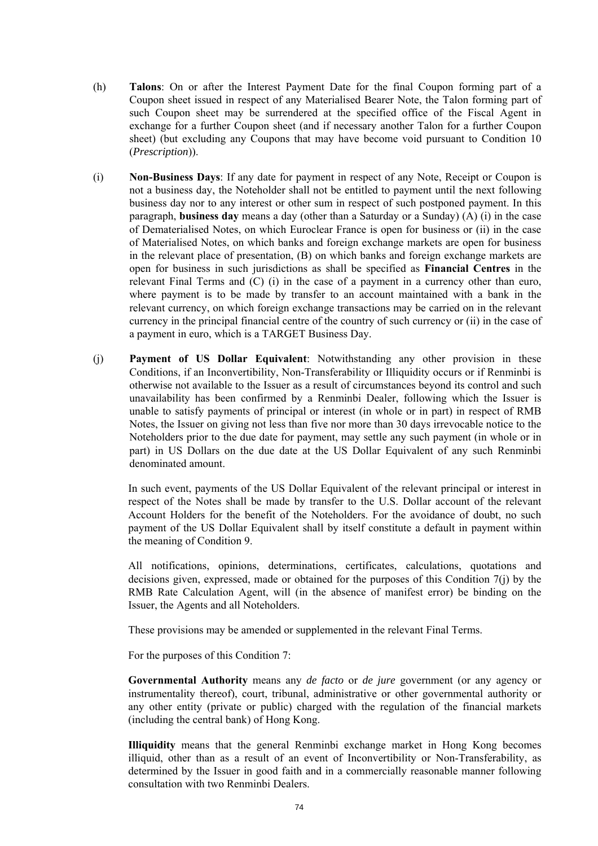- (h) **Talons**: On or after the Interest Payment Date for the final Coupon forming part of a Coupon sheet issued in respect of any Materialised Bearer Note, the Talon forming part of such Coupon sheet may be surrendered at the specified office of the Fiscal Agent in exchange for a further Coupon sheet (and if necessary another Talon for a further Coupon sheet) (but excluding any Coupons that may have become void pursuant to Condition 10 (*Prescription*)).
- (i) **Non-Business Days**: If any date for payment in respect of any Note, Receipt or Coupon is not a business day, the Noteholder shall not be entitled to payment until the next following business day nor to any interest or other sum in respect of such postponed payment. In this paragraph, **business day** means a day (other than a Saturday or a Sunday) (A) (i) in the case of Dematerialised Notes, on which Euroclear France is open for business or (ii) in the case of Materialised Notes, on which banks and foreign exchange markets are open for business in the relevant place of presentation, (B) on which banks and foreign exchange markets are open for business in such jurisdictions as shall be specified as **Financial Centres** in the relevant Final Terms and (C) (i) in the case of a payment in a currency other than euro, where payment is to be made by transfer to an account maintained with a bank in the relevant currency, on which foreign exchange transactions may be carried on in the relevant currency in the principal financial centre of the country of such currency or (ii) in the case of a payment in euro, which is a TARGET Business Day.
- (j) **Payment of US Dollar Equivalent**: Notwithstanding any other provision in these Conditions, if an Inconvertibility, Non-Transferability or Illiquidity occurs or if Renminbi is otherwise not available to the Issuer as a result of circumstances beyond its control and such unavailability has been confirmed by a Renminbi Dealer, following which the Issuer is unable to satisfy payments of principal or interest (in whole or in part) in respect of RMB Notes, the Issuer on giving not less than five nor more than 30 days irrevocable notice to the Noteholders prior to the due date for payment, may settle any such payment (in whole or in part) in US Dollars on the due date at the US Dollar Equivalent of any such Renminbi denominated amount.

In such event, payments of the US Dollar Equivalent of the relevant principal or interest in respect of the Notes shall be made by transfer to the U.S. Dollar account of the relevant Account Holders for the benefit of the Noteholders. For the avoidance of doubt, no such payment of the US Dollar Equivalent shall by itself constitute a default in payment within the meaning of Condition 9.

All notifications, opinions, determinations, certificates, calculations, quotations and decisions given, expressed, made or obtained for the purposes of this Condition 7(j) by the RMB Rate Calculation Agent, will (in the absence of manifest error) be binding on the Issuer, the Agents and all Noteholders.

These provisions may be amended or supplemented in the relevant Final Terms.

For the purposes of this Condition 7:

**Governmental Authority** means any *de facto* or *de jure* government (or any agency or instrumentality thereof), court, tribunal, administrative or other governmental authority or any other entity (private or public) charged with the regulation of the financial markets (including the central bank) of Hong Kong.

**Illiquidity** means that the general Renminbi exchange market in Hong Kong becomes illiquid, other than as a result of an event of Inconvertibility or Non-Transferability, as determined by the Issuer in good faith and in a commercially reasonable manner following consultation with two Renminbi Dealers.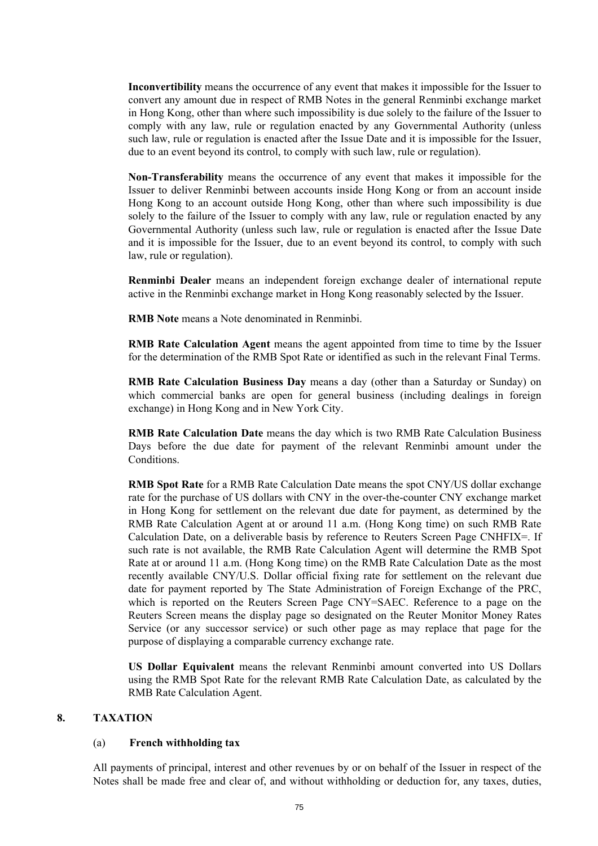**Inconvertibility** means the occurrence of any event that makes it impossible for the Issuer to convert any amount due in respect of RMB Notes in the general Renminbi exchange market in Hong Kong, other than where such impossibility is due solely to the failure of the Issuer to comply with any law, rule or regulation enacted by any Governmental Authority (unless such law, rule or regulation is enacted after the Issue Date and it is impossible for the Issuer, due to an event beyond its control, to comply with such law, rule or regulation).

**Non-Transferability** means the occurrence of any event that makes it impossible for the Issuer to deliver Renminbi between accounts inside Hong Kong or from an account inside Hong Kong to an account outside Hong Kong, other than where such impossibility is due solely to the failure of the Issuer to comply with any law, rule or regulation enacted by any Governmental Authority (unless such law, rule or regulation is enacted after the Issue Date and it is impossible for the Issuer, due to an event beyond its control, to comply with such law, rule or regulation).

**Renminbi Dealer** means an independent foreign exchange dealer of international repute active in the Renminbi exchange market in Hong Kong reasonably selected by the Issuer.

**RMB Note** means a Note denominated in Renminbi.

**RMB Rate Calculation Agent** means the agent appointed from time to time by the Issuer for the determination of the RMB Spot Rate or identified as such in the relevant Final Terms.

**RMB Rate Calculation Business Day** means a day (other than a Saturday or Sunday) on which commercial banks are open for general business (including dealings in foreign exchange) in Hong Kong and in New York City.

**RMB Rate Calculation Date** means the day which is two RMB Rate Calculation Business Days before the due date for payment of the relevant Renminbi amount under the Conditions.

**RMB Spot Rate** for a RMB Rate Calculation Date means the spot CNY/US dollar exchange rate for the purchase of US dollars with CNY in the over-the-counter CNY exchange market in Hong Kong for settlement on the relevant due date for payment, as determined by the RMB Rate Calculation Agent at or around 11 a.m. (Hong Kong time) on such RMB Rate Calculation Date, on a deliverable basis by reference to Reuters Screen Page CNHFIX=. If such rate is not available, the RMB Rate Calculation Agent will determine the RMB Spot Rate at or around 11 a.m. (Hong Kong time) on the RMB Rate Calculation Date as the most recently available CNY/U.S. Dollar official fixing rate for settlement on the relevant due date for payment reported by The State Administration of Foreign Exchange of the PRC, which is reported on the Reuters Screen Page CNY=SAEC. Reference to a page on the Reuters Screen means the display page so designated on the Reuter Monitor Money Rates Service (or any successor service) or such other page as may replace that page for the purpose of displaying a comparable currency exchange rate.

**US Dollar Equivalent** means the relevant Renminbi amount converted into US Dollars using the RMB Spot Rate for the relevant RMB Rate Calculation Date, as calculated by the RMB Rate Calculation Agent.

#### **8. TAXATION**

#### (a) **French withholding tax**

All payments of principal, interest and other revenues by or on behalf of the Issuer in respect of the Notes shall be made free and clear of, and without withholding or deduction for, any taxes, duties,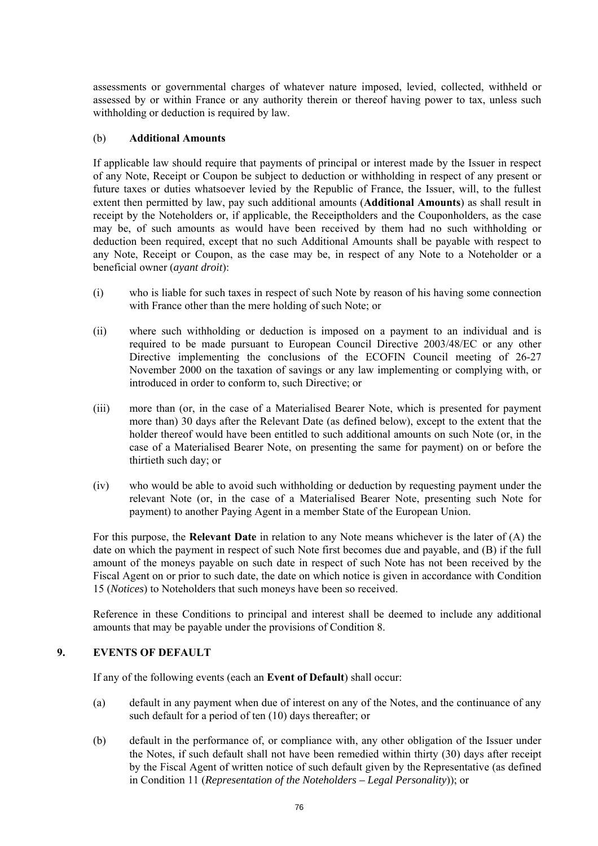assessments or governmental charges of whatever nature imposed, levied, collected, withheld or assessed by or within France or any authority therein or thereof having power to tax, unless such withholding or deduction is required by law.

#### (b) **Additional Amounts**

If applicable law should require that payments of principal or interest made by the Issuer in respect of any Note, Receipt or Coupon be subject to deduction or withholding in respect of any present or future taxes or duties whatsoever levied by the Republic of France, the Issuer, will, to the fullest extent then permitted by law, pay such additional amounts (**Additional Amounts**) as shall result in receipt by the Noteholders or, if applicable, the Receiptholders and the Couponholders, as the case may be, of such amounts as would have been received by them had no such withholding or deduction been required, except that no such Additional Amounts shall be payable with respect to any Note, Receipt or Coupon, as the case may be, in respect of any Note to a Noteholder or a beneficial owner (*ayant droit*):

- (i) who is liable for such taxes in respect of such Note by reason of his having some connection with France other than the mere holding of such Note; or
- (ii) where such withholding or deduction is imposed on a payment to an individual and is required to be made pursuant to European Council Directive 2003/48/EC or any other Directive implementing the conclusions of the ECOFIN Council meeting of 26-27 November 2000 on the taxation of savings or any law implementing or complying with, or introduced in order to conform to, such Directive; or
- (iii) more than (or, in the case of a Materialised Bearer Note, which is presented for payment more than) 30 days after the Relevant Date (as defined below), except to the extent that the holder thereof would have been entitled to such additional amounts on such Note (or, in the case of a Materialised Bearer Note, on presenting the same for payment) on or before the thirtieth such day; or
- (iv) who would be able to avoid such withholding or deduction by requesting payment under the relevant Note (or, in the case of a Materialised Bearer Note, presenting such Note for payment) to another Paying Agent in a member State of the European Union.

For this purpose, the **Relevant Date** in relation to any Note means whichever is the later of (A) the date on which the payment in respect of such Note first becomes due and payable, and (B) if the full amount of the moneys payable on such date in respect of such Note has not been received by the Fiscal Agent on or prior to such date, the date on which notice is given in accordance with Condition 15 (*Notices*) to Noteholders that such moneys have been so received.

Reference in these Conditions to principal and interest shall be deemed to include any additional amounts that may be payable under the provisions of Condition 8.

# **9. EVENTS OF DEFAULT**

If any of the following events (each an **Event of Default**) shall occur:

- (a) default in any payment when due of interest on any of the Notes, and the continuance of any such default for a period of ten (10) days thereafter; or
- (b) default in the performance of, or compliance with, any other obligation of the Issuer under the Notes, if such default shall not have been remedied within thirty (30) days after receipt by the Fiscal Agent of written notice of such default given by the Representative (as defined in Condition 11 (*Representation of the Noteholders – Legal Personality*)); or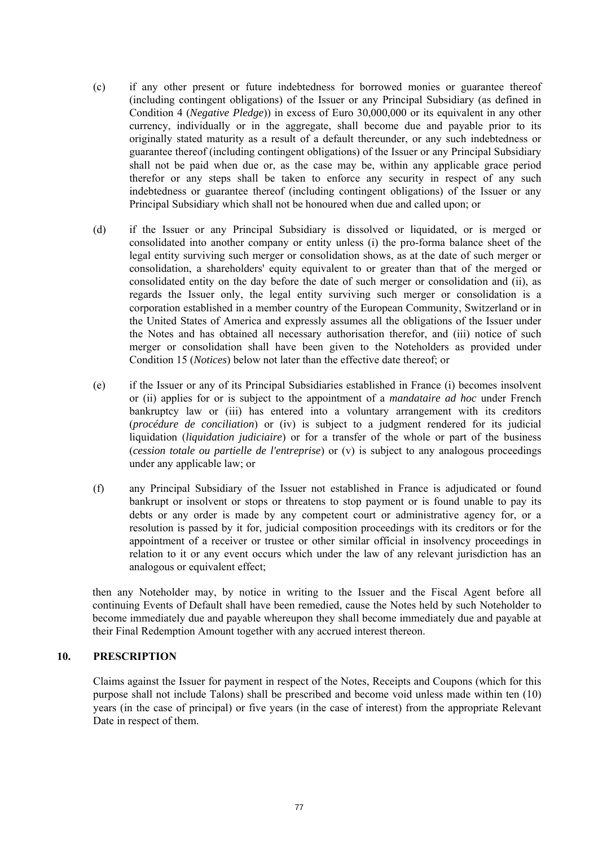- (c) if any other present or future indebtedness for borrowed monies or guarantee thereof (including contingent obligations) of the Issuer or any Principal Subsidiary (as defined in Condition 4 (*Negative Pledge*)) in excess of Euro 30,000,000 or its equivalent in any other currency, individually or in the aggregate, shall become due and payable prior to its originally stated maturity as a result of a default thereunder, or any such indebtedness or guarantee thereof (including contingent obligations) of the Issuer or any Principal Subsidiary shall not be paid when due or, as the case may be, within any applicable grace period therefor or any steps shall be taken to enforce any security in respect of any such indebtedness or guarantee thereof (including contingent obligations) of the Issuer or any Principal Subsidiary which shall not be honoured when due and called upon; or
- (d) if the Issuer or any Principal Subsidiary is dissolved or liquidated, or is merged or consolidated into another company or entity unless (i) the pro-forma balance sheet of the legal entity surviving such merger or consolidation shows, as at the date of such merger or consolidation, a shareholders' equity equivalent to or greater than that of the merged or consolidated entity on the day before the date of such merger or consolidation and (ii), as regards the Issuer only, the legal entity surviving such merger or consolidation is a corporation established in a member country of the European Community, Switzerland or in the United States of America and expressly assumes all the obligations of the Issuer under the Notes and has obtained all necessary authorisation therefor, and (iii) notice of such merger or consolidation shall have been given to the Noteholders as provided under Condition 15 (*Notices*) below not later than the effective date thereof; or
- (e) if the Issuer or any of its Principal Subsidiaries established in France (i) becomes insolvent or (ii) applies for or is subject to the appointment of a *mandataire ad hoc* under French bankruptcy law or (iii) has entered into a voluntary arrangement with its creditors (*procédure de conciliation*) or (iv) is subject to a judgment rendered for its judicial liquidation (*liquidation judiciaire*) or for a transfer of the whole or part of the business (*cession totale ou partielle de l'entreprise*) or (v) is subject to any analogous proceedings under any applicable law; or
- (f) any Principal Subsidiary of the Issuer not established in France is adjudicated or found bankrupt or insolvent or stops or threatens to stop payment or is found unable to pay its debts or any order is made by any competent court or administrative agency for, or a resolution is passed by it for, judicial composition proceedings with its creditors or for the appointment of a receiver or trustee or other similar official in insolvency proceedings in relation to it or any event occurs which under the law of any relevant jurisdiction has an analogous or equivalent effect;

then any Noteholder may, by notice in writing to the Issuer and the Fiscal Agent before all continuing Events of Default shall have been remedied, cause the Notes held by such Noteholder to become immediately due and payable whereupon they shall become immediately due and payable at their Final Redemption Amount together with any accrued interest thereon.

## **10. PRESCRIPTION**

Claims against the Issuer for payment in respect of the Notes, Receipts and Coupons (which for this purpose shall not include Talons) shall be prescribed and become void unless made within ten (10) years (in the case of principal) or five years (in the case of interest) from the appropriate Relevant Date in respect of them.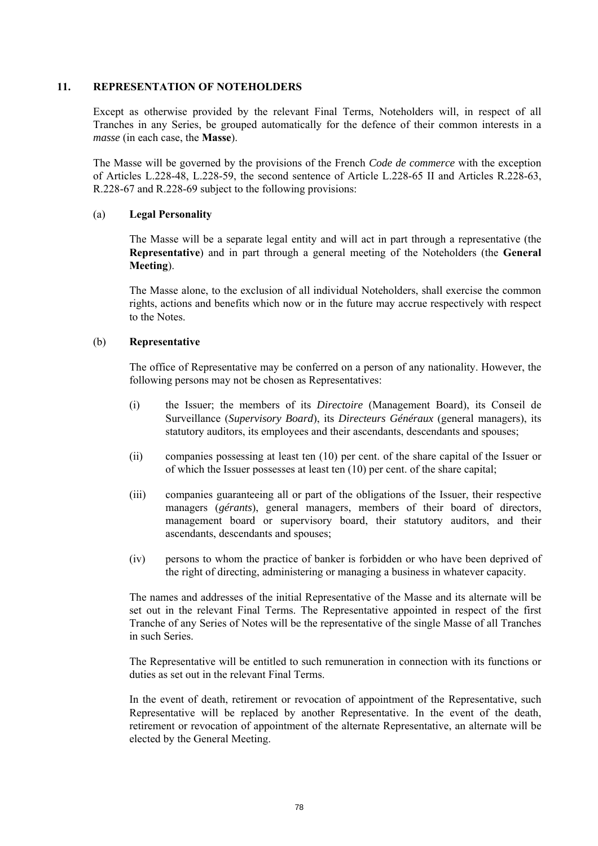#### **11. REPRESENTATION OF NOTEHOLDERS**

Except as otherwise provided by the relevant Final Terms, Noteholders will, in respect of all Tranches in any Series, be grouped automatically for the defence of their common interests in a *masse* (in each case, the **Masse**).

The Masse will be governed by the provisions of the French *Code de commerce* with the exception of Articles L.228-48, L.228-59, the second sentence of Article L.228-65 II and Articles R.228-63, R.228-67 and R.228-69 subject to the following provisions:

## (a) **Legal Personality**

The Masse will be a separate legal entity and will act in part through a representative (the **Representative**) and in part through a general meeting of the Noteholders (the **General Meeting**).

The Masse alone, to the exclusion of all individual Noteholders, shall exercise the common rights, actions and benefits which now or in the future may accrue respectively with respect to the Notes.

#### (b) **Representative**

The office of Representative may be conferred on a person of any nationality. However, the following persons may not be chosen as Representatives:

- (i) the Issuer; the members of its *Directoire* (Management Board), its Conseil de Surveillance (*Supervisory Board*), its *Directeurs Généraux* (general managers), its statutory auditors, its employees and their ascendants, descendants and spouses;
- (ii) companies possessing at least ten (10) per cent. of the share capital of the Issuer or of which the Issuer possesses at least ten (10) per cent. of the share capital;
- (iii) companies guaranteeing all or part of the obligations of the Issuer, their respective managers (*gérants*), general managers, members of their board of directors, management board or supervisory board, their statutory auditors, and their ascendants, descendants and spouses;
- (iv) persons to whom the practice of banker is forbidden or who have been deprived of the right of directing, administering or managing a business in whatever capacity.

The names and addresses of the initial Representative of the Masse and its alternate will be set out in the relevant Final Terms. The Representative appointed in respect of the first Tranche of any Series of Notes will be the representative of the single Masse of all Tranches in such Series.

The Representative will be entitled to such remuneration in connection with its functions or duties as set out in the relevant Final Terms.

In the event of death, retirement or revocation of appointment of the Representative, such Representative will be replaced by another Representative. In the event of the death, retirement or revocation of appointment of the alternate Representative, an alternate will be elected by the General Meeting.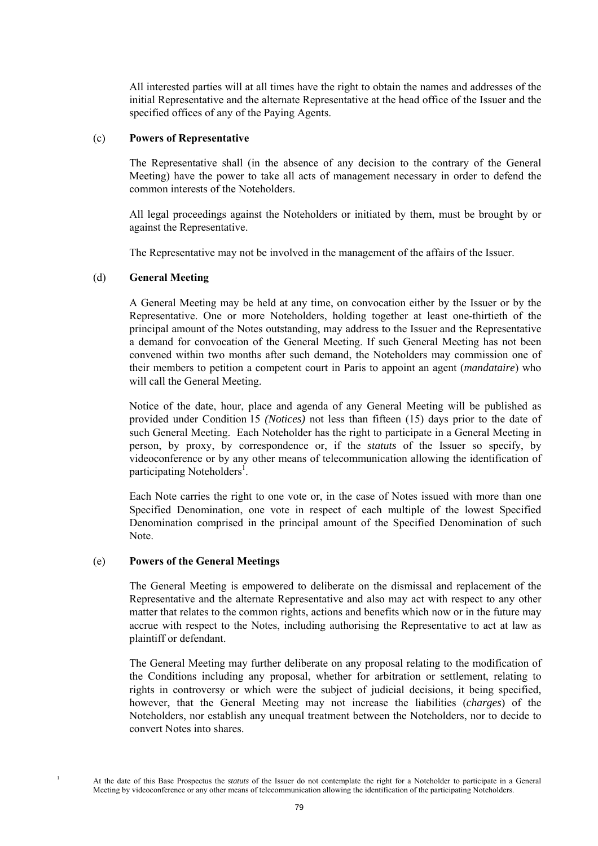All interested parties will at all times have the right to obtain the names and addresses of the initial Representative and the alternate Representative at the head office of the Issuer and the specified offices of any of the Paying Agents.

#### (c) **Powers of Representative**

The Representative shall (in the absence of any decision to the contrary of the General Meeting) have the power to take all acts of management necessary in order to defend the common interests of the Noteholders.

All legal proceedings against the Noteholders or initiated by them, must be brought by or against the Representative.

The Representative may not be involved in the management of the affairs of the Issuer.

#### (d) **General Meeting**

A General Meeting may be held at any time, on convocation either by the Issuer or by the Representative. One or more Noteholders, holding together at least one-thirtieth of the principal amount of the Notes outstanding, may address to the Issuer and the Representative a demand for convocation of the General Meeting. If such General Meeting has not been convened within two months after such demand, the Noteholders may commission one of their members to petition a competent court in Paris to appoint an agent (*mandataire*) who will call the General Meeting.

Notice of the date, hour, place and agenda of any General Meeting will be published as provided under Condition 15 *(Notices)* not less than fifteen (15) days prior to the date of such General Meeting. Each Noteholder has the right to participate in a General Meeting in person, by proxy, by correspondence or, if the *statuts* of the Issuer so specify, by videoconference or by any other means of telecommunication allowing the identification of participating Noteholders<sup>1</sup>.

Each Note carries the right to one vote or, in the case of Notes issued with more than one Specified Denomination, one vote in respect of each multiple of the lowest Specified Denomination comprised in the principal amount of the Specified Denomination of such Note.

#### (e) **Powers of the General Meetings**

1

The General Meeting is empowered to deliberate on the dismissal and replacement of the Representative and the alternate Representative and also may act with respect to any other matter that relates to the common rights, actions and benefits which now or in the future may accrue with respect to the Notes, including authorising the Representative to act at law as plaintiff or defendant.

The General Meeting may further deliberate on any proposal relating to the modification of the Conditions including any proposal, whether for arbitration or settlement, relating to rights in controversy or which were the subject of judicial decisions, it being specified, however, that the General Meeting may not increase the liabilities (*charges*) of the Noteholders, nor establish any unequal treatment between the Noteholders, nor to decide to convert Notes into shares.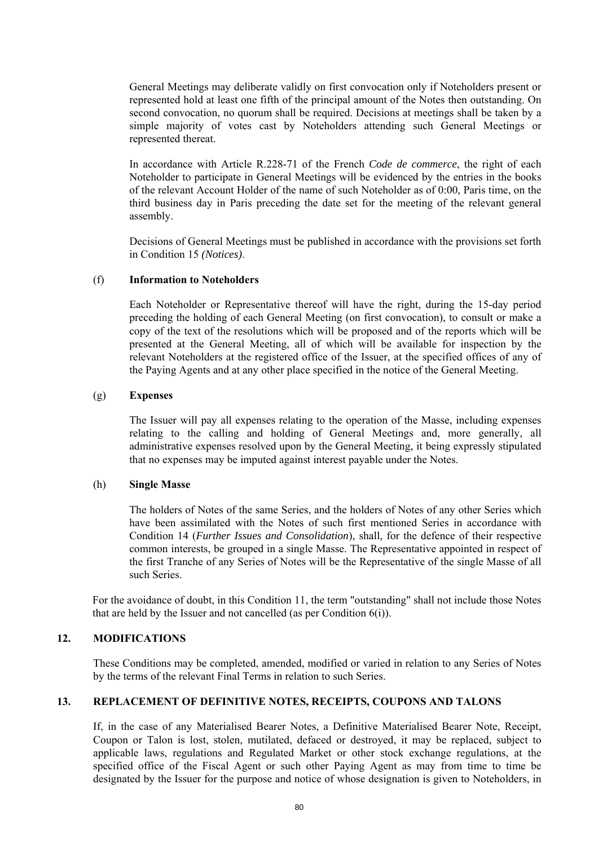General Meetings may deliberate validly on first convocation only if Noteholders present or represented hold at least one fifth of the principal amount of the Notes then outstanding. On second convocation, no quorum shall be required. Decisions at meetings shall be taken by a simple majority of votes cast by Noteholders attending such General Meetings or represented thereat.

In accordance with Article R.228-71 of the French *Code de commerce*, the right of each Noteholder to participate in General Meetings will be evidenced by the entries in the books of the relevant Account Holder of the name of such Noteholder as of 0:00, Paris time, on the third business day in Paris preceding the date set for the meeting of the relevant general assembly.

Decisions of General Meetings must be published in accordance with the provisions set forth in Condition 15 *(Notices)*.

#### (f) **Information to Noteholders**

Each Noteholder or Representative thereof will have the right, during the 15-day period preceding the holding of each General Meeting (on first convocation), to consult or make a copy of the text of the resolutions which will be proposed and of the reports which will be presented at the General Meeting, all of which will be available for inspection by the relevant Noteholders at the registered office of the Issuer, at the specified offices of any of the Paying Agents and at any other place specified in the notice of the General Meeting.

#### (g) **Expenses**

The Issuer will pay all expenses relating to the operation of the Masse, including expenses relating to the calling and holding of General Meetings and, more generally, all administrative expenses resolved upon by the General Meeting, it being expressly stipulated that no expenses may be imputed against interest payable under the Notes.

#### (h) **Single Masse**

The holders of Notes of the same Series, and the holders of Notes of any other Series which have been assimilated with the Notes of such first mentioned Series in accordance with Condition 14 (*Further Issues and Consolidation*), shall, for the defence of their respective common interests, be grouped in a single Masse. The Representative appointed in respect of the first Tranche of any Series of Notes will be the Representative of the single Masse of all such Series.

For the avoidance of doubt, in this Condition 11, the term "outstanding" shall not include those Notes that are held by the Issuer and not cancelled (as per Condition 6(i)).

## **12. MODIFICATIONS**

These Conditions may be completed, amended, modified or varied in relation to any Series of Notes by the terms of the relevant Final Terms in relation to such Series.

#### **13. REPLACEMENT OF DEFINITIVE NOTES, RECEIPTS, COUPONS AND TALONS**

If, in the case of any Materialised Bearer Notes, a Definitive Materialised Bearer Note, Receipt, Coupon or Talon is lost, stolen, mutilated, defaced or destroyed, it may be replaced, subject to applicable laws, regulations and Regulated Market or other stock exchange regulations, at the specified office of the Fiscal Agent or such other Paying Agent as may from time to time be designated by the Issuer for the purpose and notice of whose designation is given to Noteholders, in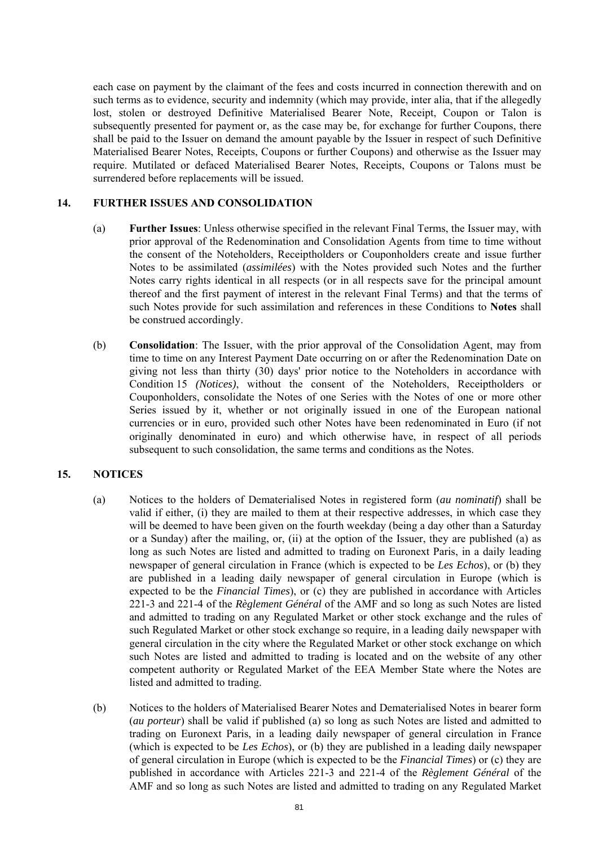each case on payment by the claimant of the fees and costs incurred in connection therewith and on such terms as to evidence, security and indemnity (which may provide, inter alia, that if the allegedly lost, stolen or destroyed Definitive Materialised Bearer Note, Receipt, Coupon or Talon is subsequently presented for payment or, as the case may be, for exchange for further Coupons, there shall be paid to the Issuer on demand the amount payable by the Issuer in respect of such Definitive Materialised Bearer Notes, Receipts, Coupons or further Coupons) and otherwise as the Issuer may require. Mutilated or defaced Materialised Bearer Notes, Receipts, Coupons or Talons must be surrendered before replacements will be issued.

## **14. FURTHER ISSUES AND CONSOLIDATION**

- (a) **Further Issues**: Unless otherwise specified in the relevant Final Terms, the Issuer may, with prior approval of the Redenomination and Consolidation Agents from time to time without the consent of the Noteholders, Receiptholders or Couponholders create and issue further Notes to be assimilated (*assimilées*) with the Notes provided such Notes and the further Notes carry rights identical in all respects (or in all respects save for the principal amount thereof and the first payment of interest in the relevant Final Terms) and that the terms of such Notes provide for such assimilation and references in these Conditions to **Notes** shall be construed accordingly.
- (b) **Consolidation**: The Issuer, with the prior approval of the Consolidation Agent, may from time to time on any Interest Payment Date occurring on or after the Redenomination Date on giving not less than thirty (30) days' prior notice to the Noteholders in accordance with Condition 15 *(Notices)*, without the consent of the Noteholders, Receiptholders or Couponholders, consolidate the Notes of one Series with the Notes of one or more other Series issued by it, whether or not originally issued in one of the European national currencies or in euro, provided such other Notes have been redenominated in Euro (if not originally denominated in euro) and which otherwise have, in respect of all periods subsequent to such consolidation, the same terms and conditions as the Notes.

#### **15. NOTICES**

- (a) Notices to the holders of Dematerialised Notes in registered form (*au nominatif*) shall be valid if either, (i) they are mailed to them at their respective addresses, in which case they will be deemed to have been given on the fourth weekday (being a day other than a Saturday or a Sunday) after the mailing, or, (ii) at the option of the Issuer, they are published (a) as long as such Notes are listed and admitted to trading on Euronext Paris, in a daily leading newspaper of general circulation in France (which is expected to be *Les Echos*), or (b) they are published in a leading daily newspaper of general circulation in Europe (which is expected to be the *Financial Times*), or (c) they are published in accordance with Articles 221-3 and 221-4 of the *Règlement Général* of the AMF and so long as such Notes are listed and admitted to trading on any Regulated Market or other stock exchange and the rules of such Regulated Market or other stock exchange so require, in a leading daily newspaper with general circulation in the city where the Regulated Market or other stock exchange on which such Notes are listed and admitted to trading is located and on the website of any other competent authority or Regulated Market of the EEA Member State where the Notes are listed and admitted to trading.
- (b) Notices to the holders of Materialised Bearer Notes and Dematerialised Notes in bearer form (*au porteur*) shall be valid if published (a) so long as such Notes are listed and admitted to trading on Euronext Paris, in a leading daily newspaper of general circulation in France (which is expected to be *Les Echos*), or (b) they are published in a leading daily newspaper of general circulation in Europe (which is expected to be the *Financial Times*) or (c) they are published in accordance with Articles 221-3 and 221-4 of the *Règlement Général* of the AMF and so long as such Notes are listed and admitted to trading on any Regulated Market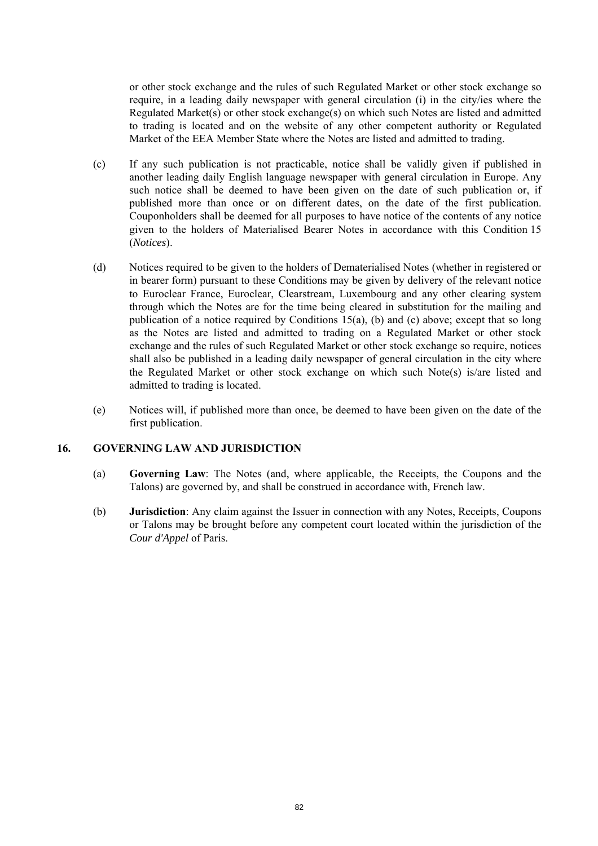or other stock exchange and the rules of such Regulated Market or other stock exchange so require, in a leading daily newspaper with general circulation (i) in the city/ies where the Regulated Market(s) or other stock exchange(s) on which such Notes are listed and admitted to trading is located and on the website of any other competent authority or Regulated Market of the EEA Member State where the Notes are listed and admitted to trading.

- (c) If any such publication is not practicable, notice shall be validly given if published in another leading daily English language newspaper with general circulation in Europe. Any such notice shall be deemed to have been given on the date of such publication or, if published more than once or on different dates, on the date of the first publication. Couponholders shall be deemed for all purposes to have notice of the contents of any notice given to the holders of Materialised Bearer Notes in accordance with this Condition 15 (*Notices*).
- (d) Notices required to be given to the holders of Dematerialised Notes (whether in registered or in bearer form) pursuant to these Conditions may be given by delivery of the relevant notice to Euroclear France, Euroclear, Clearstream, Luxembourg and any other clearing system through which the Notes are for the time being cleared in substitution for the mailing and publication of a notice required by Conditions 15(a), (b) and (c) above; except that so long as the Notes are listed and admitted to trading on a Regulated Market or other stock exchange and the rules of such Regulated Market or other stock exchange so require, notices shall also be published in a leading daily newspaper of general circulation in the city where the Regulated Market or other stock exchange on which such Note(s) is/are listed and admitted to trading is located.
- (e) Notices will, if published more than once, be deemed to have been given on the date of the first publication.

#### **16. GOVERNING LAW AND JURISDICTION**

- (a) **Governing Law**: The Notes (and, where applicable, the Receipts, the Coupons and the Talons) are governed by, and shall be construed in accordance with, French law.
- (b) **Jurisdiction**: Any claim against the Issuer in connection with any Notes, Receipts, Coupons or Talons may be brought before any competent court located within the jurisdiction of the *Cour d'Appel* of Paris.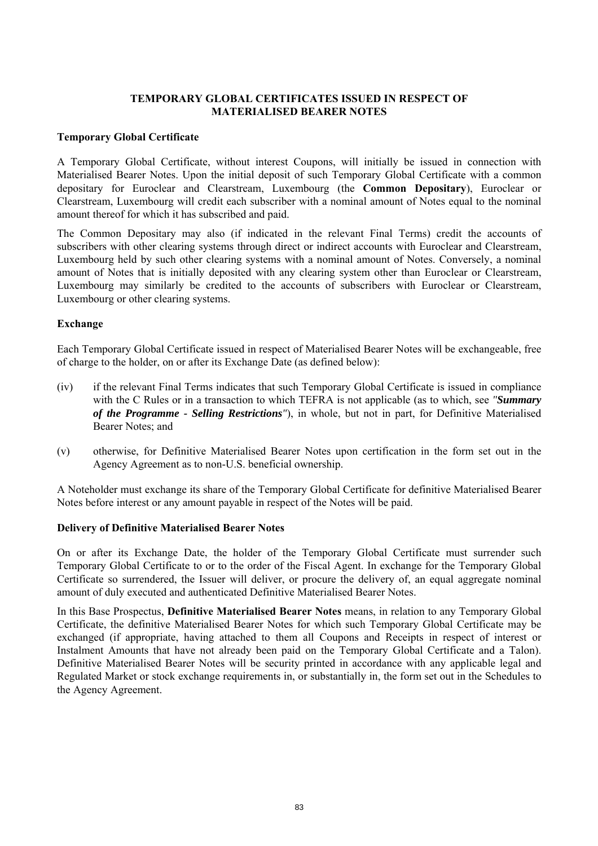## **TEMPORARY GLOBAL CERTIFICATES ISSUED IN RESPECT OF MATERIALISED BEARER NOTES**

#### **Temporary Global Certificate**

A Temporary Global Certificate, without interest Coupons, will initially be issued in connection with Materialised Bearer Notes. Upon the initial deposit of such Temporary Global Certificate with a common depositary for Euroclear and Clearstream, Luxembourg (the **Common Depositary**), Euroclear or Clearstream, Luxembourg will credit each subscriber with a nominal amount of Notes equal to the nominal amount thereof for which it has subscribed and paid.

The Common Depositary may also (if indicated in the relevant Final Terms) credit the accounts of subscribers with other clearing systems through direct or indirect accounts with Euroclear and Clearstream, Luxembourg held by such other clearing systems with a nominal amount of Notes. Conversely, a nominal amount of Notes that is initially deposited with any clearing system other than Euroclear or Clearstream, Luxembourg may similarly be credited to the accounts of subscribers with Euroclear or Clearstream, Luxembourg or other clearing systems.

## **Exchange**

Each Temporary Global Certificate issued in respect of Materialised Bearer Notes will be exchangeable, free of charge to the holder, on or after its Exchange Date (as defined below):

- (iv) if the relevant Final Terms indicates that such Temporary Global Certificate is issued in compliance with the C Rules or in a transaction to which TEFRA is not applicable (as to which, see *"Summary of the Programme - Selling Restrictions"*), in whole, but not in part, for Definitive Materialised Bearer Notes; and
- (v) otherwise, for Definitive Materialised Bearer Notes upon certification in the form set out in the Agency Agreement as to non-U.S. beneficial ownership.

A Noteholder must exchange its share of the Temporary Global Certificate for definitive Materialised Bearer Notes before interest or any amount payable in respect of the Notes will be paid.

#### **Delivery of Definitive Materialised Bearer Notes**

On or after its Exchange Date, the holder of the Temporary Global Certificate must surrender such Temporary Global Certificate to or to the order of the Fiscal Agent. In exchange for the Temporary Global Certificate so surrendered, the Issuer will deliver, or procure the delivery of, an equal aggregate nominal amount of duly executed and authenticated Definitive Materialised Bearer Notes.

In this Base Prospectus, **Definitive Materialised Bearer Notes** means, in relation to any Temporary Global Certificate, the definitive Materialised Bearer Notes for which such Temporary Global Certificate may be exchanged (if appropriate, having attached to them all Coupons and Receipts in respect of interest or Instalment Amounts that have not already been paid on the Temporary Global Certificate and a Talon). Definitive Materialised Bearer Notes will be security printed in accordance with any applicable legal and Regulated Market or stock exchange requirements in, or substantially in, the form set out in the Schedules to the Agency Agreement.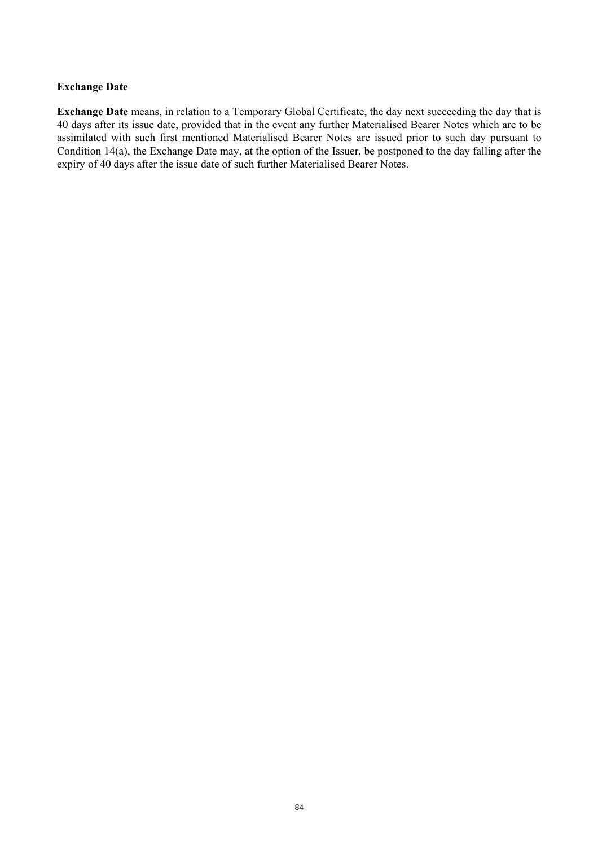## **Exchange Date**

**Exchange Date** means, in relation to a Temporary Global Certificate, the day next succeeding the day that is 40 days after its issue date, provided that in the event any further Materialised Bearer Notes which are to be assimilated with such first mentioned Materialised Bearer Notes are issued prior to such day pursuant to Condition 14(a), the Exchange Date may, at the option of the Issuer, be postponed to the day falling after the expiry of 40 days after the issue date of such further Materialised Bearer Notes.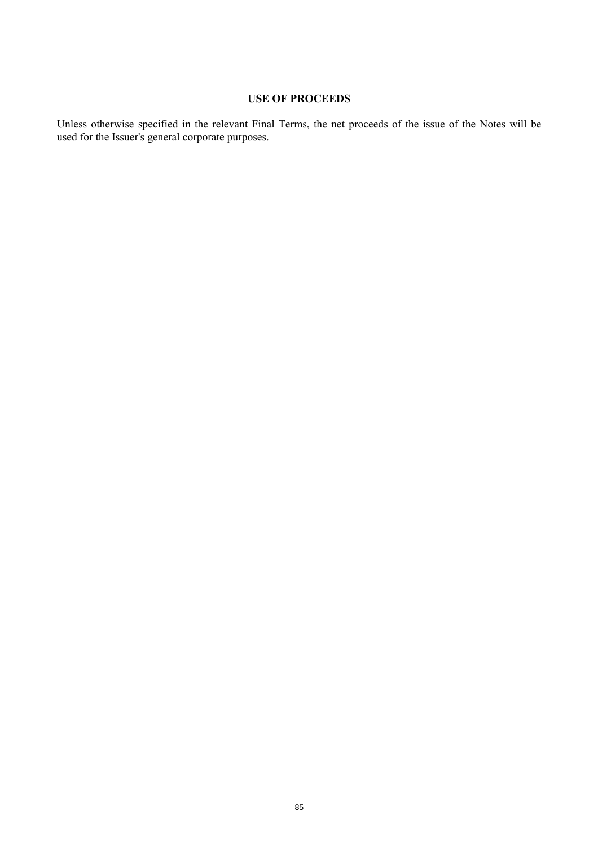# **USE OF PROCEEDS**

Unless otherwise specified in the relevant Final Terms, the net proceeds of the issue of the Notes will be used for the Issuer's general corporate purposes.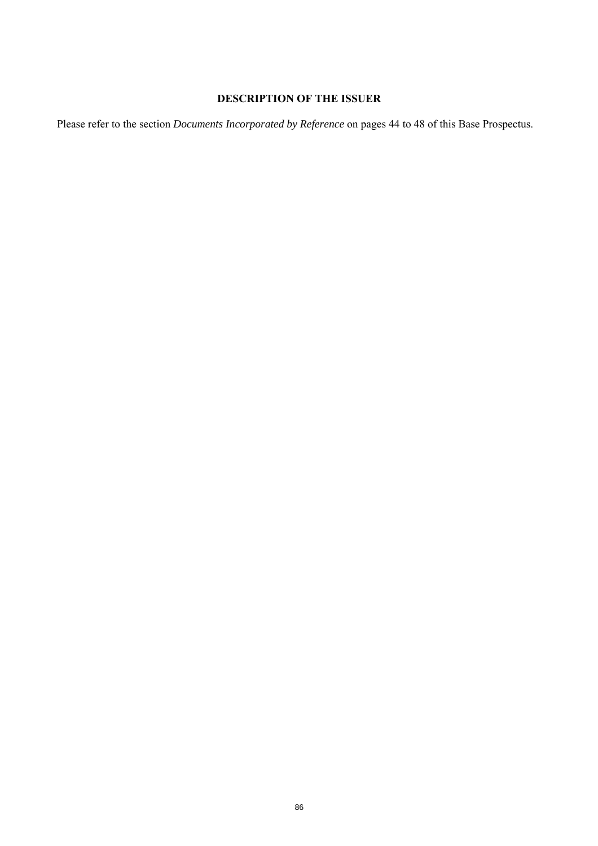# **DESCRIPTION OF THE ISSUER**

Please refer to the section *Documents Incorporated by Reference* on pages 44 to 48 of this Base Prospectus.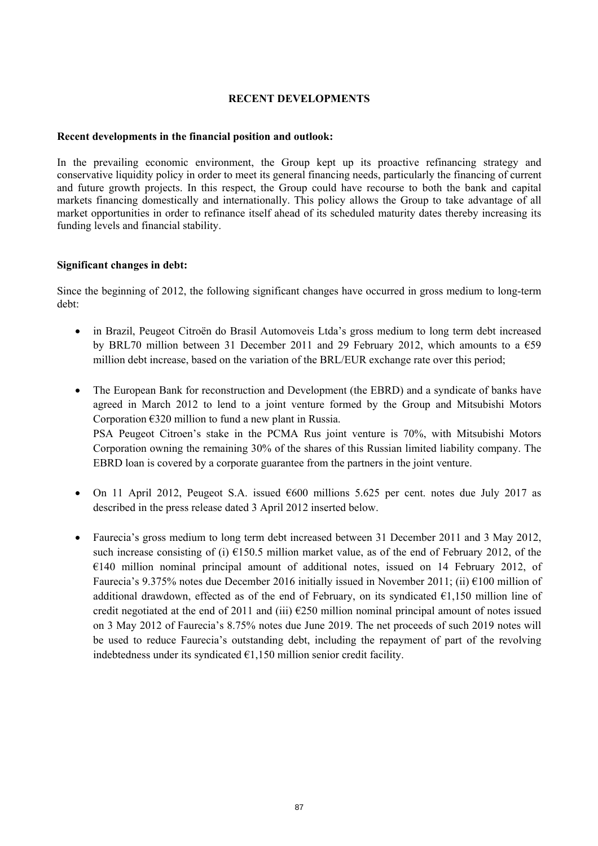## **RECENT DEVELOPMENTS**

#### **Recent developments in the financial position and outlook:**

In the prevailing economic environment, the Group kept up its proactive refinancing strategy and conservative liquidity policy in order to meet its general financing needs, particularly the financing of current and future growth projects. In this respect, the Group could have recourse to both the bank and capital markets financing domestically and internationally. This policy allows the Group to take advantage of all market opportunities in order to refinance itself ahead of its scheduled maturity dates thereby increasing its funding levels and financial stability.

#### **Significant changes in debt:**

Since the beginning of 2012, the following significant changes have occurred in gross medium to long-term debt:

- in Brazil, Peugeot Citroën do Brasil Automoveis Ltda's gross medium to long term debt increased by BRL70 million between 31 December 2011 and 29 February 2012, which amounts to a  $\epsilon$ 59 million debt increase, based on the variation of the BRL/EUR exchange rate over this period;
- The European Bank for reconstruction and Development (the EBRD) and a syndicate of banks have agreed in March 2012 to lend to a joint venture formed by the Group and Mitsubishi Motors Corporation  $\epsilon$ 320 million to fund a new plant in Russia. PSA Peugeot Citroen's stake in the PCMA Rus joint venture is 70%, with Mitsubishi Motors Corporation owning the remaining 30% of the shares of this Russian limited liability company. The EBRD loan is covered by a corporate guarantee from the partners in the joint venture.
- On 11 April 2012, Peugeot S.A. issued  $600$  millions 5.625 per cent. notes due July 2017 as described in the press release dated 3 April 2012 inserted below.
- Faurecia's gross medium to long term debt increased between 31 December 2011 and 3 May 2012, such increase consisting of (i)  $\epsilon$ 150.5 million market value, as of the end of February 2012, of the €140 million nominal principal amount of additional notes, issued on 14 February 2012, of Faurecia's 9.375% notes due December 2016 initially issued in November 2011; (ii)  $\epsilon$ 100 million of additional drawdown, effected as of the end of February, on its syndicated  $E1,150$  million line of credit negotiated at the end of 2011 and (iii)  $\epsilon$ 250 million nominal principal amount of notes issued on 3 May 2012 of Faurecia's 8.75% notes due June 2019. The net proceeds of such 2019 notes will be used to reduce Faurecia's outstanding debt, including the repayment of part of the revolving indebtedness under its syndicated  $E1,150$  million senior credit facility.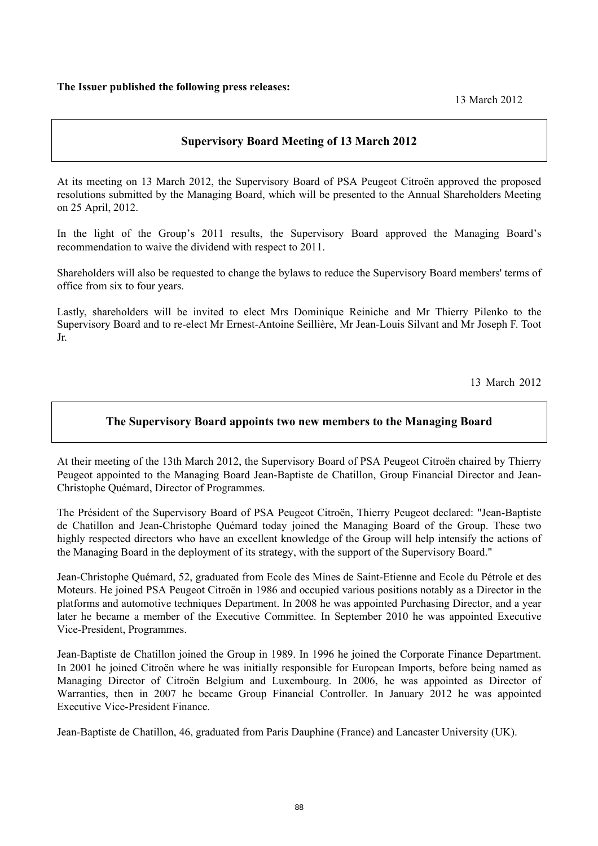# **Supervisory Board Meeting of 13 March 2012**

At its meeting on 13 March 2012, the Supervisory Board of PSA Peugeot Citroën approved the proposed resolutions submitted by the Managing Board, which will be presented to the Annual Shareholders Meeting on 25 April, 2012.

In the light of the Group's 2011 results, the Supervisory Board approved the Managing Board's recommendation to waive the dividend with respect to 2011.

Shareholders will also be requested to change the bylaws to reduce the Supervisory Board members' terms of office from six to four years.

Lastly, shareholders will be invited to elect Mrs Dominique Reiniche and Mr Thierry Pilenko to the Supervisory Board and to re-elect Mr Ernest-Antoine Seillière, Mr Jean-Louis Silvant and Mr Joseph F. Toot Jr.

13 March 2012

## **The Supervisory Board appoints two new members to the Managing Board**

At their meeting of the 13th March 2012, the Supervisory Board of PSA Peugeot Citroën chaired by Thierry Peugeot appointed to the Managing Board Jean-Baptiste de Chatillon, Group Financial Director and Jean-Christophe Quémard, Director of Programmes.

The Président of the Supervisory Board of PSA Peugeot Citroën, Thierry Peugeot declared: "Jean-Baptiste de Chatillon and Jean-Christophe Quémard today joined the Managing Board of the Group. These two highly respected directors who have an excellent knowledge of the Group will help intensify the actions of the Managing Board in the deployment of its strategy, with the support of the Supervisory Board."

Jean-Christophe Quémard, 52, graduated from Ecole des Mines de Saint-Etienne and Ecole du Pétrole et des Moteurs. He joined PSA Peugeot Citroën in 1986 and occupied various positions notably as a Director in the platforms and automotive techniques Department. In 2008 he was appointed Purchasing Director, and a year later he became a member of the Executive Committee. In September 2010 he was appointed Executive Vice-President, Programmes.

Jean-Baptiste de Chatillon joined the Group in 1989. In 1996 he joined the Corporate Finance Department. In 2001 he joined Citroën where he was initially responsible for European Imports, before being named as Managing Director of Citroën Belgium and Luxembourg. In 2006, he was appointed as Director of Warranties, then in 2007 he became Group Financial Controller. In January 2012 he was appointed Executive Vice-President Finance.

Jean-Baptiste de Chatillon, 46, graduated from Paris Dauphine (France) and Lancaster University (UK).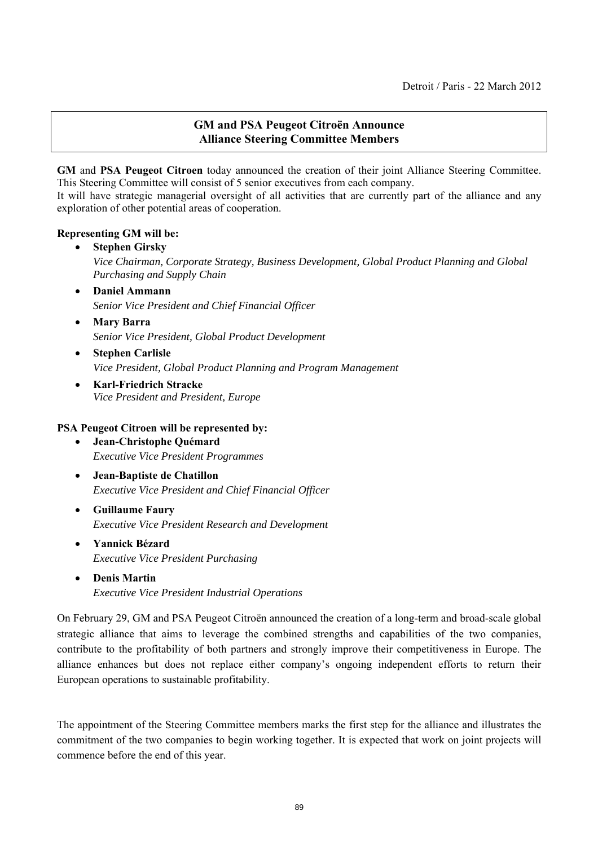# **GM and PSA Peugeot Citroën Announce Alliance Steering Committee Members**

**GM** and **PSA Peugeot Citroen** today announced the creation of their joint Alliance Steering Committee. This Steering Committee will consist of 5 senior executives from each company.

It will have strategic managerial oversight of all activities that are currently part of the alliance and any exploration of other potential areas of cooperation.

## **Representing GM will be:**

- **Stephen Girsky**  *Vice Chairman, Corporate Strategy, Business Development, Global Product Planning and Global Purchasing and Supply Chain*
- **Daniel Ammann**  *Senior Vice President and Chief Financial Officer*
- **Mary Barra**  *Senior Vice President, Global Product Development*
- **Stephen Carlisle**  *Vice President, Global Product Planning and Program Management*
- **Karl-Friedrich Stracke**  *Vice President and President, Europe*

# **PSA Peugeot Citroen will be represented by:**

- **Jean-Christophe Quémard**  *Executive Vice President Programmes*
- **Jean-Baptiste de Chatillon**  *Executive Vice President and Chief Financial Officer*
- **Guillaume Faury**  *Executive Vice President Research and Development*
- **Yannick Bézard**  *Executive Vice President Purchasing*
- **Denis Martin**  *Executive Vice President Industrial Operations*

On February 29, GM and PSA Peugeot Citroën announced the creation of a long-term and broad-scale global strategic alliance that aims to leverage the combined strengths and capabilities of the two companies, contribute to the profitability of both partners and strongly improve their competitiveness in Europe. The alliance enhances but does not replace either company's ongoing independent efforts to return their European operations to sustainable profitability.

The appointment of the Steering Committee members marks the first step for the alliance and illustrates the commitment of the two companies to begin working together. It is expected that work on joint projects will commence before the end of this year.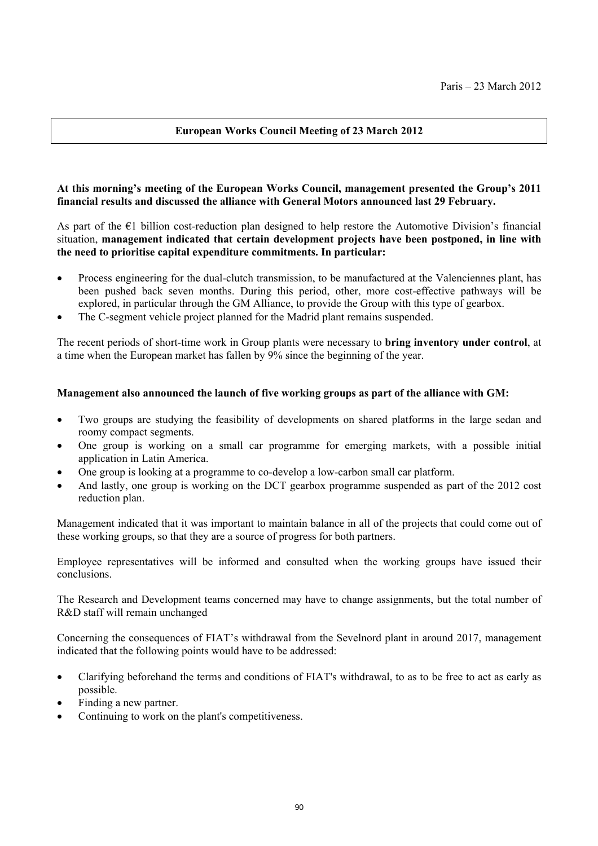# **European Works Council Meeting of 23 March 2012**

## **At this morning's meeting of the European Works Council, management presented the Group's 2011 financial results and discussed the alliance with General Motors announced last 29 February.**

As part of the  $\epsilon_1$  billion cost-reduction plan designed to help restore the Automotive Division's financial situation, **management indicated that certain development projects have been postponed, in line with the need to prioritise capital expenditure commitments. In particular:** 

- Process engineering for the dual-clutch transmission, to be manufactured at the Valenciennes plant, has been pushed back seven months. During this period, other, more cost-effective pathways will be explored, in particular through the GM Alliance, to provide the Group with this type of gearbox.
- The C-segment vehicle project planned for the Madrid plant remains suspended.

The recent periods of short-time work in Group plants were necessary to **bring inventory under control**, at a time when the European market has fallen by 9% since the beginning of the year.

#### **Management also announced the launch of five working groups as part of the alliance with GM:**

- Two groups are studying the feasibility of developments on shared platforms in the large sedan and roomy compact segments.
- One group is working on a small car programme for emerging markets, with a possible initial application in Latin America.
- One group is looking at a programme to co-develop a low-carbon small car platform.
- And lastly, one group is working on the DCT gearbox programme suspended as part of the 2012 cost reduction plan.

Management indicated that it was important to maintain balance in all of the projects that could come out of these working groups, so that they are a source of progress for both partners.

Employee representatives will be informed and consulted when the working groups have issued their conclusions.

The Research and Development teams concerned may have to change assignments, but the total number of R&D staff will remain unchanged

Concerning the consequences of FIAT's withdrawal from the Sevelnord plant in around 2017, management indicated that the following points would have to be addressed:

- Clarifying beforehand the terms and conditions of FIAT's withdrawal, to as to be free to act as early as possible.
- Finding a new partner.
- Continuing to work on the plant's competitiveness.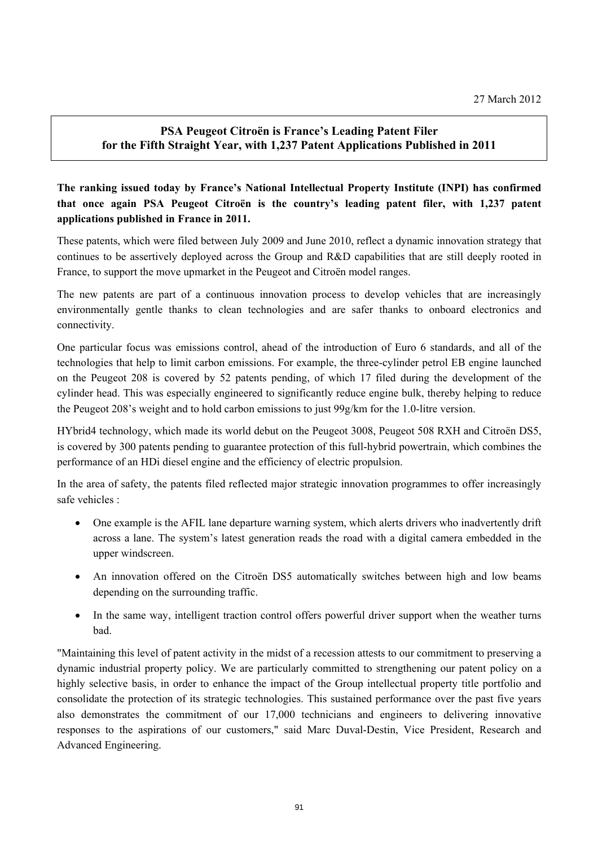# **PSA Peugeot Citroën is France's Leading Patent Filer for the Fifth Straight Year, with 1,237 Patent Applications Published in 2011**

# **The ranking issued today by France's National Intellectual Property Institute (INPI) has confirmed that once again PSA Peugeot Citroën is the country's leading patent filer, with 1,237 patent applications published in France in 2011.**

These patents, which were filed between July 2009 and June 2010, reflect a dynamic innovation strategy that continues to be assertively deployed across the Group and R&D capabilities that are still deeply rooted in France, to support the move upmarket in the Peugeot and Citroën model ranges.

The new patents are part of a continuous innovation process to develop vehicles that are increasingly environmentally gentle thanks to clean technologies and are safer thanks to onboard electronics and connectivity.

One particular focus was emissions control, ahead of the introduction of Euro 6 standards, and all of the technologies that help to limit carbon emissions. For example, the three-cylinder petrol EB engine launched on the Peugeot 208 is covered by 52 patents pending, of which 17 filed during the development of the cylinder head. This was especially engineered to significantly reduce engine bulk, thereby helping to reduce the Peugeot 208's weight and to hold carbon emissions to just 99g/km for the 1.0-litre version.

HYbrid4 technology, which made its world debut on the Peugeot 3008, Peugeot 508 RXH and Citroën DS5, is covered by 300 patents pending to guarantee protection of this full-hybrid powertrain, which combines the performance of an HDi diesel engine and the efficiency of electric propulsion.

In the area of safety, the patents filed reflected major strategic innovation programmes to offer increasingly safe vehicles :

- One example is the AFIL lane departure warning system, which alerts drivers who inadvertently drift across a lane. The system's latest generation reads the road with a digital camera embedded in the upper windscreen.
- An innovation offered on the Citroën DS5 automatically switches between high and low beams depending on the surrounding traffic.
- In the same way, intelligent traction control offers powerful driver support when the weather turns bad.

"Maintaining this level of patent activity in the midst of a recession attests to our commitment to preserving a dynamic industrial property policy. We are particularly committed to strengthening our patent policy on a highly selective basis, in order to enhance the impact of the Group intellectual property title portfolio and consolidate the protection of its strategic technologies. This sustained performance over the past five years also demonstrates the commitment of our 17,000 technicians and engineers to delivering innovative responses to the aspirations of our customers," said Marc Duval-Destin, Vice President, Research and Advanced Engineering.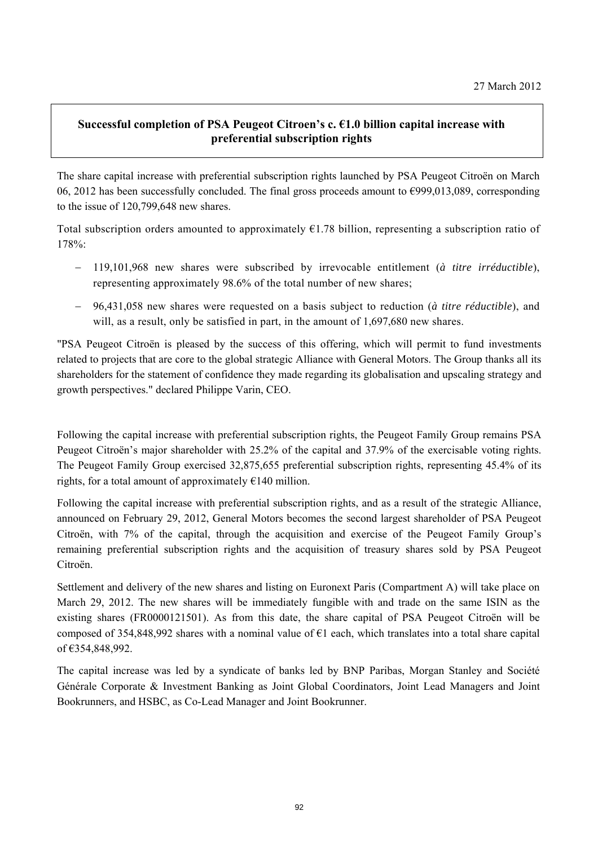# **Successful completion of PSA Peugeot Citroen's c. €1.0 billion capital increase with preferential subscription rights**

The share capital increase with preferential subscription rights launched by PSA Peugeot Citroën on March 06, 2012 has been successfully concluded. The final gross proceeds amount to €999,013,089, corresponding to the issue of 120,799,648 new shares.

Total subscription orders amounted to approximately  $E1.78$  billion, representing a subscription ratio of 178%:

- 119,101,968 new shares were subscribed by irrevocable entitlement (*à titre irréductible*), representing approximately 98.6% of the total number of new shares;
- 96,431,058 new shares were requested on a basis subject to reduction (*à titre réductible*), and will, as a result, only be satisfied in part, in the amount of 1,697,680 new shares.

"PSA Peugeot Citroën is pleased by the success of this offering, which will permit to fund investments related to projects that are core to the global strategic Alliance with General Motors. The Group thanks all its shareholders for the statement of confidence they made regarding its globalisation and upscaling strategy and growth perspectives." declared Philippe Varin, CEO.

Following the capital increase with preferential subscription rights, the Peugeot Family Group remains PSA Peugeot Citroën's major shareholder with 25.2% of the capital and 37.9% of the exercisable voting rights. The Peugeot Family Group exercised 32,875,655 preferential subscription rights, representing 45.4% of its rights, for a total amount of approximately  $E140$  million.

Following the capital increase with preferential subscription rights, and as a result of the strategic Alliance, announced on February 29, 2012, General Motors becomes the second largest shareholder of PSA Peugeot Citroën, with 7% of the capital, through the acquisition and exercise of the Peugeot Family Group's remaining preferential subscription rights and the acquisition of treasury shares sold by PSA Peugeot Citroën.

Settlement and delivery of the new shares and listing on Euronext Paris (Compartment A) will take place on March 29, 2012. The new shares will be immediately fungible with and trade on the same ISIN as the existing shares (FR0000121501). As from this date, the share capital of PSA Peugeot Citroën will be composed of 354,848,992 shares with a nominal value of  $\epsilon$ 1 each, which translates into a total share capital of €354,848,992.

The capital increase was led by a syndicate of banks led by BNP Paribas, Morgan Stanley and Société Générale Corporate & Investment Banking as Joint Global Coordinators, Joint Lead Managers and Joint Bookrunners, and HSBC, as Co-Lead Manager and Joint Bookrunner.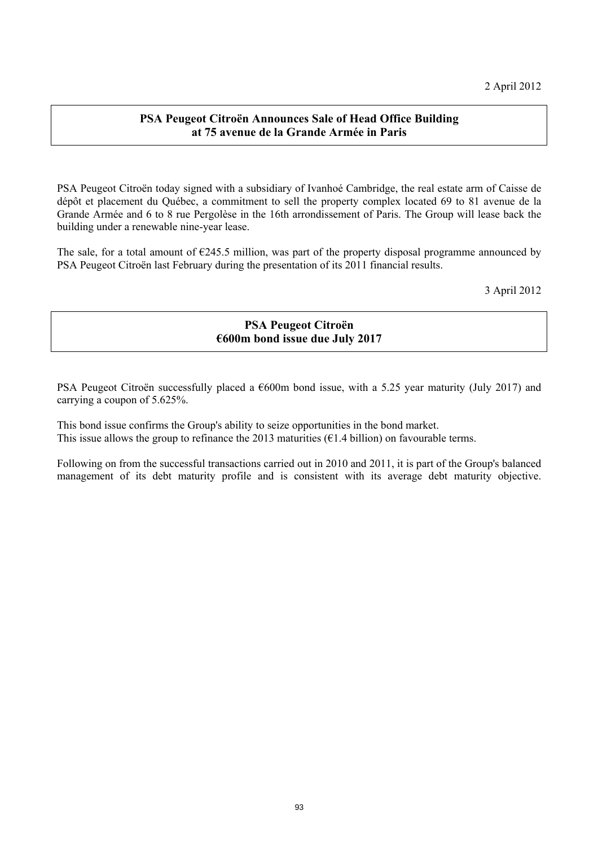# **PSA Peugeot Citroën Announces Sale of Head Office Building at 75 avenue de la Grande Armée in Paris**

PSA Peugeot Citroën today signed with a subsidiary of Ivanhoé Cambridge, the real estate arm of Caisse de dépôt et placement du Québec, a commitment to sell the property complex located 69 to 81 avenue de la Grande Armée and 6 to 8 rue Pergolèse in the 16th arrondissement of Paris. The Group will lease back the building under a renewable nine-year lease.

The sale, for a total amount of  $E245.5$  million, was part of the property disposal programme announced by PSA Peugeot Citroën last February during the presentation of its 2011 financial results.

3 April 2012

# **PSA Peugeot Citroën €600m bond issue due July 2017**

PSA Peugeot Citroën successfully placed a  $\epsilon$ 600m bond issue, with a 5.25 year maturity (July 2017) and carrying a coupon of 5.625%.

This bond issue confirms the Group's ability to seize opportunities in the bond market. This issue allows the group to refinance the 2013 maturities ( $\epsilon$ 1.4 billion) on favourable terms.

Following on from the successful transactions carried out in 2010 and 2011, it is part of the Group's balanced management of its debt maturity profile and is consistent with its average debt maturity objective.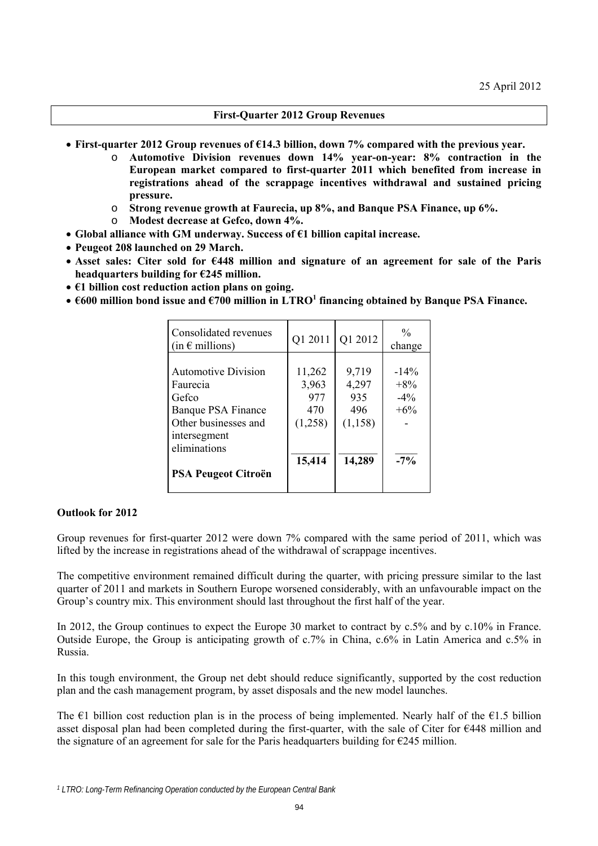#### **First-Quarter 2012 Group Revenues**

- **First-quarter 2012 Group revenues of €14.3 billion, down 7% compared with the previous year.** 
	- o **Automotive Division revenues down 14% year-on-year: 8% contraction in the European market compared to first-quarter 2011 which benefited from increase in registrations ahead of the scrappage incentives withdrawal and sustained pricing pressure.**
	- o **Strong revenue growth at Faurecia, up 8%, and Banque PSA Finance, up 6%.**
	- o **Modest decrease at Gefco, down 4%.**
- **Global alliance with GM underway. Success of €1 billion capital increase.**
- **Peugeot 208 launched on 29 March.**
- **Asset sales: Citer sold for €448 million and signature of an agreement for sale of the Paris headquarters building for €245 million.**
- **€1 billion cost reduction action plans on going.**
- $\bullet$   $\epsilon$ 600 million bond issue and  $\epsilon$ 700 million in LTRO<sup>1</sup> financing obtained by Banque PSA Finance.

| Consolidated revenues<br>$(in \in$ millions)                                                                                                                | Q1 2011                                            | Q1 2012                                            | $\frac{0}{0}$<br>change                         |
|-------------------------------------------------------------------------------------------------------------------------------------------------------------|----------------------------------------------------|----------------------------------------------------|-------------------------------------------------|
| <b>Automotive Division</b><br>Faurecia<br>Gefco<br>Banque PSA Finance<br>Other businesses and<br>intersegment<br>eliminations<br><b>PSA Peugeot Citroën</b> | 11,262<br>3,963<br>977<br>470<br>(1,258)<br>15,414 | 9,719<br>4,297<br>935<br>496<br>(1, 158)<br>14,289 | $-14\%$<br>$+8\%$<br>$-4\%$<br>$+6\%$<br>$-7\%$ |

#### **Outlook for 2012**

Group revenues for first-quarter 2012 were down 7% compared with the same period of 2011, which was lifted by the increase in registrations ahead of the withdrawal of scrappage incentives.

The competitive environment remained difficult during the quarter, with pricing pressure similar to the last quarter of 2011 and markets in Southern Europe worsened considerably, with an unfavourable impact on the Group's country mix. This environment should last throughout the first half of the year.

In 2012, the Group continues to expect the Europe 30 market to contract by c.5% and by c.10% in France. Outside Europe, the Group is anticipating growth of c.7% in China, c.6% in Latin America and c.5% in Russia.

In this tough environment, the Group net debt should reduce significantly, supported by the cost reduction plan and the cash management program, by asset disposals and the new model launches.

The  $\epsilon$ 1 billion cost reduction plan is in the process of being implemented. Nearly half of the  $\epsilon$ 1.5 billion asset disposal plan had been completed during the first-quarter, with the sale of Citer for €448 million and the signature of an agreement for sale for the Paris headquarters building for  $\epsilon$ 245 million.

*<sup>1</sup> LTRO: Long-Term Refinancing Operation conducted by the European Central Bank*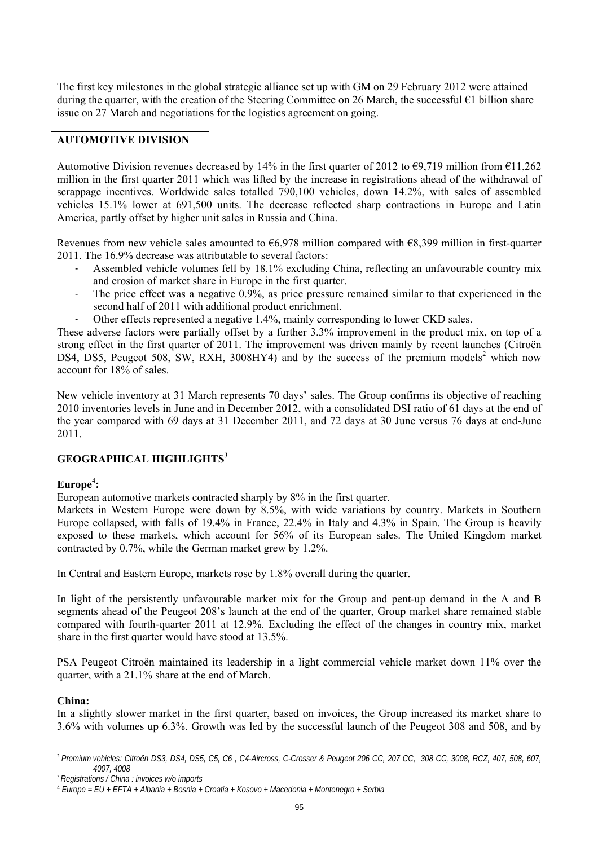The first key milestones in the global strategic alliance set up with GM on 29 February 2012 were attained during the quarter, with the creation of the Steering Committee on 26 March, the successful  $\epsilon$ 1 billion share issue on 27 March and negotiations for the logistics agreement on going.

#### **AUTOMOTIVE DIVISION**

Automotive Division revenues decreased by 14% in the first quarter of 2012 to  $\epsilon$ 9,719 million from  $\epsilon$ 11,262 million in the first quarter 2011 which was lifted by the increase in registrations ahead of the withdrawal of scrappage incentives. Worldwide sales totalled 790,100 vehicles, down 14.2%, with sales of assembled vehicles 15.1% lower at 691,500 units. The decrease reflected sharp contractions in Europe and Latin America, partly offset by higher unit sales in Russia and China.

Revenues from new vehicle sales amounted to  $66.978$  million compared with  $68.399$  million in first-quarter 2011. The 16.9% decrease was attributable to several factors:

- Assembled vehicle volumes fell by 18.1% excluding China, reflecting an unfavourable country mix and erosion of market share in Europe in the first quarter.
- The price effect was a negative 0.9%, as price pressure remained similar to that experienced in the second half of 2011 with additional product enrichment.
- Other effects represented a negative 1.4%, mainly corresponding to lower CKD sales.

These adverse factors were partially offset by a further 3.3% improvement in the product mix, on top of a strong effect in the first quarter of 2011. The improvement was driven mainly by recent launches (Citroën DS4, DS5, Peugeot 508, SW, RXH, 3008HY4) and by the success of the premium models<sup>2</sup> which now account for 18% of sales.

New vehicle inventory at 31 March represents 70 days' sales. The Group confirms its objective of reaching 2010 inventories levels in June and in December 2012, with a consolidated DSI ratio of 61 days at the end of the year compared with 69 days at 31 December 2011, and 72 days at 30 June versus 76 days at end-June 2011.

# **GEOGRAPHICAL HIGHLIGHTS<sup>3</sup>**

## **Europe**<sup>4</sup> **:**

European automotive markets contracted sharply by 8% in the first quarter.

Markets in Western Europe were down by 8.5%, with wide variations by country. Markets in Southern Europe collapsed, with falls of 19.4% in France, 22.4% in Italy and 4.3% in Spain. The Group is heavily exposed to these markets, which account for 56% of its European sales. The United Kingdom market contracted by 0.7%, while the German market grew by 1.2%.

In Central and Eastern Europe, markets rose by 1.8% overall during the quarter.

In light of the persistently unfavourable market mix for the Group and pent-up demand in the A and B segments ahead of the Peugeot 208's launch at the end of the quarter, Group market share remained stable compared with fourth-quarter 2011 at 12.9%. Excluding the effect of the changes in country mix, market share in the first quarter would have stood at 13.5%.

PSA Peugeot Citroën maintained its leadership in a light commercial vehicle market down 11% over the quarter, with a 21.1% share at the end of March.

#### **China:**

In a slightly slower market in the first quarter, based on invoices, the Group increased its market share to 3.6% with volumes up 6.3%. Growth was led by the successful launch of the Peugeot 308 and 508, and by

<sup>2</sup>*Premium vehicles: Citroën DS3, DS4, DS5, C5, C6 , C4-Aircross, C-Crosser & Peugeot 206 CC, 207 CC, 308 CC, 3008, RCZ, 407, 508, 607, 4007, 4008*

<sup>3</sup>*Registrations / China : invoices w/o imports* 

<sup>4</sup> *Europe = EU + EFTA + Albania + Bosnia + Croatia + Kosovo + Macedonia + Montenegro + Serbia*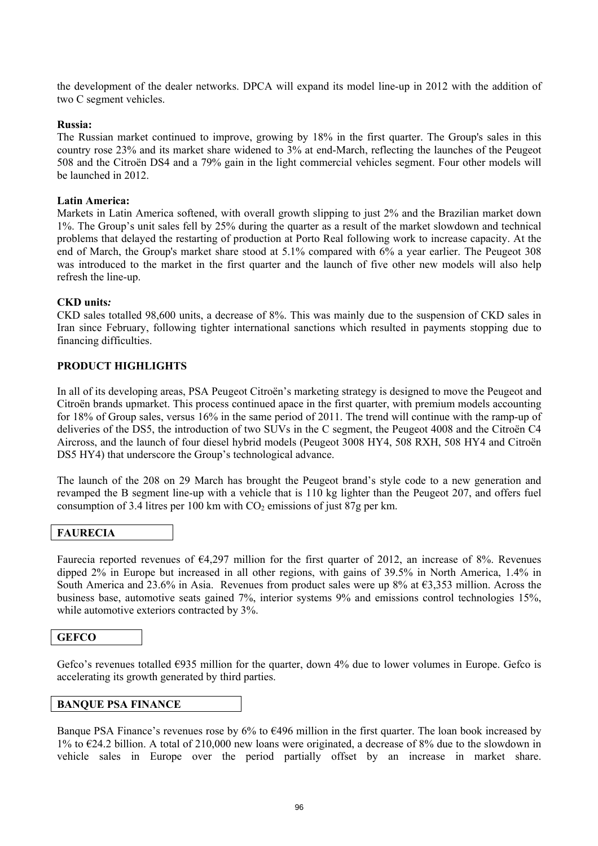the development of the dealer networks. DPCA will expand its model line-up in 2012 with the addition of two C segment vehicles.

#### **Russia:**

The Russian market continued to improve, growing by 18% in the first quarter. The Group's sales in this country rose 23% and its market share widened to 3% at end-March, reflecting the launches of the Peugeot 508 and the Citroën DS4 and a 79% gain in the light commercial vehicles segment. Four other models will be launched in 2012.

#### **Latin America:**

Markets in Latin America softened, with overall growth slipping to just 2% and the Brazilian market down 1%. The Group's unit sales fell by 25% during the quarter as a result of the market slowdown and technical problems that delayed the restarting of production at Porto Real following work to increase capacity. At the end of March, the Group's market share stood at 5.1% compared with 6% a year earlier. The Peugeot 308 was introduced to the market in the first quarter and the launch of five other new models will also help refresh the line-up.

#### **CKD units***:*

CKD sales totalled 98,600 units, a decrease of 8%. This was mainly due to the suspension of CKD sales in Iran since February, following tighter international sanctions which resulted in payments stopping due to financing difficulties.

#### **PRODUCT HIGHLIGHTS**

In all of its developing areas, PSA Peugeot Citroën's marketing strategy is designed to move the Peugeot and Citroën brands upmarket. This process continued apace in the first quarter, with premium models accounting for 18% of Group sales, versus 16% in the same period of 2011. The trend will continue with the ramp-up of deliveries of the DS5, the introduction of two SUVs in the C segment, the Peugeot 4008 and the Citroën C4 Aircross, and the launch of four diesel hybrid models (Peugeot 3008 HY4, 508 RXH, 508 HY4 and Citroën DS5 HY4) that underscore the Group's technological advance.

The launch of the 208 on 29 March has brought the Peugeot brand's style code to a new generation and revamped the B segment line-up with a vehicle that is 110 kg lighter than the Peugeot 207, and offers fuel consumption of 3.4 litres per 100 km with  $CO<sub>2</sub>$  emissions of just 87g per km.

#### **FAURECIA**

Faurecia reported revenues of €4,297 million for the first quarter of 2012, an increase of 8%. Revenues dipped 2% in Europe but increased in all other regions, with gains of 39.5% in North America, 1.4% in South America and 23.6% in Asia. Revenues from product sales were up 8% at  $\epsilon$ 3,353 million. Across the business base, automotive seats gained 7%, interior systems 9% and emissions control technologies 15%, while automotive exteriors contracted by  $3\%$ .

#### **GEFCO**

Gefco's revenues totalled  $\epsilon$ 935 million for the quarter, down 4% due to lower volumes in Europe. Gefco is accelerating its growth generated by third parties.

#### **BANQUE PSA FINANCE**

Banque PSA Finance's revenues rose by  $6\%$  to  $6496$  million in the first quarter. The loan book increased by 1% to €24.2 billion. A total of 210,000 new loans were originated, a decrease of 8% due to the slowdown in vehicle sales in Europe over the period partially offset by an increase in market share.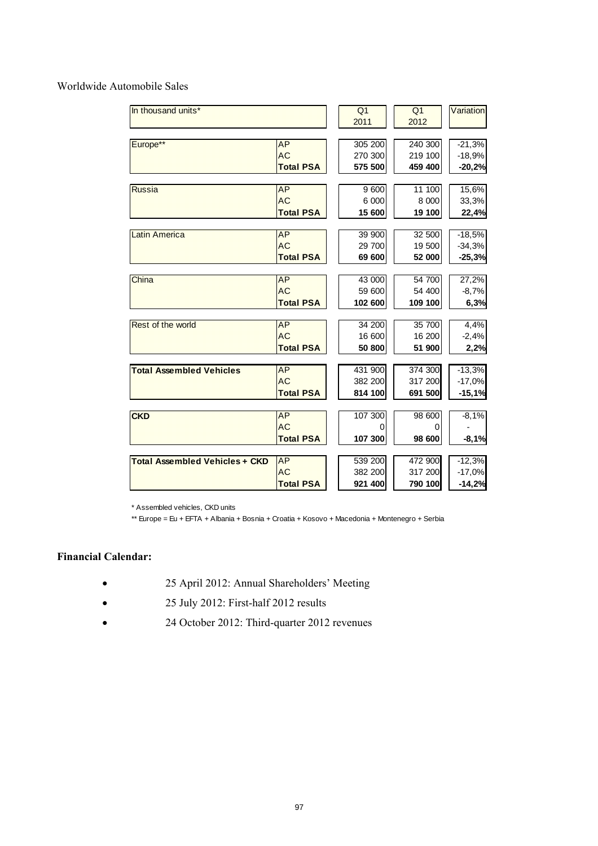Worldwide Automobile Sales

| In thousand units*                    |                  | Q <sub>1</sub> | Q <sub>1</sub> | Variation |
|---------------------------------------|------------------|----------------|----------------|-----------|
|                                       |                  | 2011           | 2012           |           |
|                                       |                  |                |                |           |
| Europe**                              | <b>AP</b>        | 305 200        | 240 300        | $-21,3%$  |
|                                       | <b>AC</b>        | 270 300        | 219 100        | $-18,9%$  |
|                                       | <b>Total PSA</b> | 575 500        | 459 400        | $-20,2%$  |
|                                       |                  |                |                |           |
| <b>Russia</b>                         | <b>AP</b>        | 9600           | 11 100         | 15,6%     |
|                                       | <b>AC</b>        | 6 000          | 8 0 0 0        | 33,3%     |
|                                       | <b>Total PSA</b> | 15 600         | 19 100         | 22,4%     |
|                                       |                  |                |                |           |
| <b>Latin America</b>                  | AP               | 39 900         | 32 500         | $-18,5%$  |
|                                       | <b>AC</b>        | 29 700         | 19 500         | $-34,3%$  |
|                                       | <b>Total PSA</b> | 69 600         | 52 000         | $-25,3%$  |
|                                       |                  |                |                |           |
| China                                 | <b>AP</b>        | 43 000         | 54 700         | 27,2%     |
|                                       | <b>AC</b>        | 59 600         | 54 400         | $-8,7%$   |
|                                       | <b>Total PSA</b> | 102 600        | 109 100        | 6,3%      |
|                                       |                  |                |                |           |
| Rest of the world                     | <b>AP</b>        | 34 200         | 35 700         | 4,4%      |
|                                       | <b>AC</b>        | 16 600         | 16 200         | $-2,4%$   |
|                                       | <b>Total PSA</b> | 50 800         | 51 900         | 2,2%      |
| <b>Total Assembled Vehicles</b>       | <b>AP</b>        | 431 900        | 374 300        | $-13,3%$  |
|                                       | <b>AC</b>        | 382 200        | 317 200        | $-17,0%$  |
|                                       | <b>Total PSA</b> | 814 100        | 691 500        | $-15,1%$  |
|                                       |                  |                |                |           |
| <b>CKD</b>                            | <b>AP</b>        | 107 300        | 98 600         | $-8,1%$   |
|                                       | <b>AC</b>        | 0              | 0              |           |
|                                       | <b>Total PSA</b> | 107 300        | 98 600         | $-8,1%$   |
|                                       |                  |                |                |           |
| <b>Total Assembled Vehicles + CKD</b> | <b>AP</b>        | 539 200        | 472 900        | $-12,3%$  |
|                                       | <b>AC</b>        | 382 200        | 317 200        | $-17,0%$  |
|                                       | <b>Total PSA</b> | 921 400        | 790 100        | $-14,2%$  |

\* Assembled vehicles, CKD units

\*\* Europe = Eu + EFTA + Albania + Bosnia + Croatia + Kosovo + Macedonia + Montenegro + Serbia

# **Financial Calendar:**

- 25 April 2012: Annual Shareholders' Meeting
- 25 July 2012: First-half 2012 results
- 24 October 2012: Third-quarter 2012 revenues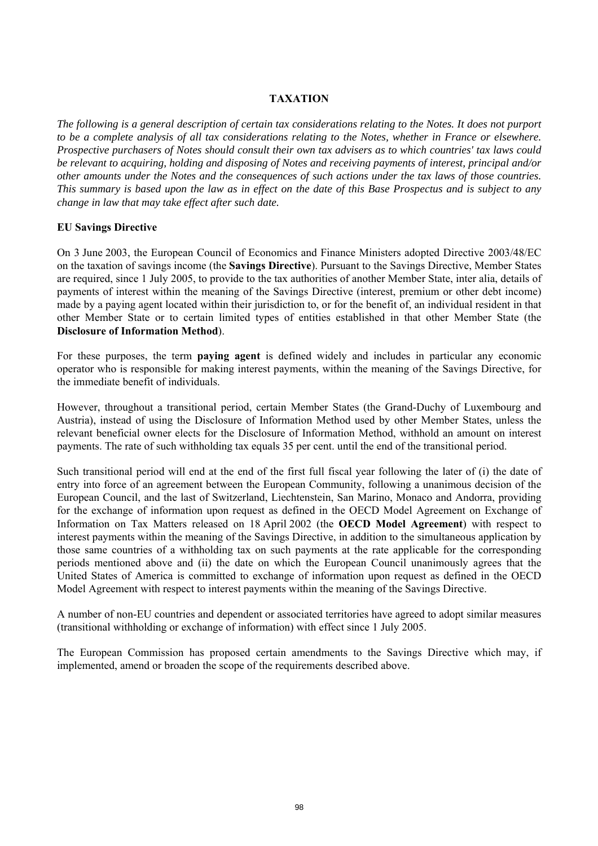## **TAXATION**

*The following is a general description of certain tax considerations relating to the Notes. It does not purport to be a complete analysis of all tax considerations relating to the Notes, whether in France or elsewhere. Prospective purchasers of Notes should consult their own tax advisers as to which countries' tax laws could be relevant to acquiring, holding and disposing of Notes and receiving payments of interest, principal and/or other amounts under the Notes and the consequences of such actions under the tax laws of those countries. This summary is based upon the law as in effect on the date of this Base Prospectus and is subject to any change in law that may take effect after such date.*

#### **EU Savings Directive**

On 3 June 2003, the European Council of Economics and Finance Ministers adopted Directive 2003/48/EC on the taxation of savings income (the **Savings Directive**). Pursuant to the Savings Directive, Member States are required, since 1 July 2005, to provide to the tax authorities of another Member State, inter alia, details of payments of interest within the meaning of the Savings Directive (interest, premium or other debt income) made by a paying agent located within their jurisdiction to, or for the benefit of, an individual resident in that other Member State or to certain limited types of entities established in that other Member State (the **Disclosure of Information Method**).

For these purposes, the term **paying agent** is defined widely and includes in particular any economic operator who is responsible for making interest payments, within the meaning of the Savings Directive, for the immediate benefit of individuals.

However, throughout a transitional period, certain Member States (the Grand-Duchy of Luxembourg and Austria), instead of using the Disclosure of Information Method used by other Member States, unless the relevant beneficial owner elects for the Disclosure of Information Method, withhold an amount on interest payments. The rate of such withholding tax equals 35 per cent. until the end of the transitional period.

Such transitional period will end at the end of the first full fiscal year following the later of (i) the date of entry into force of an agreement between the European Community, following a unanimous decision of the European Council, and the last of Switzerland, Liechtenstein, San Marino, Monaco and Andorra, providing for the exchange of information upon request as defined in the OECD Model Agreement on Exchange of Information on Tax Matters released on 18 April 2002 (the **OECD Model Agreement**) with respect to interest payments within the meaning of the Savings Directive, in addition to the simultaneous application by those same countries of a withholding tax on such payments at the rate applicable for the corresponding periods mentioned above and (ii) the date on which the European Council unanimously agrees that the United States of America is committed to exchange of information upon request as defined in the OECD Model Agreement with respect to interest payments within the meaning of the Savings Directive.

A number of non-EU countries and dependent or associated territories have agreed to adopt similar measures (transitional withholding or exchange of information) with effect since 1 July 2005.

The European Commission has proposed certain amendments to the Savings Directive which may, if implemented, amend or broaden the scope of the requirements described above.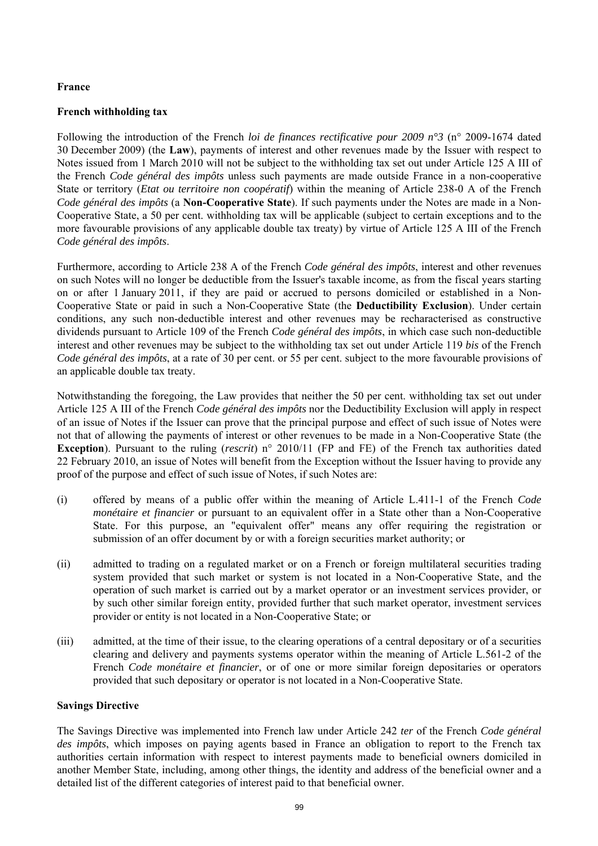## **France**

## **French withholding tax**

Following the introduction of the French *loi de finances rectificative pour 2009 n°3* (n° 2009-1674 dated 30 December 2009) (the **Law**), payments of interest and other revenues made by the Issuer with respect to Notes issued from 1 March 2010 will not be subject to the withholding tax set out under Article 125 A III of the French *Code général des impôts* unless such payments are made outside France in a non-cooperative State or territory (*Etat ou territoire non coopératif*) within the meaning of Article 238-0 A of the French *Code général des impôts* (a **Non-Cooperative State**). If such payments under the Notes are made in a Non-Cooperative State, a 50 per cent. withholding tax will be applicable (subject to certain exceptions and to the more favourable provisions of any applicable double tax treaty) by virtue of Article 125 A III of the French *Code général des impôts*.

Furthermore, according to Article 238 A of the French *Code général des impôts*, interest and other revenues on such Notes will no longer be deductible from the Issuer's taxable income, as from the fiscal years starting on or after 1 January 2011, if they are paid or accrued to persons domiciled or established in a Non-Cooperative State or paid in such a Non-Cooperative State (the **Deductibility Exclusion**). Under certain conditions, any such non-deductible interest and other revenues may be recharacterised as constructive dividends pursuant to Article 109 of the French *Code général des impôts*, in which case such non-deductible interest and other revenues may be subject to the withholding tax set out under Article 119 *bis* of the French *Code général des impôts*, at a rate of 30 per cent. or 55 per cent. subject to the more favourable provisions of an applicable double tax treaty.

Notwithstanding the foregoing, the Law provides that neither the 50 per cent. withholding tax set out under Article 125 A III of the French *Code général des impôts* nor the Deductibility Exclusion will apply in respect of an issue of Notes if the Issuer can prove that the principal purpose and effect of such issue of Notes were not that of allowing the payments of interest or other revenues to be made in a Non-Cooperative State (the **Exception**). Pursuant to the ruling (*rescrit*) n° 2010/11 (FP and FE) of the French tax authorities dated 22 February 2010, an issue of Notes will benefit from the Exception without the Issuer having to provide any proof of the purpose and effect of such issue of Notes, if such Notes are:

- (i) offered by means of a public offer within the meaning of Article L.411-1 of the French *Code monétaire et financier* or pursuant to an equivalent offer in a State other than a Non-Cooperative State. For this purpose, an "equivalent offer" means any offer requiring the registration or submission of an offer document by or with a foreign securities market authority; or
- (ii) admitted to trading on a regulated market or on a French or foreign multilateral securities trading system provided that such market or system is not located in a Non-Cooperative State, and the operation of such market is carried out by a market operator or an investment services provider, or by such other similar foreign entity, provided further that such market operator, investment services provider or entity is not located in a Non-Cooperative State; or
- (iii) admitted, at the time of their issue, to the clearing operations of a central depositary or of a securities clearing and delivery and payments systems operator within the meaning of Article L.561-2 of the French *Code monétaire et financier*, or of one or more similar foreign depositaries or operators provided that such depositary or operator is not located in a Non-Cooperative State.

#### **Savings Directive**

The Savings Directive was implemented into French law under Article 242 *ter* of the French *Code général des impôts*, which imposes on paying agents based in France an obligation to report to the French tax authorities certain information with respect to interest payments made to beneficial owners domiciled in another Member State, including, among other things, the identity and address of the beneficial owner and a detailed list of the different categories of interest paid to that beneficial owner.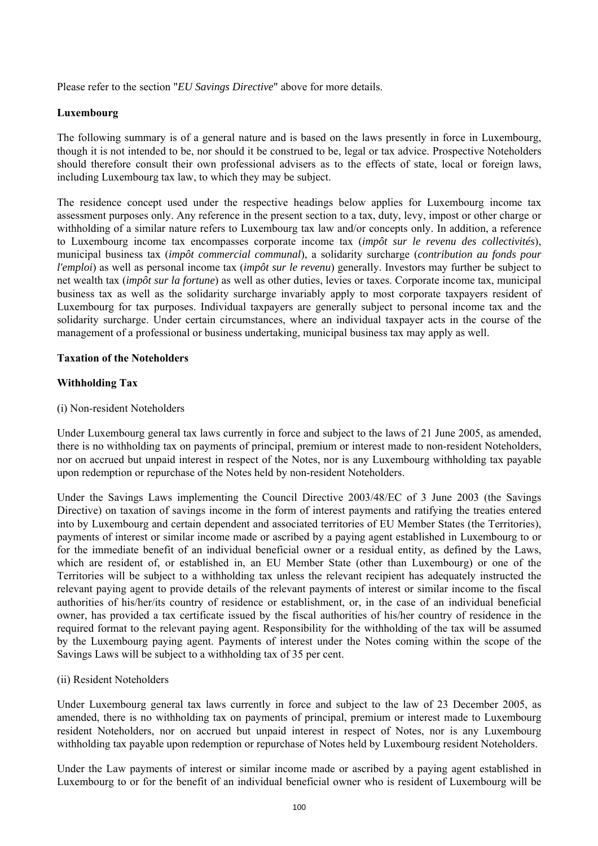Please refer to the section "*EU Savings Directive*" above for more details.

#### **Luxembourg**

The following summary is of a general nature and is based on the laws presently in force in Luxembourg, though it is not intended to be, nor should it be construed to be, legal or tax advice. Prospective Noteholders should therefore consult their own professional advisers as to the effects of state, local or foreign laws, including Luxembourg tax law, to which they may be subject.

The residence concept used under the respective headings below applies for Luxembourg income tax assessment purposes only. Any reference in the present section to a tax, duty, levy, impost or other charge or withholding of a similar nature refers to Luxembourg tax law and/or concepts only. In addition, a reference to Luxembourg income tax encompasses corporate income tax (*impôt sur le revenu des collectivités*), municipal business tax (*impôt commercial communal*), a solidarity surcharge (*contribution au fonds pour l'emploi*) as well as personal income tax (*impôt sur le revenu*) generally. Investors may further be subject to net wealth tax (*impôt sur la fortune*) as well as other duties, levies or taxes. Corporate income tax, municipal business tax as well as the solidarity surcharge invariably apply to most corporate taxpayers resident of Luxembourg for tax purposes. Individual taxpayers are generally subject to personal income tax and the solidarity surcharge. Under certain circumstances, where an individual taxpayer acts in the course of the management of a professional or business undertaking, municipal business tax may apply as well.

#### **Taxation of the Noteholders**

## **Withholding Tax**

(i) Non-resident Noteholders

Under Luxembourg general tax laws currently in force and subject to the laws of 21 June 2005, as amended, there is no withholding tax on payments of principal, premium or interest made to non-resident Noteholders, nor on accrued but unpaid interest in respect of the Notes, nor is any Luxembourg withholding tax payable upon redemption or repurchase of the Notes held by non-resident Noteholders.

Under the Savings Laws implementing the Council Directive 2003/48/EC of 3 June 2003 (the Savings Directive) on taxation of savings income in the form of interest payments and ratifying the treaties entered into by Luxembourg and certain dependent and associated territories of EU Member States (the Territories), payments of interest or similar income made or ascribed by a paying agent established in Luxembourg to or for the immediate benefit of an individual beneficial owner or a residual entity, as defined by the Laws, which are resident of, or established in, an EU Member State (other than Luxembourg) or one of the Territories will be subject to a withholding tax unless the relevant recipient has adequately instructed the relevant paying agent to provide details of the relevant payments of interest or similar income to the fiscal authorities of his/her/its country of residence or establishment, or, in the case of an individual beneficial owner, has provided a tax certificate issued by the fiscal authorities of his/her country of residence in the required format to the relevant paying agent. Responsibility for the withholding of the tax will be assumed by the Luxembourg paying agent. Payments of interest under the Notes coming within the scope of the Savings Laws will be subject to a withholding tax of 35 per cent.

#### (ii) Resident Noteholders

Under Luxembourg general tax laws currently in force and subject to the law of 23 December 2005, as amended, there is no withholding tax on payments of principal, premium or interest made to Luxembourg resident Noteholders, nor on accrued but unpaid interest in respect of Notes, nor is any Luxembourg withholding tax payable upon redemption or repurchase of Notes held by Luxembourg resident Noteholders.

Under the Law payments of interest or similar income made or ascribed by a paying agent established in Luxembourg to or for the benefit of an individual beneficial owner who is resident of Luxembourg will be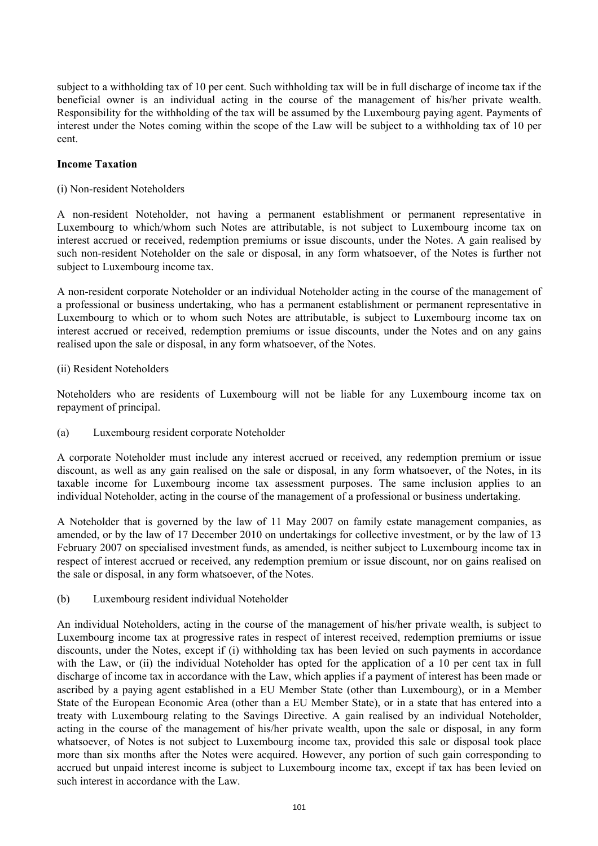subject to a withholding tax of 10 per cent. Such withholding tax will be in full discharge of income tax if the beneficial owner is an individual acting in the course of the management of his/her private wealth. Responsibility for the withholding of the tax will be assumed by the Luxembourg paying agent. Payments of interest under the Notes coming within the scope of the Law will be subject to a withholding tax of 10 per cent.

## **Income Taxation**

#### (i) Non-resident Noteholders

A non-resident Noteholder, not having a permanent establishment or permanent representative in Luxembourg to which/whom such Notes are attributable, is not subject to Luxembourg income tax on interest accrued or received, redemption premiums or issue discounts, under the Notes. A gain realised by such non-resident Noteholder on the sale or disposal, in any form whatsoever, of the Notes is further not subject to Luxembourg income tax.

A non-resident corporate Noteholder or an individual Noteholder acting in the course of the management of a professional or business undertaking, who has a permanent establishment or permanent representative in Luxembourg to which or to whom such Notes are attributable, is subject to Luxembourg income tax on interest accrued or received, redemption premiums or issue discounts, under the Notes and on any gains realised upon the sale or disposal, in any form whatsoever, of the Notes.

## (ii) Resident Noteholders

Noteholders who are residents of Luxembourg will not be liable for any Luxembourg income tax on repayment of principal.

(a) Luxembourg resident corporate Noteholder

A corporate Noteholder must include any interest accrued or received, any redemption premium or issue discount, as well as any gain realised on the sale or disposal, in any form whatsoever, of the Notes, in its taxable income for Luxembourg income tax assessment purposes. The same inclusion applies to an individual Noteholder, acting in the course of the management of a professional or business undertaking.

A Noteholder that is governed by the law of 11 May 2007 on family estate management companies, as amended, or by the law of 17 December 2010 on undertakings for collective investment, or by the law of 13 February 2007 on specialised investment funds, as amended, is neither subject to Luxembourg income tax in respect of interest accrued or received, any redemption premium or issue discount, nor on gains realised on the sale or disposal, in any form whatsoever, of the Notes.

(b) Luxembourg resident individual Noteholder

An individual Noteholders, acting in the course of the management of his/her private wealth, is subject to Luxembourg income tax at progressive rates in respect of interest received, redemption premiums or issue discounts, under the Notes, except if (i) withholding tax has been levied on such payments in accordance with the Law, or (ii) the individual Noteholder has opted for the application of a 10 per cent tax in full discharge of income tax in accordance with the Law, which applies if a payment of interest has been made or ascribed by a paying agent established in a EU Member State (other than Luxembourg), or in a Member State of the European Economic Area (other than a EU Member State), or in a state that has entered into a treaty with Luxembourg relating to the Savings Directive. A gain realised by an individual Noteholder, acting in the course of the management of his/her private wealth, upon the sale or disposal, in any form whatsoever, of Notes is not subject to Luxembourg income tax, provided this sale or disposal took place more than six months after the Notes were acquired. However, any portion of such gain corresponding to accrued but unpaid interest income is subject to Luxembourg income tax, except if tax has been levied on such interest in accordance with the Law.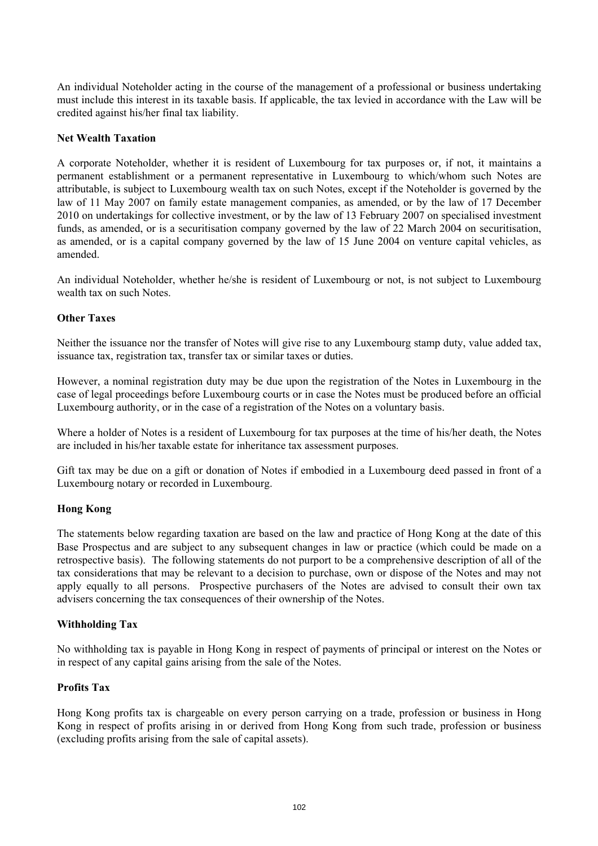An individual Noteholder acting in the course of the management of a professional or business undertaking must include this interest in its taxable basis. If applicable, the tax levied in accordance with the Law will be credited against his/her final tax liability.

#### **Net Wealth Taxation**

A corporate Noteholder, whether it is resident of Luxembourg for tax purposes or, if not, it maintains a permanent establishment or a permanent representative in Luxembourg to which/whom such Notes are attributable, is subject to Luxembourg wealth tax on such Notes, except if the Noteholder is governed by the law of 11 May 2007 on family estate management companies, as amended, or by the law of 17 December 2010 on undertakings for collective investment, or by the law of 13 February 2007 on specialised investment funds, as amended, or is a securitisation company governed by the law of 22 March 2004 on securitisation, as amended, or is a capital company governed by the law of 15 June 2004 on venture capital vehicles, as amended.

An individual Noteholder, whether he/she is resident of Luxembourg or not, is not subject to Luxembourg wealth tax on such Notes.

## **Other Taxes**

Neither the issuance nor the transfer of Notes will give rise to any Luxembourg stamp duty, value added tax, issuance tax, registration tax, transfer tax or similar taxes or duties.

However, a nominal registration duty may be due upon the registration of the Notes in Luxembourg in the case of legal proceedings before Luxembourg courts or in case the Notes must be produced before an official Luxembourg authority, or in the case of a registration of the Notes on a voluntary basis.

Where a holder of Notes is a resident of Luxembourg for tax purposes at the time of his/her death, the Notes are included in his/her taxable estate for inheritance tax assessment purposes.

Gift tax may be due on a gift or donation of Notes if embodied in a Luxembourg deed passed in front of a Luxembourg notary or recorded in Luxembourg.

#### **Hong Kong**

The statements below regarding taxation are based on the law and practice of Hong Kong at the date of this Base Prospectus and are subject to any subsequent changes in law or practice (which could be made on a retrospective basis). The following statements do not purport to be a comprehensive description of all of the tax considerations that may be relevant to a decision to purchase, own or dispose of the Notes and may not apply equally to all persons. Prospective purchasers of the Notes are advised to consult their own tax advisers concerning the tax consequences of their ownership of the Notes.

#### **Withholding Tax**

No withholding tax is payable in Hong Kong in respect of payments of principal or interest on the Notes or in respect of any capital gains arising from the sale of the Notes.

#### **Profits Tax**

Hong Kong profits tax is chargeable on every person carrying on a trade, profession or business in Hong Kong in respect of profits arising in or derived from Hong Kong from such trade, profession or business (excluding profits arising from the sale of capital assets).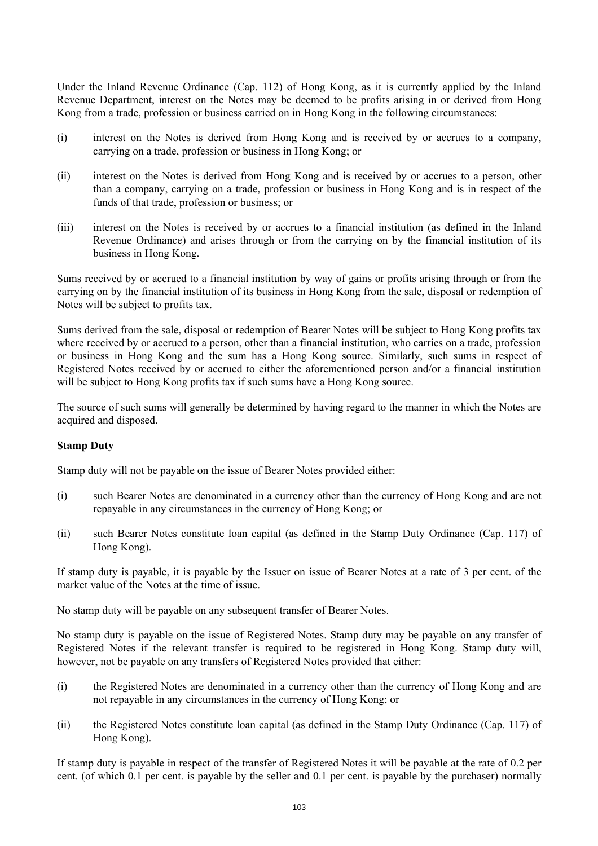Under the Inland Revenue Ordinance (Cap. 112) of Hong Kong, as it is currently applied by the Inland Revenue Department, interest on the Notes may be deemed to be profits arising in or derived from Hong Kong from a trade, profession or business carried on in Hong Kong in the following circumstances:

- (i) interest on the Notes is derived from Hong Kong and is received by or accrues to a company, carrying on a trade, profession or business in Hong Kong; or
- (ii) interest on the Notes is derived from Hong Kong and is received by or accrues to a person, other than a company, carrying on a trade, profession or business in Hong Kong and is in respect of the funds of that trade, profession or business; or
- (iii) interest on the Notes is received by or accrues to a financial institution (as defined in the Inland Revenue Ordinance) and arises through or from the carrying on by the financial institution of its business in Hong Kong.

Sums received by or accrued to a financial institution by way of gains or profits arising through or from the carrying on by the financial institution of its business in Hong Kong from the sale, disposal or redemption of Notes will be subject to profits tax.

Sums derived from the sale, disposal or redemption of Bearer Notes will be subject to Hong Kong profits tax where received by or accrued to a person, other than a financial institution, who carries on a trade, profession or business in Hong Kong and the sum has a Hong Kong source. Similarly, such sums in respect of Registered Notes received by or accrued to either the aforementioned person and/or a financial institution will be subject to Hong Kong profits tax if such sums have a Hong Kong source.

The source of such sums will generally be determined by having regard to the manner in which the Notes are acquired and disposed.

# **Stamp Duty**

Stamp duty will not be payable on the issue of Bearer Notes provided either:

- (i) such Bearer Notes are denominated in a currency other than the currency of Hong Kong and are not repayable in any circumstances in the currency of Hong Kong; or
- (ii) such Bearer Notes constitute loan capital (as defined in the Stamp Duty Ordinance (Cap. 117) of Hong Kong).

If stamp duty is payable, it is payable by the Issuer on issue of Bearer Notes at a rate of 3 per cent. of the market value of the Notes at the time of issue.

No stamp duty will be payable on any subsequent transfer of Bearer Notes.

No stamp duty is payable on the issue of Registered Notes. Stamp duty may be payable on any transfer of Registered Notes if the relevant transfer is required to be registered in Hong Kong. Stamp duty will, however, not be payable on any transfers of Registered Notes provided that either:

- (i) the Registered Notes are denominated in a currency other than the currency of Hong Kong and are not repayable in any circumstances in the currency of Hong Kong; or
- (ii) the Registered Notes constitute loan capital (as defined in the Stamp Duty Ordinance (Cap. 117) of Hong Kong).

If stamp duty is payable in respect of the transfer of Registered Notes it will be payable at the rate of 0.2 per cent. (of which 0.1 per cent. is payable by the seller and 0.1 per cent. is payable by the purchaser) normally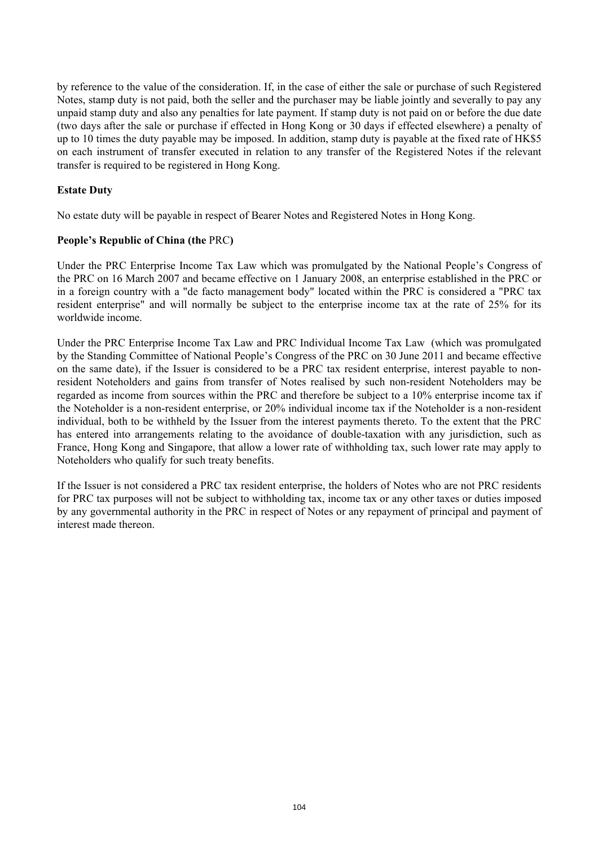by reference to the value of the consideration. If, in the case of either the sale or purchase of such Registered Notes, stamp duty is not paid, both the seller and the purchaser may be liable jointly and severally to pay any unpaid stamp duty and also any penalties for late payment. If stamp duty is not paid on or before the due date (two days after the sale or purchase if effected in Hong Kong or 30 days if effected elsewhere) a penalty of up to 10 times the duty payable may be imposed. In addition, stamp duty is payable at the fixed rate of HK\$5 on each instrument of transfer executed in relation to any transfer of the Registered Notes if the relevant transfer is required to be registered in Hong Kong.

# **Estate Duty**

No estate duty will be payable in respect of Bearer Notes and Registered Notes in Hong Kong.

## **People's Republic of China (the** PRC**)**

Under the PRC Enterprise Income Tax Law which was promulgated by the National People's Congress of the PRC on 16 March 2007 and became effective on 1 January 2008, an enterprise established in the PRC or in a foreign country with a "de facto management body" located within the PRC is considered a "PRC tax resident enterprise" and will normally be subject to the enterprise income tax at the rate of 25% for its worldwide income.

Under the PRC Enterprise Income Tax Law and PRC Individual Income Tax Law (which was promulgated by the Standing Committee of National People's Congress of the PRC on 30 June 2011 and became effective on the same date), if the Issuer is considered to be a PRC tax resident enterprise, interest payable to nonresident Noteholders and gains from transfer of Notes realised by such non-resident Noteholders may be regarded as income from sources within the PRC and therefore be subject to a 10% enterprise income tax if the Noteholder is a non-resident enterprise, or 20% individual income tax if the Noteholder is a non-resident individual, both to be withheld by the Issuer from the interest payments thereto. To the extent that the PRC has entered into arrangements relating to the avoidance of double-taxation with any jurisdiction, such as France, Hong Kong and Singapore, that allow a lower rate of withholding tax, such lower rate may apply to Noteholders who qualify for such treaty benefits.

If the Issuer is not considered a PRC tax resident enterprise, the holders of Notes who are not PRC residents for PRC tax purposes will not be subject to withholding tax, income tax or any other taxes or duties imposed by any governmental authority in the PRC in respect of Notes or any repayment of principal and payment of interest made thereon.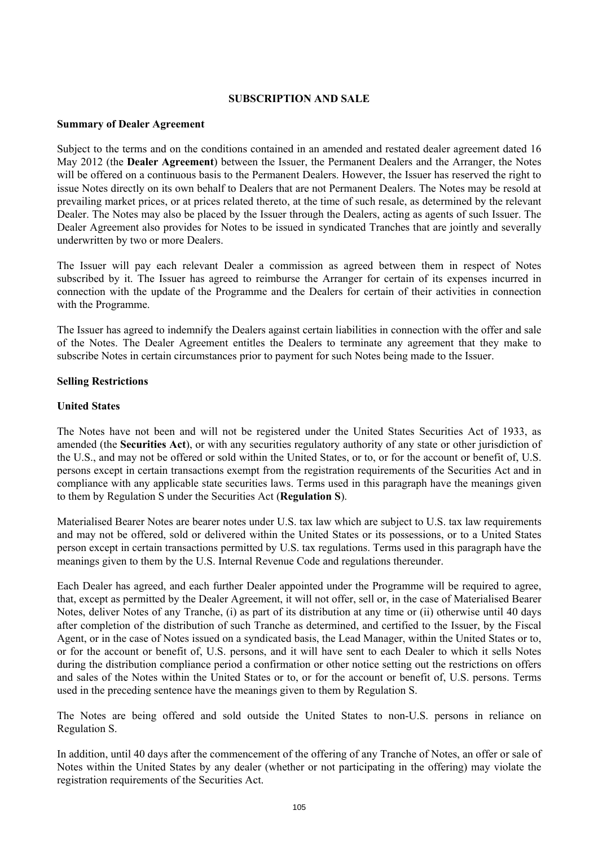#### **SUBSCRIPTION AND SALE**

#### **Summary of Dealer Agreement**

Subject to the terms and on the conditions contained in an amended and restated dealer agreement dated 16 May 2012 (the **Dealer Agreement**) between the Issuer, the Permanent Dealers and the Arranger, the Notes will be offered on a continuous basis to the Permanent Dealers. However, the Issuer has reserved the right to issue Notes directly on its own behalf to Dealers that are not Permanent Dealers. The Notes may be resold at prevailing market prices, or at prices related thereto, at the time of such resale, as determined by the relevant Dealer. The Notes may also be placed by the Issuer through the Dealers, acting as agents of such Issuer. The Dealer Agreement also provides for Notes to be issued in syndicated Tranches that are jointly and severally underwritten by two or more Dealers.

The Issuer will pay each relevant Dealer a commission as agreed between them in respect of Notes subscribed by it. The Issuer has agreed to reimburse the Arranger for certain of its expenses incurred in connection with the update of the Programme and the Dealers for certain of their activities in connection with the Programme.

The Issuer has agreed to indemnify the Dealers against certain liabilities in connection with the offer and sale of the Notes. The Dealer Agreement entitles the Dealers to terminate any agreement that they make to subscribe Notes in certain circumstances prior to payment for such Notes being made to the Issuer.

#### **Selling Restrictions**

#### **United States**

The Notes have not been and will not be registered under the United States Securities Act of 1933, as amended (the **Securities Act**), or with any securities regulatory authority of any state or other jurisdiction of the U.S., and may not be offered or sold within the United States, or to, or for the account or benefit of, U.S. persons except in certain transactions exempt from the registration requirements of the Securities Act and in compliance with any applicable state securities laws. Terms used in this paragraph have the meanings given to them by Regulation S under the Securities Act (**Regulation S**).

Materialised Bearer Notes are bearer notes under U.S. tax law which are subject to U.S. tax law requirements and may not be offered, sold or delivered within the United States or its possessions, or to a United States person except in certain transactions permitted by U.S. tax regulations. Terms used in this paragraph have the meanings given to them by the U.S. Internal Revenue Code and regulations thereunder.

Each Dealer has agreed, and each further Dealer appointed under the Programme will be required to agree, that, except as permitted by the Dealer Agreement, it will not offer, sell or, in the case of Materialised Bearer Notes, deliver Notes of any Tranche, (i) as part of its distribution at any time or (ii) otherwise until 40 days after completion of the distribution of such Tranche as determined, and certified to the Issuer, by the Fiscal Agent, or in the case of Notes issued on a syndicated basis, the Lead Manager, within the United States or to, or for the account or benefit of, U.S. persons, and it will have sent to each Dealer to which it sells Notes during the distribution compliance period a confirmation or other notice setting out the restrictions on offers and sales of the Notes within the United States or to, or for the account or benefit of, U.S. persons. Terms used in the preceding sentence have the meanings given to them by Regulation S.

The Notes are being offered and sold outside the United States to non-U.S. persons in reliance on Regulation S.

In addition, until 40 days after the commencement of the offering of any Tranche of Notes, an offer or sale of Notes within the United States by any dealer (whether or not participating in the offering) may violate the registration requirements of the Securities Act.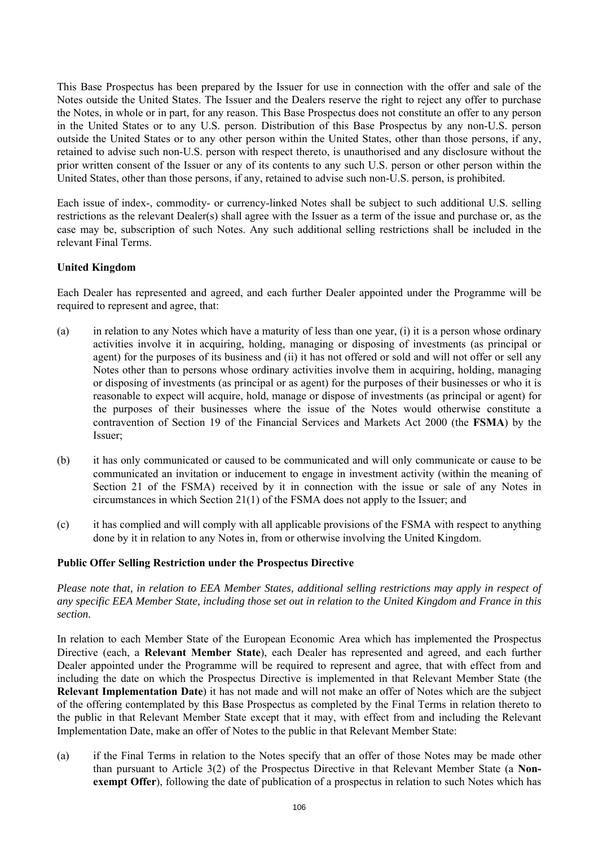This Base Prospectus has been prepared by the Issuer for use in connection with the offer and sale of the Notes outside the United States. The Issuer and the Dealers reserve the right to reject any offer to purchase the Notes, in whole or in part, for any reason. This Base Prospectus does not constitute an offer to any person in the United States or to any U.S. person. Distribution of this Base Prospectus by any non-U.S. person outside the United States or to any other person within the United States, other than those persons, if any, retained to advise such non-U.S. person with respect thereto, is unauthorised and any disclosure without the prior written consent of the Issuer or any of its contents to any such U.S. person or other person within the United States, other than those persons, if any, retained to advise such non-U.S. person, is prohibited.

Each issue of index-, commodity- or currency-linked Notes shall be subject to such additional U.S. selling restrictions as the relevant Dealer(s) shall agree with the Issuer as a term of the issue and purchase or, as the case may be, subscription of such Notes. Any such additional selling restrictions shall be included in the relevant Final Terms.

## **United Kingdom**

Each Dealer has represented and agreed, and each further Dealer appointed under the Programme will be required to represent and agree, that:

- (a) in relation to any Notes which have a maturity of less than one year, (i) it is a person whose ordinary activities involve it in acquiring, holding, managing or disposing of investments (as principal or agent) for the purposes of its business and (ii) it has not offered or sold and will not offer or sell any Notes other than to persons whose ordinary activities involve them in acquiring, holding, managing or disposing of investments (as principal or as agent) for the purposes of their businesses or who it is reasonable to expect will acquire, hold, manage or dispose of investments (as principal or agent) for the purposes of their businesses where the issue of the Notes would otherwise constitute a contravention of Section 19 of the Financial Services and Markets Act 2000 (the **FSMA**) by the Issuer;
- (b) it has only communicated or caused to be communicated and will only communicate or cause to be communicated an invitation or inducement to engage in investment activity (within the meaning of Section 21 of the FSMA) received by it in connection with the issue or sale of any Notes in circumstances in which Section 21(1) of the FSMA does not apply to the Issuer; and
- (c) it has complied and will comply with all applicable provisions of the FSMA with respect to anything done by it in relation to any Notes in, from or otherwise involving the United Kingdom.

#### **Public Offer Selling Restriction under the Prospectus Directive**

*Please note that, in relation to EEA Member States, additional selling restrictions may apply in respect of any specific EEA Member State, including those set out in relation to the United Kingdom and France in this section.* 

In relation to each Member State of the European Economic Area which has implemented the Prospectus Directive (each, a **Relevant Member State**), each Dealer has represented and agreed, and each further Dealer appointed under the Programme will be required to represent and agree, that with effect from and including the date on which the Prospectus Directive is implemented in that Relevant Member State (the **Relevant Implementation Date**) it has not made and will not make an offer of Notes which are the subject of the offering contemplated by this Base Prospectus as completed by the Final Terms in relation thereto to the public in that Relevant Member State except that it may, with effect from and including the Relevant Implementation Date, make an offer of Notes to the public in that Relevant Member State:

(a) if the Final Terms in relation to the Notes specify that an offer of those Notes may be made other than pursuant to Article 3(2) of the Prospectus Directive in that Relevant Member State (a **Nonexempt Offer**), following the date of publication of a prospectus in relation to such Notes which has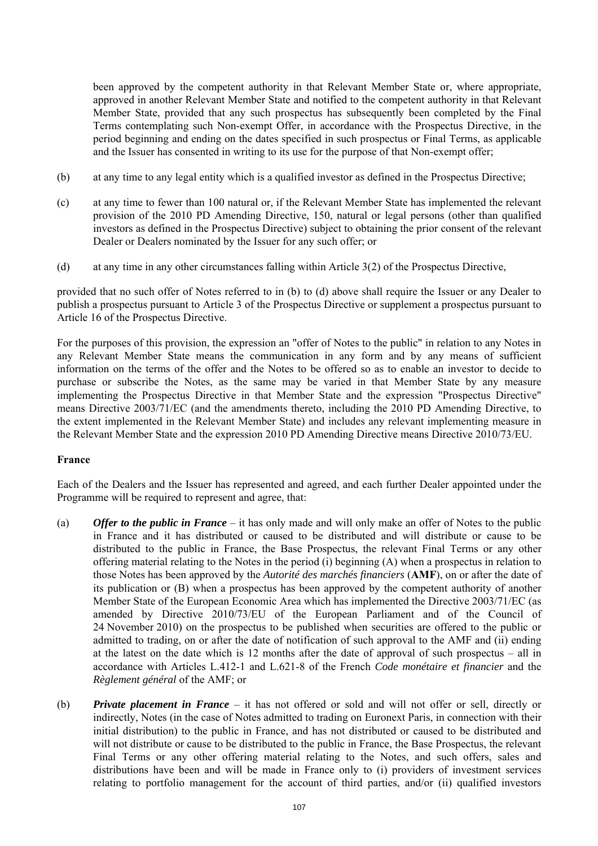been approved by the competent authority in that Relevant Member State or, where appropriate, approved in another Relevant Member State and notified to the competent authority in that Relevant Member State, provided that any such prospectus has subsequently been completed by the Final Terms contemplating such Non-exempt Offer, in accordance with the Prospectus Directive, in the period beginning and ending on the dates specified in such prospectus or Final Terms, as applicable and the Issuer has consented in writing to its use for the purpose of that Non-exempt offer;

- (b) at any time to any legal entity which is a qualified investor as defined in the Prospectus Directive;
- (c) at any time to fewer than 100 natural or, if the Relevant Member State has implemented the relevant provision of the 2010 PD Amending Directive, 150, natural or legal persons (other than qualified investors as defined in the Prospectus Directive) subject to obtaining the prior consent of the relevant Dealer or Dealers nominated by the Issuer for any such offer; or
- (d) at any time in any other circumstances falling within Article 3(2) of the Prospectus Directive,

provided that no such offer of Notes referred to in (b) to (d) above shall require the Issuer or any Dealer to publish a prospectus pursuant to Article 3 of the Prospectus Directive or supplement a prospectus pursuant to Article 16 of the Prospectus Directive.

For the purposes of this provision, the expression an "offer of Notes to the public" in relation to any Notes in any Relevant Member State means the communication in any form and by any means of sufficient information on the terms of the offer and the Notes to be offered so as to enable an investor to decide to purchase or subscribe the Notes, as the same may be varied in that Member State by any measure implementing the Prospectus Directive in that Member State and the expression "Prospectus Directive" means Directive 2003/71/EC (and the amendments thereto, including the 2010 PD Amending Directive, to the extent implemented in the Relevant Member State) and includes any relevant implementing measure in the Relevant Member State and the expression 2010 PD Amending Directive means Directive 2010/73/EU.

# **France**

Each of the Dealers and the Issuer has represented and agreed, and each further Dealer appointed under the Programme will be required to represent and agree, that:

- (a) *Offer to the public in France* it has only made and will only make an offer of Notes to the public in France and it has distributed or caused to be distributed and will distribute or cause to be distributed to the public in France, the Base Prospectus, the relevant Final Terms or any other offering material relating to the Notes in the period (i) beginning (A) when a prospectus in relation to those Notes has been approved by the *Autorité des marchés financiers* (**AMF**), on or after the date of its publication or (B) when a prospectus has been approved by the competent authority of another Member State of the European Economic Area which has implemented the Directive 2003/71/EC (as amended by Directive 2010/73/EU of the European Parliament and of the Council of 24 November 2010) on the prospectus to be published when securities are offered to the public or admitted to trading, on or after the date of notification of such approval to the AMF and (ii) ending at the latest on the date which is 12 months after the date of approval of such prospectus – all in accordance with Articles L.412-1 and L.621-8 of the French *Code monétaire et financier* and the *Règlement général* of the AMF; or
- (b) *Private placement in France* it has not offered or sold and will not offer or sell, directly or indirectly, Notes (in the case of Notes admitted to trading on Euronext Paris, in connection with their initial distribution) to the public in France, and has not distributed or caused to be distributed and will not distribute or cause to be distributed to the public in France, the Base Prospectus, the relevant Final Terms or any other offering material relating to the Notes, and such offers, sales and distributions have been and will be made in France only to (i) providers of investment services relating to portfolio management for the account of third parties, and/or (ii) qualified investors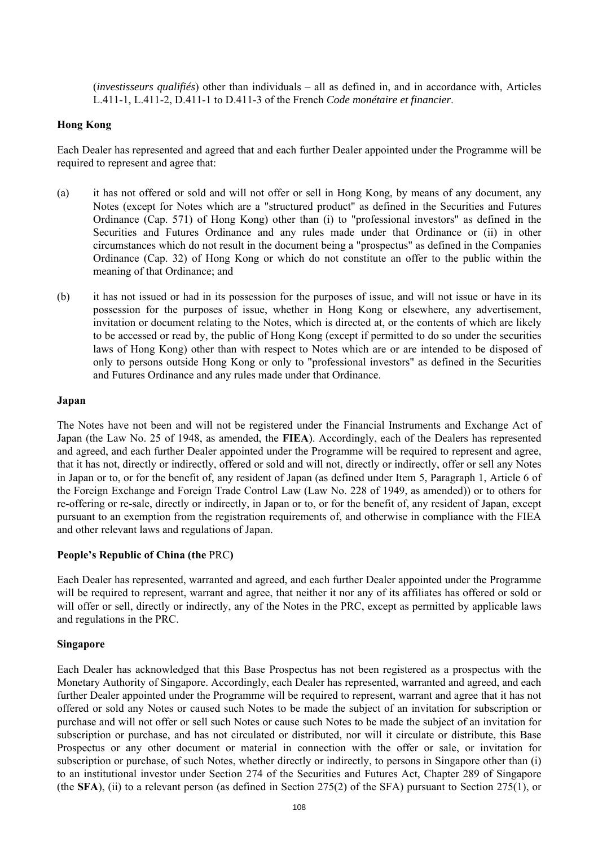(*investisseurs qualifiés*) other than individuals – all as defined in, and in accordance with, Articles L.411-1, L.411-2, D.411-1 to D.411-3 of the French *Code monétaire et financier*.

#### **Hong Kong**

Each Dealer has represented and agreed that and each further Dealer appointed under the Programme will be required to represent and agree that:

- (a) it has not offered or sold and will not offer or sell in Hong Kong, by means of any document, any Notes (except for Notes which are a "structured product" as defined in the Securities and Futures Ordinance (Cap. 571) of Hong Kong) other than (i) to "professional investors" as defined in the Securities and Futures Ordinance and any rules made under that Ordinance or (ii) in other circumstances which do not result in the document being a "prospectus" as defined in the Companies Ordinance (Cap. 32) of Hong Kong or which do not constitute an offer to the public within the meaning of that Ordinance; and
- (b) it has not issued or had in its possession for the purposes of issue, and will not issue or have in its possession for the purposes of issue, whether in Hong Kong or elsewhere, any advertisement, invitation or document relating to the Notes, which is directed at, or the contents of which are likely to be accessed or read by, the public of Hong Kong (except if permitted to do so under the securities laws of Hong Kong) other than with respect to Notes which are or are intended to be disposed of only to persons outside Hong Kong or only to "professional investors" as defined in the Securities and Futures Ordinance and any rules made under that Ordinance.

#### **Japan**

The Notes have not been and will not be registered under the Financial Instruments and Exchange Act of Japan (the Law No. 25 of 1948, as amended, the **FIEA**). Accordingly, each of the Dealers has represented and agreed, and each further Dealer appointed under the Programme will be required to represent and agree, that it has not, directly or indirectly, offered or sold and will not, directly or indirectly, offer or sell any Notes in Japan or to, or for the benefit of, any resident of Japan (as defined under Item 5, Paragraph 1, Article 6 of the Foreign Exchange and Foreign Trade Control Law (Law No. 228 of 1949, as amended)) or to others for re-offering or re-sale, directly or indirectly, in Japan or to, or for the benefit of, any resident of Japan, except pursuant to an exemption from the registration requirements of, and otherwise in compliance with the FIEA and other relevant laws and regulations of Japan.

#### **People's Republic of China (the** PRC**)**

Each Dealer has represented, warranted and agreed, and each further Dealer appointed under the Programme will be required to represent, warrant and agree, that neither it nor any of its affiliates has offered or sold or will offer or sell, directly or indirectly, any of the Notes in the PRC, except as permitted by applicable laws and regulations in the PRC.

#### **Singapore**

Each Dealer has acknowledged that this Base Prospectus has not been registered as a prospectus with the Monetary Authority of Singapore. Accordingly, each Dealer has represented, warranted and agreed, and each further Dealer appointed under the Programme will be required to represent, warrant and agree that it has not offered or sold any Notes or caused such Notes to be made the subject of an invitation for subscription or purchase and will not offer or sell such Notes or cause such Notes to be made the subject of an invitation for subscription or purchase, and has not circulated or distributed, nor will it circulate or distribute, this Base Prospectus or any other document or material in connection with the offer or sale, or invitation for subscription or purchase, of such Notes, whether directly or indirectly, to persons in Singapore other than (i) to an institutional investor under Section 274 of the Securities and Futures Act, Chapter 289 of Singapore (the **SFA**), (ii) to a relevant person (as defined in Section 275(2) of the SFA) pursuant to Section 275(1), or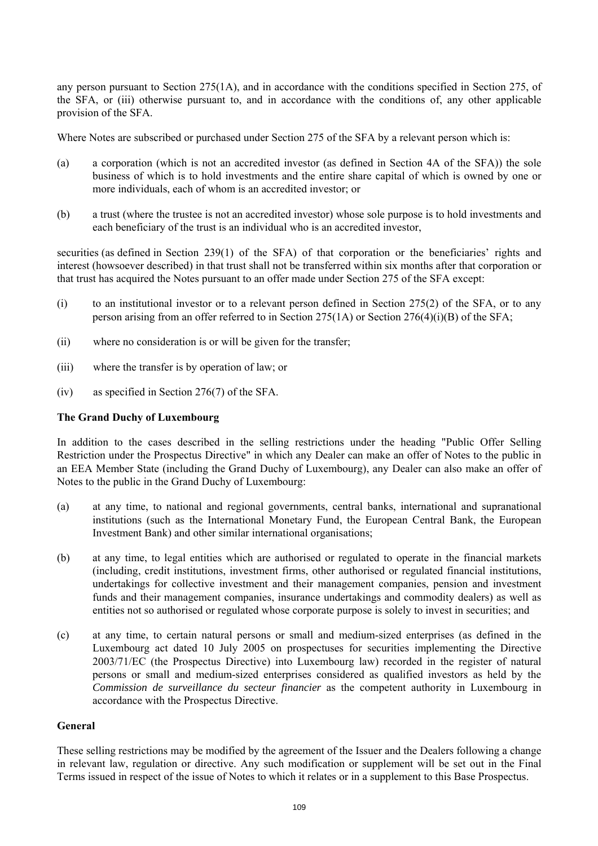any person pursuant to Section 275(1A), and in accordance with the conditions specified in Section 275, of the SFA, or (iii) otherwise pursuant to, and in accordance with the conditions of, any other applicable provision of the SFA.

Where Notes are subscribed or purchased under Section 275 of the SFA by a relevant person which is:

- (a) a corporation (which is not an accredited investor (as defined in Section 4A of the SFA)) the sole business of which is to hold investments and the entire share capital of which is owned by one or more individuals, each of whom is an accredited investor; or
- (b) a trust (where the trustee is not an accredited investor) whose sole purpose is to hold investments and each beneficiary of the trust is an individual who is an accredited investor,

securities (as defined in Section 239(1) of the SFA) of that corporation or the beneficiaries' rights and interest (howsoever described) in that trust shall not be transferred within six months after that corporation or that trust has acquired the Notes pursuant to an offer made under Section 275 of the SFA except:

- (i) to an institutional investor or to a relevant person defined in Section 275(2) of the SFA, or to any person arising from an offer referred to in Section 275(1A) or Section 276(4)(i)(B) of the SFA;
- (ii) where no consideration is or will be given for the transfer;
- (iii) where the transfer is by operation of law; or
- (iv) as specified in Section 276(7) of the SFA.

## **The Grand Duchy of Luxembourg**

In addition to the cases described in the selling restrictions under the heading "Public Offer Selling Restriction under the Prospectus Directive" in which any Dealer can make an offer of Notes to the public in an EEA Member State (including the Grand Duchy of Luxembourg), any Dealer can also make an offer of Notes to the public in the Grand Duchy of Luxembourg:

- (a) at any time, to national and regional governments, central banks, international and supranational institutions (such as the International Monetary Fund, the European Central Bank, the European Investment Bank) and other similar international organisations;
- (b) at any time, to legal entities which are authorised or regulated to operate in the financial markets (including, credit institutions, investment firms, other authorised or regulated financial institutions, undertakings for collective investment and their management companies, pension and investment funds and their management companies, insurance undertakings and commodity dealers) as well as entities not so authorised or regulated whose corporate purpose is solely to invest in securities; and
- (c) at any time, to certain natural persons or small and medium-sized enterprises (as defined in the Luxembourg act dated 10 July 2005 on prospectuses for securities implementing the Directive 2003/71/EC (the Prospectus Directive) into Luxembourg law) recorded in the register of natural persons or small and medium-sized enterprises considered as qualified investors as held by the *Commission de surveillance du secteur financier* as the competent authority in Luxembourg in accordance with the Prospectus Directive.

## **General**

These selling restrictions may be modified by the agreement of the Issuer and the Dealers following a change in relevant law, regulation or directive. Any such modification or supplement will be set out in the Final Terms issued in respect of the issue of Notes to which it relates or in a supplement to this Base Prospectus.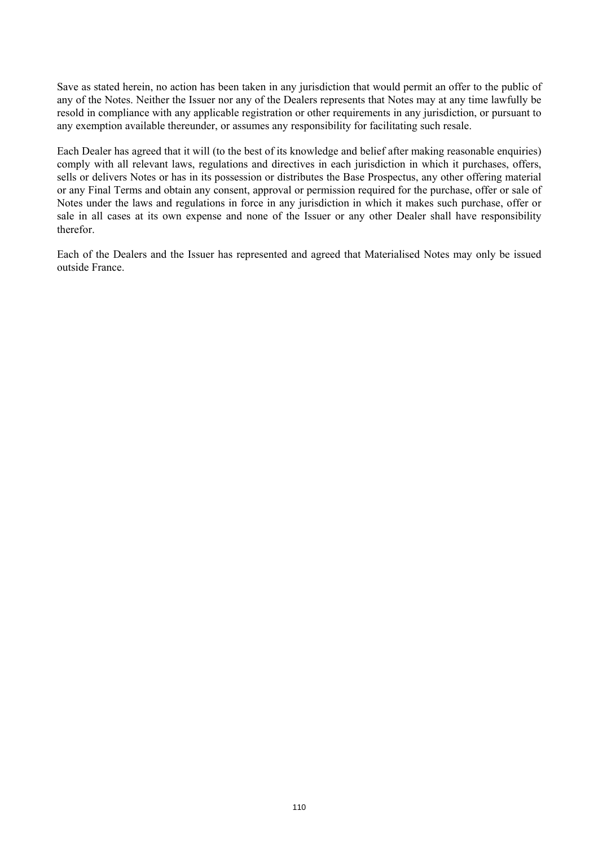Save as stated herein, no action has been taken in any jurisdiction that would permit an offer to the public of any of the Notes. Neither the Issuer nor any of the Dealers represents that Notes may at any time lawfully be resold in compliance with any applicable registration or other requirements in any jurisdiction, or pursuant to any exemption available thereunder, or assumes any responsibility for facilitating such resale.

Each Dealer has agreed that it will (to the best of its knowledge and belief after making reasonable enquiries) comply with all relevant laws, regulations and directives in each jurisdiction in which it purchases, offers, sells or delivers Notes or has in its possession or distributes the Base Prospectus, any other offering material or any Final Terms and obtain any consent, approval or permission required for the purchase, offer or sale of Notes under the laws and regulations in force in any jurisdiction in which it makes such purchase, offer or sale in all cases at its own expense and none of the Issuer or any other Dealer shall have responsibility therefor.

Each of the Dealers and the Issuer has represented and agreed that Materialised Notes may only be issued outside France.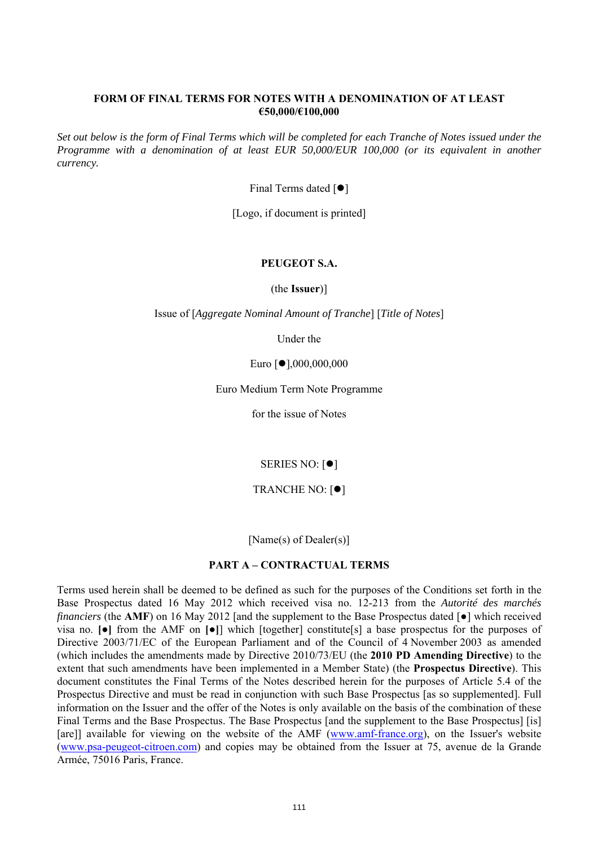#### **FORM OF FINAL TERMS FOR NOTES WITH A DENOMINATION OF AT LEAST €50,000/€100,000**

*Set out below is the form of Final Terms which will be completed for each Tranche of Notes issued under the Programme with a denomination of at least EUR 50,000/EUR 100,000 (or its equivalent in another currency.*

Final Terms dated  $[•]$ 

[Logo, if document is printed]

# **PEUGEOT S.A.**

(the **Issuer**)]

Issue of [*Aggregate Nominal Amount of Tranche*] [*Title of Notes*]

Under the

Euro [●],000,000,000

Euro Medium Term Note Programme

for the issue of Notes

SERIES NO:  $[•]$ 

TRANCHE NO:  $[•]$ 

[Name(s) of Dealer(s)]

## **PART A – CONTRACTUAL TERMS**

Terms used herein shall be deemed to be defined as such for the purposes of the Conditions set forth in the Base Prospectus dated 16 May 2012 which received visa no. 12-213 from the *Autorité des marchés financiers* (the **AMF**) on 16 May 2012 [and the supplement to the Base Prospectus dated [ $\bullet$ ] which received visa no. **[●]** from the AMF on **[●]**] which [together] constitute[s] a base prospectus for the purposes of Directive 2003/71/EC of the European Parliament and of the Council of 4 November 2003 as amended (which includes the amendments made by Directive 2010/73/EU (the **2010 PD Amending Directive**) to the extent that such amendments have been implemented in a Member State) (the **Prospectus Directive**). This document constitutes the Final Terms of the Notes described herein for the purposes of Article 5.4 of the Prospectus Directive and must be read in conjunction with such Base Prospectus [as so supplemented]. Full information on the Issuer and the offer of the Notes is only available on the basis of the combination of these Final Terms and the Base Prospectus. The Base Prospectus [and the supplement to the Base Prospectus] [is] [are]] available for viewing on the website of the AMF (www.amf-france.org), on the Issuer's website (www.psa-peugeot-citroen.com) and copies may be obtained from the Issuer at 75, avenue de la Grande Armée, 75016 Paris, France.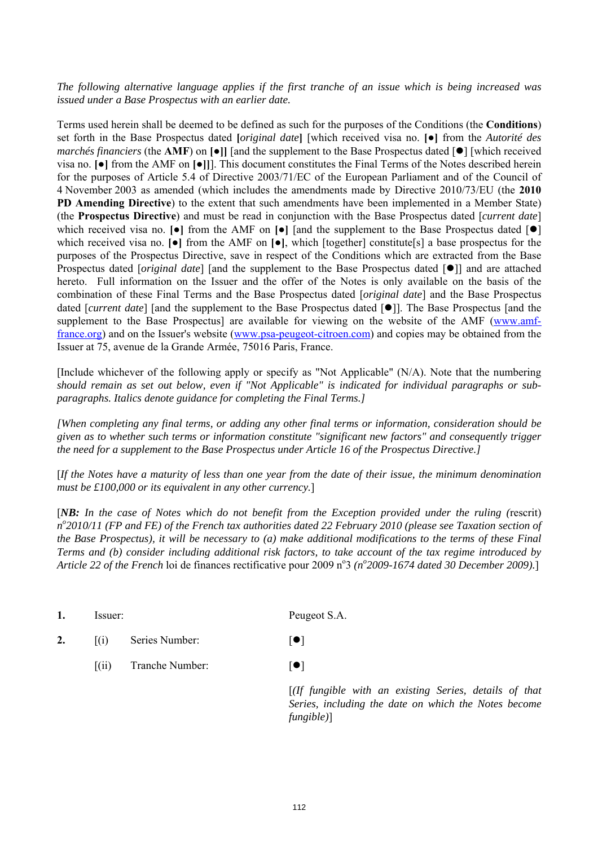## *The following alternative language applies if the first tranche of an issue which is being increased was issued under a Base Prospectus with an earlier date.*

Terms used herein shall be deemed to be defined as such for the purposes of the Conditions (the **Conditions**) set forth in the Base Prospectus dated **[***original date***]** [which received visa no. **[●]** from the *Autorité des marchés financiers* (the **AMF**) on  $\text{[•]}$  [and the supplement to the Base Prospectus dated  $\text{[•]}$  [which received visa no. **[●]** from the AMF on **[●]]**]. This document constitutes the Final Terms of the Notes described herein for the purposes of Article 5.4 of Directive 2003/71/EC of the European Parliament and of the Council of 4 November 2003 as amended (which includes the amendments made by Directive 2010/73/EU (the **2010 PD Amending Directive**) to the extent that such amendments have been implemented in a Member State) (the **Prospectus Directive**) and must be read in conjunction with the Base Prospectus dated [*current date*] which received visa no.  $[\bullet]$  from the AMF on  $[\bullet]$  [and the supplement to the Base Prospectus dated  $[\bullet]$ which received visa no. **[●]** from the AMF on **[●]**, which [together] constitute[s] a base prospectus for the purposes of the Prospectus Directive, save in respect of the Conditions which are extracted from the Base Prospectus dated [*original date*] [and the supplement to the Base Prospectus dated [ $\bullet$ ]] and are attached hereto. Full information on the Issuer and the offer of the Notes is only available on the basis of the combination of these Final Terms and the Base Prospectus dated [*original date*] and the Base Prospectus dated [*current date*] [and the supplement to the Base Prospectus dated [ $\bullet$ ]]. The Base Prospectus [and the supplement to the Base Prospectus] are available for viewing on the website of the AMF (www.amffrance.org) and on the Issuer's website (www.psa-peugeot-citroen.com) and copies may be obtained from the Issuer at 75, avenue de la Grande Armée, 75016 Paris, France.

[Include whichever of the following apply or specify as "Not Applicable" (N/A). Note that the numbering *should remain as set out below, even if "Not Applicable" is indicated for individual paragraphs or subparagraphs. Italics denote guidance for completing the Final Terms.]*

*[When completing any final terms, or adding any other final terms or information, consideration should be given as to whether such terms or information constitute "significant new factors" and consequently trigger the need for a supplement to the Base Prospectus under Article 16 of the Prospectus Directive.]*

[*If the Notes have a maturity of less than one year from the date of their issue, the minimum denomination must be £100,000 or its equivalent in any other currency.*]

[*NB: In the case of Notes which do not benefit from the Exception provided under the ruling (*rescrit) *no 2010/11 (FP and FE) of the French tax authorities dated 22 February 2010 (please see Taxation section of the Base Prospectus), it will be necessary to (a) make additional modifications to the terms of these Final Terms and (b) consider including additional risk factors, to take account of the tax regime introduced by*  Article 22 of the French loi de finances rectificative pour 2009 n<sup>o</sup> 3 (n<sup>o</sup> 2009-1674 dated 30 December 2009).]

| 1. | Issuer:          |                 | Peugeot S.A.                  |
|----|------------------|-----------------|-------------------------------|
| 2. | (1)              | Series Number:  | $  \bullet  $                 |
|    | $\left  \right $ | Tranche Number: | $  \bullet  $                 |
|    |                  |                 | $[$ (If fungible<br>- - - - - |

 $with$  an existing Series, details of that *Series, including the date on which the Notes become fungible)*]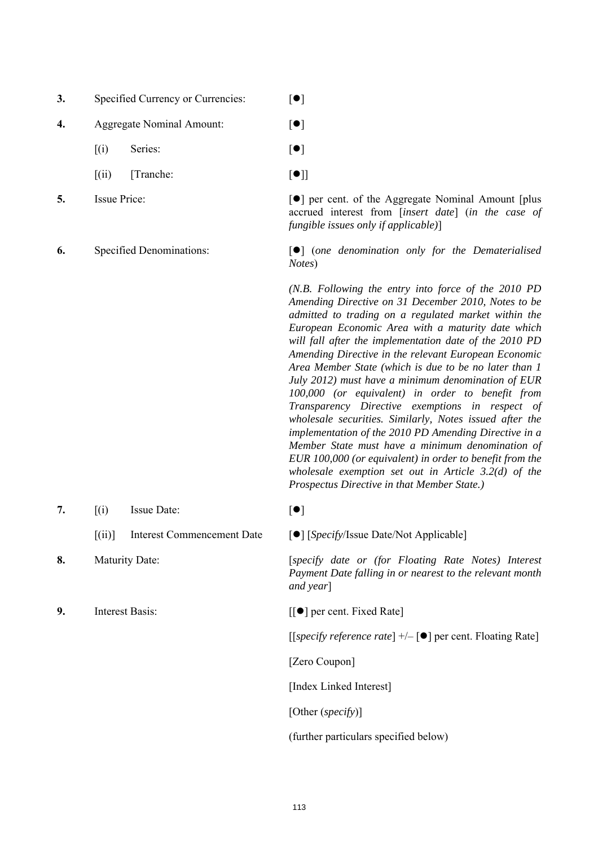| 3. | Specified Currency or Currencies: | $\lceil \bullet \rceil$ |
|----|-----------------------------------|-------------------------|
|    |                                   |                         |

- 4. Aggregate Nominal Amount:  $\begin{bmatrix} \bullet \\ \bullet \end{bmatrix}$ 
	- $[(i)$  Series:  $[•]$
	- $[(ii)$  [Tranche:  $[①]$ ]

**5.** Issue Price:  $\begin{bmatrix} \bullet \\ \bullet \end{bmatrix}$  per cent. of the Aggregate Nominal Amount [plus accrued interest from [*insert date*] (*in the case of fungible issues only if applicable)*]

**6.** Specified Denominations:  $\begin{bmatrix} \bullet \\ \bullet \end{bmatrix}$  (*one denomination only for the Dematerialised Notes*)

> *(N.B. Following the entry into force of the 2010 PD Amending Directive on 31 December 2010, Notes to be admitted to trading on a regulated market within the European Economic Area with a maturity date which will fall after the implementation date of the 2010 PD Amending Directive in the relevant European Economic Area Member State (which is due to be no later than 1 July 2012) must have a minimum denomination of EUR 100,000 (or equivalent) in order to benefit from Transparency Directive exemptions in respect of wholesale securities. Similarly, Notes issued after the implementation of the 2010 PD Amending Directive in a Member State must have a minimum denomination of EUR 100,000 (or equivalent) in order to benefit from the wholesale exemption set out in Article 3.2(d) of the Prospectus Directive in that Member State.)*

**7.**  $[(i)$  Issue Date:  $[0]$ 

[(ii)] Interest Commencement Date  $[\bullet]$  [*Specify*/Issue Date/Not Applicable]

**8.** Maturity Date: [*specify date or (for Floating Rate Notes) Interest Payment Date falling in or nearest to the relevant month and year*]

**9.** Interest Basis:  $\begin{bmatrix} \bullet \end{bmatrix}$  per cent. Fixed Rate

[[*specify reference rate*]  $+/-$  [ $\bullet$ ] per cent. Floating Rate]

[Zero Coupon]

[Index Linked Interest]

[Other (*specify*)]

(further particulars specified below)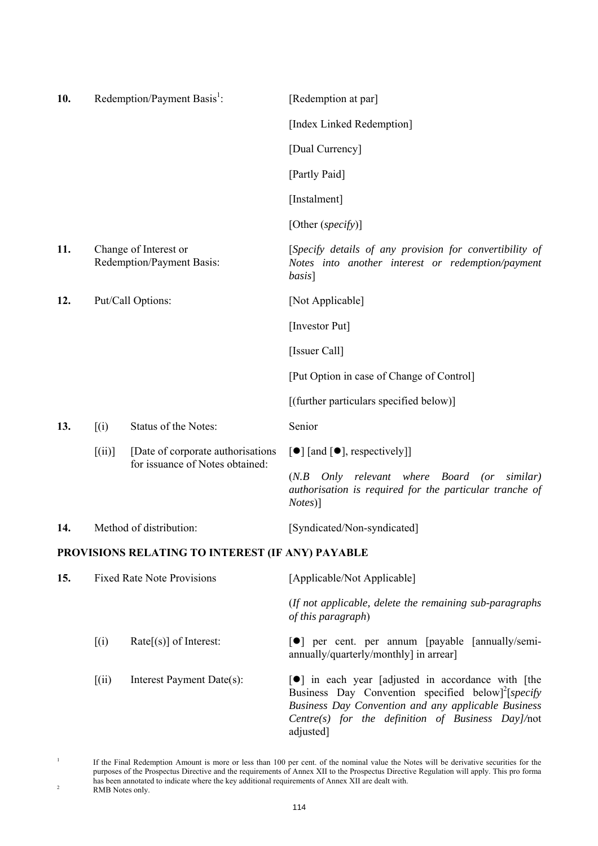| 10. |           | Redemption/Payment Basis <sup>1</sup> :                               | [Redemption at par]                                                                                                                                                                                                                                     |
|-----|-----------|-----------------------------------------------------------------------|---------------------------------------------------------------------------------------------------------------------------------------------------------------------------------------------------------------------------------------------------------|
|     |           |                                                                       | [Index Linked Redemption]                                                                                                                                                                                                                               |
|     |           |                                                                       | [Dual Currency]                                                                                                                                                                                                                                         |
|     |           |                                                                       | [Partly Paid]                                                                                                                                                                                                                                           |
|     |           |                                                                       | [Instalment]                                                                                                                                                                                                                                            |
|     |           |                                                                       | [Other (specify)]                                                                                                                                                                                                                                       |
| 11. |           | Change of Interest or<br>Redemption/Payment Basis:                    | [Specify details of any provision for convertibility of<br>Notes into another interest or redemption/payment<br><i>basis</i> ]                                                                                                                          |
| 12. |           | Put/Call Options:                                                     | [Not Applicable]                                                                                                                                                                                                                                        |
|     |           |                                                                       | [Investor Put]                                                                                                                                                                                                                                          |
|     |           |                                                                       | [Issuer Call]                                                                                                                                                                                                                                           |
|     |           |                                                                       | [Put Option in case of Change of Control]                                                                                                                                                                                                               |
|     |           |                                                                       | [(further particulars specified below)]                                                                                                                                                                                                                 |
| 13. | (i)       | Status of the Notes:                                                  | Senior                                                                                                                                                                                                                                                  |
|     | $[$ (ii)] | [Date of corporate authorisations]<br>for issuance of Notes obtained: | $\left[\bullet\right]$ [and $\left[\bullet\right]$ , respectively]]                                                                                                                                                                                     |
|     |           |                                                                       | $(N.B$ Only relevant where Board (or similar)<br>authorisation is required for the particular tranche of<br><i>Notes</i> )]                                                                                                                             |
| 14. |           | Method of distribution:                                               | [Syndicated/Non-syndicated]                                                                                                                                                                                                                             |
|     |           | PROVISIONS RELATING TO INTEREST (IF ANY) PAYABLE                      |                                                                                                                                                                                                                                                         |
| 15. |           | <b>Fixed Rate Note Provisions</b>                                     | [Applicable/Not Applicable]                                                                                                                                                                                                                             |
|     |           |                                                                       | (If not applicable, delete the remaining sub-paragraphs<br>of this paragraph)                                                                                                                                                                           |
|     | (i)       | $Rate[s]$ of Interest:                                                | <b>[</b> •] per cent. per annum [payable [annually/semi-<br>annually/quarterly/monthly] in arrear]                                                                                                                                                      |
|     | [(ii)]    | Interest Payment Date(s):                                             | <b>•</b> The in each year [adjusted in accordance with [the<br>Business Day Convention specified below] <sup>2</sup> [specify]<br>Business Day Convention and any applicable Business<br>Centre(s) for the definition of Business Day]/not<br>adjusted] |

<sup>1</sup>

If the Final Redemption Amount is more or less than 100 per cent. of the nominal value the Notes will be derivative securities for the purposes of the Prospectus Directive and the requirements of Annex XII to the Prospectus Directive Regulation will apply. This pro forma has been annotated to indicate where the key additional requirements of Annex XII are dealt with.<br>RMB Notes only.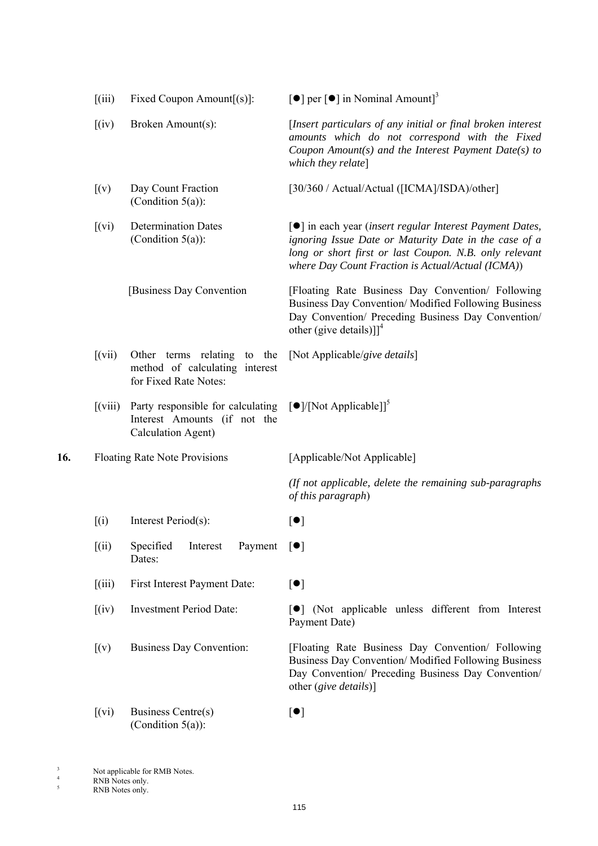|     | (iii)                                   | Fixed Coupon Amount $[(s)]$ :                                                           | [ $\bullet$ ] per [ $\bullet$ ] in Nominal Amount] <sup>3</sup>                                                                                                                                                                  |
|-----|-----------------------------------------|-----------------------------------------------------------------------------------------|----------------------------------------------------------------------------------------------------------------------------------------------------------------------------------------------------------------------------------|
|     | (iv)                                    | Broken Amount(s):                                                                       | [Insert particulars of any initial or final broken interest<br>amounts which do not correspond with the Fixed<br>Coupon Amount(s) and the Interest Payment Date(s) to<br>which they relate]                                      |
|     | (x)                                     | Day Count Fraction<br>(Condition $5(a)$ ):                                              | [30/360 / Actual/Actual ([ICMA]/ISDA)/other]                                                                                                                                                                                     |
|     | [(vi)]                                  | <b>Determination Dates</b><br>(Condition $5(a)$ ):                                      | [●] in each year (insert regular Interest Payment Dates,<br>ignoring Issue Date or Maturity Date in the case of a<br>long or short first or last Coupon. N.B. only relevant<br>where Day Count Fraction is Actual/Actual (ICMA)) |
|     |                                         | [Business Day Convention]                                                               | [Floating Rate Business Day Convention/ Following<br>Business Day Convention/Modified Following Business<br>Day Convention/ Preceding Business Day Convention/<br>other (give details)]] <sup>4</sup>                            |
|     | (xii)                                   | Other terms relating to the<br>method of calculating interest<br>for Fixed Rate Notes:  | [Not Applicable/give details]                                                                                                                                                                                                    |
|     | $\left[\left(\text{viii}\right)\right]$ | Party responsible for calculating<br>Interest Amounts (if not the<br>Calculation Agent) | $\left[\bullet\right] / [\text{Not Applied}]^5$                                                                                                                                                                                  |
| 16. |                                         | <b>Floating Rate Note Provisions</b>                                                    | [Applicable/Not Applicable]                                                                                                                                                                                                      |
|     |                                         |                                                                                         | (If not applicable, delete the remaining sub-paragraphs<br>of this paragraph)                                                                                                                                                    |
|     | (i)                                     | Interest Period(s):                                                                     | $[\bullet]$                                                                                                                                                                                                                      |
|     | (iii)                                   | Specified<br>Payment<br>Interest<br>Dates:                                              | $\lceil \bullet \rceil$                                                                                                                                                                                                          |
|     | $\left[$ (iii)                          | First Interest Payment Date:                                                            | [•]                                                                                                                                                                                                                              |
|     | (iv)                                    | <b>Investment Period Date:</b>                                                          | [ $\bullet$ ] (Not applicable unless different from Interest<br>Payment Date)                                                                                                                                                    |
|     | (x)                                     | <b>Business Day Convention:</b>                                                         | [Floating Rate Business Day Convention/ Following<br>Business Day Convention/Modified Following Business<br>Day Convention/ Preceding Business Day Convention/<br>other (give details)]                                          |
|     | [(vi)]                                  | <b>Business Centre(s)</b><br>(Condition $5(a)$ ):                                       | [•]                                                                                                                                                                                                                              |

3

4

5

Not applicable for RMB Notes.

RNB Notes only.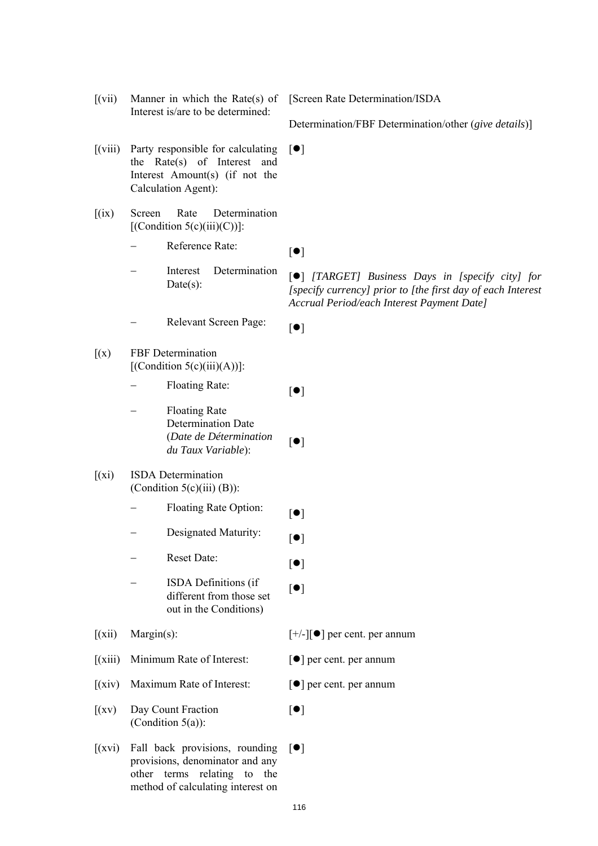$[(vii)$  Manner in which the Rate(s) of Interest is/are to be determined:

[Screen Rate Determination/ISDA

Determination/FBF Determination/other (*give details*)]

- [(viii) Party responsible for calculating the Rate(s) of Interest and Interest Amount(s) (if not the Calculation Agent):  $[•]$
- [(ix) Screen Rate Determination  $[$ (Condition 5(c)(iii)(C))]:
	- Reference Rate:  $[\bullet]$
	- Interest Determination
	- Relevant Screen Page:  $[•]$
- [(x) FBF Determination  $[$ (Condition 5(c)(iii)(A))]:
	- Floating Rate:  $\begin{bmatrix} \bullet \end{bmatrix}$
	- Floating Rate Determination Date (*Date de Détermination du Taux Variable*): [<sup>1</sup>]
- [(xi) ISDA Determination (Condition  $5(c)(iii)$  (B)):
	- Floating Rate Option:  $[•]$
	- Designated Maturity:  $[•]$
	- Reset Date:  $[•]$
	- ISDA Definitions (if different from those set out in the Conditions)
- $[(xii)$  Margin(s):  $[+/][\bullet]$  per cent. per annum
- $[(xiii)$  Minimum Rate of Interest:  $[①]$  per cent. per annum
- $[(xiv)$  Maximum Rate of Interest:  $[①]$  per cent. per annum
- [(xv) Day Count Fraction (Condition 5(a)):
- $[(xvi)$  Fall back provisions, rounding  $[\bullet]$ provisions, denominator and any other terms relating to the method of calculating interest on

merest Determination [<sup>o</sup>] *[TARGET] Business Days in [specify city] for* Date(s): *[specify currency] prior to [the first day of each Interest Accrual Period/each Interest Payment Date]*

 $[•]$ 

 $[•]$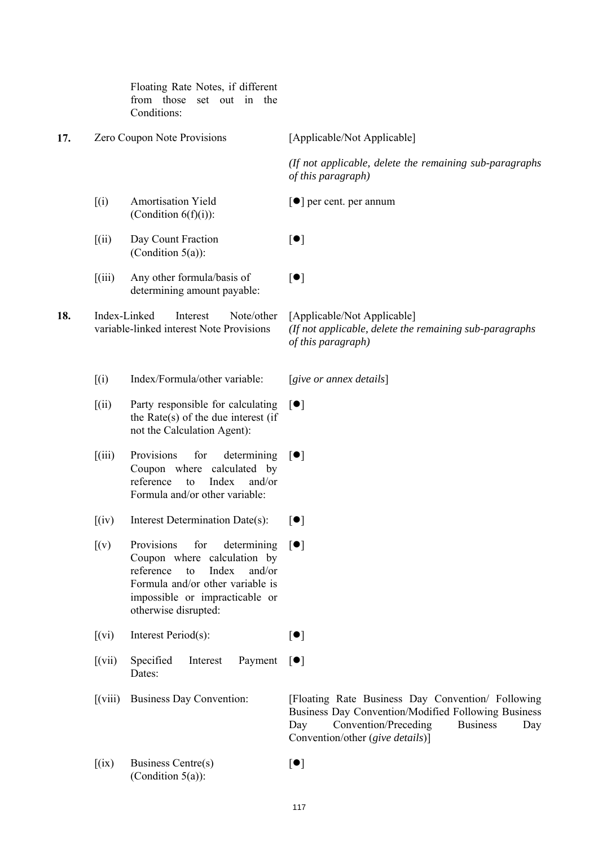|     |                                         | Floating Rate Notes, if different<br>from those<br>set out in the<br>Conditions:                                                                                                                    |                                                                                                                                                                                                       |
|-----|-----------------------------------------|-----------------------------------------------------------------------------------------------------------------------------------------------------------------------------------------------------|-------------------------------------------------------------------------------------------------------------------------------------------------------------------------------------------------------|
| 17. |                                         | Zero Coupon Note Provisions                                                                                                                                                                         | [Applicable/Not Applicable]                                                                                                                                                                           |
|     |                                         |                                                                                                                                                                                                     | (If not applicable, delete the remaining sub-paragraphs<br>of this paragraph)                                                                                                                         |
|     | (i)                                     | <b>Amortisation Yield</b><br>(Condition $6(f)(i)$ ):                                                                                                                                                | $\lceil \bullet \rceil$ per cent. per annum                                                                                                                                                           |
|     | (iii)                                   | Day Count Fraction<br>(Condition $5(a)$ ):                                                                                                                                                          | $[\bullet]$                                                                                                                                                                                           |
|     | $\left[\left(iii\right)\right]$         | Any other formula/basis of<br>determining amount payable:                                                                                                                                           | $\lceil \bullet \rceil$                                                                                                                                                                               |
| 18. |                                         | Index-Linked<br>Note/other<br>Interest<br>variable-linked interest Note Provisions                                                                                                                  | [Applicable/Not Applicable]<br>(If not applicable, delete the remaining sub-paragraphs<br>of this paragraph)                                                                                          |
|     | (i)                                     | Index/Formula/other variable:                                                                                                                                                                       | [sive or annex details]                                                                                                                                                                               |
|     | (iii)                                   | Party responsible for calculating<br>the Rate $(s)$ of the due interest (if<br>not the Calculation Agent):                                                                                          | $\lceil \bullet \rceil$                                                                                                                                                                               |
|     | (iii)                                   | Provisions<br>for<br>determining<br>Coupon where calculated by<br>reference<br>Index<br>and/or<br>to<br>Formula and/or other variable:                                                              | $\lceil \bullet \rceil$                                                                                                                                                                               |
|     | (iv)                                    | Interest Determination Date(s):                                                                                                                                                                     | $\lceil \bullet \rceil$                                                                                                                                                                               |
|     | [(v)]                                   | Provisions<br>for<br>determining<br>Coupon where calculation by<br>reference<br>Index<br>and/or<br>to<br>Formula and/or other variable is<br>impossible or impracticable or<br>otherwise disrupted: | $\lceil \bullet \rceil$                                                                                                                                                                               |
|     | (xi)                                    | Interest Period(s):                                                                                                                                                                                 | [•]                                                                                                                                                                                                   |
|     | $[$ (vii)                               | Specified<br>Interest<br>Payment<br>Dates:                                                                                                                                                          | $\lceil \bullet \rceil$                                                                                                                                                                               |
|     | $\left[\left(\text{viii}\right)\right]$ | <b>Business Day Convention:</b>                                                                                                                                                                     | [Floating Rate Business Day Convention/ Following<br>Business Day Convention/Modified Following Business<br>Convention/Preceding<br><b>Business</b><br>Day<br>Day<br>Convention/other (give details)] |
|     | (ix)                                    | Business Centre(s)<br>(Condition $5(a)$ ):                                                                                                                                                          | [•]                                                                                                                                                                                                   |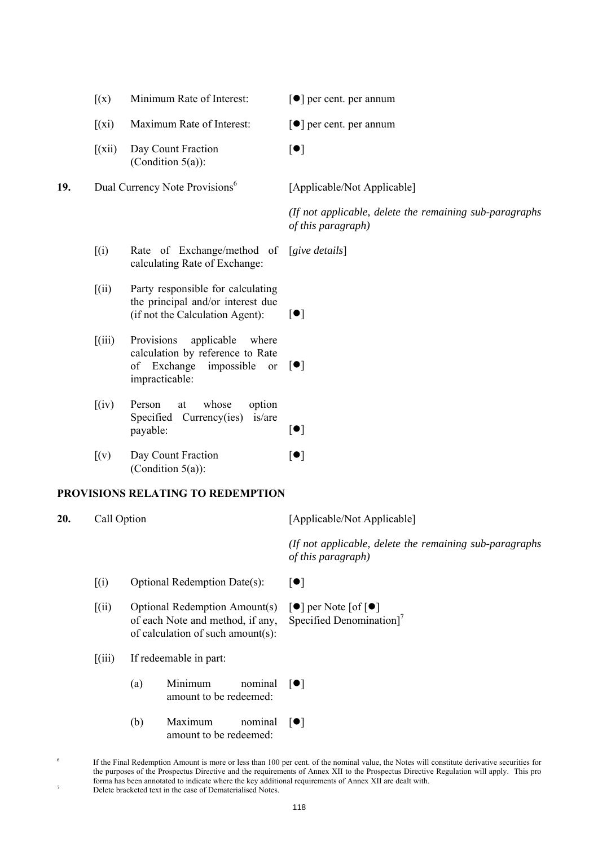| (x)<br>Minimum Rate of Interest:<br>$\lceil \bullet \rceil$ per cent. per annum |  |
|---------------------------------------------------------------------------------|--|
|---------------------------------------------------------------------------------|--|

 $[•]$ 

[Applicable/Not Applicable]

*of this paragraph)*

*(If not applicable, delete the remaining sub-paragraphs* 

- $[(xi)$  Maximum Rate of Interest:  $[①]$  per cent. per annum
- [(xii) Day Count Fraction (Condition 5(a)):

**19.** Dual Currency Note Provisions<sup>6</sup>

[(i) Rate of Exchange/method of [*give details*] calculating Rate of Exchange:

- [(ii) Party responsible for calculating the principal and/or interest due (if not the Calculation Agent):  $[\bullet]$
- [(iii) Provisions applicable where calculation by reference to Rate of Exchange impossible or impracticable:  $\lceil \bullet \rceil$
- [(iv) Person at whose option Specified Currency(ies) is/are  $\Box$  payable:  $\Box$
- [(v) Day Count Fraction (Condition 5(a)):  $[•]$

## **PROVISIONS RELATING TO REDEMPTION**

**20.** Call Option [Applicable/Not Applicable]

*(If not applicable, delete the remaining sub-paragraphs of this paragraph)*

- $[(i)$  Optional Redemption Date(s):  $[\bullet]$
- [(ii) Optional Redemption Amount(s) of each Note and method, if any, of calculation of such amount(s):  $\lceil \bullet \rceil$  per Note  $\lceil \bullet \rceil$ Specified Denomination]<sup>7</sup>
- [(iii) If redeemable in part:
	- $(a)$  Minimum amount to be redeemed: nominal  $[\bullet]$
	- $(b)$  Maximum amount to be redeemed: nominal  $[\bullet]$
- 6 If the Final Redemption Amount is more or less than 100 per cent. of the nominal value, the Notes will constitute derivative securities for the purposes of the Prospectus Directive and the requirements of Annex XII to the Prospectus Directive Regulation will apply. This pro forma has been annotated to indicate where the key additional requirements of Annex XII are dealt with. Delete bracketed text in the case of Dematerialised Notes.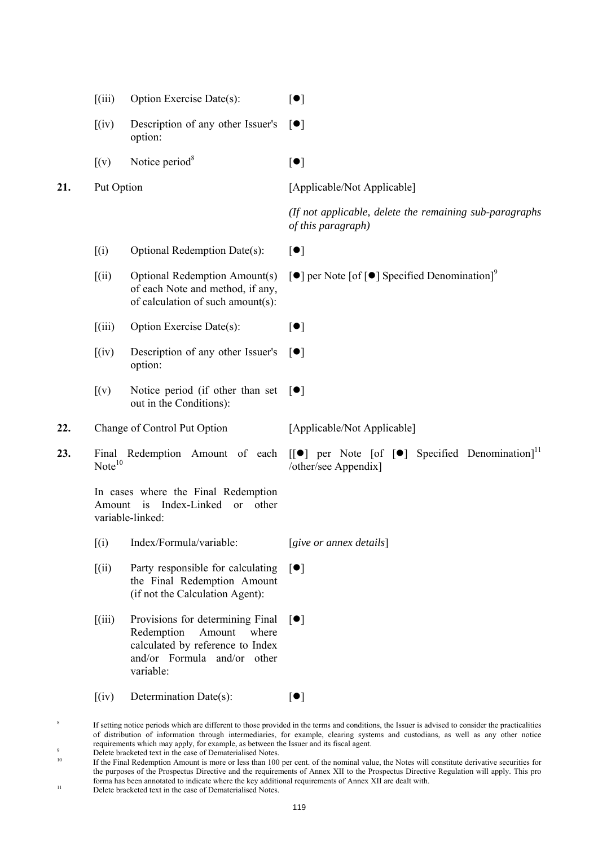| (iii) | Option Exercise Date(s): | $\lceil \bullet \rceil$ |
|-------|--------------------------|-------------------------|
|-------|--------------------------|-------------------------|

[(iv) Description of any other Issuer's option:  $\lceil \bullet \rceil$ 

 $[(v)$  Notice period<sup>8</sup>

 $[•]$ 

**21.** Put Option [Applicable/Not Applicable]

/other/see Appendix]

*(If not applicable, delete the remaining sub-paragraphs of this paragraph)*

- $[(i)$  Optional Redemption Date(s):  $[•]$
- [(ii) Optional Redemption Amount(s) of each Note and method, if any, of calculation of such amount(s):  $\lceil \bullet \rceil$  per Note  $\lceil \bullet \rceil$  Specified Denomination $\rceil^9$
- $[(iii)$  Option Exercise Date(s):  $[•]$
- [(iv) Description of any other Issuer's option:  $\lceil \bullet \rceil$
- $[(v)$  Notice period (if other than set  $[\bullet]$ out in the Conditions):
- 22. Change of Control Put Option [Applicable/Not Applicable]
- **23.** Final Redemption Amount of each  $[[\bullet]]$  per Note  $[\circ]$  Specified Denomination<sup> $]$ 1</sup>  $Note<sup>10</sup>$

In cases where the Final Redemption Amount is Index-Linked or other variable-linked:

- [(i) Index/Formula/variable: [*give or annex details*]
- [(ii) Party responsible for calculating the Final Redemption Amount (if not the Calculation Agent):  $\lceil \bullet \rceil$
- [(iii) Provisions for determining Final Redemption Amount where calculated by reference to Index and/or Formula and/or other variable:  $\lceil \bullet \rceil$
- $[(iv)$  Determination Date(s):  $[•]$

 If setting notice periods which are different to those provided in the terms and conditions, the Issuer is advised to consider the practicalities of distribution of information through intermediaries, for example, clearing systems and custodians, as well as any other notice requirements which may apply, for example, as between the Issuer and its fiscal agent. 9

8

<sup>&</sup>lt;sup>9</sup><br>Delete bracketed text in the case of Dematerialised Notes.

<sup>10</sup> If the Final Redemption Amount is more or less than 100 per cent. of the nominal value, the Notes will constitute derivative securities for the purposes of the Prospectus Directive and the requirements of Annex XII to the Prospectus Directive Regulation will apply. This pro forma has been annotated to indicate where the key additional requirements of Annex XII are dealt with. 11 Delete bracketed text in the case of Dematerialised Notes.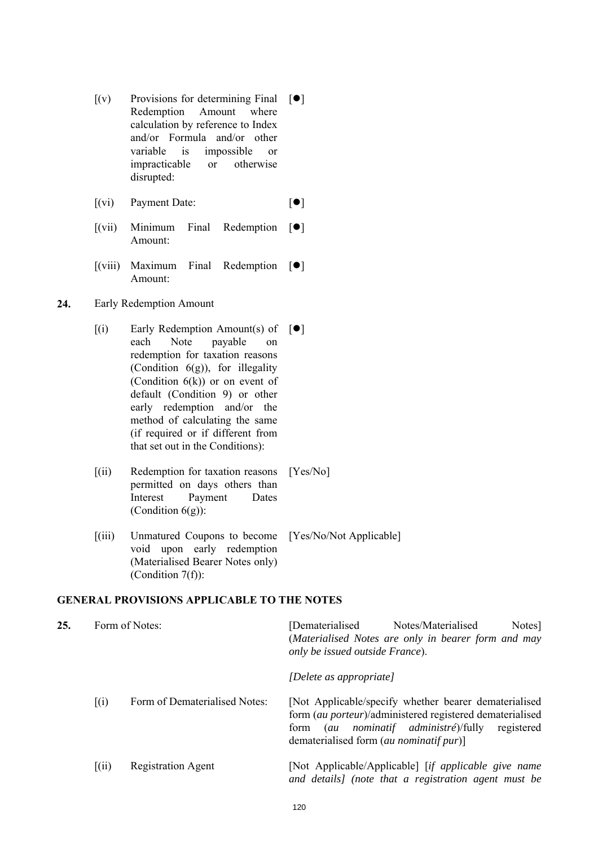- $[(v)$  Provisions for determining Final  $[\bullet]$ Redemption Amount where calculation by reference to Index and/or Formula and/or other variable is impossible or impracticable or otherwise disrupted:
- $[(vi)$  Payment Date:  $[①]$
- $[(vii)$  Minimum Final Amount: Redemption  $[\bullet]$
- $[(viii)$  Maximum Final Amount: Redemption  $[\bullet]$
- **24.** Early Redemption Amount
	- $[(i)$  Early Redemption Amount(s) of  $[\bullet]$ each Note payable on redemption for taxation reasons (Condition  $6(g)$ ), for illegality (Condition  $6(k)$ ) or on event of default (Condition 9) or other early redemption and/or the method of calculating the same (if required or if different from that set out in the Conditions):
	- [(ii) Redemption for taxation reasons [Yes/No] permitted on days others than Interest Payment Dates (Condition  $6(g)$ ):
	- [(iii) Unmatured Coupons to become [Yes/No/Not Applicable] void upon early redemption (Materialised Bearer Notes only) (Condition 7(f)):

# **GENERAL PROVISIONS APPLICABLE TO THE NOTES**

| 25. |               | Form of Notes:                | [Dematerialised<br>Notes/Materialised<br>Notes <sup>[1]</sup><br>(Materialised Notes are only in bearer form and may<br>only be issued outside France).                                                                         |
|-----|---------------|-------------------------------|---------------------------------------------------------------------------------------------------------------------------------------------------------------------------------------------------------------------------------|
|     |               |                               | [Delete as appropriate]                                                                                                                                                                                                         |
|     | (i)           | Form of Dematerialised Notes: | [Not Applicable/specify whether bearer dematerialised]<br>form (au porteur)/administered registered dematerialised<br>(au nominatif administré)/fully<br>registered<br>form<br>dematerialised form ( <i>au nominatif pur</i> )] |
|     | $\lceil$ (ii) | <b>Registration Agent</b>     | [Not Applicable/Applicable] [if applicable give name<br>and details] (note that a registration agent must be                                                                                                                    |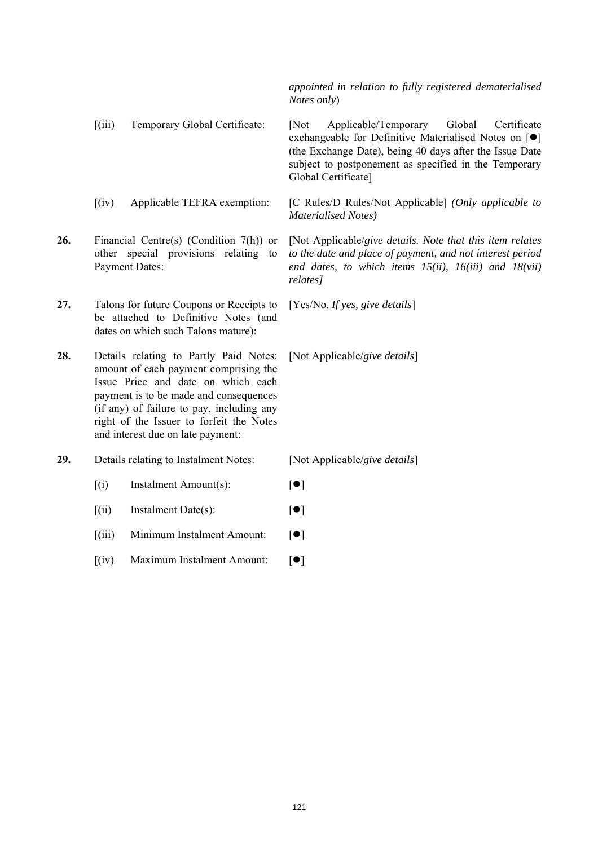*appointed in relation to fully registered dematerialised Notes only*)

[(iii) Temporary Global Certificate: [Not Applicable/Temporary Global Certificate exchangeable for Definitive Materialised Notes on  $[\bullet]$ (the Exchange Date), being 40 days after the Issue Date subject to postponement as specified in the Temporary Global Certificate]

[(iv) Applicable TEFRA exemption: [C Rules/D Rules/Not Applicable] *(Only applicable to Materialised Notes)*

**26.** Financial Centre(s) (Condition 7(h)) or other special provisions relating to Payment Dates: *relates]*

**27.** Talons for future Coupons or Receipts to be attached to Definitive Notes (and dates on which such Talons mature):

**28.** Details relating to Partly Paid Notes: amount of each payment comprising the Issue Price and date on which each payment is to be made and consequences (if any) of failure to pay, including any right of the Issuer to forfeit the Notes and interest due on late payment:

**29.** Details relating to Instalment Notes: [Not Applicable/*give details*]

 $[(i)$  Instalment Amount(s):  $[•]$ 

 $[(ii)$  Instalment Date(s):  $[•]$ 

 $[(iii)$  Minimum Instalment Amount:  $[0]$ 

 $[(iv)$  Maximum Instalment Amount:  $[①]$ 

[Not Applicable/*give details. Note that this item relates to the date and place of payment, and not interest period end dates, to which items 15(ii), 16(iii) and 18(vii)* 

[Yes/No. *If yes, give details*]

[Not Applicable/*give details*]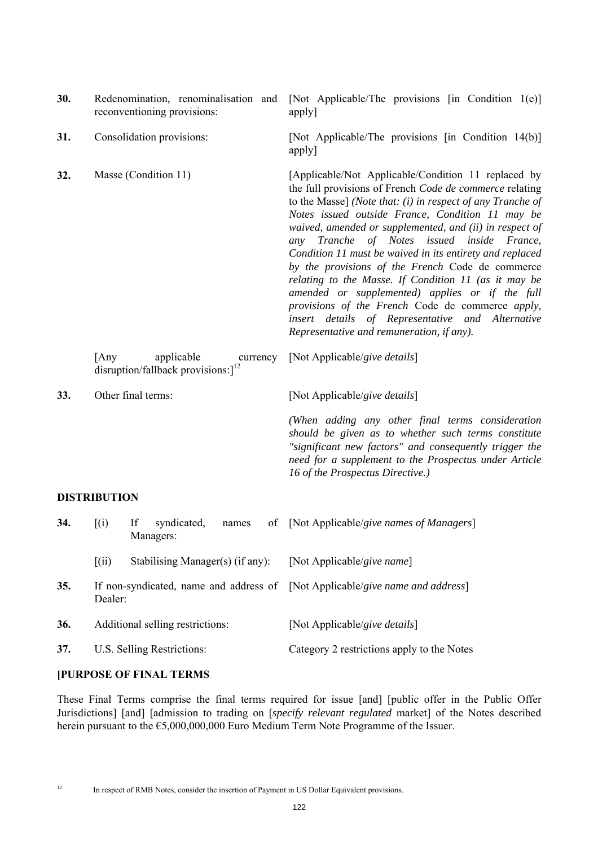| 30. |                     | Redenomination, renominalisation and<br>reconventioning provisions:         | [Not Applicable/The provisions [in Condition 1(e)]<br>apply]                                                                                                                                                                                                                                                                                                                                                                                                                                                                                                                                                                                                                                                                |
|-----|---------------------|-----------------------------------------------------------------------------|-----------------------------------------------------------------------------------------------------------------------------------------------------------------------------------------------------------------------------------------------------------------------------------------------------------------------------------------------------------------------------------------------------------------------------------------------------------------------------------------------------------------------------------------------------------------------------------------------------------------------------------------------------------------------------------------------------------------------------|
| 31. |                     | Consolidation provisions:                                                   | [Not Applicable/The provisions [in Condition 14(b)]<br>apply]                                                                                                                                                                                                                                                                                                                                                                                                                                                                                                                                                                                                                                                               |
| 32. |                     | Masse (Condition 11)                                                        | [Applicable/Not Applicable/Condition 11 replaced by<br>the full provisions of French Code de commerce relating<br>to the Masse] (Note that: $(i)$ in respect of any Tranche of<br>Notes issued outside France, Condition 11 may be<br>waived, amended or supplemented, and (ii) in respect of<br>any Tranche of Notes issued inside France,<br>Condition 11 must be waived in its entirety and replaced<br>by the provisions of the French Code de commerce<br>relating to the Masse. If Condition 11 (as it may be<br>amended or supplemented) applies or if the full<br>provisions of the French Code de commerce apply,<br>insert details of Representative and Alternative<br>Representative and remuneration, if any). |
|     | [Any                | applicable<br>currency<br>disruption/fallback provisions: $]$ <sup>12</sup> | [Not Applicable/give details]                                                                                                                                                                                                                                                                                                                                                                                                                                                                                                                                                                                                                                                                                               |
| 33. |                     | Other final terms:                                                          | [Not Applicable/give details]                                                                                                                                                                                                                                                                                                                                                                                                                                                                                                                                                                                                                                                                                               |
|     |                     |                                                                             | (When adding any other final terms consideration<br>should be given as to whether such terms constitute<br>"significant new factors" and consequently trigger the<br>need for a supplement to the Prospectus under Article<br>16 of the Prospectus Directive.)                                                                                                                                                                                                                                                                                                                                                                                                                                                              |
|     | <b>DISTRIBUTION</b> |                                                                             |                                                                                                                                                                                                                                                                                                                                                                                                                                                                                                                                                                                                                                                                                                                             |
| 34. | (i)                 | If<br>syndicated,<br>of<br>names<br>Managers:                               | [Not Applicable/give names of Managers]                                                                                                                                                                                                                                                                                                                                                                                                                                                                                                                                                                                                                                                                                     |
|     | (iii)               | Stabilising Manager(s) (if any):                                            | [Not Applicable/give name]                                                                                                                                                                                                                                                                                                                                                                                                                                                                                                                                                                                                                                                                                                  |

- **35.** If non-syndicated, name and address of [Not Applicable/*give name and address*] Dealer:
- **36.** Additional selling restrictions: [Not Applicable/*give details*]
- **37.** U.S. Selling Restrictions: Category 2 restrictions apply to the Notes

# **[PURPOSE OF FINAL TERMS**

These Final Terms comprise the final terms required for issue [and] [public offer in the Public Offer Jurisdictions] [and] [admission to trading on [*specify relevant regulated* market] of the Notes described herein pursuant to the €5,000,000,000 Euro Medium Term Note Programme of the Issuer.

<sup>12</sup> In respect of RMB Notes, consider the insertion of Payment in US Dollar Equivalent provisions.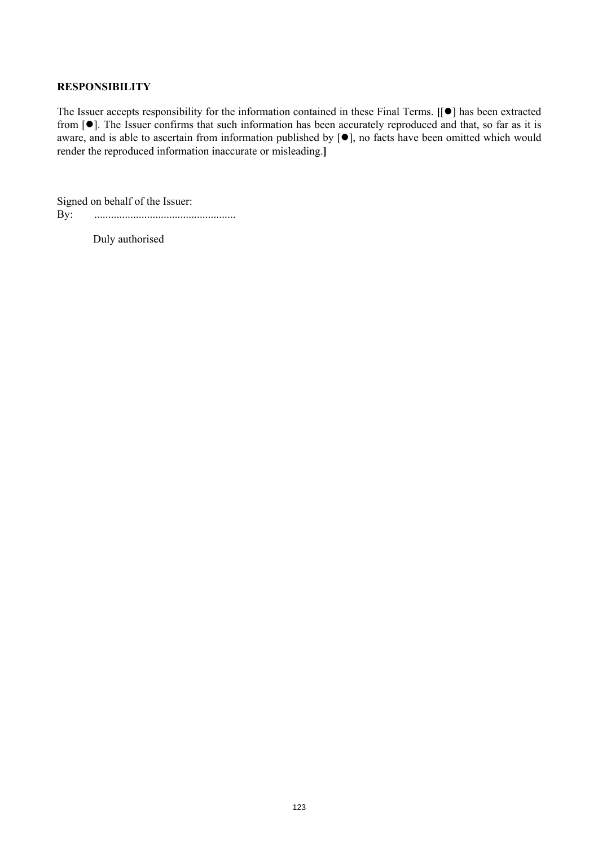## **RESPONSIBILITY**

The Issuer accepts responsibility for the information contained in these Final Terms. [[ $\bullet$ ] has been extracted from [ $\bullet$ ]. The Issuer confirms that such information has been accurately reproduced and that, so far as it is aware, and is able to ascertain from information published by  $[**•**]$ , no facts have been omitted which would render the reproduced information inaccurate or misleading.**]**

Signed on behalf of the Issuer: By: ...................................................

Duly authorised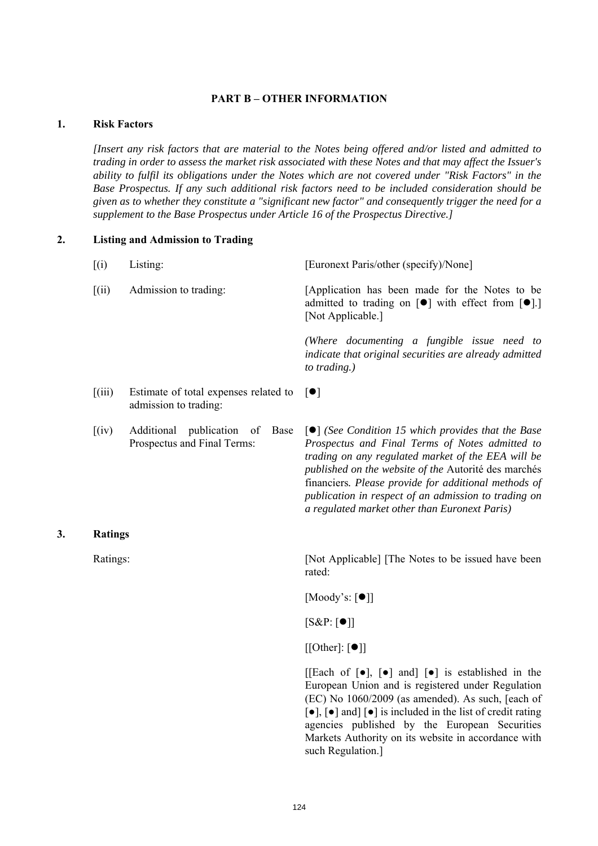#### **PART B – OTHER INFORMATION**

# **1. Risk Factors**

**3. Ratings** 

*[Insert any risk factors that are material to the Notes being offered and/or listed and admitted to trading in order to assess the market risk associated with these Notes and that may affect the Issuer's ability to fulfil its obligations under the Notes which are not covered under "Risk Factors" in the Base Prospectus. If any such additional risk factors need to be included consideration should be given as to whether they constitute a "significant new factor" and consequently trigger the need for a supplement to the Base Prospectus under Article 16 of the Prospectus Directive.]*

## **2. Listing and Admission to Trading**

| (i)            | Listing:                                                                 | [Euronext Paris/other (specify)/None]                                                                                                                                                                                                                                                                                                                                                                    |
|----------------|--------------------------------------------------------------------------|----------------------------------------------------------------------------------------------------------------------------------------------------------------------------------------------------------------------------------------------------------------------------------------------------------------------------------------------------------------------------------------------------------|
| $\left[$ (ii)  | Admission to trading:                                                    | [Application has been made for the Notes to be<br>admitted to trading on [ $\bullet$ ] with effect from [ $\bullet$ ].]<br>[Not Applicable.]                                                                                                                                                                                                                                                             |
|                |                                                                          | (Where documenting a fungible issue need to<br>indicate that original securities are already admitted<br>to trading.)                                                                                                                                                                                                                                                                                    |
| $\left[$ (iii) | Estimate of total expenses related to<br>admission to trading:           | $\lceil \bullet \rceil$                                                                                                                                                                                                                                                                                                                                                                                  |
| (iv)           | Additional<br>publication<br>Base<br>- of<br>Prospectus and Final Terms: | $\lceil \bullet \rceil$ (See Condition 15 which provides that the Base<br>Prospectus and Final Terms of Notes admitted to<br>trading on any regulated market of the EEA will be<br>published on the website of the Autorité des marchés<br>financiers. Please provide for additional methods of<br>publication in respect of an admission to trading on<br>a regulated market other than Euronext Paris) |
| <b>Ratings</b> |                                                                          |                                                                                                                                                                                                                                                                                                                                                                                                          |
| Ratings:       |                                                                          | [Not Applicable] [The Notes to be issued have been]<br>rated:                                                                                                                                                                                                                                                                                                                                            |
|                |                                                                          | [Moody's: $\lceil \bullet \rceil$ ]                                                                                                                                                                                                                                                                                                                                                                      |
|                |                                                                          | $[S\&P: [\bullet]]$                                                                                                                                                                                                                                                                                                                                                                                      |
|                |                                                                          | $\lfloor \text{[Other]} : \lceil \bullet \rceil \rfloor$                                                                                                                                                                                                                                                                                                                                                 |
|                |                                                                          | [[Each of $\lceil \bullet \rceil$ , $\lceil \bullet \rceil$ and $\lceil \bullet \rceil$ is established in the<br>European Union and is registered under Regulation<br>(EC) No 1060/2009 (as amended). As such, [each of<br>$\left[\bullet\right]$ , $\left[\bullet\right]$ and] $\left[\bullet\right]$ is included in the list of credit rating<br>agencies published by the European Securities         |

such Regulation.]

Markets Authority on its website in accordance with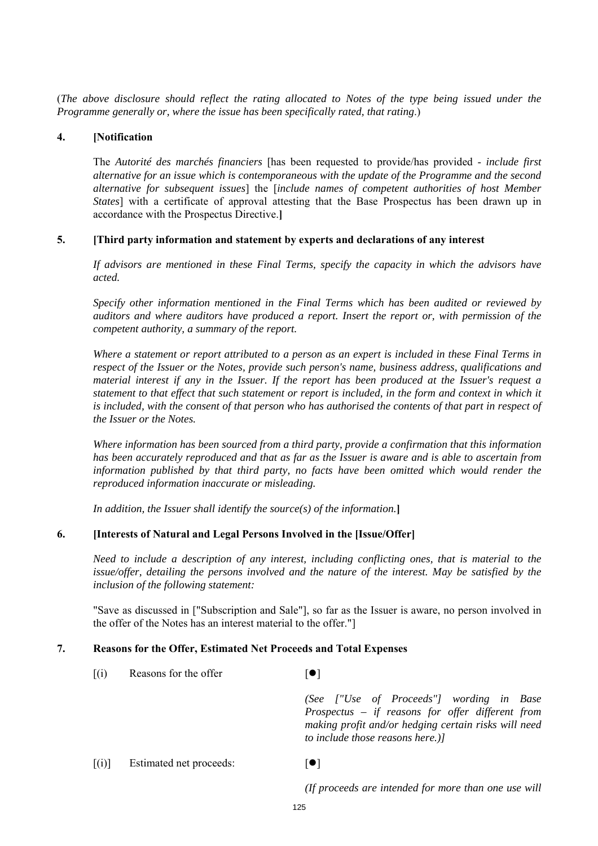(*The above disclosure should reflect the rating allocated to Notes of the type being issued under the Programme generally or, where the issue has been specifically rated, that rating*.)

## **4. [Notification**

The *Autorité des marchés financiers* [has been requested to provide/has provided - *include first alternative for an issue which is contemporaneous with the update of the Programme and the second alternative for subsequent issues*] the [*include names of competent authorities of host Member States*] with a certificate of approval attesting that the Base Prospectus has been drawn up in accordance with the Prospectus Directive.**]**

## **5. [Third party information and statement by experts and declarations of any interest**

*If advisors are mentioned in these Final Terms, specify the capacity in which the advisors have acted.*

*Specify other information mentioned in the Final Terms which has been audited or reviewed by auditors and where auditors have produced a report. Insert the report or, with permission of the competent authority, a summary of the report.*

*Where a statement or report attributed to a person as an expert is included in these Final Terms in respect of the Issuer or the Notes, provide such person's name, business address, qualifications and material interest if any in the Issuer. If the report has been produced at the Issuer's request a statement to that effect that such statement or report is included, in the form and context in which it*  is included, with the consent of that person who has authorised the contents of that part in respect of *the Issuer or the Notes.*

*Where information has been sourced from a third party, provide a confirmation that this information has been accurately reproduced and that as far as the Issuer is aware and is able to ascertain from information published by that third party, no facts have been omitted which would render the reproduced information inaccurate or misleading.*

*In addition, the Issuer shall identify the source(s) of the information.***]**

# **6. [Interests of Natural and Legal Persons Involved in the [Issue/Offer]**

*Need to include a description of any interest, including conflicting ones, that is material to the issue/offer, detailing the persons involved and the nature of the interest. May be satisfied by the inclusion of the following statement:*

"Save as discussed in ["Subscription and Sale"], so far as the Issuer is aware, no person involved in the offer of the Notes has an interest material to the offer."]

## **7. Reasons for the Offer, Estimated Net Proceeds and Total Expenses**

 $[(i)$  Reasons for the offer  $[\bullet]$ *(See ["Use of Proceeds"] wording in Base Prospectus – if reasons for offer different from making profit and/or hedging certain risks will need to include those reasons here.)]*  $[(i)]$  Estimated net proceeds:  $[•]$ 

*(If proceeds are intended for more than one use will*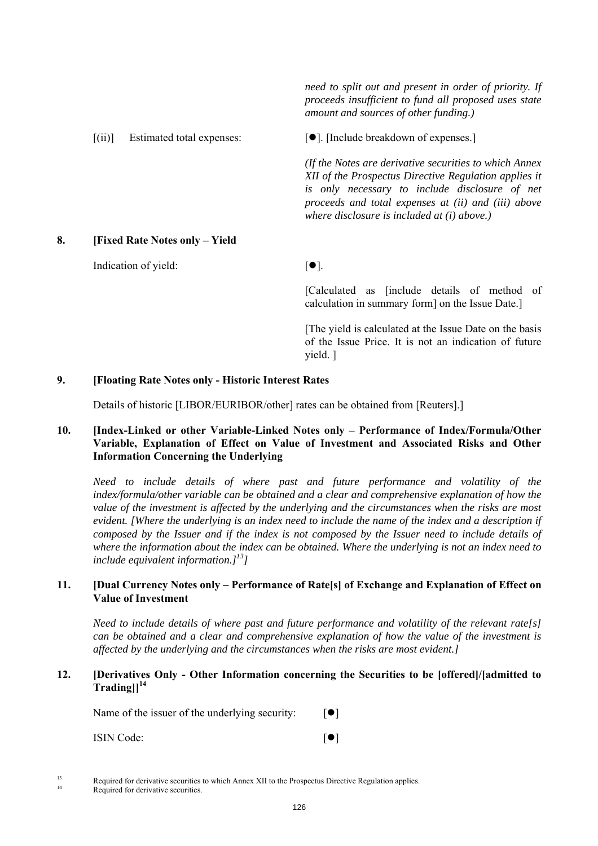*need to split out and present in order of priority. If proceeds insufficient to fund all proposed uses state amount and sources of other funding.)*

**8. [Fixed Rate Notes only – Yield** 

Indication of yield:  $[•]$ .

 $[(ii)]$  Estimated total expenses:  $[9]$ . [Include breakdown of expenses.]

*(If the Notes are derivative securities to which Annex XII of the Prospectus Directive Regulation applies it is only necessary to include disclosure of net proceeds and total expenses at (ii) and (iii) above where disclosure is included at (i) above.)*

 [Calculated as [include details of method of calculation in summary form] on the Issue Date.]

 [The yield is calculated at the Issue Date on the basis of the Issue Price. It is not an indication of future yield. ]

## **9. [Floating Rate Notes only - Historic Interest Rates**

Details of historic [LIBOR/EURIBOR/other] rates can be obtained from [Reuters].]

# **10. [Index-Linked or other Variable-Linked Notes only – Performance of Index/Formula/Other Variable, Explanation of Effect on Value of Investment and Associated Risks and Other Information Concerning the Underlying**

*Need to include details of where past and future performance and volatility of the index/formula/other variable can be obtained and a clear and comprehensive explanation of how the value of the investment is affected by the underlying and the circumstances when the risks are most evident. [Where the underlying is an index need to include the name of the index and a description if composed by the Issuer and if the index is not composed by the Issuer need to include details of where the information about the index can be obtained. Where the underlying is not an index need to include equivalent information.]13]*

## **11. [Dual Currency Notes only – Performance of Rate[s] of Exchange and Explanation of Effect on Value of Investment**

*Need to include details of where past and future performance and volatility of the relevant rate[s] can be obtained and a clear and comprehensive explanation of how the value of the investment is affected by the underlying and the circumstances when the risks are most evident.]*

## **12. [Derivatives Only - Other Information concerning the Securities to be [offered]/[admitted to Trading]]<sup>14</sup>**

Name of the issuer of the underlying security:  $[•]$ 

| <b>ISIN Code:</b> |  |
|-------------------|--|
|                   |  |

<sup>&</sup>lt;sup>13</sup> Required for derivative securities to which Annex XII to the Prospectus Directive Regulation applies.<br><sup>14</sup> Required for derivative securities.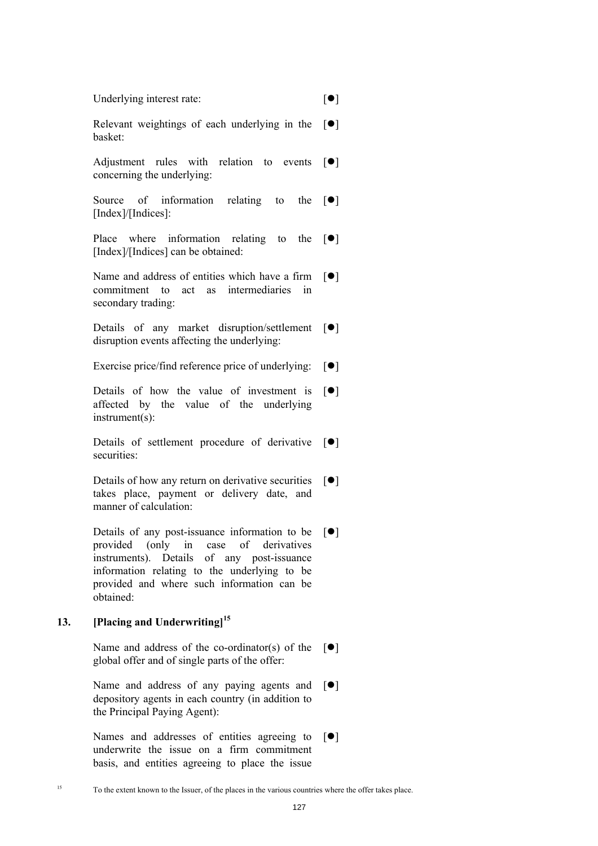| Underlying interest rate: |  |
|---------------------------|--|
|---------------------------|--|

Relevant weightings of each underlying in the basket:  $[$   $\bullet$   $]$ 

Adjustment rules with relation to events  $\lceil \bullet \rceil$ concerning the underlying:

Source of information relating to [Index]/[Indices]: the  $[\bullet]$ 

Place where information relating to the [Index]/[Indices] can be obtained:  $\lceil \bullet \rceil$ 

Name and address of entities which have a firm commitment to act as intermediaries in secondary trading:  $\lceil \bullet \rceil$ 

Details of any market disruption/settlement  $[\bullet]$ disruption events affecting the underlying:

Exercise price/find reference price of underlying:  $[\bullet]$ 

Details of how the value of investment is affected by the value of the underlying instrument(s):  $\lceil \bullet \rceil$ 

Details of settlement procedure of derivative  $[\bullet]$ securities:

Details of how any return on derivative securities  $[\bullet]$ takes place, payment or delivery date, and manner of calculation:

Details of any post-issuance information to be  $[\bullet]$ provided (only in case of derivatives instruments). Details of any post-issuance information relating to the underlying to be provided and where such information can be obtained:

# **13. [Placing and Underwriting]<sup>15</sup>**

Name and address of the co-ordinator(s) of the  $[\bullet]$ global offer and of single parts of the offer:

Name and address of any paying agents and  $[\bullet]$ depository agents in each country (in addition to the Principal Paying Agent):

Names and addresses of entities agreeing to  $[\bullet]$ underwrite the issue on a firm commitment basis, and entities agreeing to place the issue

<sup>15</sup> To the extent known to the Issuer, of the places in the various countries where the offer takes place.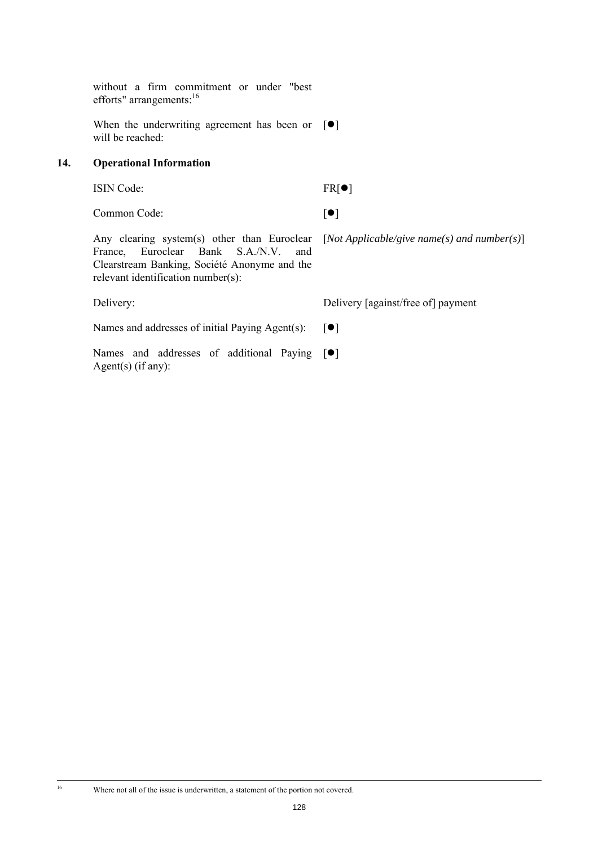without a firm commitment or under "best efforts" arrangements:<sup>16</sup>

When the underwriting agreement has been or  $[\bullet]$ will be reached:

# **14. Operational Information**

ISIN Code: FR[ $\bullet$ ]

Common Code:  $\lceil \bullet \rceil$ 

Any clearing system(s) other than Euroclear [*Not Applicable/give name(s) and number(s)*] France, Euroclear Bank S.A./N.V. and Clearstream Banking, Société Anonyme and the relevant identification number(s):

Delivery: Delivery [against/free of] payment

Names and addresses of initial Paying Agent(s):  $[\bullet]$ 

Names and addresses of additional Paying  $[\bullet]$ Agent(s) (if any):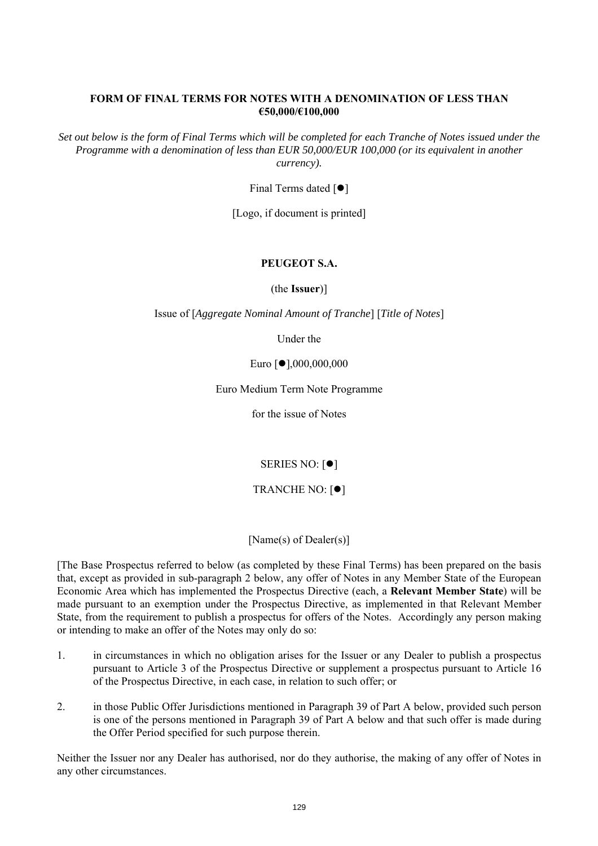## **FORM OF FINAL TERMS FOR NOTES WITH A DENOMINATION OF LESS THAN €50,000/€100,000**

*Set out below is the form of Final Terms which will be completed for each Tranche of Notes issued under the Programme with a denomination of less than EUR 50,000/EUR 100,000 (or its equivalent in another currency).*

Final Terms dated  $[•]$ 

[Logo, if document is printed]

# **PEUGEOT S.A.**

(the **Issuer**)]

Issue of [*Aggregate Nominal Amount of Tranche*] [*Title of Notes*]

Under the

Euro [●],000,000,000

Euro Medium Term Note Programme

for the issue of Notes

SERIES NO:  $[•]$ 

TRANCHE NO:  $[•]$ 

[Name(s) of Dealer(s)]

[The Base Prospectus referred to below (as completed by these Final Terms) has been prepared on the basis that, except as provided in sub-paragraph 2 below, any offer of Notes in any Member State of the European Economic Area which has implemented the Prospectus Directive (each, a **Relevant Member State**) will be made pursuant to an exemption under the Prospectus Directive, as implemented in that Relevant Member State, from the requirement to publish a prospectus for offers of the Notes. Accordingly any person making or intending to make an offer of the Notes may only do so:

- 1. in circumstances in which no obligation arises for the Issuer or any Dealer to publish a prospectus pursuant to Article 3 of the Prospectus Directive or supplement a prospectus pursuant to Article 16 of the Prospectus Directive, in each case, in relation to such offer; or
- 2. in those Public Offer Jurisdictions mentioned in Paragraph 39 of Part A below, provided such person is one of the persons mentioned in Paragraph 39 of Part A below and that such offer is made during the Offer Period specified for such purpose therein.

Neither the Issuer nor any Dealer has authorised, nor do they authorise, the making of any offer of Notes in any other circumstances.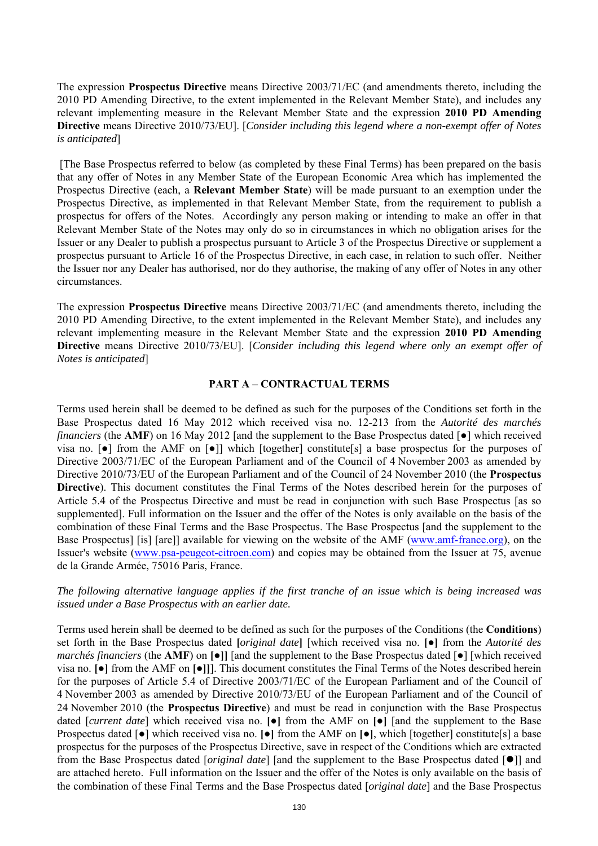The expression **Prospectus Directive** means Directive 2003/71/EC (and amendments thereto, including the 2010 PD Amending Directive, to the extent implemented in the Relevant Member State), and includes any relevant implementing measure in the Relevant Member State and the expression **2010 PD Amending Directive** means Directive 2010/73/EU]. [*Consider including this legend where a non-exempt offer of Notes is anticipated*]

 [The Base Prospectus referred to below (as completed by these Final Terms) has been prepared on the basis that any offer of Notes in any Member State of the European Economic Area which has implemented the Prospectus Directive (each, a **Relevant Member State**) will be made pursuant to an exemption under the Prospectus Directive, as implemented in that Relevant Member State, from the requirement to publish a prospectus for offers of the Notes. Accordingly any person making or intending to make an offer in that Relevant Member State of the Notes may only do so in circumstances in which no obligation arises for the Issuer or any Dealer to publish a prospectus pursuant to Article 3 of the Prospectus Directive or supplement a prospectus pursuant to Article 16 of the Prospectus Directive, in each case, in relation to such offer. Neither the Issuer nor any Dealer has authorised, nor do they authorise, the making of any offer of Notes in any other circumstances.

The expression **Prospectus Directive** means Directive 2003/71/EC (and amendments thereto, including the 2010 PD Amending Directive, to the extent implemented in the Relevant Member State), and includes any relevant implementing measure in the Relevant Member State and the expression **2010 PD Amending Directive** means Directive 2010/73/EU]. [*Consider including this legend where only an exempt offer of Notes is anticipated*]

## **PART A – CONTRACTUAL TERMS**

Terms used herein shall be deemed to be defined as such for the purposes of the Conditions set forth in the Base Prospectus dated 16 May 2012 which received visa no. 12-213 from the *Autorité des marchés financiers* (the **AMF**) on 16 May 2012 [and the supplement to the Base Prospectus dated [**●**] which received visa no. [●] from the AMF on [●]] which [together] constitute[s] a base prospectus for the purposes of Directive 2003/71/EC of the European Parliament and of the Council of 4 November 2003 as amended by Directive 2010/73/EU of the European Parliament and of the Council of 24 November 2010 (the **Prospectus Directive**). This document constitutes the Final Terms of the Notes described herein for the purposes of Article 5.4 of the Prospectus Directive and must be read in conjunction with such Base Prospectus [as so supplemented]. Full information on the Issuer and the offer of the Notes is only available on the basis of the combination of these Final Terms and the Base Prospectus. The Base Prospectus [and the supplement to the Base Prospectus] [is] [are]] available for viewing on the website of the AMF (www.amf-france.org), on the Issuer's website (www.psa-peugeot-citroen.com) and copies may be obtained from the Issuer at 75, avenue de la Grande Armée, 75016 Paris, France.

## *The following alternative language applies if the first tranche of an issue which is being increased was issued under a Base Prospectus with an earlier date.*

Terms used herein shall be deemed to be defined as such for the purposes of the Conditions (the **Conditions**) set forth in the Base Prospectus dated **[***original date***]** [which received visa no. **[●]** from the *Autorité des marchés financiers* (the **AMF**) on **[●]]** [and the supplement to the Base Prospectus dated [**●**] [which received visa no. **[●]** from the AMF on **[●]]**]. This document constitutes the Final Terms of the Notes described herein for the purposes of Article 5.4 of Directive 2003/71/EC of the European Parliament and of the Council of 4 November 2003 as amended by Directive 2010/73/EU of the European Parliament and of the Council of 24 November 2010 (the **Prospectus Directive**) and must be read in conjunction with the Base Prospectus dated [*current date*] which received visa no. **[●]** from the AMF on **[●]** [and the supplement to the Base Prospectus dated [**●**] which received visa no. **[●]** from the AMF on **[●]**, which [together] constitute[s] a base prospectus for the purposes of the Prospectus Directive, save in respect of the Conditions which are extracted from the Base Prospectus dated [*original date*] [and the supplement to the Base Prospectus dated [ $\bullet$ ]] and are attached hereto. Full information on the Issuer and the offer of the Notes is only available on the basis of the combination of these Final Terms and the Base Prospectus dated [*original date*] and the Base Prospectus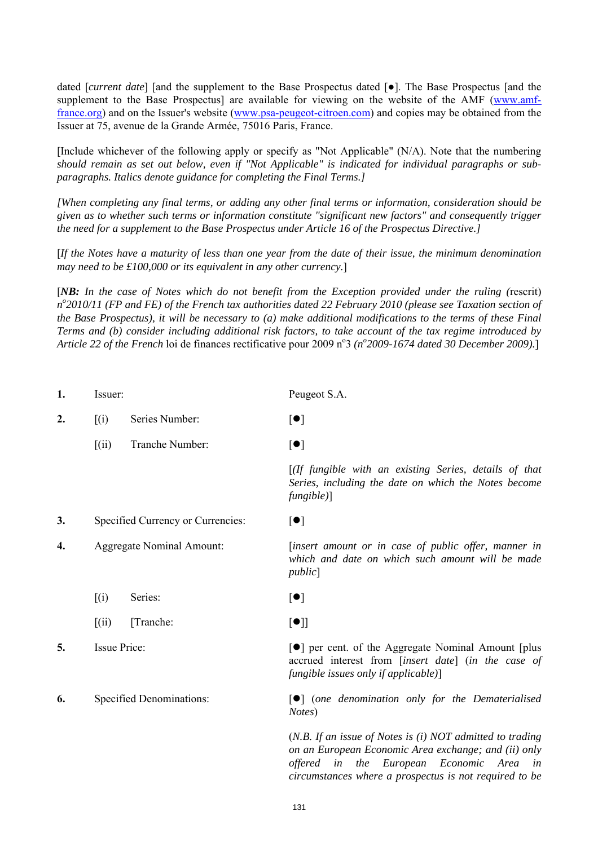dated [*current date*] [and the supplement to the Base Prospectus dated [**●**]. The Base Prospectus [and the supplement to the Base Prospectus] are available for viewing on the website of the AMF (www.amffrance.org) and on the Issuer's website (www.psa-peugeot-citroen.com) and copies may be obtained from the Issuer at 75, avenue de la Grande Armée, 75016 Paris, France.

[Include whichever of the following apply or specify as "Not Applicable" (N/A). Note that the numbering *should remain as set out below, even if "Not Applicable" is indicated for individual paragraphs or subparagraphs. Italics denote guidance for completing the Final Terms.]*

*[When completing any final terms, or adding any other final terms or information, consideration should be given as to whether such terms or information constitute "significant new factors" and consequently trigger the need for a supplement to the Base Prospectus under Article 16 of the Prospectus Directive.]*

[*If the Notes have a maturity of less than one year from the date of their issue, the minimum denomination may need to be £100,000 or its equivalent in any other currency.*]

[*NB: In the case of Notes which do not benefit from the Exception provided under the ruling (*rescrit) *no 2010/11 (FP and FE) of the French tax authorities dated 22 February 2010 (please see Taxation section of the Base Prospectus), it will be necessary to (a) make additional modifications to the terms of these Final Terms and (b) consider including additional risk factors, to take account of the tax regime introduced by*  Article 22 of the French loi de finances rectificative pour 2009 n<sup>o</sup> 3 (n<sup>o</sup> 2009-1674 dated 30 December 2009).]

| 1. | Issuer:                          |                                   | Peugeot S.A.                                                                                                                                                                                                                                         |
|----|----------------------------------|-----------------------------------|------------------------------------------------------------------------------------------------------------------------------------------------------------------------------------------------------------------------------------------------------|
| 2. | (i)                              | Series Number:                    | $[\bullet]$                                                                                                                                                                                                                                          |
|    | (iii)                            | Tranche Number:                   | [•]                                                                                                                                                                                                                                                  |
|    |                                  |                                   | $[$ (If fungible with an existing Series, details of that<br>Series, including the date on which the Notes become<br>fungible)]                                                                                                                      |
| 3. |                                  | Specified Currency or Currencies: | $\lbrack \bullet \rbrack$                                                                                                                                                                                                                            |
| 4. | <b>Aggregate Nominal Amount:</b> |                                   | [insert amount or in case of public offer, manner in<br>which and date on which such amount will be made<br>public                                                                                                                                   |
|    | (i)                              | Series:                           | $[\bullet]$                                                                                                                                                                                                                                          |
|    | (iii)                            | [Tranche:                         | [•]                                                                                                                                                                                                                                                  |
| 5. | <b>Issue Price:</b>              |                                   | [●] per cent. of the Aggregate Nominal Amount [plus]<br>accrued interest from [insert date] (in the case of<br>fungible issues only if applicable)]                                                                                                  |
| 6. | <b>Specified Denominations:</b>  |                                   | $\lceil\bullet\rceil$ (one denomination only for the Dematerialised<br>Notes)                                                                                                                                                                        |
|    |                                  |                                   | $(N.B.$ If an issue of Notes is $(i) NOT$ admitted to trading<br>on an European Economic Area exchange; and (ii) only<br>Economic<br><i>offered</i><br>the<br>European<br>in<br>Area<br>in<br>circumstances where a prospectus is not required to be |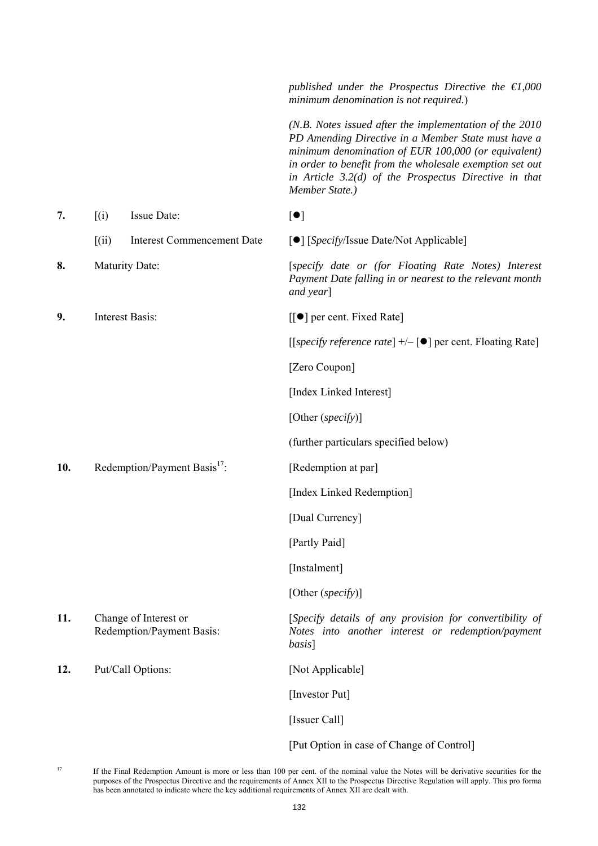|     |                             |                                                    | published under the Prospectus Directive the $\epsilon$ 1,000<br>minimum denomination is not required.)                                                                                                                                                                                                         |
|-----|-----------------------------|----------------------------------------------------|-----------------------------------------------------------------------------------------------------------------------------------------------------------------------------------------------------------------------------------------------------------------------------------------------------------------|
|     |                             |                                                    | $(N.B. Notes is sued after the implementation of the 2010$<br>PD Amending Directive in a Member State must have a<br>minimum denomination of EUR 100,000 (or equivalent)<br>in order to benefit from the wholesale exemption set out<br>in Article 3.2(d) of the Prospectus Directive in that<br>Member State.) |
| 7.  | $\left[ \text{(i)} \right]$ | Issue Date:                                        | [•]                                                                                                                                                                                                                                                                                                             |
|     | [(ii)]                      | <b>Interest Commencement Date</b>                  | [O] [Specify/Issue Date/Not Applicable]                                                                                                                                                                                                                                                                         |
| 8.  |                             | <b>Maturity Date:</b>                              | [specify date or (for Floating Rate Notes) Interest<br>Payment Date falling in or nearest to the relevant month<br>and year]                                                                                                                                                                                    |
| 9.  |                             | <b>Interest Basis:</b>                             | $\left[\left[\bullet\right]\right]$ per cent. Fixed Rate]                                                                                                                                                                                                                                                       |
|     |                             |                                                    | [[specify reference rate] +/- [●] per cent. Floating Rate]                                                                                                                                                                                                                                                      |
|     |                             |                                                    | [Zero Coupon]                                                                                                                                                                                                                                                                                                   |
|     |                             |                                                    | [Index Linked Interest]                                                                                                                                                                                                                                                                                         |
|     |                             |                                                    | [Other $(specify)$ ]                                                                                                                                                                                                                                                                                            |
|     |                             |                                                    | (further particulars specified below)                                                                                                                                                                                                                                                                           |
| 10. |                             | Redemption/Payment Basis <sup>17</sup> :           | [Redemption at par]                                                                                                                                                                                                                                                                                             |
|     |                             |                                                    | [Index Linked Redemption]                                                                                                                                                                                                                                                                                       |
|     |                             |                                                    | [Dual Currency]                                                                                                                                                                                                                                                                                                 |
|     |                             |                                                    | [Partly Paid]                                                                                                                                                                                                                                                                                                   |
|     |                             |                                                    | [Instalment]                                                                                                                                                                                                                                                                                                    |
|     |                             |                                                    | [Other (specify)]                                                                                                                                                                                                                                                                                               |
| 11. |                             | Change of Interest or<br>Redemption/Payment Basis: | [Specify details of any provision for convertibility of<br>Notes into another interest or redemption/payment<br>basis]                                                                                                                                                                                          |
| 12. |                             | Put/Call Options:                                  | [Not Applicable]                                                                                                                                                                                                                                                                                                |
|     |                             |                                                    | [Investor Put]                                                                                                                                                                                                                                                                                                  |
|     |                             |                                                    | [Issuer Call]                                                                                                                                                                                                                                                                                                   |
|     |                             |                                                    | [Put Option in case of Change of Control]                                                                                                                                                                                                                                                                       |

<sup>&</sup>lt;sup>17</sup> If the Final Redemption Amount is more or less than 100 per cent. of the nominal value the Notes will be derivative securities for the purposes of the Prospectus Directive and the requirements of Annex XII to the Prospectus Directive Regulation will apply. This pro forma has been annotated to indicate where the key additional requirements of Annex XII are dealt with.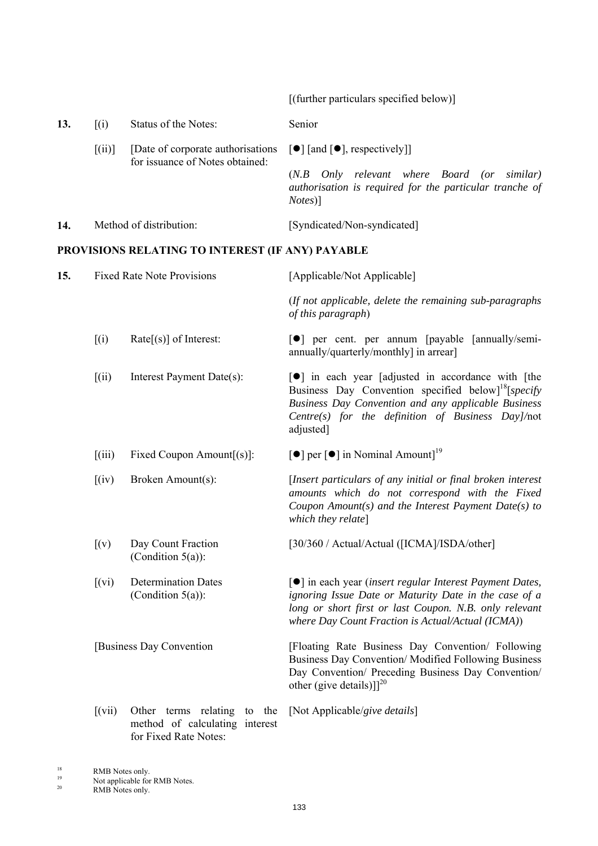[(further particulars specified below)] **13.** [(i) Status of the Notes: Senior  $[(ii)]$  [Date of corporate authorisations  $[\bullet]$  [and  $[\bullet]$ , respectively]] for issuance of Notes obtained: (*N.B Only relevant where Board (or similar) authorisation is required for the particular tranche of Notes*)] 14. Method of distribution: [Syndicated/Non-syndicated] **PROVISIONS RELATING TO INTEREST (IF ANY) PAYABLE 15.** Fixed Rate Note Provisions [Applicable/Not Applicable] (*If not applicable, delete the remaining sub-paragraphs of this paragraph*)  $[(i)$  Rate $[(s)]$  of Interest:  $[9]$  per cent. per annum [payable [annually/semiannually/quarterly/monthly] in arrear]  $[(ii)$  Interest Payment Date(s):  $[9]$  in each year [adjusted in accordance with [the Business Day Convention specified below<sup>18</sup>[*specify Business Day Convention and any applicable Business Centre(s) for the definition of Business Day]/*not adjusted] [(iii) Fixed Coupon Amount[(s)]:  $[\bullet]$  per  $[\bullet]$  in Nominal Amount]<sup>19</sup> [(iv) Broken Amount(s): [*Insert particulars of any initial or final broken interest amounts which do not correspond with the Fixed Coupon Amount(s) and the Interest Payment Date(s) to which they relate*] [(v) Day Count Fraction (Condition  $5(a)$ ): [30/360 / Actual/Actual ([ICMA]/ISDA/other] [(vi) Determination Dates (Condition 5(a)): [] in each year (*insert regular Interest Payment Dates, ignoring Issue Date or Maturity Date in the case of a long or short first or last Coupon. N.B. only relevant where Day Count Fraction is Actual/Actual (ICMA)*) [Business Day Convention [Floating Rate Business Day Convention/ Following Business Day Convention/ Modified Following Business Day Convention/ Preceding Business Day Convention/ other (give details)]]<sup>20</sup> [(vii) Other terms relating to the method of calculating interest for Fixed Rate Notes: [Not Applicable/*give details*]

 $18$  RMB Notes only.

<sup>&</sup>lt;sup>19</sup> Not applicable for RMB Notes.<br> $1^{19}$  Notes and Notes.

RMB Notes only.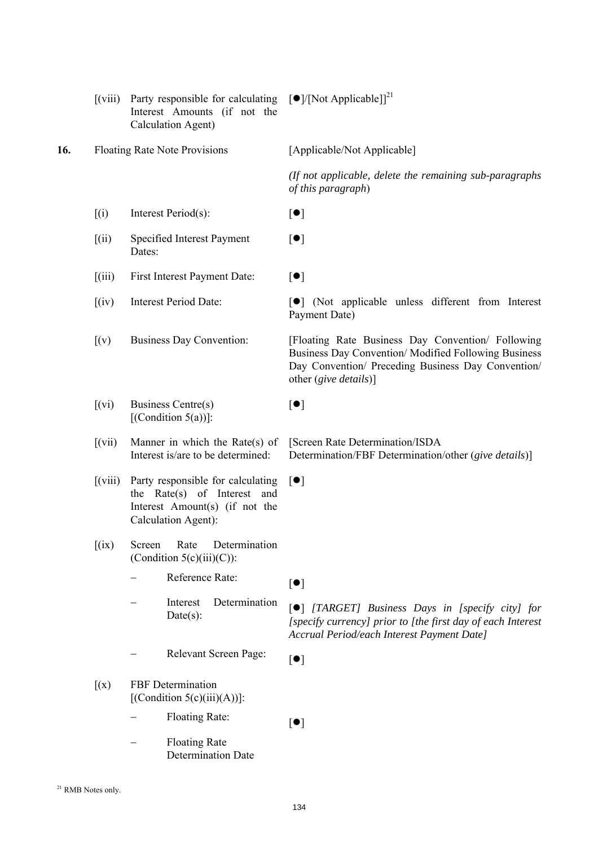|     | $\left[\left(\text{viii}\right)\right]$ | Party responsible for calculating<br>Interest Amounts (if not the<br>Calculation Agent)                                   | $\left[\bullet\right] / \left[\text{Not Applied}\right]^{21}$                                                                                                                           |
|-----|-----------------------------------------|---------------------------------------------------------------------------------------------------------------------------|-----------------------------------------------------------------------------------------------------------------------------------------------------------------------------------------|
| 16. |                                         | <b>Floating Rate Note Provisions</b>                                                                                      | [Applicable/Not Applicable]                                                                                                                                                             |
|     |                                         |                                                                                                                           | (If not applicable, delete the remaining sub-paragraphs<br>of this paragraph)                                                                                                           |
|     | (i)                                     | Interest Period(s):                                                                                                       | $[\bullet]$                                                                                                                                                                             |
|     | [(ii)]                                  | Specified Interest Payment<br>Dates:                                                                                      | $[\bullet]$                                                                                                                                                                             |
|     | (iii)                                   | First Interest Payment Date:                                                                                              | [•]                                                                                                                                                                                     |
|     | (iv)                                    | <b>Interest Period Date:</b>                                                                                              | [ <sup>o</sup> ] (Not applicable unless different from Interest<br>Payment Date)                                                                                                        |
|     | (x)                                     | <b>Business Day Convention:</b>                                                                                           | [Floating Rate Business Day Convention/ Following<br>Business Day Convention/Modified Following Business<br>Day Convention/ Preceding Business Day Convention/<br>other (give details)] |
|     | $[$ (vi)                                | Business Centre(s)<br>[(Condition $5(a)$ )]:                                                                              | [•]                                                                                                                                                                                     |
|     | (xii)                                   | Manner in which the Rate(s) of<br>Interest is/are to be determined:                                                       | [Screen Rate Determination/ISDA<br>Determination/FBF Determination/other (give details)]                                                                                                |
|     | $\left[$ (viii)                         | Party responsible for calculating<br>the Rate(s) of Interest and<br>Interest Amount(s) (if not the<br>Calculation Agent): | $\lceil \bullet \rceil$                                                                                                                                                                 |
|     | (ix)                                    | Rate<br>Screen<br>Determination<br>(Condition $5(c)(iii)(C)$ ):                                                           |                                                                                                                                                                                         |
|     |                                         | Reference Rate:                                                                                                           | $[\bullet]$                                                                                                                                                                             |
|     |                                         | Determination<br>Interest<br>$Date(s)$ :                                                                                  | [ <sup>•</sup> ] [TARGET] Business Days in [specify city] for<br>[specify currency] prior to [the first day of each Interest<br>Accrual Period/each Interest Payment Date]              |
|     |                                         | Relevant Screen Page:                                                                                                     | $[\bullet]$                                                                                                                                                                             |
|     | (x)                                     | FBF Determination<br>[(Condition 5(c)(iii)(A))]:                                                                          |                                                                                                                                                                                         |
|     |                                         | Floating Rate:                                                                                                            | $[\bullet]$                                                                                                                                                                             |
|     |                                         | <b>Floating Rate</b><br><b>Determination Date</b>                                                                         |                                                                                                                                                                                         |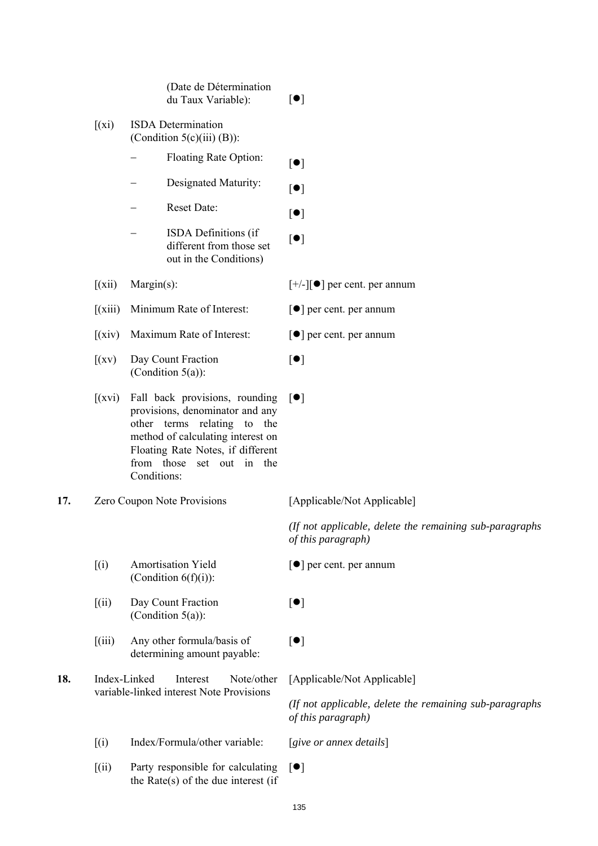|     |              | (Date de Détermination<br>du Taux Variable):                                                                                                                                                                           | [•]                                                                           |
|-----|--------------|------------------------------------------------------------------------------------------------------------------------------------------------------------------------------------------------------------------------|-------------------------------------------------------------------------------|
|     | $(x_i)$      | <b>ISDA</b> Determination<br>(Condition $5(c)(iii)(B)$ ):                                                                                                                                                              |                                                                               |
|     |              | Floating Rate Option:                                                                                                                                                                                                  | $[\bullet]$                                                                   |
|     |              | Designated Maturity:                                                                                                                                                                                                   | $[\bullet]$                                                                   |
|     |              | Reset Date:                                                                                                                                                                                                            | [•]                                                                           |
|     |              | ISDA Definitions (if<br>different from those set<br>out in the Conditions)                                                                                                                                             | $[\bullet]$                                                                   |
|     | (xii)        | $Margin(s)$ :                                                                                                                                                                                                          | $[+/$ -][ $\bullet$ ] per cent. per annum                                     |
|     | (xiii)       | Minimum Rate of Interest:                                                                                                                                                                                              | $\lceil \bullet \rceil$ per cent. per annum                                   |
|     | (xiv)        | Maximum Rate of Interest:                                                                                                                                                                                              | $\lceil \bullet \rceil$ per cent. per annum                                   |
|     | (xv)         | Day Count Fraction<br>(Condition $5(a)$ ):                                                                                                                                                                             | [•]                                                                           |
|     | (xvi)        | Fall back provisions, rounding<br>provisions, denominator and any<br>other terms relating to the<br>method of calculating interest on<br>Floating Rate Notes, if different<br>from those set out in the<br>Conditions: | $\lceil \bullet \rceil$                                                       |
| 17. |              | Zero Coupon Note Provisions                                                                                                                                                                                            | [Applicable/Not Applicable]                                                   |
|     |              |                                                                                                                                                                                                                        | (If not applicable, delete the remaining sub-paragraphs<br>of this paragraph) |
|     | (i)          | <b>Amortisation Yield</b><br>(Condition $6(f)(i)$ ):                                                                                                                                                                   | $\lceil \bullet \rceil$ per cent. per annum                                   |
|     | (iii)        | Day Count Fraction<br>(Condition $5(a)$ ):                                                                                                                                                                             | $[\bullet]$                                                                   |
|     | (iii)        | Any other formula/basis of<br>determining amount payable:                                                                                                                                                              | $[\bullet]$                                                                   |
| 18. | Index-Linked | Note/other<br>Interest<br>variable-linked interest Note Provisions                                                                                                                                                     | [Applicable/Not Applicable]                                                   |
|     |              |                                                                                                                                                                                                                        | (If not applicable, delete the remaining sub-paragraphs<br>of this paragraph) |
|     | (i)          | Index/Formula/other variable:                                                                                                                                                                                          | [sive or annex details]                                                       |
|     | (iii)        | Party responsible for calculating<br>the Rate(s) of the due interest (if                                                                                                                                               | $\lceil \bullet \rceil$                                                       |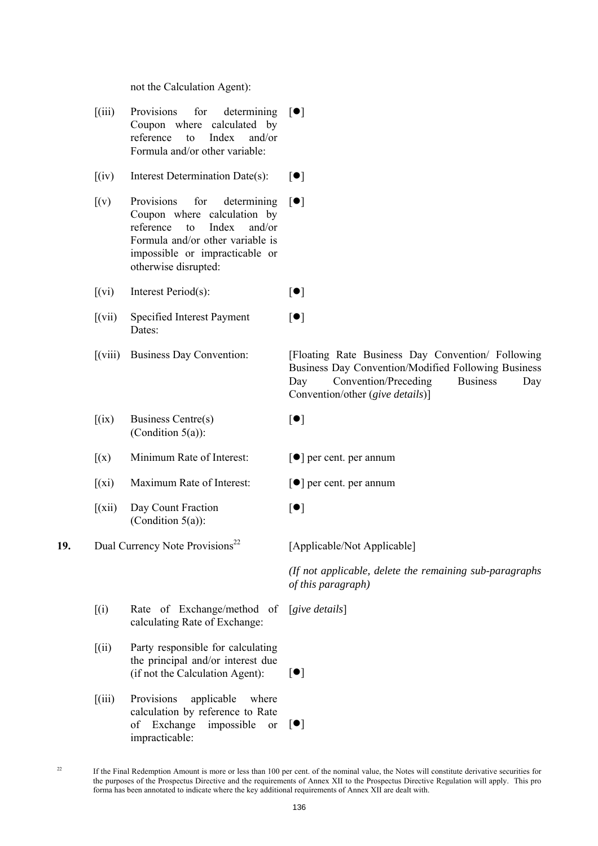not the Calculation Agent):

- $[(iii)$  Provisions for determining  $[\bullet]$ Coupon where calculated by reference to Index and/or Formula and/or other variable:
	- $[(iv)$  Interest Determination Date(s):  $[\bullet]$
	- [(v) Provisions for determining Coupon where calculation by reference to Index and/or Formula and/or other variable is impossible or impracticable or otherwise disrupted:  $\lceil \bullet \rceil$

 $[(vi)$  Interest Period(s):  $[•]$ 

- [(vii) Specified Interest Payment Dates:
- 
- $[(ix)$  Business Centre(s) (Condition  $5(a)$ ):
- $[(x)]$  Minimum Rate of Interest:  $[9]$  per cent. per annum
- $[(xi)$  Maximum Rate of Interest:  $[①]$  per cent. per annum
- [(xii) Day Count Fraction (Condition  $5(a)$ ):
- **19.** Dual Currency Note Provisions<sup>22</sup> [Applicable/Not Applicable]

 [(viii) Business Day Convention: [Floating Rate Business Day Convention/ Following Business Day Convention/Modified Following Business Day Convention/Preceding Business Day Convention/other (*give details*)]

 $[•]$ 

 $[•]$ 

- 
- 
- $[•]$

 *(If not applicable, delete the remaining sub-paragraphs of this paragraph)*

- [(i) Rate of Exchange/method of calculating Rate of Exchange: [*give details*]
- [(ii) Party responsible for calculating the principal and/or interest due  $(if not the Calculation Agent):$   $[•]$
- [(iii) Provisions applicable where calculation by reference to Rate of Exchange impossible or impracticable:  $\lceil \bullet \rceil$

<sup>22</sup> If the Final Redemption Amount is more or less than 100 per cent. of the nominal value, the Notes will constitute derivative securities for the purposes of the Prospectus Directive and the requirements of Annex XII to the Prospectus Directive Regulation will apply. This pro forma has been annotated to indicate where the key additional requirements of Annex XII are dealt with.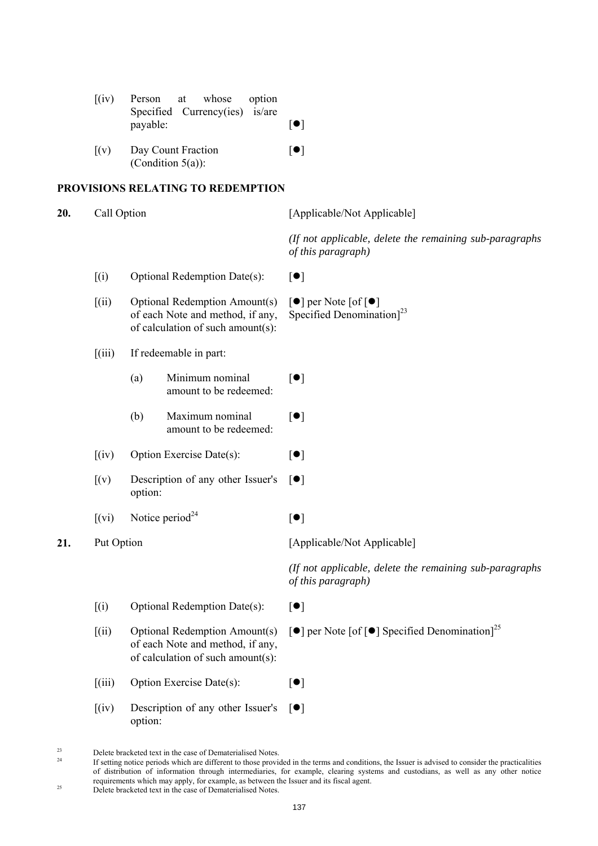|     | (iv)                            | Person<br>Specified<br>payable: | whose<br>option<br>at<br>is/are<br>Curreney(ies)                                                       | [•]                                                                                               |
|-----|---------------------------------|---------------------------------|--------------------------------------------------------------------------------------------------------|---------------------------------------------------------------------------------------------------|
|     | (x)                             |                                 | Day Count Fraction<br>(Condition $5(a)$ ):                                                             | [•]                                                                                               |
|     |                                 |                                 | PROVISIONS RELATING TO REDEMPTION                                                                      |                                                                                                   |
| 20. | Call Option                     |                                 |                                                                                                        | [Applicable/Not Applicable]                                                                       |
|     |                                 |                                 |                                                                                                        | (If not applicable, delete the remaining sub-paragraphs<br>of this paragraph)                     |
|     | (i)                             |                                 | Optional Redemption Date(s):                                                                           | [•]                                                                                               |
|     | (iii)                           |                                 | Optional Redemption Amount(s)<br>of each Note and method, if any,<br>of calculation of such amount(s): | $\lceil \bullet \rceil$ per Note $\lceil \circ \rceil$<br>Specified Denomination <sup>[23</sup> ] |
|     | (iii)                           |                                 | If redeemable in part:                                                                                 |                                                                                                   |
|     |                                 | (a)                             | Minimum nominal<br>amount to be redeemed:                                                              | [•]                                                                                               |
|     |                                 | (b)                             | Maximum nominal<br>amount to be redeemed:                                                              | [•]                                                                                               |
|     | (iv)                            |                                 | Option Exercise Date(s):                                                                               | [•]                                                                                               |
|     | [(v)]                           | option:                         | Description of any other Issuer's                                                                      | $\lceil \bullet \rceil$                                                                           |
|     | (xi)                            | Notice period <sup>24</sup>     |                                                                                                        | [•]                                                                                               |
| 21. |                                 | Put Option                      |                                                                                                        | [Applicable/Not Applicable]                                                                       |
|     |                                 |                                 |                                                                                                        | (If not applicable, delete the remaining sub-paragraphs)<br>of this paragraph)                    |
|     | (i)                             |                                 | Optional Redemption Date(s):                                                                           | [•]                                                                                               |
|     | (iii)                           |                                 | Optional Redemption Amount(s)<br>of each Note and method, if any,<br>of calculation of such amount(s): | $\lceil \bullet \rceil$ per Note $\lceil \bullet \rceil$ Specified Denomination] <sup>25</sup>    |
|     | $\left[\left(iii\right)\right]$ |                                 | Option Exercise Date(s):                                                                               | [•]                                                                                               |
|     | (iv)                            | option:                         | Description of any other Issuer's                                                                      | $\lceil \bullet \rceil$                                                                           |

<sup>&</sup>lt;sup>23</sup> Delete bracketed text in the case of Dematerialised Notes.

 $^{24}$  If setting notice periods which are different to those provided in the terms and conditions, the Issuer is advised to consider the practicalities of distribution of information through intermediaries, for example, clearing systems and custodians, as well as any other notice requirements which may apply, for example, as between the Issuer and its fiscal agent.<br>Delete bracketed text in the case of Dematerialised Notes.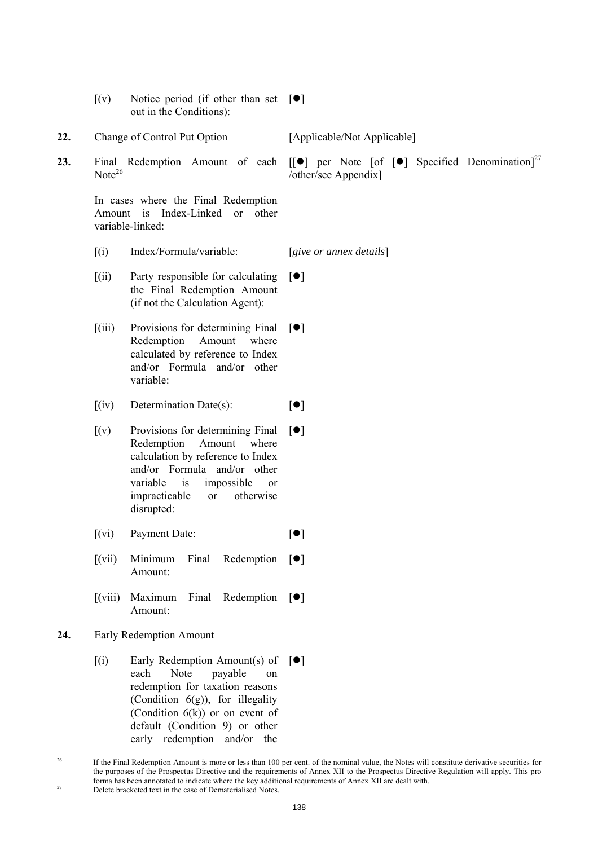- $[(v)]$  Notice period (if other than set  $[\bullet]$ out in the Conditions):
- 22. Change of Control Put Option [Applicable/Not Applicable]
- $Note<sup>26</sup>$

 In cases where the Final Redemption Amount is Index-Linked or other variable-linked:

[(i) Index/Formula/variable: [*give or annex details*]

- [(ii) Party responsible for calculating the Final Redemption Amount (if not the Calculation Agent):  $\lceil \bullet \rceil$
- [(iii) Provisions for determining Final Redemption Amount where calculated by reference to Index and/or Formula and/or other variable:  $[$
- $[(iv)$  Determination Date(s):  $[•]$
- $[(v)$  Provisions for determining Final Redemption Amount where calculation by reference to Index and/or Formula and/or other variable is impossible or impracticable or otherwise disrupted:  $\lceil \bullet \rceil$
- $[(vi)$  Payment Date:  $[①]$
- $[(vii)$  Minimum Final Amount: Redemption  $[\bullet]$
- $\delta$ [(viii) Maximum Final Amount: Redemption  $[\bullet]$
- **24.** Early Redemption Amount
- $[(i)$  Early Redemption Amount(s) of  $[\bullet]$ each Note payable on redemption for taxation reasons (Condition  $6(g)$ ), for illegality (Condition  $6(k)$ ) or on event of default (Condition 9) or other early redemption and/or the

**23.** Final Redemption Amount of each  $\begin{bmatrix} \bullet \end{bmatrix}$  per Note  $\begin{bmatrix} \circ \end{bmatrix}$  Specified Denomination<sup>27</sup> /other/see Appendix]

<sup>&</sup>lt;sup>26</sup> If the Final Redemption Amount is more or less than 100 per cent, of the nominal value, the Notes will constitute derivative securities for the purposes of the Prospectus Directive and the requirements of Annex XII to the Prospectus Directive Regulation will apply. This pro forma has been annotated to indicate where the key additional requirements of Annex XII are dealt with. 27 Delete bracketed text in the case of Dematerialised Notes.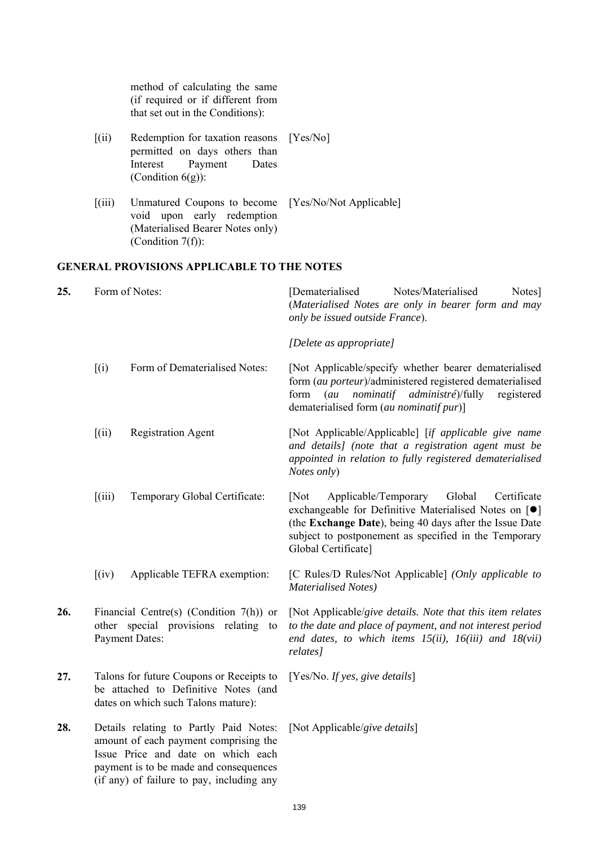method of calculating the same (if required or if different from that set out in the Conditions): [(ii) Redemption for taxation reasons permitted on days others than Interest Payment Dates (Condition 6(g)): [Yes/No] [(iii) Unmatured Coupons to become [Yes/No/Not Applicable] void upon early redemption (Materialised Bearer Notes only) (Condition 7(f)): **GENERAL PROVISIONS APPLICABLE TO THE NOTES 25.** Form of Notes: [Dematerialised Notes/Materialised Notes] (*Materialised Notes are only in bearer form and may only be issued outside France*). *[Delete as appropriate]* [(i) Form of Dematerialised Notes: [Not Applicable/specify whether bearer dematerialised form (*au porteur*)/administered registered dematerialised form (*au nominatif administré*)/fully registered dematerialised form (*au nominatif pur*)] [(ii) Registration Agent [Not Applicable/Applicable] [*if applicable give name and details] (note that a registration agent must be appointed in relation to fully registered dematerialised Notes only*) [(iii) Temporary Global Certificate: [Not Applicable/Temporary Global Certificate exchangeable for Definitive Materialised Notes on  $[\bullet]$ (the **Exchange Date**), being 40 days after the Issue Date subject to postponement as specified in the Temporary Global Certificate] [(iv) Applicable TEFRA exemption: [C Rules/D Rules/Not Applicable] *(Only applicable to Materialised Notes)* **26.** Financial Centre(s) (Condition 7(h)) or other special provisions relating to Payment Dates: [Not Applicable/*give details. Note that this item relates to the date and place of payment, and not interest period end dates, to which items 15(ii), 16(iii) and 18(vii) relates]* **27.** Talons for future Coupons or Receipts to be attached to Definitive Notes (and dates on which such Talons mature): [Yes/No. *If yes, give details*] **28.** Details relating to Partly Paid Notes: amount of each payment comprising the Issue Price and date on which each payment is to be made and consequences (if any) of failure to pay, including any [Not Applicable/*give details*]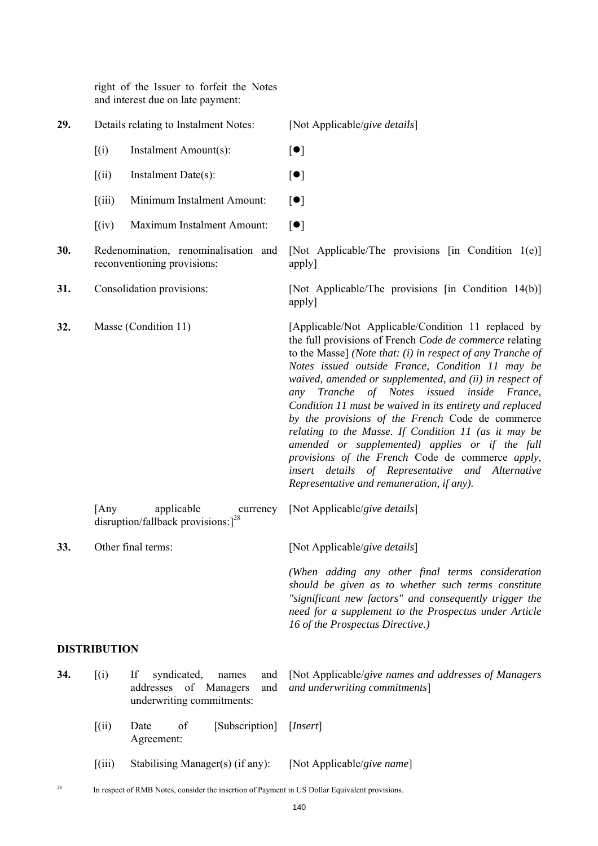right of the Issuer to forfeit the Notes and interest due on late payment:

| 29. |                     | Details relating to Instalment Notes:                                                          | [Not Applicable/give details]                                                                                                                                                                                                                                                                                                                                                                                                                                                                                                                                                                                                                                                                                                  |
|-----|---------------------|------------------------------------------------------------------------------------------------|--------------------------------------------------------------------------------------------------------------------------------------------------------------------------------------------------------------------------------------------------------------------------------------------------------------------------------------------------------------------------------------------------------------------------------------------------------------------------------------------------------------------------------------------------------------------------------------------------------------------------------------------------------------------------------------------------------------------------------|
|     | (i)                 | Instalment Amount(s):                                                                          | $[\bullet]$                                                                                                                                                                                                                                                                                                                                                                                                                                                                                                                                                                                                                                                                                                                    |
|     | [(ii)]              | Instalment Date(s):                                                                            | $[\bullet]$                                                                                                                                                                                                                                                                                                                                                                                                                                                                                                                                                                                                                                                                                                                    |
|     | (iii)               | Minimum Instalment Amount:                                                                     | $[\bullet]$                                                                                                                                                                                                                                                                                                                                                                                                                                                                                                                                                                                                                                                                                                                    |
|     | (iv)                | Maximum Instalment Amount:                                                                     | [•]                                                                                                                                                                                                                                                                                                                                                                                                                                                                                                                                                                                                                                                                                                                            |
| 30. |                     | Redenomination, renominalisation and<br>reconventioning provisions:                            | [Not Applicable/The provisions [in Condition 1(e)]<br>apply]                                                                                                                                                                                                                                                                                                                                                                                                                                                                                                                                                                                                                                                                   |
| 31. |                     | Consolidation provisions:                                                                      | [Not Applicable/The provisions [in Condition 14(b)]<br>apply]                                                                                                                                                                                                                                                                                                                                                                                                                                                                                                                                                                                                                                                                  |
| 32. |                     | Masse (Condition 11)                                                                           | [Applicable/Not Applicable/Condition 11 replaced by<br>the full provisions of French Code de commerce relating<br>to the Masse] (Note that: $(i)$ in respect of any Tranche of<br>Notes issued outside France, Condition 11 may be<br>waived, amended or supplemented, and (ii) in respect of<br>Tranche of Notes issued inside France,<br>any<br>Condition 11 must be waived in its entirety and replaced<br>by the provisions of the French Code de commerce<br>relating to the Masse. If Condition 11 (as it may be<br>amended or supplemented) applies or if the full<br>provisions of the French Code de commerce apply,<br>insert details of Representative and Alternative<br>Representative and remuneration, if any). |
|     | [Any                | applicable<br>currency<br>disruption/fallback provisions: $]^{28}$                             | [Not Applicable/give details]                                                                                                                                                                                                                                                                                                                                                                                                                                                                                                                                                                                                                                                                                                  |
| 33. |                     | Other final terms:                                                                             | [Not Applicable/give details]                                                                                                                                                                                                                                                                                                                                                                                                                                                                                                                                                                                                                                                                                                  |
|     |                     |                                                                                                | (When adding any other final terms consideration<br>should be given as to whether such terms constitute<br>"significant new factors" and consequently trigger the<br>need for a supplement to the Prospectus under Article<br>16 of the Prospectus Directive.)                                                                                                                                                                                                                                                                                                                                                                                                                                                                 |
|     | <b>DISTRIBUTION</b> |                                                                                                |                                                                                                                                                                                                                                                                                                                                                                                                                                                                                                                                                                                                                                                                                                                                |
| 34. | (i)                 | If<br>syndicated,<br>names<br>and<br>addresses of Managers<br>and<br>underwriting commitments: | [Not Applicable/give names and addresses of Managers<br>and underwriting commitments]                                                                                                                                                                                                                                                                                                                                                                                                                                                                                                                                                                                                                                          |
|     | [(ii)]              | [Subscription]<br>of<br>Date<br>Agreement:                                                     | [Insert]                                                                                                                                                                                                                                                                                                                                                                                                                                                                                                                                                                                                                                                                                                                       |
|     | (iii)               | Stabilising Manager(s) (if any):                                                               | [Not Applicable/give name]                                                                                                                                                                                                                                                                                                                                                                                                                                                                                                                                                                                                                                                                                                     |
| 28  |                     | In respect of RMB Notes, consider the insertion of Payment in US Dollar Equivalent provisions. |                                                                                                                                                                                                                                                                                                                                                                                                                                                                                                                                                                                                                                                                                                                                |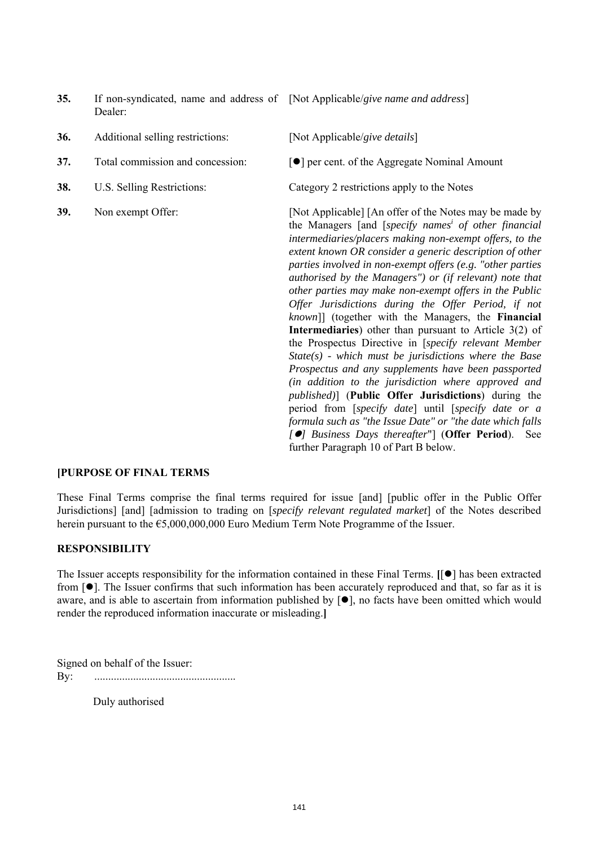- **35.** If non-syndicated, name and address of [Not Applicable/*give name and address*] Dealer:
- **36.** Additional selling restrictions: [Not Applicable/*give details*]
- 
- 
- 

**37.** Total commission and concession:  $\begin{bmatrix} \bullet \\ \end{bmatrix}$  per cent. of the Aggregate Nominal Amount

**38.** U.S. Selling Restrictions: Category 2 restrictions apply to the Notes

**39.** Non exempt Offer: [Not Applicable] [An offer of the Notes may be made by the Managers [and [*specify names i of other financial intermediaries/placers making non-exempt offers, to the extent known OR consider a generic description of other parties involved in non-exempt offers (e.g. "other parties authorised by the Managers") or (if relevant) note that other parties may make non-exempt offers in the Public Offer Jurisdictions during the Offer Period, if not known*]] (together with the Managers, the **Financial Intermediaries**) other than pursuant to Article 3(2) of the Prospectus Directive in [*specify relevant Member State(s) - which must be jurisdictions where the Base Prospectus and any supplements have been passported (in addition to the jurisdiction where approved and published)*] (**Public Offer Jurisdictions**) during the period from [*specify date*] until [*specify date or a formula such as "the Issue Date" or "the date which falls [] Business Days thereafter*"] (**Offer Period**). See further Paragraph 10 of Part B below.

## **[PURPOSE OF FINAL TERMS**

These Final Terms comprise the final terms required for issue [and] [public offer in the Public Offer Jurisdictions] [and] [admission to trading on [*specify relevant regulated market*] of the Notes described herein pursuant to the €5,000,000,000 Euro Medium Term Note Programme of the Issuer.

## **RESPONSIBILITY**

The Issuer accepts responsibility for the information contained in these Final Terms. **[[** $\bullet$ ] has been extracted from  $[\bullet]$ . The Issuer confirms that such information has been accurately reproduced and that, so far as it is aware, and is able to ascertain from information published by  $\blacksquare$ , no facts have been omitted which would render the reproduced information inaccurate or misleading.**]**

Signed on behalf of the Issuer: By: ...................................................

Duly authorised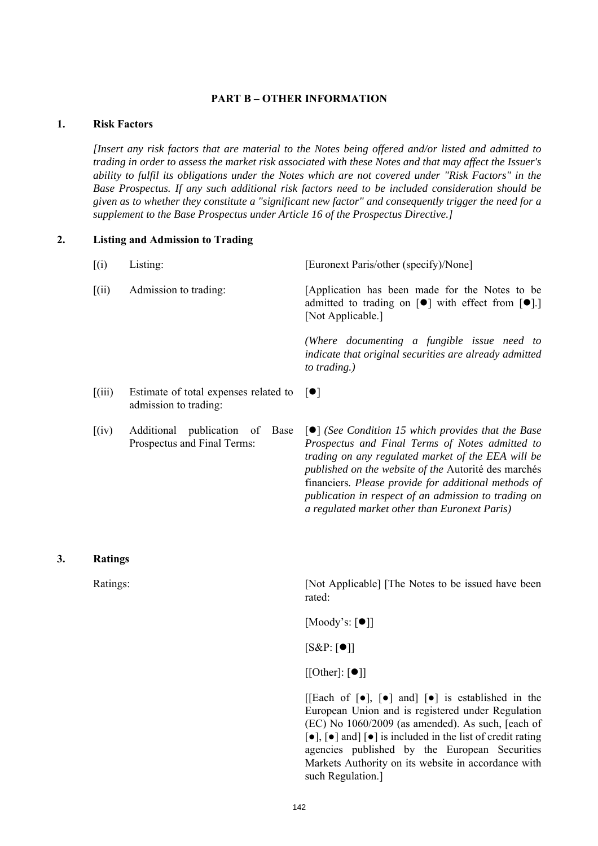#### **PART B – OTHER INFORMATION**

## **1. Risk Factors**

*[Insert any risk factors that are material to the Notes being offered and/or listed and admitted to trading in order to assess the market risk associated with these Notes and that may affect the Issuer's ability to fulfil its obligations under the Notes which are not covered under "Risk Factors" in the Base Prospectus. If any such additional risk factors need to be included consideration should be given as to whether they constitute a "significant new factor" and consequently trigger the need for a supplement to the Base Prospectus under Article 16 of the Prospectus Directive.]*

#### **2. Listing and Admission to Trading**

| $\left[ \mathrm{(}i\mathrm{)}\right]$ | Listing:                                                                               | [Euronext Paris/other (specify)/None]                                                                                                                                                                                                                                                                                                                                                                    |
|---------------------------------------|----------------------------------------------------------------------------------------|----------------------------------------------------------------------------------------------------------------------------------------------------------------------------------------------------------------------------------------------------------------------------------------------------------------------------------------------------------------------------------------------------------|
| $\left[ \mathrm{(ii)} \right]$        | Admission to trading:                                                                  | [Application has been made for the Notes to be<br>admitted to trading on $[\bullet]$ with effect from $[\bullet]$ .]<br>[Not Applicable.]                                                                                                                                                                                                                                                                |
|                                       |                                                                                        | (Where documenting a fungible issue need to<br>indicate that original securities are already admitted<br>to trading.)                                                                                                                                                                                                                                                                                    |
| $\left[\left(iii\right)\right]$       | Estimate of total expenses related to $\lceil \bullet \rceil$<br>admission to trading: |                                                                                                                                                                                                                                                                                                                                                                                                          |
| $\left[\mathrm{(iv)}\right]$          | Additional publication of<br>Base<br>Prospectus and Final Terms:                       | $\lceil \bullet \rceil$ (See Condition 15 which provides that the Base<br>Prospectus and Final Terms of Notes admitted to<br>trading on any regulated market of the EEA will be<br>published on the website of the Autorité des marchés<br>financiers. Please provide for additional methods of<br>publication in respect of an admission to trading on<br>a regulated market other than Euronext Paris) |

#### **3. Ratings**

Ratings: [Not Applicable] [The Notes to be issued have been rated:

 $[Moody's: [\bullet]]$ 

 $[S&P:[\bullet]]$ 

 $[[Other]: [①]]$ 

[[Each of  $\lceil \bullet \rceil$ ,  $\lceil \bullet \rceil$  and]  $\lceil \bullet \rceil$  is established in the European Union and is registered under Regulation (EC) No 1060/2009 (as amended). As such, [each of [●], [●] and] [●] is included in the list of credit rating agencies published by the European Securities Markets Authority on its website in accordance with such Regulation.]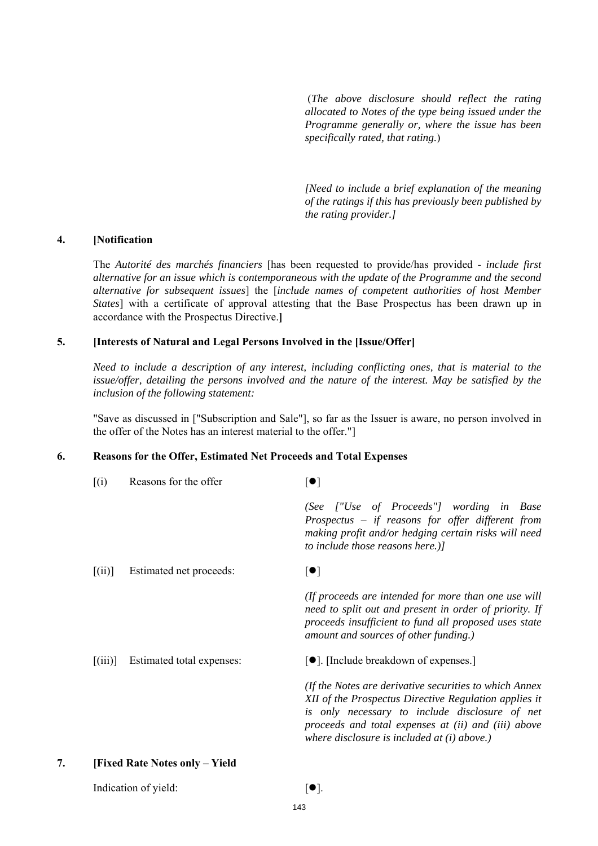(*The above disclosure should reflect the rating allocated to Notes of the type being issued under the Programme generally or, where the issue has been specifically rated, that rating.*)

*[Need to include a brief explanation of the meaning of the ratings if this has previously been published by the rating provider.]*

#### **4. [Notification**

The *Autorité des marchés financiers* [has been requested to provide/has provided - *include first alternative for an issue which is contemporaneous with the update of the Programme and the second alternative for subsequent issues*] the [*include names of competent authorities of host Member States*] with a certificate of approval attesting that the Base Prospectus has been drawn up in accordance with the Prospectus Directive.**]**

## **5. [Interests of Natural and Legal Persons Involved in the [Issue/Offer]**

*Need to include a description of any interest, including conflicting ones, that is material to the issue/offer, detailing the persons involved and the nature of the interest. May be satisfied by the inclusion of the following statement:*

"Save as discussed in ["Subscription and Sale"], so far as the Issuer is aware, no person involved in the offer of the Notes has an interest material to the offer."]

## **6. Reasons for the Offer, Estimated Net Proceeds and Total Expenses**

|    | (i)     | Reasons for the offer                 | $[\bullet]$                                                                                                                                                                                                                                                               |
|----|---------|---------------------------------------|---------------------------------------------------------------------------------------------------------------------------------------------------------------------------------------------------------------------------------------------------------------------------|
|    |         |                                       | (See ["Use of Proceeds"] wording in Base<br>Prospectus - if reasons for offer different from<br>making profit and/or hedging certain risks will need<br>to include those reasons here.)]                                                                                  |
|    | [(ii)]  | Estimated net proceeds:               | $\lceil \bullet \rceil$                                                                                                                                                                                                                                                   |
|    |         |                                       | (If proceeds are intended for more than one use will<br>need to split out and present in order of priority. If<br>proceeds insufficient to fund all proposed uses state<br>amount and sources of other funding.)                                                          |
|    | [(iii)] | Estimated total expenses:             | [●]. [Include breakdown of expenses.]                                                                                                                                                                                                                                     |
|    |         |                                       | (If the Notes are derivative securities to which Annex<br>XII of the Prospectus Directive Regulation applies it<br>is only necessary to include disclosure of net<br>proceeds and total expenses at (ii) and (iii) above<br>where disclosure is included at $(i)$ above.) |
| 7. |         | <b>[Fixed Rate Notes only – Yield</b> |                                                                                                                                                                                                                                                                           |

Indication of yield:  $[•]$ .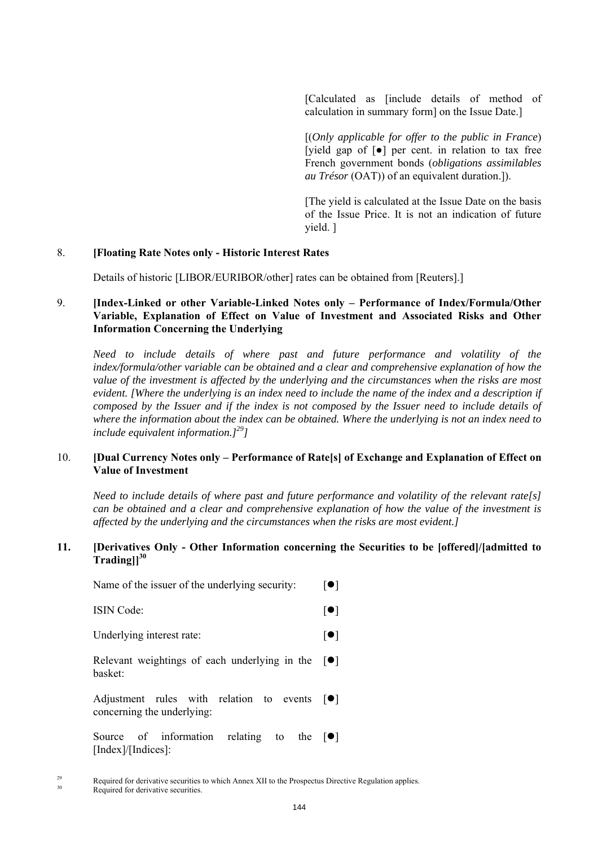[Calculated as [include details of method of calculation in summary form] on the Issue Date.]

[(*Only applicable for offer to the public in France*) [yield gap of [●] per cent. in relation to tax free French government bonds (*obligations assimilables au Trésor* (OAT)) of an equivalent duration.]).

 [The yield is calculated at the Issue Date on the basis of the Issue Price. It is not an indication of future yield. ]

## 8. **[Floating Rate Notes only - Historic Interest Rates**

Details of historic [LIBOR/EURIBOR/other] rates can be obtained from [Reuters].]

## 9. **[Index-Linked or other Variable-Linked Notes only – Performance of Index/Formula/Other Variable, Explanation of Effect on Value of Investment and Associated Risks and Other Information Concerning the Underlying**

*Need to include details of where past and future performance and volatility of the index/formula/other variable can be obtained and a clear and comprehensive explanation of how the value of the investment is affected by the underlying and the circumstances when the risks are most evident. [Where the underlying is an index need to include the name of the index and a description if composed by the Issuer and if the index is not composed by the Issuer need to include details of where the information about the index can be obtained. Where the underlying is not an index need to include equivalent information.]29]*

## 10. **[Dual Currency Notes only – Performance of Rate[s] of Exchange and Explanation of Effect on Value of Investment**

*Need to include details of where past and future performance and volatility of the relevant rate[s] can be obtained and a clear and comprehensive explanation of how the value of the investment is affected by the underlying and the circumstances when the risks are most evident.]*

#### **11. [Derivatives Only - Other Information concerning the Securities to be [offered]/[admitted to Trading]]<sup>30</sup>**

| Name of the issuer of the underlying security:                                               | $\lceil \bullet \rceil$ |
|----------------------------------------------------------------------------------------------|-------------------------|
| <b>ISIN</b> Code:                                                                            | $  \bullet  $           |
| Underlying interest rate:                                                                    | $  \bullet  $           |
| Relevant weightings of each underlying in the $\lceil \bullet \rceil$<br>basket <sup>.</sup> |                         |
| Adjustment rules with relation to events<br>concerning the underlying:                       | $  \bullet  $           |
| Source of information<br>relating to the $ \bullet $<br>$[Index]/[Indices]$ :                |                         |

<sup>&</sup>lt;sup>29</sup> Required for derivative securities to which Annex XII to the Prospectus Directive Regulation applies.<br>Required for derivative securities.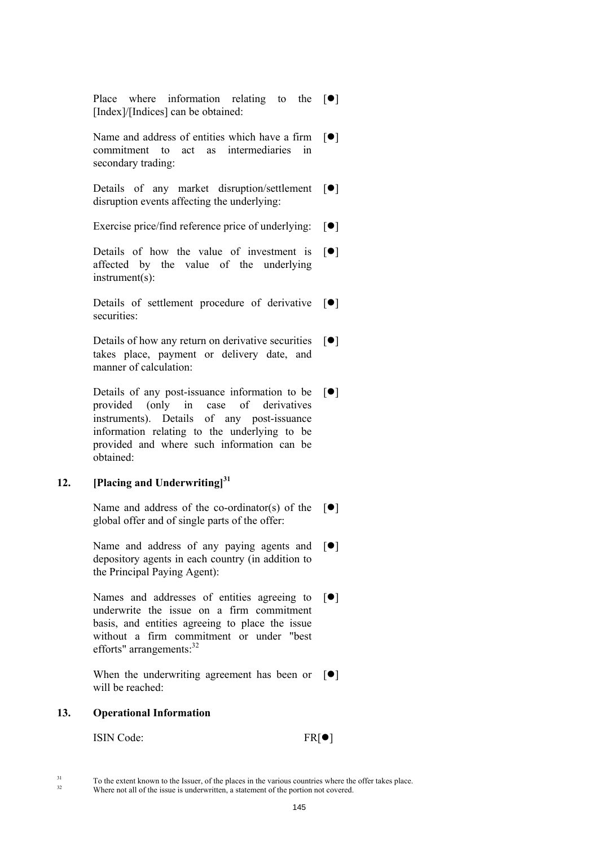Place where information relating to the  $[\bullet]$ [Index]/[Indices] can be obtained:

Name and address of entities which have a firm  $[\bullet]$ commitment to act as intermediaries in secondary trading:

Details of any market disruption/settlement  $\lceil \bullet \rceil$ disruption events affecting the underlying:

Exercise price/find reference price of underlying:  $[\bullet]$ 

Details of how the value of investment is  $[\bullet]$ affected by the value of the underlying instrument(s):

Details of settlement procedure of derivative  $[\bullet]$ securities:

Details of how any return on derivative securities  $[\bullet]$ takes place, payment or delivery date, and manner of calculation:

Details of any post-issuance information to be  $[\bullet]$ provided (only in case of derivatives instruments). Details of any post-issuance information relating to the underlying to be provided and where such information can be obtained:

# **12. [Placing and Underwriting]<sup>31</sup>**

Name and address of the co-ordinator(s) of the  $[\bullet]$ global offer and of single parts of the offer:

Name and address of any paying agents and  $[\bullet]$ depository agents in each country (in addition to the Principal Paying Agent):

Names and addresses of entities agreeing to  $[\bullet]$ underwrite the issue on a firm commitment basis, and entities agreeing to place the issue without a firm commitment or under "best efforts" arrangements:  $32$ 

When the underwriting agreement has been or  $[\bullet]$ will be reached:

#### **13. Operational Information**

ISIN Code: FR[ $\bullet$ ]

<sup>&</sup>lt;sup>31</sup> To the extent known to the Issuer, of the places in the various countries where the offer takes place.<br>Where not all of the issue is underwritten, a statement of the portion not covered.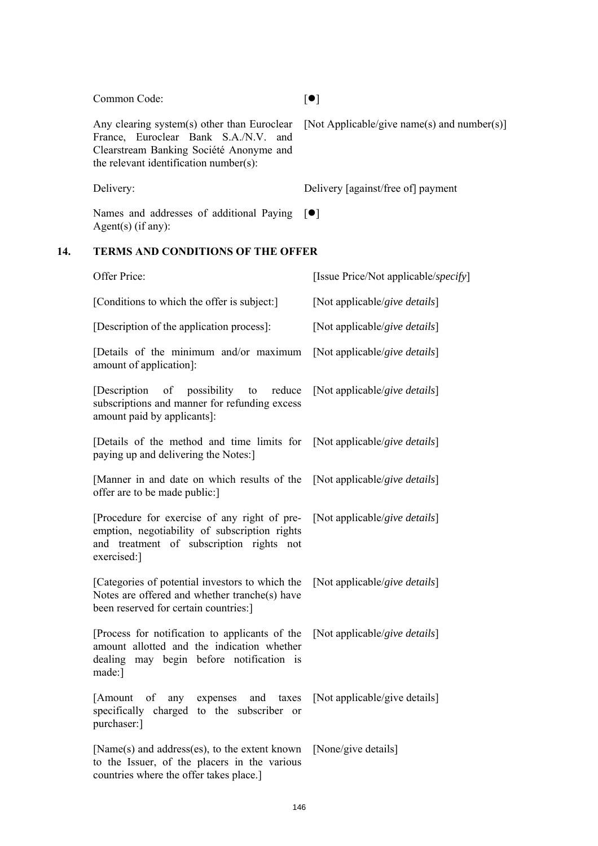# Offer Price: [Issue Price/Not applicable/*specify*] [Conditions to which the offer is subject:] [Not applicable/*give details*] [Description of the application process]: [Not applicable/*give details*] [Details of the minimum and/or maximum amount of application]: [Not applicable/*give details*] [Description of possibility to reduce subscriptions and manner for refunding excess amount paid by applicants]: [Not applicable/*give details*] [Details of the method and time limits for paying up and delivering the Notes:] [Not applicable/*give details*] [Manner in and date on which results of the offer are to be made public:] [Not applicable/*give details*] [Procedure for exercise of any right of preemption, negotiability of subscription rights and treatment of subscription rights not exercised:] [Not applicable/*give details*] [Categories of potential investors to which the Notes are offered and whether tranche(s) have been reserved for certain countries:] [Not applicable/*give details*] [Process for notification to applicants of the amount allotted and the indication whether dealing may begin before notification is made:] [Not applicable/*give details*] [Amount of any expenses and taxes specifically charged to the subscriber or purchaser:] [Not applicable/give details] [Name(s) and address(es), to the extent known [None/give details]

Any clearing system(s) other than Euroclear France, Euroclear Bank S.A./N.V. and Clearstream Banking Société Anonyme and the relevant identification number(s):

Delivery: Delivery [against/free of] payment

Names and addresses of additional Paying Agent(s) (if any):  $\lceil \bullet \rceil$ 

# **14. TERMS AND CONDITIONS OF THE OFFER**

Common Code: [ $\bullet$ ]

[Not Applicable/give name(s) and number(s)]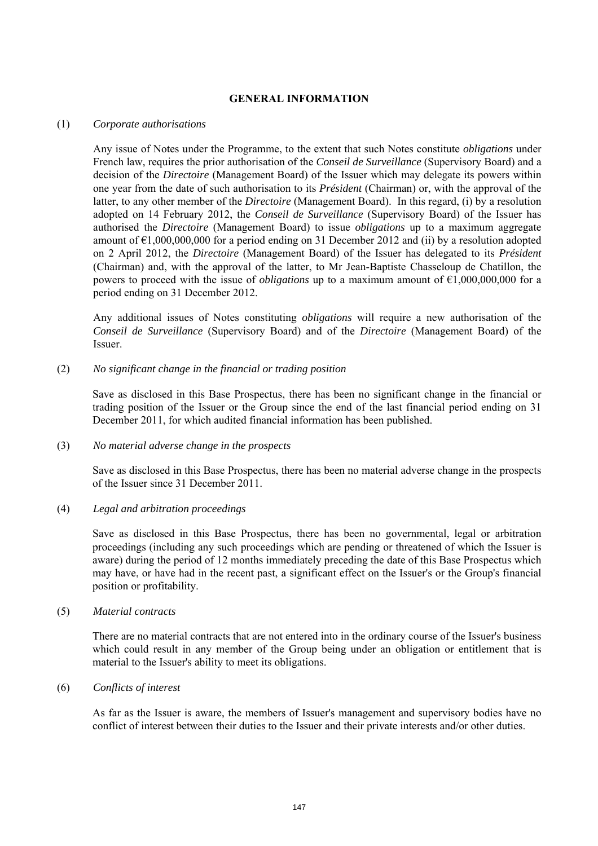# **GENERAL INFORMATION**

### (1) *Corporate authorisations*

Any issue of Notes under the Programme, to the extent that such Notes constitute *obligations* under French law, requires the prior authorisation of the *Conseil de Surveillance* (Supervisory Board) and a decision of the *Directoire* (Management Board) of the Issuer which may delegate its powers within one year from the date of such authorisation to its *Président* (Chairman) or, with the approval of the latter, to any other member of the *Directoire* (Management Board). In this regard, (i) by a resolution adopted on 14 February 2012, the *Conseil de Surveillance* (Supervisory Board) of the Issuer has authorised the *Directoire* (Management Board) to issue *obligations* up to a maximum aggregate amount of  $\epsilon$ 1,000,000,000 for a period ending on 31 December 2012 and (ii) by a resolution adopted on 2 April 2012, the *Directoire* (Management Board) of the Issuer has delegated to its *Président* (Chairman) and, with the approval of the latter, to Mr Jean-Baptiste Chasseloup de Chatillon, the powers to proceed with the issue of *obligations* up to a maximum amount of €1,000,000,000 for a period ending on 31 December 2012.

Any additional issues of Notes constituting *obligations* will require a new authorisation of the *Conseil de Surveillance* (Supervisory Board) and of the *Directoire* (Management Board) of the Issuer.

### (2) *No significant change in the financial or trading position*

Save as disclosed in this Base Prospectus, there has been no significant change in the financial or trading position of the Issuer or the Group since the end of the last financial period ending on 31 December 2011, for which audited financial information has been published.

#### (3) *No material adverse change in the prospects*

Save as disclosed in this Base Prospectus, there has been no material adverse change in the prospects of the Issuer since 31 December 2011.

# (4) *Legal and arbitration proceedings*

Save as disclosed in this Base Prospectus, there has been no governmental, legal or arbitration proceedings (including any such proceedings which are pending or threatened of which the Issuer is aware) during the period of 12 months immediately preceding the date of this Base Prospectus which may have, or have had in the recent past, a significant effect on the Issuer's or the Group's financial position or profitability.

#### (5) *Material contracts*

There are no material contracts that are not entered into in the ordinary course of the Issuer's business which could result in any member of the Group being under an obligation or entitlement that is material to the Issuer's ability to meet its obligations.

#### (6) *Conflicts of interest*

As far as the Issuer is aware, the members of Issuer's management and supervisory bodies have no conflict of interest between their duties to the Issuer and their private interests and/or other duties.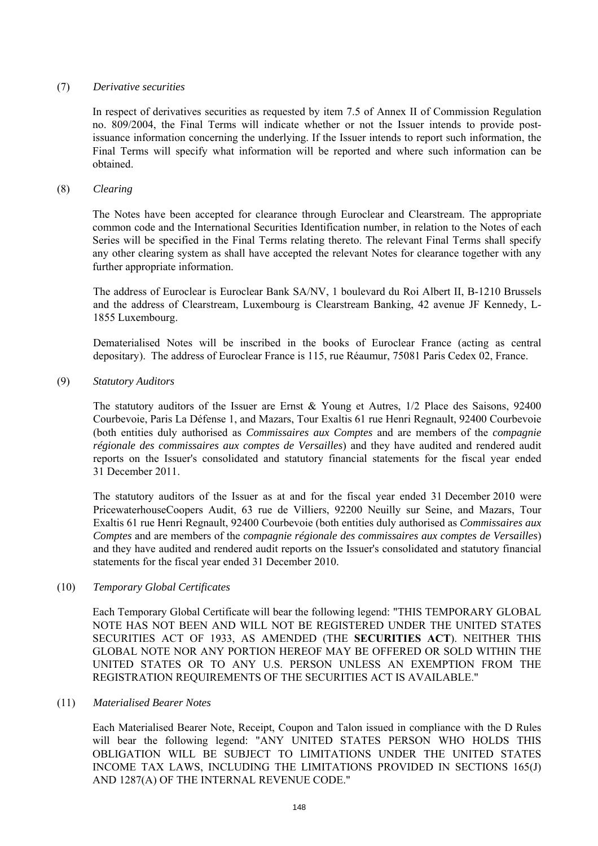# (7) *Derivative securities*

In respect of derivatives securities as requested by item 7.5 of Annex II of Commission Regulation no. 809/2004, the Final Terms will indicate whether or not the Issuer intends to provide postissuance information concerning the underlying. If the Issuer intends to report such information, the Final Terms will specify what information will be reported and where such information can be obtained.

### (8) *Clearing*

The Notes have been accepted for clearance through Euroclear and Clearstream. The appropriate common code and the International Securities Identification number, in relation to the Notes of each Series will be specified in the Final Terms relating thereto. The relevant Final Terms shall specify any other clearing system as shall have accepted the relevant Notes for clearance together with any further appropriate information.

The address of Euroclear is Euroclear Bank SA/NV, 1 boulevard du Roi Albert II, B-1210 Brussels and the address of Clearstream, Luxembourg is Clearstream Banking, 42 avenue JF Kennedy, L-1855 Luxembourg.

Dematerialised Notes will be inscribed in the books of Euroclear France (acting as central depositary). The address of Euroclear France is 115, rue Réaumur, 75081 Paris Cedex 02, France.

# (9) *Statutory Auditors*

The statutory auditors of the Issuer are Ernst & Young et Autres, 1/2 Place des Saisons, 92400 Courbevoie, Paris La Défense 1, and Mazars, Tour Exaltis 61 rue Henri Regnault, 92400 Courbevoie (both entities duly authorised as *Commissaires aux Comptes* and are members of the *compagnie régionale des commissaires aux comptes de Versailles*) and they have audited and rendered audit reports on the Issuer's consolidated and statutory financial statements for the fiscal year ended 31 December 2011.

The statutory auditors of the Issuer as at and for the fiscal year ended 31 December 2010 were PricewaterhouseCoopers Audit, 63 rue de Villiers, 92200 Neuilly sur Seine, and Mazars, Tour Exaltis 61 rue Henri Regnault, 92400 Courbevoie (both entities duly authorised as *Commissaires aux Comptes* and are members of the *compagnie régionale des commissaires aux comptes de Versailles*) and they have audited and rendered audit reports on the Issuer's consolidated and statutory financial statements for the fiscal year ended 31 December 2010.

# (10) *Temporary Global Certificates*

Each Temporary Global Certificate will bear the following legend: "THIS TEMPORARY GLOBAL NOTE HAS NOT BEEN AND WILL NOT BE REGISTERED UNDER THE UNITED STATES SECURITIES ACT OF 1933, AS AMENDED (THE **SECURITIES ACT**). NEITHER THIS GLOBAL NOTE NOR ANY PORTION HEREOF MAY BE OFFERED OR SOLD WITHIN THE UNITED STATES OR TO ANY U.S. PERSON UNLESS AN EXEMPTION FROM THE REGISTRATION REQUIREMENTS OF THE SECURITIES ACT IS AVAILABLE."

# (11) *Materialised Bearer Notes*

Each Materialised Bearer Note, Receipt, Coupon and Talon issued in compliance with the D Rules will bear the following legend: "ANY UNITED STATES PERSON WHO HOLDS THIS OBLIGATION WILL BE SUBJECT TO LIMITATIONS UNDER THE UNITED STATES INCOME TAX LAWS, INCLUDING THE LIMITATIONS PROVIDED IN SECTIONS 165(J) AND 1287(A) OF THE INTERNAL REVENUE CODE."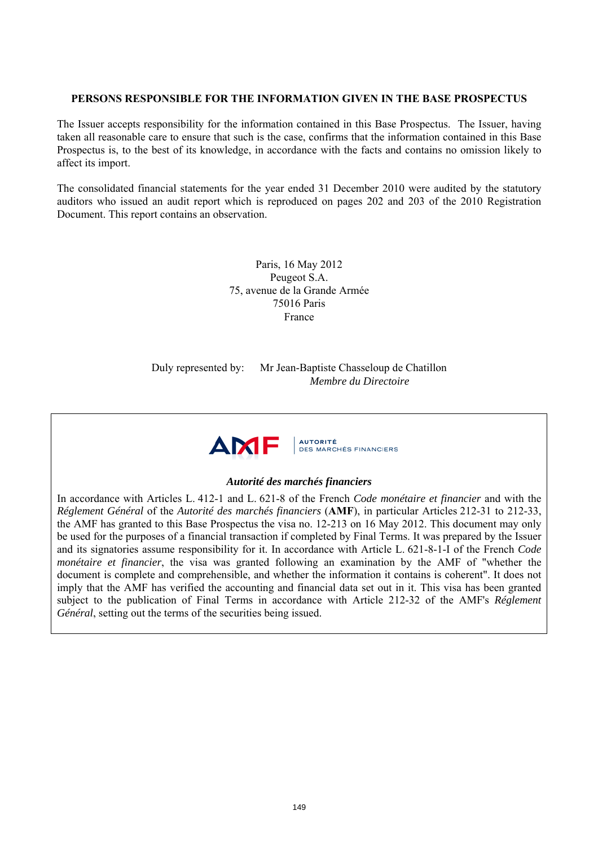# **PERSONS RESPONSIBLE FOR THE INFORMATION GIVEN IN THE BASE PROSPECTUS**

The Issuer accepts responsibility for the information contained in this Base Prospectus. The Issuer, having taken all reasonable care to ensure that such is the case, confirms that the information contained in this Base Prospectus is, to the best of its knowledge, in accordance with the facts and contains no omission likely to affect its import.

The consolidated financial statements for the year ended 31 December 2010 were audited by the statutory auditors who issued an audit report which is reproduced on pages 202 and 203 of the 2010 Registration Document. This report contains an observation.

> Paris, 16 May 2012 Peugeot S.A. 75, avenue de la Grande Armée 75016 Paris France

Duly represented by: Mr Jean-Baptiste Chasseloup de Chatillon *Membre du Directoire*



# *Autorité des marchés financiers*

In accordance with Articles L. 412-1 and L. 621-8 of the French *Code monétaire et financier* and with the *Réglement Général* of the *Autorité des marchés financiers* (**AMF**), in particular Articles 212-31 to 212-33, the AMF has granted to this Base Prospectus the visa no. 12-213 on 16 May 2012. This document may only be used for the purposes of a financial transaction if completed by Final Terms. It was prepared by the Issuer and its signatories assume responsibility for it. In accordance with Article L. 621-8-1-I of the French *Code monétaire et financier*, the visa was granted following an examination by the AMF of "whether the document is complete and comprehensible, and whether the information it contains is coherent". It does not imply that the AMF has verified the accounting and financial data set out in it. This visa has been granted subject to the publication of Final Terms in accordance with Article 212-32 of the AMF's *Réglement Général*, setting out the terms of the securities being issued.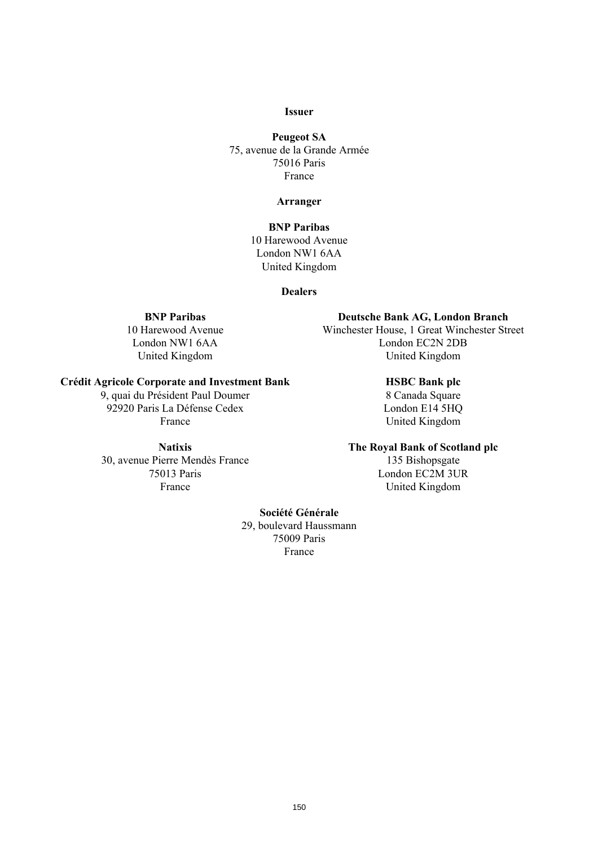# **Issuer**

**Peugeot SA**  75, avenue de la Grande Armée 75016 Paris France

#### **Arranger**

# **BNP Paribas**  10 Harewood Avenue London NW1 6AA United Kingdom

#### **Dealers**

#### **Crédit Agricole Corporate and Investment Bank HSBC Bank plc**

9, quai du Président Paul Doumer 8 Canada Square 92920 Paris La Défense Cedex London E14 5HQ France United Kingdom

30, avenue Pierre Mendès France 135 Bishopsgate 75013 Paris London EC2M 3UR

# **BNP Paribas Deutsche Bank AG, London Branch**

10 Harewood Avenue Winchester House, 1 Great Winchester Street London NW1 6AA London EC2N 2DB United Kingdom United Kingdom

#### **Natixis The Royal Bank of Scotland plc**

France United Kingdom

# **Société Générale**

29, boulevard Haussmann 75009 Paris France